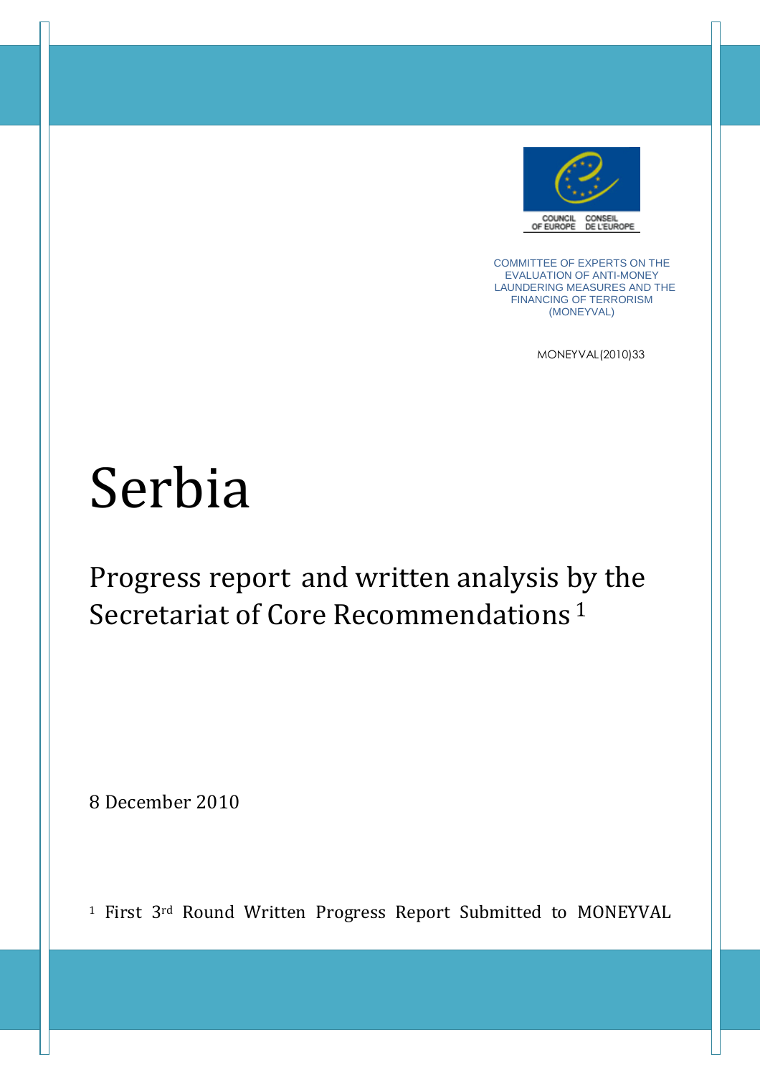

COMMITTEE OF EXPERTS ON THE EVALUATION OF ANTI-MONEY LAUNDERING MEASURES AND THE FINANCING OF TERRORISM (MONEYVAL)

MONEYVAL(2010)33

# Serbia

Progress report and written analysis by the Secretariat of Core Recommendations<sup>1</sup>

8 December 2010

<sup>1</sup> First 3<sup>rd</sup> Round Written Progress Report Submitted to MONEYVAL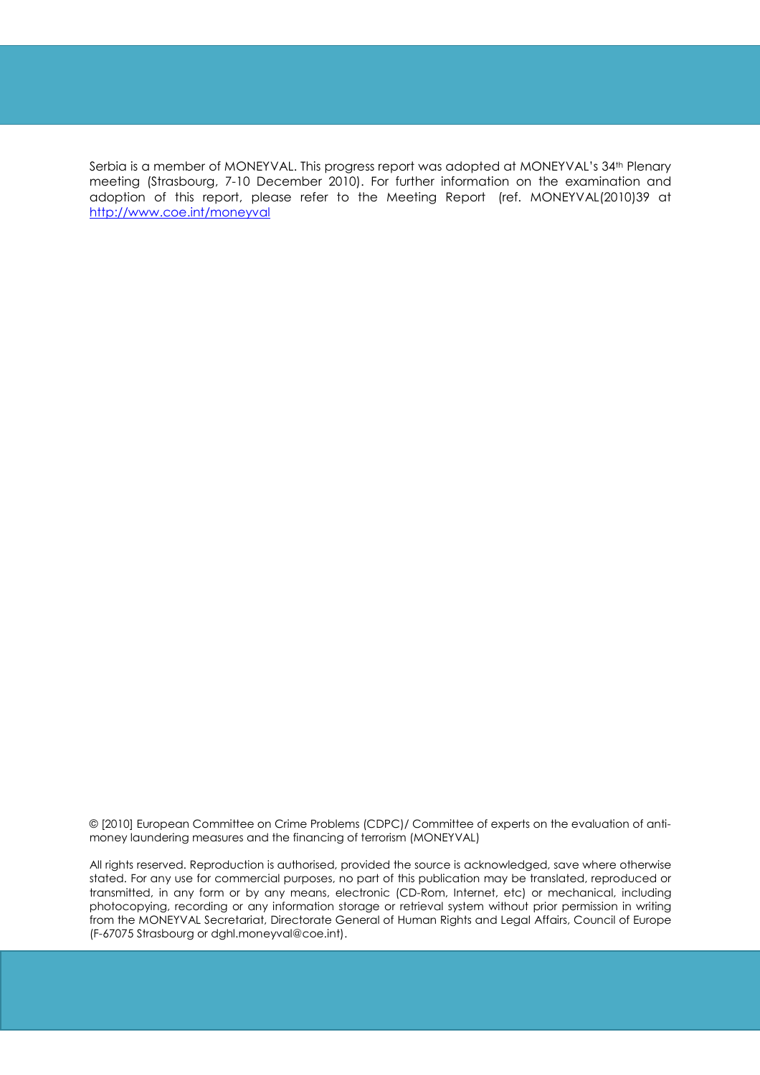Serbia is a member of MONEYVAL. This progress report was adopted at MONEYVAL's 34th Plenary meeting (Strasbourg, 7-10 December 2010). For further information on the examination and adoption of this report, please refer to the Meeting Report (ref. MONEYVAL(2010)39 at http://www.coe.int/moneyval

© [2010] European Committee on Crime Problems (CDPC)/ Committee of experts on the evaluation of antimoney laundering measures and the financing of terrorism (MONEYVAL)

All rights reserved. Reproduction is authorised, provided the source is acknowledged, save where otherwise stated. For any use for commercial purposes, no part of this publication may be translated, reproduced or transmitted, in any form or by any means, electronic (CD-Rom, Internet, etc) or mechanical, including photocopying, recording or any information storage or retrieval system without prior permission in writing from the MONEYVAL Secretariat, Directorate General of Human Rights and Legal Affairs, Council of Europe (F-67075 Strasbourg or dghl.moneyval@coe.int).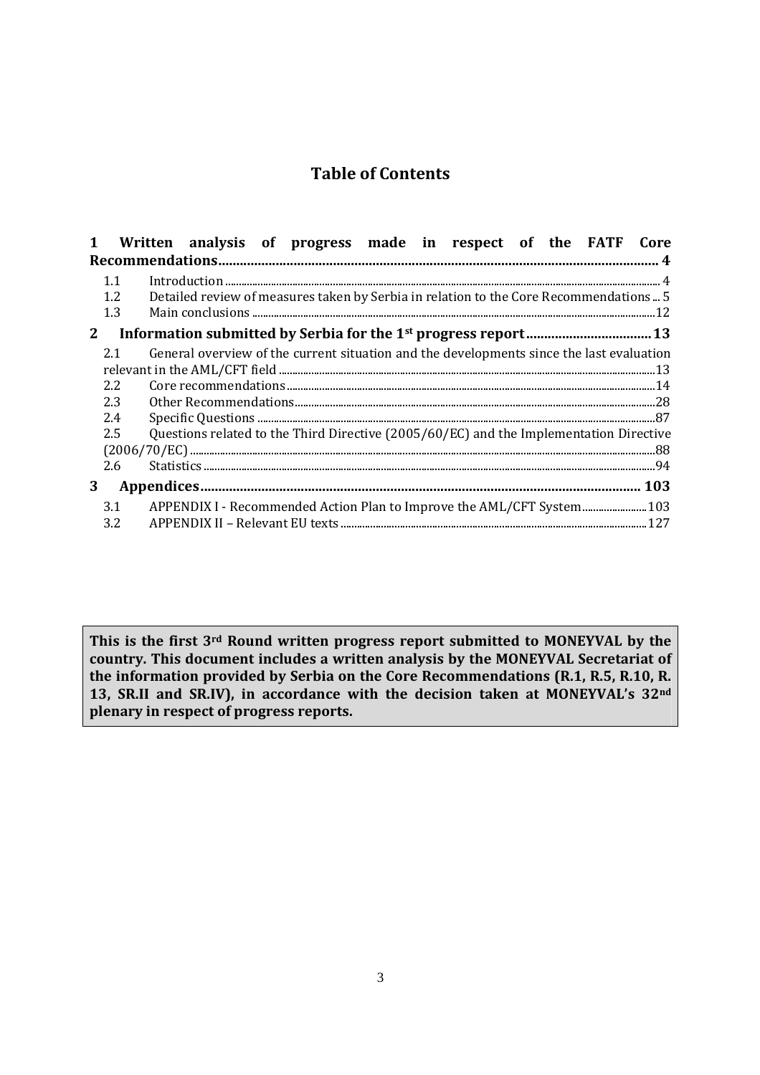# **Table of Contents**

| $\mathbf{1}$ | Written analysis of progress made in respect of the FATF Core                            |
|--------------|------------------------------------------------------------------------------------------|
|              |                                                                                          |
| 1.1          |                                                                                          |
| 1.2          | Detailed review of measures taken by Serbia in relation to the Core Recommendations 5    |
| 1.3          |                                                                                          |
| $2^{\circ}$  |                                                                                          |
| 2.1          | General overview of the current situation and the developments since the last evaluation |
|              | ${\bf relevant\ in\ the\ AML/CFT\ field\ }\label{th:main}$                               |
| 2.2          |                                                                                          |
| 2.3          |                                                                                          |
| 2.4          |                                                                                          |
| 2.5          | Questions related to the Third Directive (2005/60/EC) and the Implementation Directive   |
|              |                                                                                          |
| 2.6          |                                                                                          |
| 3            |                                                                                          |
| 3.1          | APPENDIX I - Recommended Action Plan to Improve the AML/CFT System 103                   |
| 3.2          |                                                                                          |

**This is the first 3rd Round written progress report submitted to MONEYVAL by the country. This document includes a written analysis by the MONEYVAL Secretariat of the information provided by Serbia on the Core Recommendations (R.1, R.5, R.10, R. 13, SR.II and SR.IV), in accordance with the decision taken at MONEYVAL's 32nd plenary in respect of progress reports.**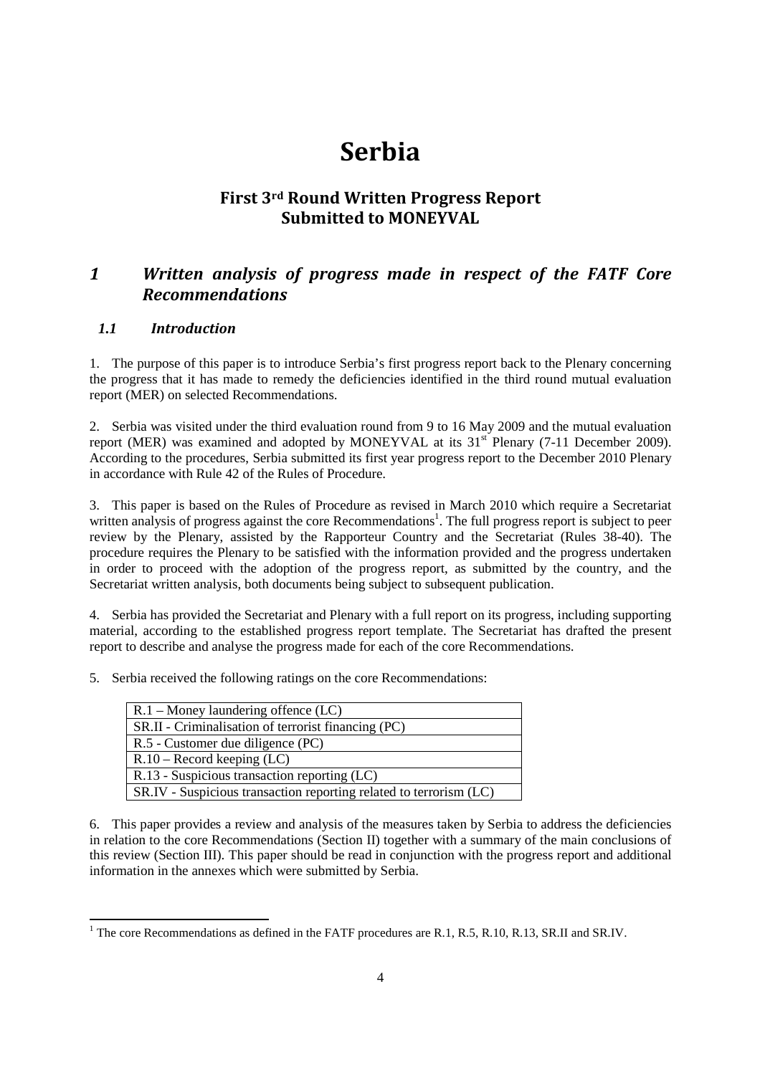# **Serbia**

# **First 3rd Round Written Progress Report Submitted to MONEYVAL**

# *1 Written analysis of progress made in respect of the FATF Core Recommendations*

#### *1.1 Introduction*

1

1. The purpose of this paper is to introduce Serbia's first progress report back to the Plenary concerning the progress that it has made to remedy the deficiencies identified in the third round mutual evaluation report (MER) on selected Recommendations.

2. Serbia was visited under the third evaluation round from 9 to 16 May 2009 and the mutual evaluation report (MER) was examined and adopted by MONEYVAL at its  $31<sup>st</sup>$  Plenary (7-11 December 2009). According to the procedures, Serbia submitted its first year progress report to the December 2010 Plenary in accordance with Rule 42 of the Rules of Procedure.

3. This paper is based on the Rules of Procedure as revised in March 2010 which require a Secretariat written analysis of progress against the core Recommendations<sup>1</sup>. The full progress report is subject to peer review by the Plenary, assisted by the Rapporteur Country and the Secretariat (Rules 38-40). The procedure requires the Plenary to be satisfied with the information provided and the progress undertaken in order to proceed with the adoption of the progress report, as submitted by the country, and the Secretariat written analysis, both documents being subject to subsequent publication.

4. Serbia has provided the Secretariat and Plenary with a full report on its progress, including supporting material, according to the established progress report template. The Secretariat has drafted the present report to describe and analyse the progress made for each of the core Recommendations.

5. Serbia received the following ratings on the core Recommendations:

| $R.1 -$ Money laundering offence (LC)                              |  |
|--------------------------------------------------------------------|--|
| SR.II - Criminalisation of terrorist financing (PC)                |  |
| R.5 - Customer due diligence (PC)                                  |  |
| $R.10 - Record$ keeping (LC)                                       |  |
| R.13 - Suspicious transaction reporting (LC)                       |  |
| SR.IV - Suspicious transaction reporting related to terrorism (LC) |  |

6. This paper provides a review and analysis of the measures taken by Serbia to address the deficiencies in relation to the core Recommendations (Section II) together with a summary of the main conclusions of this review (Section III). This paper should be read in conjunction with the progress report and additional information in the annexes which were submitted by Serbia.

<sup>&</sup>lt;sup>1</sup> The core Recommendations as defined in the FATF procedures are R.1, R.5, R.10, R.13, SR.II and SR.IV.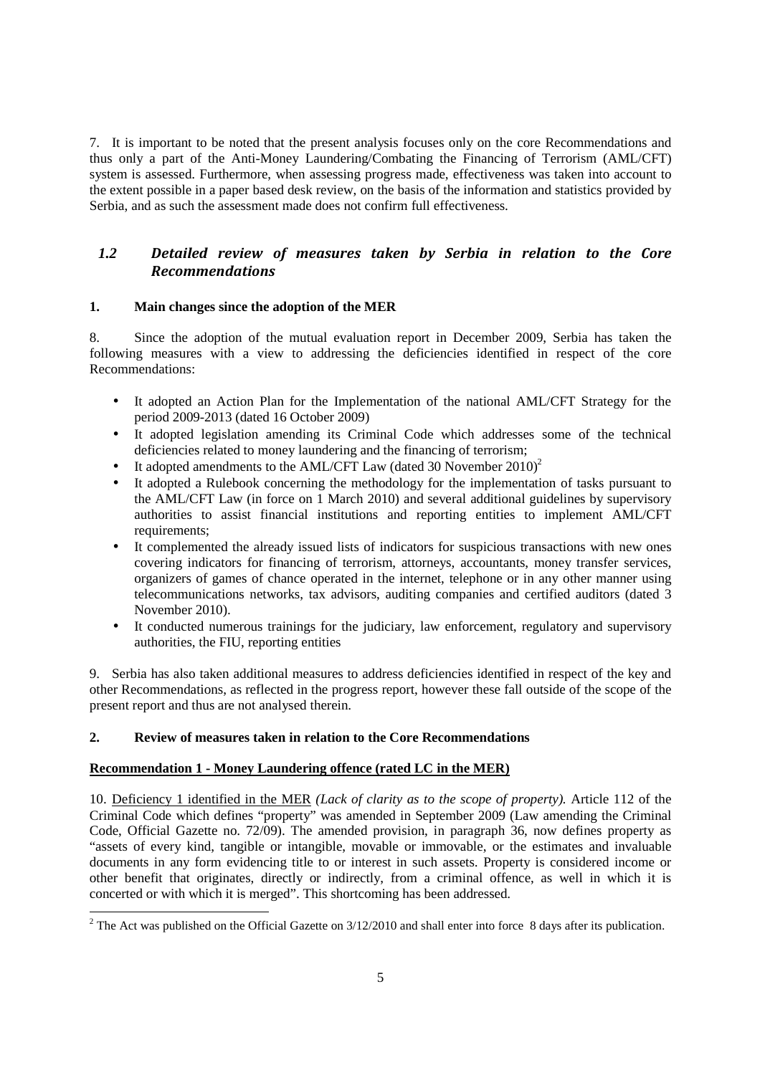7. It is important to be noted that the present analysis focuses only on the core Recommendations and thus only a part of the Anti-Money Laundering/Combating the Financing of Terrorism (AML/CFT) system is assessed. Furthermore, when assessing progress made, effectiveness was taken into account to the extent possible in a paper based desk review, on the basis of the information and statistics provided by Serbia, and as such the assessment made does not confirm full effectiveness.

#### *1.2 Detailed review of measures taken by Serbia in relation to the Core Recommendations*

#### **1. Main changes since the adoption of the MER**

8. Since the adoption of the mutual evaluation report in December 2009, Serbia has taken the following measures with a view to addressing the deficiencies identified in respect of the core Recommendations:

- It adopted an Action Plan for the Implementation of the national AML/CFT Strategy for the period 2009-2013 (dated 16 October 2009)
- It adopted legislation amending its Criminal Code which addresses some of the technical deficiencies related to money laundering and the financing of terrorism;
- It adopted amendments to the AML/CFT Law (dated 30 November  $2010<sup>2</sup>$ )
- It adopted a Rulebook concerning the methodology for the implementation of tasks pursuant to the AML/CFT Law (in force on 1 March 2010) and several additional guidelines by supervisory authorities to assist financial institutions and reporting entities to implement AML/CFT requirements:
- It complemented the already issued lists of indicators for suspicious transactions with new ones covering indicators for financing of terrorism, attorneys, accountants, money transfer services, organizers of games of chance operated in the internet, telephone or in any other manner using telecommunications networks, tax advisors, auditing companies and certified auditors (dated 3 November 2010).
- It conducted numerous trainings for the judiciary, law enforcement, regulatory and supervisory authorities, the FIU, reporting entities

9. Serbia has also taken additional measures to address deficiencies identified in respect of the key and other Recommendations, as reflected in the progress report, however these fall outside of the scope of the present report and thus are not analysed therein.

#### **2. Review of measures taken in relation to the Core Recommendations**

#### **Recommendation 1 - Money Laundering offence (rated LC in the MER)**

10. Deficiency 1 identified in the MER *(Lack of clarity as to the scope of property).* Article 112 of the Criminal Code which defines "property" was amended in September 2009 (Law amending the Criminal Code, Official Gazette no. 72/09). The amended provision, in paragraph 36, now defines property as "assets of every kind, tangible or intangible, movable or immovable, or the estimates and invaluable documents in any form evidencing title to or interest in such assets. Property is considered income or other benefit that originates, directly or indirectly, from a criminal offence, as well in which it is concerted or with which it is merged". This shortcoming has been addressed.

<sup>&</sup>lt;sup>2</sup> The Act was published on the Official Gazette on 3/12/2010 and shall enter into force 8 days after its publication.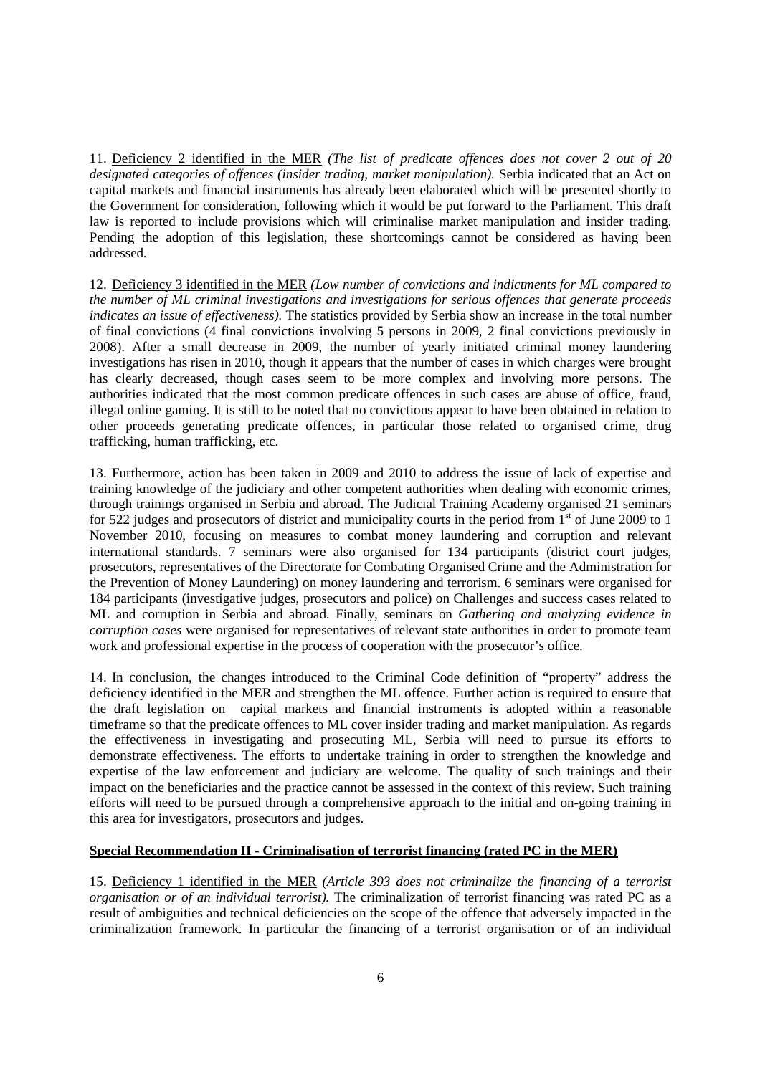11. Deficiency 2 identified in the MER *(The list of predicate offences does not cover 2 out of 20 designated categories of offences (insider trading, market manipulation).* Serbia indicated that an Act on capital markets and financial instruments has already been elaborated which will be presented shortly to the Government for consideration, following which it would be put forward to the Parliament. This draft law is reported to include provisions which will criminalise market manipulation and insider trading. Pending the adoption of this legislation, these shortcomings cannot be considered as having been addressed.

12. Deficiency 3 identified in the MER *(Low number of convictions and indictments for ML compared to the number of ML criminal investigations and investigations for serious offences that generate proceeds indicates an issue of effectiveness).* The statistics provided by Serbia show an increase in the total number of final convictions (4 final convictions involving 5 persons in 2009, 2 final convictions previously in 2008). After a small decrease in 2009, the number of yearly initiated criminal money laundering investigations has risen in 2010, though it appears that the number of cases in which charges were brought has clearly decreased, though cases seem to be more complex and involving more persons. The authorities indicated that the most common predicate offences in such cases are abuse of office, fraud, illegal online gaming. It is still to be noted that no convictions appear to have been obtained in relation to other proceeds generating predicate offences, in particular those related to organised crime, drug trafficking, human trafficking, etc.

13. Furthermore, action has been taken in 2009 and 2010 to address the issue of lack of expertise and training knowledge of the judiciary and other competent authorities when dealing with economic crimes, through trainings organised in Serbia and abroad. The Judicial Training Academy organised 21 seminars for 522 judges and prosecutors of district and municipality courts in the period from  $1<sup>st</sup>$  of June 2009 to 1 November 2010, focusing on measures to combat money laundering and corruption and relevant international standards. 7 seminars were also organised for 134 participants (district court judges, prosecutors, representatives of the Directorate for Combating Organised Crime and the Administration for the Prevention of Money Laundering) on money laundering and terrorism. 6 seminars were organised for 184 participants (investigative judges, prosecutors and police) on Challenges and success cases related to ML and corruption in Serbia and abroad. Finally, seminars on *Gathering and analyzing evidence in corruption cases* were organised for representatives of relevant state authorities in order to promote team work and professional expertise in the process of cooperation with the prosecutor's office.

14. In conclusion, the changes introduced to the Criminal Code definition of "property" address the deficiency identified in the MER and strengthen the ML offence. Further action is required to ensure that the draft legislation on capital markets and financial instruments is adopted within a reasonable timeframe so that the predicate offences to ML cover insider trading and market manipulation. As regards the effectiveness in investigating and prosecuting ML, Serbia will need to pursue its efforts to demonstrate effectiveness. The efforts to undertake training in order to strengthen the knowledge and expertise of the law enforcement and judiciary are welcome. The quality of such trainings and their impact on the beneficiaries and the practice cannot be assessed in the context of this review. Such training efforts will need to be pursued through a comprehensive approach to the initial and on-going training in this area for investigators, prosecutors and judges.

#### **Special Recommendation II - Criminalisation of terrorist financing (rated PC in the MER)**

15. Deficiency 1 identified in the MER *(Article 393 does not criminalize the financing of a terrorist organisation or of an individual terrorist).* The criminalization of terrorist financing was rated PC as a result of ambiguities and technical deficiencies on the scope of the offence that adversely impacted in the criminalization framework. In particular the financing of a terrorist organisation or of an individual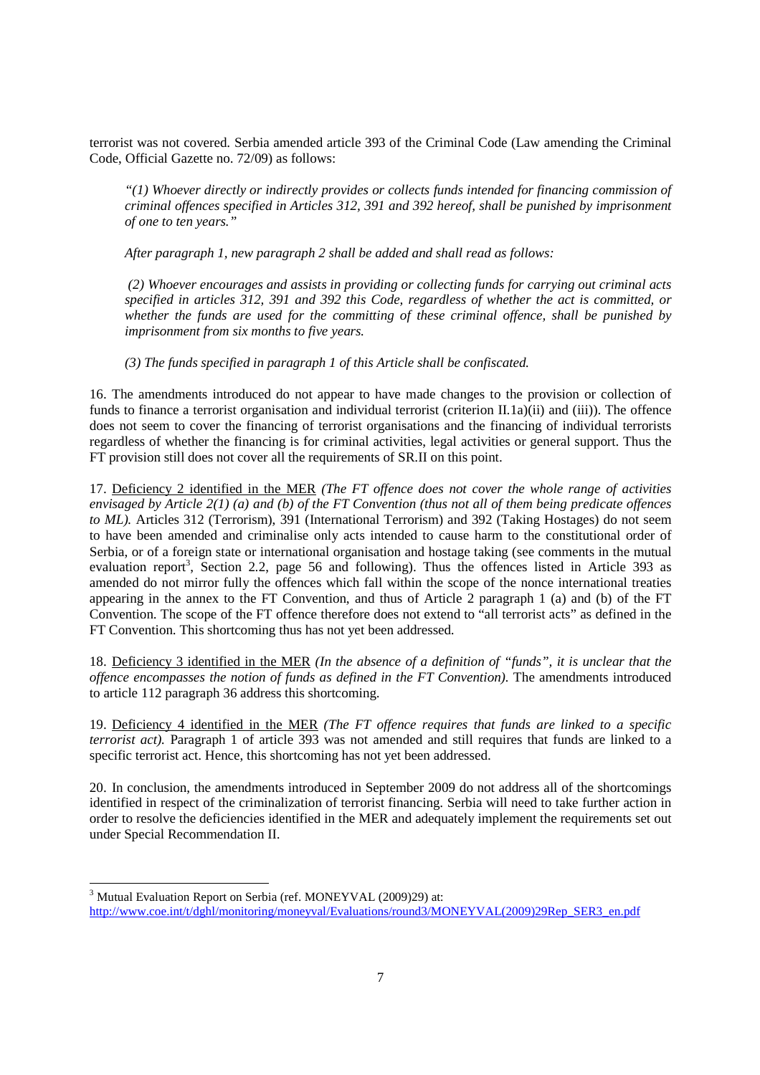terrorist was not covered. Serbia amended article 393 of the Criminal Code (Law amending the Criminal Code, Official Gazette no. 72/09) as follows:

*"(1) Whoever directly or indirectly provides or collects funds intended for financing commission of criminal offences specified in Articles 312, 391 and 392 hereof, shall be punished by imprisonment of one to ten years."* 

*After paragraph 1, new paragraph 2 shall be added and shall read as follows:* 

 *(2) Whoever encourages and assists in providing or collecting funds for carrying out criminal acts specified in articles 312, 391 and 392 this Code, regardless of whether the act is committed, or whether the funds are used for the committing of these criminal offence, shall be punished by imprisonment from six months to five years.* 

*(3) The funds specified in paragraph 1 of this Article shall be confiscated.* 

16. The amendments introduced do not appear to have made changes to the provision or collection of funds to finance a terrorist organisation and individual terrorist (criterion II.1a)(ii) and (iii)). The offence does not seem to cover the financing of terrorist organisations and the financing of individual terrorists regardless of whether the financing is for criminal activities, legal activities or general support. Thus the FT provision still does not cover all the requirements of SR.II on this point.

17. Deficiency 2 identified in the MER *(The FT offence does not cover the whole range of activities envisaged by Article 2(1) (a) and (b) of the FT Convention (thus not all of them being predicate offences to ML).* Articles 312 (Terrorism), 391 (International Terrorism) and 392 (Taking Hostages) do not seem to have been amended and criminalise only acts intended to cause harm to the constitutional order of Serbia, or of a foreign state or international organisation and hostage taking (see comments in the mutual evaluation report<sup>3</sup>, Section 2.2, page 56 and following). Thus the offences listed in Article 393 as amended do not mirror fully the offences which fall within the scope of the nonce international treaties appearing in the annex to the FT Convention, and thus of Article 2 paragraph 1 (a) and (b) of the FT Convention. The scope of the FT offence therefore does not extend to "all terrorist acts" as defined in the FT Convention. This shortcoming thus has not yet been addressed.

18. Deficiency 3 identified in the MER *(In the absence of a definition of "funds", it is unclear that the offence encompasses the notion of funds as defined in the FT Convention).* The amendments introduced to article 112 paragraph 36 address this shortcoming.

19. Deficiency 4 identified in the MER *(The FT offence requires that funds are linked to a specific terrorist act).* Paragraph 1 of article 393 was not amended and still requires that funds are linked to a specific terrorist act. Hence, this shortcoming has not yet been addressed.

20. In conclusion, the amendments introduced in September 2009 do not address all of the shortcomings identified in respect of the criminalization of terrorist financing. Serbia will need to take further action in order to resolve the deficiencies identified in the MER and adequately implement the requirements set out under Special Recommendation II.

 3 Mutual Evaluation Report on Serbia (ref. MONEYVAL (2009)29) at: http://www.coe.int/t/dghl/monitoring/moneyval/Evaluations/round3/MONEYVAL(2009)29Rep\_SER3\_en.pdf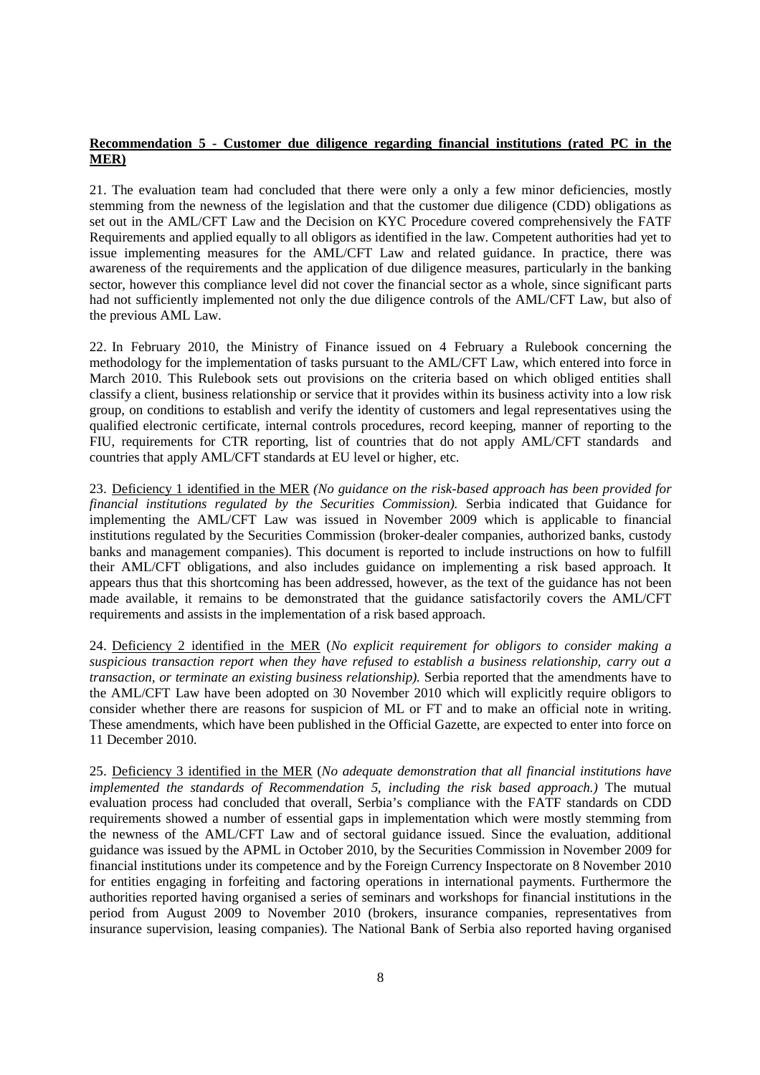#### **Recommendation 5 - Customer due diligence regarding financial institutions (rated PC in the MER)**

21. The evaluation team had concluded that there were only a only a few minor deficiencies, mostly stemming from the newness of the legislation and that the customer due diligence (CDD) obligations as set out in the AML/CFT Law and the Decision on KYC Procedure covered comprehensively the FATF Requirements and applied equally to all obligors as identified in the law. Competent authorities had yet to issue implementing measures for the AML/CFT Law and related guidance. In practice, there was awareness of the requirements and the application of due diligence measures, particularly in the banking sector, however this compliance level did not cover the financial sector as a whole, since significant parts had not sufficiently implemented not only the due diligence controls of the AML/CFT Law, but also of the previous AML Law.

22. In February 2010, the Ministry of Finance issued on 4 February a Rulebook concerning the methodology for the implementation of tasks pursuant to the AML/CFT Law, which entered into force in March 2010. This Rulebook sets out provisions on the criteria based on which obliged entities shall classify a client, business relationship or service that it provides within its business activity into a low risk group, on conditions to establish and verify the identity of customers and legal representatives using the qualified electronic certificate, internal controls procedures, record keeping, manner of reporting to the FIU, requirements for CTR reporting, list of countries that do not apply AML/CFT standards and countries that apply AML/CFT standards at EU level or higher, etc.

23. Deficiency 1 identified in the MER *(No guidance on the risk-based approach has been provided for financial institutions regulated by the Securities Commission).* Serbia indicated that Guidance for implementing the AML/CFT Law was issued in November 2009 which is applicable to financial institutions regulated by the Securities Commission (broker-dealer companies, authorized banks, custody banks and management companies). This document is reported to include instructions on how to fulfill their AML/CFT obligations, and also includes guidance on implementing a risk based approach. It appears thus that this shortcoming has been addressed, however, as the text of the guidance has not been made available, it remains to be demonstrated that the guidance satisfactorily covers the AML/CFT requirements and assists in the implementation of a risk based approach.

24. Deficiency 2 identified in the MER (*No explicit requirement for obligors to consider making a suspicious transaction report when they have refused to establish a business relationship, carry out a transaction, or terminate an existing business relationship).* Serbia reported that the amendments have to the AML/CFT Law have been adopted on 30 November 2010 which will explicitly require obligors to consider whether there are reasons for suspicion of ML or FT and to make an official note in writing. These amendments, which have been published in the Official Gazette, are expected to enter into force on 11 December 2010.

25. Deficiency 3 identified in the MER (*No adequate demonstration that all financial institutions have implemented the standards of Recommendation 5, including the risk based approach.)* The mutual evaluation process had concluded that overall, Serbia's compliance with the FATF standards on CDD requirements showed a number of essential gaps in implementation which were mostly stemming from the newness of the AML/CFT Law and of sectoral guidance issued. Since the evaluation, additional guidance was issued by the APML in October 2010, by the Securities Commission in November 2009 for financial institutions under its competence and by the Foreign Currency Inspectorate on 8 November 2010 for entities engaging in forfeiting and factoring operations in international payments. Furthermore the authorities reported having organised a series of seminars and workshops for financial institutions in the period from August 2009 to November 2010 (brokers, insurance companies, representatives from insurance supervision, leasing companies). The National Bank of Serbia also reported having organised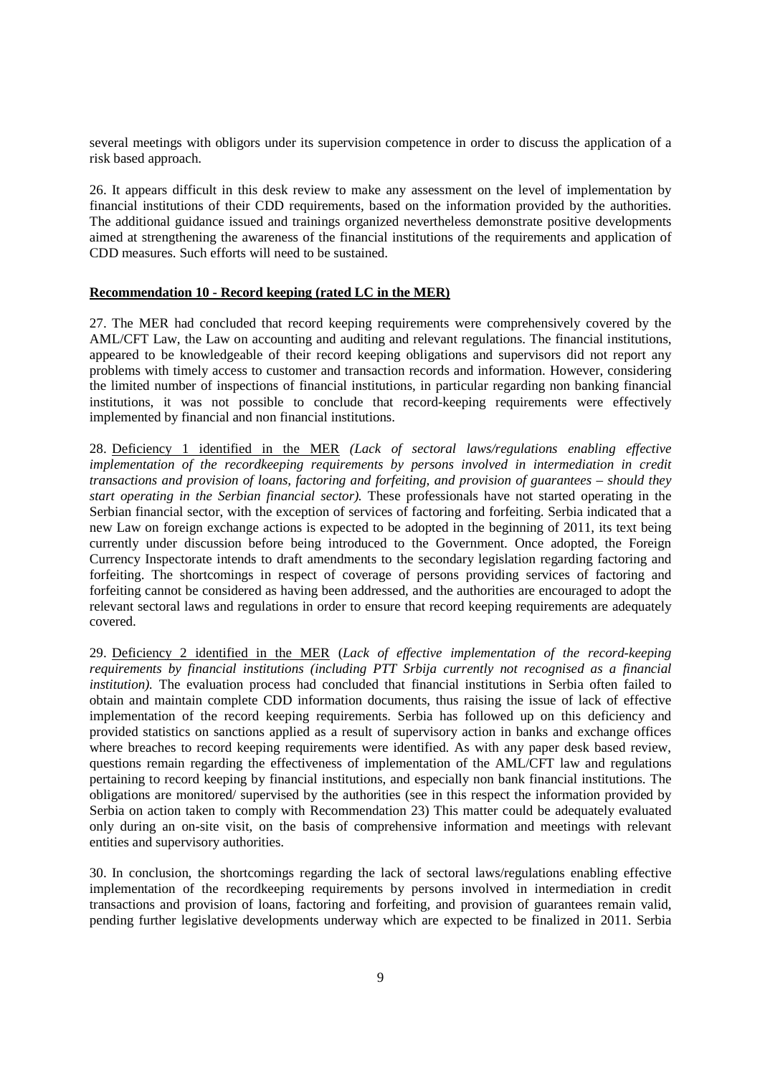several meetings with obligors under its supervision competence in order to discuss the application of a risk based approach.

26. It appears difficult in this desk review to make any assessment on the level of implementation by financial institutions of their CDD requirements, based on the information provided by the authorities. The additional guidance issued and trainings organized nevertheless demonstrate positive developments aimed at strengthening the awareness of the financial institutions of the requirements and application of CDD measures. Such efforts will need to be sustained.

#### **Recommendation 10 - Record keeping (rated LC in the MER)**

27. The MER had concluded that record keeping requirements were comprehensively covered by the AML/CFT Law, the Law on accounting and auditing and relevant regulations. The financial institutions, appeared to be knowledgeable of their record keeping obligations and supervisors did not report any problems with timely access to customer and transaction records and information. However, considering the limited number of inspections of financial institutions, in particular regarding non banking financial institutions, it was not possible to conclude that record-keeping requirements were effectively implemented by financial and non financial institutions.

28. Deficiency 1 identified in the MER *(Lack of sectoral laws/regulations enabling effective implementation of the recordkeeping requirements by persons involved in intermediation in credit transactions and provision of loans, factoring and forfeiting, and provision of guarantees – should they start operating in the Serbian financial sector).* These professionals have not started operating in the Serbian financial sector, with the exception of services of factoring and forfeiting. Serbia indicated that a new Law on foreign exchange actions is expected to be adopted in the beginning of 2011, its text being currently under discussion before being introduced to the Government. Once adopted, the Foreign Currency Inspectorate intends to draft amendments to the secondary legislation regarding factoring and forfeiting. The shortcomings in respect of coverage of persons providing services of factoring and forfeiting cannot be considered as having been addressed, and the authorities are encouraged to adopt the relevant sectoral laws and regulations in order to ensure that record keeping requirements are adequately covered.

29. Deficiency 2 identified in the MER (*Lack of effective implementation of the record-keeping requirements by financial institutions (including PTT Srbija currently not recognised as a financial institution*). The evaluation process had concluded that financial institutions in Serbia often failed to obtain and maintain complete CDD information documents, thus raising the issue of lack of effective implementation of the record keeping requirements. Serbia has followed up on this deficiency and provided statistics on sanctions applied as a result of supervisory action in banks and exchange offices where breaches to record keeping requirements were identified. As with any paper desk based review, questions remain regarding the effectiveness of implementation of the AML/CFT law and regulations pertaining to record keeping by financial institutions, and especially non bank financial institutions. The obligations are monitored/ supervised by the authorities (see in this respect the information provided by Serbia on action taken to comply with Recommendation 23) This matter could be adequately evaluated only during an on-site visit, on the basis of comprehensive information and meetings with relevant entities and supervisory authorities.

30. In conclusion, the shortcomings regarding the lack of sectoral laws/regulations enabling effective implementation of the recordkeeping requirements by persons involved in intermediation in credit transactions and provision of loans, factoring and forfeiting, and provision of guarantees remain valid, pending further legislative developments underway which are expected to be finalized in 2011. Serbia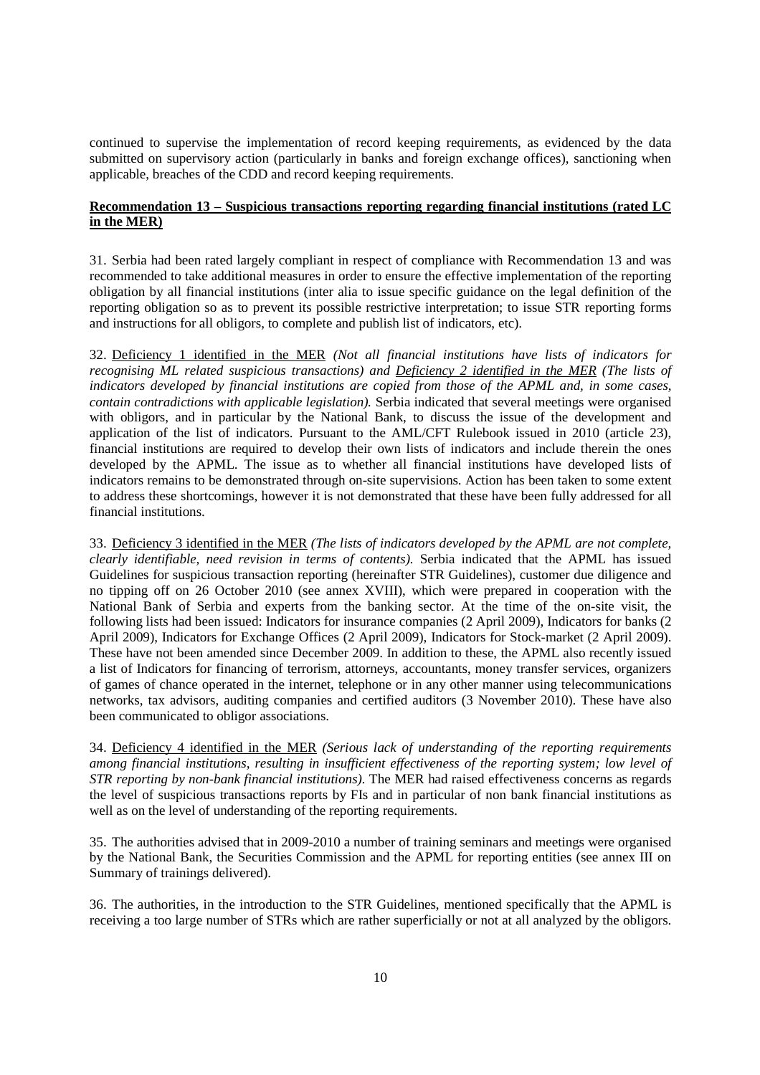continued to supervise the implementation of record keeping requirements, as evidenced by the data submitted on supervisory action (particularly in banks and foreign exchange offices), sanctioning when applicable, breaches of the CDD and record keeping requirements.

#### **Recommendation 13 – Suspicious transactions reporting regarding financial institutions (rated LC in the MER)**

31. Serbia had been rated largely compliant in respect of compliance with Recommendation 13 and was recommended to take additional measures in order to ensure the effective implementation of the reporting obligation by all financial institutions (inter alia to issue specific guidance on the legal definition of the reporting obligation so as to prevent its possible restrictive interpretation; to issue STR reporting forms and instructions for all obligors, to complete and publish list of indicators, etc).

32. Deficiency 1 identified in the MER *(Not all financial institutions have lists of indicators for recognising ML related suspicious transactions) and Deficiency 2 identified in the MER (The lists of indicators developed by financial institutions are copied from those of the APML and, in some cases, contain contradictions with applicable legislation).* Serbia indicated that several meetings were organised with obligors, and in particular by the National Bank, to discuss the issue of the development and application of the list of indicators. Pursuant to the AML/CFT Rulebook issued in 2010 (article 23), financial institutions are required to develop their own lists of indicators and include therein the ones developed by the APML. The issue as to whether all financial institutions have developed lists of indicators remains to be demonstrated through on-site supervisions. Action has been taken to some extent to address these shortcomings, however it is not demonstrated that these have been fully addressed for all financial institutions.

33. Deficiency 3 identified in the MER *(The lists of indicators developed by the APML are not complete, clearly identifiable, need revision in terms of contents).* Serbia indicated that the APML has issued Guidelines for suspicious transaction reporting (hereinafter STR Guidelines), customer due diligence and no tipping off on 26 October 2010 (see annex XVIII), which were prepared in cooperation with the National Bank of Serbia and experts from the banking sector. At the time of the on-site visit, the following lists had been issued: Indicators for insurance companies (2 April 2009), Indicators for banks (2 April 2009), Indicators for Exchange Offices (2 April 2009), Indicators for Stock-market (2 April 2009). These have not been amended since December 2009. In addition to these, the APML also recently issued a list of Indicators for financing of terrorism, attorneys, accountants, money transfer services, organizers of games of chance operated in the internet, telephone or in any other manner using telecommunications networks, tax advisors, auditing companies and certified auditors (3 November 2010). These have also been communicated to obligor associations.

34. Deficiency 4 identified in the MER *(Serious lack of understanding of the reporting requirements among financial institutions, resulting in insufficient effectiveness of the reporting system; low level of STR reporting by non-bank financial institutions)*. The MER had raised effectiveness concerns as regards the level of suspicious transactions reports by FIs and in particular of non bank financial institutions as well as on the level of understanding of the reporting requirements.

35. The authorities advised that in 2009-2010 a number of training seminars and meetings were organised by the National Bank, the Securities Commission and the APML for reporting entities (see annex III on Summary of trainings delivered).

36. The authorities, in the introduction to the STR Guidelines, mentioned specifically that the APML is receiving a too large number of STRs which are rather superficially or not at all analyzed by the obligors.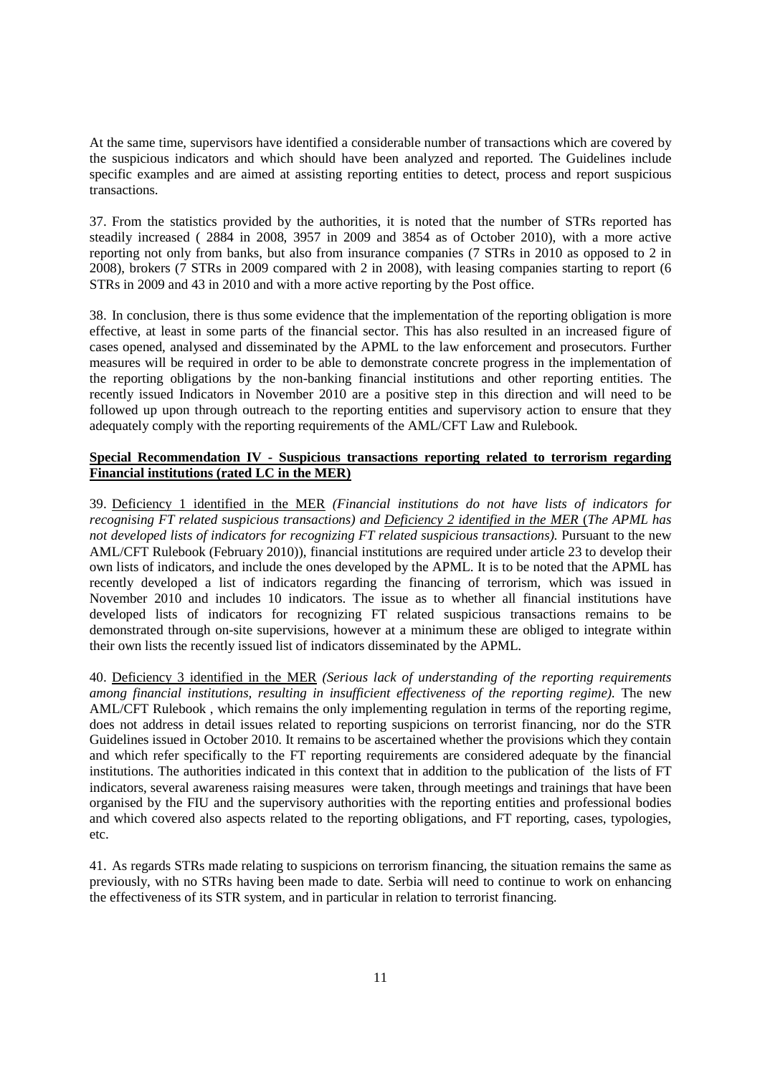At the same time, supervisors have identified a considerable number of transactions which are covered by the suspicious indicators and which should have been analyzed and reported. The Guidelines include specific examples and are aimed at assisting reporting entities to detect, process and report suspicious transactions.

37. From the statistics provided by the authorities, it is noted that the number of STRs reported has steadily increased ( 2884 in 2008, 3957 in 2009 and 3854 as of October 2010), with a more active reporting not only from banks, but also from insurance companies (7 STRs in 2010 as opposed to 2 in 2008), brokers (7 STRs in 2009 compared with 2 in 2008), with leasing companies starting to report (6 STRs in 2009 and 43 in 2010 and with a more active reporting by the Post office.

38. In conclusion, there is thus some evidence that the implementation of the reporting obligation is more effective, at least in some parts of the financial sector. This has also resulted in an increased figure of cases opened, analysed and disseminated by the APML to the law enforcement and prosecutors. Further measures will be required in order to be able to demonstrate concrete progress in the implementation of the reporting obligations by the non-banking financial institutions and other reporting entities. The recently issued Indicators in November 2010 are a positive step in this direction and will need to be followed up upon through outreach to the reporting entities and supervisory action to ensure that they adequately comply with the reporting requirements of the AML/CFT Law and Rulebook.

#### **Special Recommendation IV - Suspicious transactions reporting related to terrorism regarding Financial institutions (rated LC in the MER)**

39. Deficiency 1 identified in the MER *(Financial institutions do not have lists of indicators for recognising FT related suspicious transactions) and Deficiency 2 identified in the MER (The APML has not developed lists of indicators for recognizing FT related suspicious transactions).* Pursuant to the new AML/CFT Rulebook (February 2010)), financial institutions are required under article 23 to develop their own lists of indicators, and include the ones developed by the APML. It is to be noted that the APML has recently developed a list of indicators regarding the financing of terrorism, which was issued in November 2010 and includes 10 indicators. The issue as to whether all financial institutions have developed lists of indicators for recognizing FT related suspicious transactions remains to be demonstrated through on-site supervisions, however at a minimum these are obliged to integrate within their own lists the recently issued list of indicators disseminated by the APML.

40. Deficiency 3 identified in the MER *(Serious lack of understanding of the reporting requirements among financial institutions, resulting in insufficient effectiveness of the reporting regime).* The new AML/CFT Rulebook , which remains the only implementing regulation in terms of the reporting regime, does not address in detail issues related to reporting suspicions on terrorist financing, nor do the STR Guidelines issued in October 2010. It remains to be ascertained whether the provisions which they contain and which refer specifically to the FT reporting requirements are considered adequate by the financial institutions. The authorities indicated in this context that in addition to the publication of the lists of FT indicators, several awareness raising measures were taken, through meetings and trainings that have been organised by the FIU and the supervisory authorities with the reporting entities and professional bodies and which covered also aspects related to the reporting obligations, and FT reporting, cases, typologies, etc.

41. As regards STRs made relating to suspicions on terrorism financing, the situation remains the same as previously, with no STRs having been made to date. Serbia will need to continue to work on enhancing the effectiveness of its STR system, and in particular in relation to terrorist financing.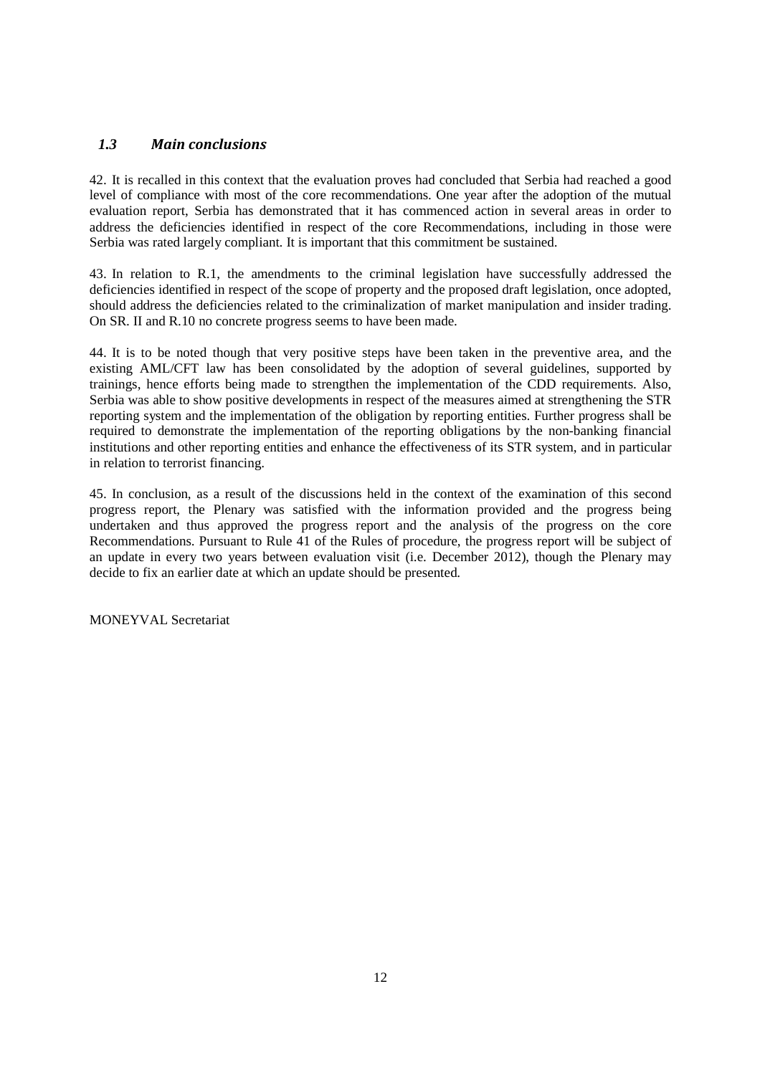#### *1.3 Main conclusions*

42. It is recalled in this context that the evaluation proves had concluded that Serbia had reached a good level of compliance with most of the core recommendations. One year after the adoption of the mutual evaluation report, Serbia has demonstrated that it has commenced action in several areas in order to address the deficiencies identified in respect of the core Recommendations, including in those were Serbia was rated largely compliant. It is important that this commitment be sustained.

43. In relation to R.1, the amendments to the criminal legislation have successfully addressed the deficiencies identified in respect of the scope of property and the proposed draft legislation, once adopted, should address the deficiencies related to the criminalization of market manipulation and insider trading. On SR. II and R.10 no concrete progress seems to have been made.

44. It is to be noted though that very positive steps have been taken in the preventive area, and the existing AML/CFT law has been consolidated by the adoption of several guidelines, supported by trainings, hence efforts being made to strengthen the implementation of the CDD requirements. Also, Serbia was able to show positive developments in respect of the measures aimed at strengthening the STR reporting system and the implementation of the obligation by reporting entities. Further progress shall be required to demonstrate the implementation of the reporting obligations by the non-banking financial institutions and other reporting entities and enhance the effectiveness of its STR system, and in particular in relation to terrorist financing.

45. In conclusion, as a result of the discussions held in the context of the examination of this second progress report, the Plenary was satisfied with the information provided and the progress being undertaken and thus approved the progress report and the analysis of the progress on the core Recommendations. Pursuant to Rule 41 of the Rules of procedure, the progress report will be subject of an update in every two years between evaluation visit (i.e. December 2012), though the Plenary may decide to fix an earlier date at which an update should be presented.

MONEYVAL Secretariat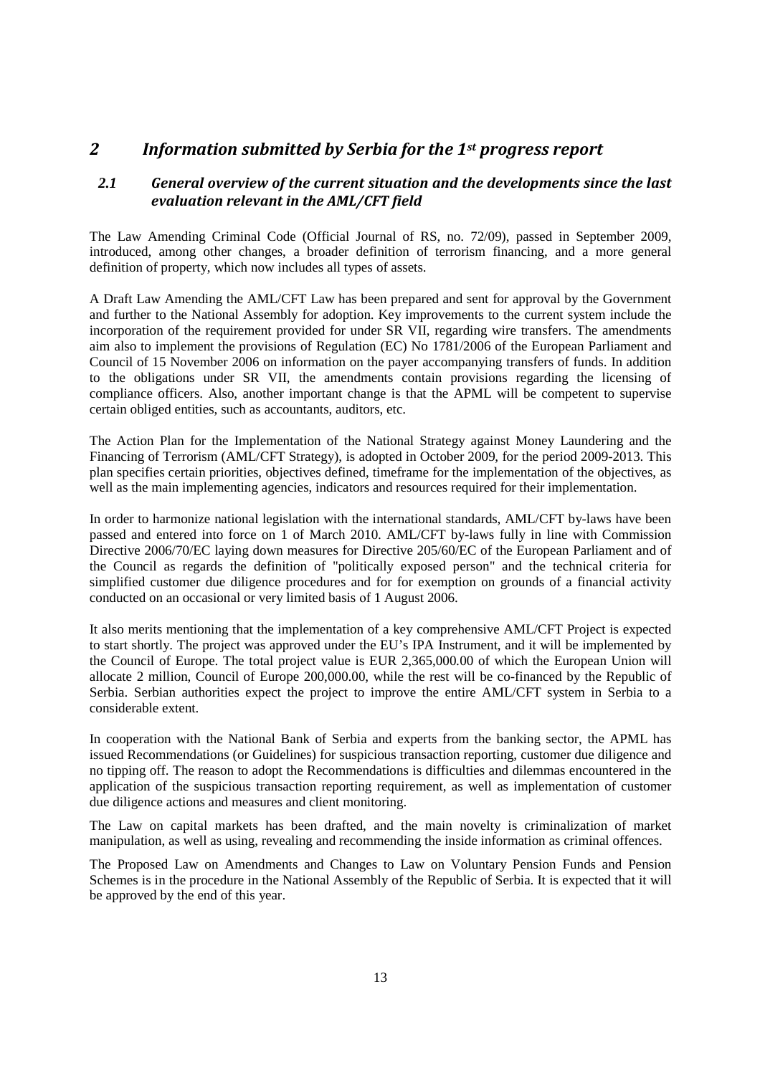## *2 Information submitted by Serbia for the 1st progress report*

#### *2.1 General overview of the current situation and the developments since the last evaluation relevant in the AML/CFT field*

The Law Amending Criminal Code (Official Journal of RS, no. 72/09), passed in September 2009, introduced, among other changes, a broader definition of terrorism financing, and a more general definition of property, which now includes all types of assets.

A Draft Law Amending the AML/CFT Law has been prepared and sent for approval by the Government and further to the National Assembly for adoption. Key improvements to the current system include the incorporation of the requirement provided for under SR VII, regarding wire transfers. The amendments aim also to implement the provisions of Regulation (EC) No 1781/2006 of the European Parliament and Council of 15 November 2006 on information on the payer accompanying transfers of funds. In addition to the obligations under SR VII, the amendments contain provisions regarding the licensing of compliance officers. Also, another important change is that the APML will be competent to supervise certain obliged entities, such as accountants, auditors, etc.

The Action Plan for the Implementation of the National Strategy against Money Laundering and the Financing of Terrorism (AML/CFT Strategy), is adopted in October 2009, for the period 2009-2013. This plan specifies certain priorities, objectives defined, timeframe for the implementation of the objectives, as well as the main implementing agencies, indicators and resources required for their implementation.

In order to harmonize national legislation with the international standards, AML/CFT by-laws have been passed and entered into force on 1 of March 2010. AML/CFT by-laws fully in line with Commission Directive 2006/70/EC laying down measures for Directive 205/60/EC of the European Parliament and of the Council as regards the definition of "politically exposed person" and the technical criteria for simplified customer due diligence procedures and for for exemption on grounds of a financial activity conducted on an occasional or very limited basis оf 1 August 2006.

It also merits mentioning that the implementation of a key comprehensive AML/CFT Project is expected to start shortly. The project was approved under the EU's IPA Instrument, and it will be implemented by the Council of Europe. The total project value is EUR 2,365,000.00 of which the European Union will allocate 2 million, Council of Europe 200,000.00, while the rest will be co-financed by the Republic of Serbia. Serbian authorities expect the project to improve the entire AML/CFT system in Serbia to a considerable extent.

In cooperation with the National Bank of Serbia and experts from the banking sector, the APML has issued Recommendations (or Guidelines) for suspicious transaction reporting, customer due diligence and no tipping off. The reason to adopt the Recommendations is difficulties and dilemmas encountered in the application of the suspicious transaction reporting requirement, as well as implementation of customer due diligence actions and measures and client monitoring.

The Law on capital markets has been drafted, and the main novelty is criminalization of market manipulation, as well as using, revealing and recommending the inside information as criminal offences.

The Proposed Law on Amendments and Changes to Law on Voluntary Pension Funds and Pension Schemes is in the procedure in the National Assembly of the Republic of Serbia. It is expected that it will be approved by the end of this year.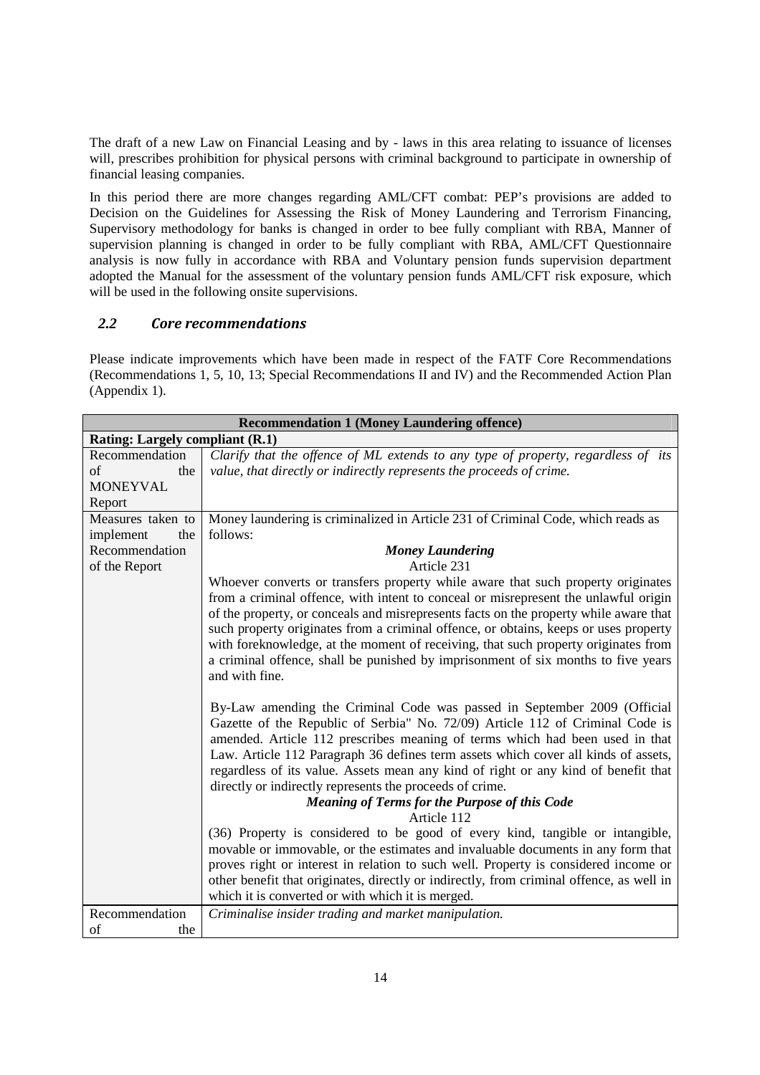The draft of a new Law on Financial Leasing and by - laws in this area relating to issuance of licenses will, prescribes prohibition for physical persons with criminal background to participate in ownership of financial leasing companies.

In this period there are more changes regarding AML/CFT combat: PEP's provisions are added to Decision on the Guidelines for Assessing the Risk of Money Laundering and Terrorism Financing, Supervisory methodology for banks is changed in order to bee fully compliant with RBA, Manner of supervision planning is changed in order to be fully compliant with RBA, AML/CFT Questionnaire analysis is now fully in accordance with RBA and Voluntary pension funds supervision department adopted the Manual for the assessment of the voluntary pension funds AML/CFT risk exposure, which will be used in the following onsite supervisions.

#### *2.2 Core recommendations*

Please indicate improvements which have been made in respect of the FATF Core Recommendations (Recommendations 1, 5, 10, 13; Special Recommendations II and IV) and the Recommended Action Plan (Appendix 1).

| <b>Recommendation 1 (Money Laundering offence)</b> |                                                                                          |  |
|----------------------------------------------------|------------------------------------------------------------------------------------------|--|
| <b>Rating: Largely compliant (R.1)</b>             |                                                                                          |  |
| Recommendation                                     | Clarify that the offence of ML extends to any type of property, regardless of its        |  |
| of<br>the                                          | value, that directly or indirectly represents the proceeds of crime.                     |  |
| <b>MONEYVAL</b>                                    |                                                                                          |  |
| Report                                             |                                                                                          |  |
| Measures taken to                                  | Money laundering is criminalized in Article 231 of Criminal Code, which reads as         |  |
| implement<br>the                                   | follows:                                                                                 |  |
| Recommendation                                     | <b>Money Laundering</b>                                                                  |  |
| of the Report                                      | Article 231                                                                              |  |
|                                                    | Whoever converts or transfers property while aware that such property originates         |  |
|                                                    | from a criminal offence, with intent to conceal or misrepresent the unlawful origin      |  |
|                                                    | of the property, or conceals and misrepresents facts on the property while aware that    |  |
|                                                    | such property originates from a criminal offence, or obtains, keeps or uses property     |  |
|                                                    | with foreknowledge, at the moment of receiving, that such property originates from       |  |
|                                                    | a criminal offence, shall be punished by imprisonment of six months to five years        |  |
|                                                    | and with fine.                                                                           |  |
|                                                    |                                                                                          |  |
|                                                    | By-Law amending the Criminal Code was passed in September 2009 (Official                 |  |
|                                                    | Gazette of the Republic of Serbia" No. 72/09) Article 112 of Criminal Code is            |  |
|                                                    | amended. Article 112 prescribes meaning of terms which had been used in that             |  |
|                                                    | Law. Article 112 Paragraph 36 defines term assets which cover all kinds of assets,       |  |
|                                                    | regardless of its value. Assets mean any kind of right or any kind of benefit that       |  |
|                                                    | directly or indirectly represents the proceeds of crime.                                 |  |
|                                                    | <b>Meaning of Terms for the Purpose of this Code</b>                                     |  |
|                                                    | Article 112                                                                              |  |
|                                                    | (36) Property is considered to be good of every kind, tangible or intangible,            |  |
|                                                    | movable or immovable, or the estimates and invaluable documents in any form that         |  |
|                                                    | proves right or interest in relation to such well. Property is considered income or      |  |
|                                                    | other benefit that originates, directly or indirectly, from criminal offence, as well in |  |
|                                                    | which it is converted or with which it is merged.                                        |  |
| Recommendation                                     | Criminalise insider trading and market manipulation.                                     |  |
| of<br>the                                          |                                                                                          |  |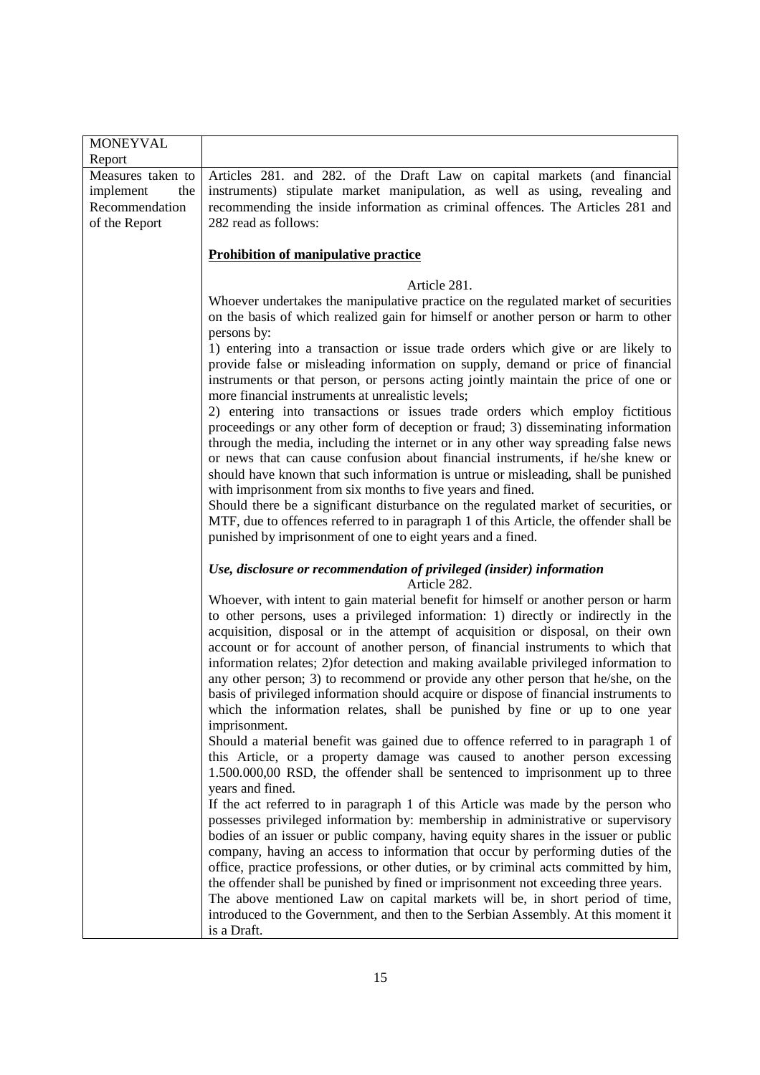| <b>MONEYVAL</b><br>Report |                                                                                                                                                                         |
|---------------------------|-------------------------------------------------------------------------------------------------------------------------------------------------------------------------|
| Measures taken to         | Articles 281. and 282. of the Draft Law on capital markets (and financial                                                                                               |
| implement<br>the          | instruments) stipulate market manipulation, as well as using, revealing and                                                                                             |
| Recommendation            | recommending the inside information as criminal offences. The Articles 281 and                                                                                          |
| of the Report             | 282 read as follows:                                                                                                                                                    |
|                           |                                                                                                                                                                         |
|                           | <b>Prohibition of manipulative practice</b>                                                                                                                             |
|                           |                                                                                                                                                                         |
|                           | Article 281.                                                                                                                                                            |
|                           | Whoever undertakes the manipulative practice on the regulated market of securities                                                                                      |
|                           | on the basis of which realized gain for himself or another person or harm to other                                                                                      |
|                           | persons by:                                                                                                                                                             |
|                           | 1) entering into a transaction or issue trade orders which give or are likely to                                                                                        |
|                           | provide false or misleading information on supply, demand or price of financial                                                                                         |
|                           | instruments or that person, or persons acting jointly maintain the price of one or                                                                                      |
|                           | more financial instruments at unrealistic levels;                                                                                                                       |
|                           | 2) entering into transactions or issues trade orders which employ fictitious                                                                                            |
|                           | proceedings or any other form of deception or fraud; 3) disseminating information<br>through the media, including the internet or in any other way spreading false news |
|                           | or news that can cause confusion about financial instruments, if he/she knew or                                                                                         |
|                           | should have known that such information is untrue or misleading, shall be punished                                                                                      |
|                           | with imprisonment from six months to five years and fined.                                                                                                              |
|                           | Should there be a significant disturbance on the regulated market of securities, or                                                                                     |
|                           | MTF, due to offences referred to in paragraph 1 of this Article, the offender shall be                                                                                  |
|                           | punished by imprisonment of one to eight years and a fined.                                                                                                             |
|                           |                                                                                                                                                                         |
|                           | Use, disclosure or recommendation of privileged (insider) information                                                                                                   |
|                           | Article 282.                                                                                                                                                            |
|                           | Whoever, with intent to gain material benefit for himself or another person or harm                                                                                     |
|                           | to other persons, uses a privileged information: 1) directly or indirectly in the                                                                                       |
|                           | acquisition, disposal or in the attempt of acquisition or disposal, on their own<br>account or for account of another person, of financial instruments to which that    |
|                           | information relates; 2) for detection and making available privileged information to                                                                                    |
|                           | any other person; 3) to recommend or provide any other person that he/she, on the                                                                                       |
|                           | basis of privileged information should acquire or dispose of financial instruments to                                                                                   |
|                           | which the information relates, shall be punished by fine or up to one year                                                                                              |
|                           | imprisonment.                                                                                                                                                           |
|                           | Should a material benefit was gained due to offence referred to in paragraph 1 of                                                                                       |
|                           | this Article, or a property damage was caused to another person excessing                                                                                               |
|                           | 1.500.000,00 RSD, the offender shall be sentenced to imprisonment up to three                                                                                           |
|                           | years and fined.                                                                                                                                                        |
|                           | If the act referred to in paragraph 1 of this Article was made by the person who                                                                                        |
|                           | possesses privileged information by: membership in administrative or supervisory                                                                                        |
|                           | bodies of an issuer or public company, having equity shares in the issuer or public                                                                                     |
|                           | company, having an access to information that occur by performing duties of the                                                                                         |
|                           | office, practice professions, or other duties, or by criminal acts committed by him,                                                                                    |
|                           | the offender shall be punished by fined or imprisonment not exceeding three years.                                                                                      |
|                           | The above mentioned Law on capital markets will be, in short period of time,                                                                                            |
|                           | introduced to the Government, and then to the Serbian Assembly. At this moment it                                                                                       |
|                           | is a Draft.                                                                                                                                                             |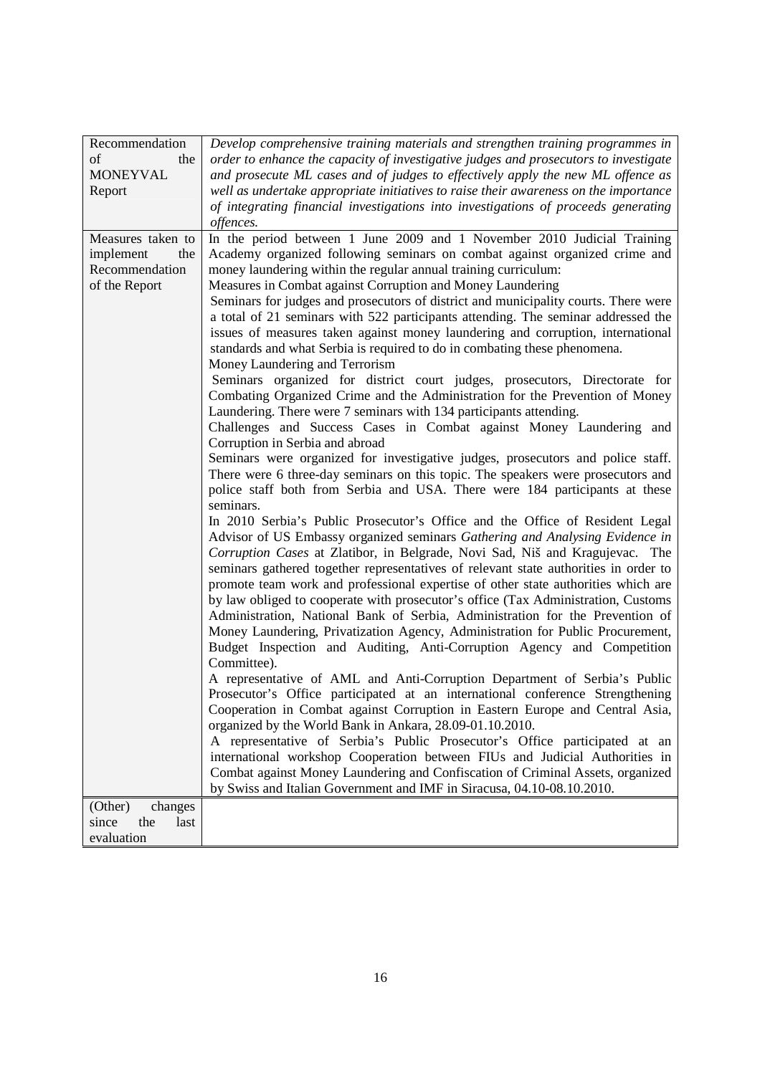| Recommendation       | Develop comprehensive training materials and strengthen training programmes in                                                                             |
|----------------------|------------------------------------------------------------------------------------------------------------------------------------------------------------|
| of<br>the            | order to enhance the capacity of investigative judges and prosecutors to investigate                                                                       |
| <b>MONEYVAL</b>      | and prosecute ML cases and of judges to effectively apply the new ML offence as                                                                            |
| Report               | well as undertake appropriate initiatives to raise their awareness on the importance                                                                       |
|                      | of integrating financial investigations into investigations of proceeds generating                                                                         |
|                      | offences.                                                                                                                                                  |
| Measures taken to    | In the period between 1 June 2009 and 1 November 2010 Judicial Training                                                                                    |
| implement<br>the     | Academy organized following seminars on combat against organized crime and                                                                                 |
| Recommendation       | money laundering within the regular annual training curriculum:                                                                                            |
| of the Report        | Measures in Combat against Corruption and Money Laundering                                                                                                 |
|                      | Seminars for judges and prosecutors of district and municipality courts. There were                                                                        |
|                      | a total of 21 seminars with 522 participants attending. The seminar addressed the                                                                          |
|                      | issues of measures taken against money laundering and corruption, international                                                                            |
|                      | standards and what Serbia is required to do in combating these phenomena.                                                                                  |
|                      | Money Laundering and Terrorism                                                                                                                             |
|                      | Seminars organized for district court judges, prosecutors, Directorate for<br>Combating Organized Crime and the Administration for the Prevention of Money |
|                      | Laundering. There were 7 seminars with 134 participants attending.                                                                                         |
|                      | Challenges and Success Cases in Combat against Money Laundering and                                                                                        |
|                      | Corruption in Serbia and abroad                                                                                                                            |
|                      | Seminars were organized for investigative judges, prosecutors and police staff.                                                                            |
|                      | There were 6 three-day seminars on this topic. The speakers were prosecutors and                                                                           |
|                      | police staff both from Serbia and USA. There were 184 participants at these                                                                                |
|                      | seminars.                                                                                                                                                  |
|                      | In 2010 Serbia's Public Prosecutor's Office and the Office of Resident Legal                                                                               |
|                      | Advisor of US Embassy organized seminars Gathering and Analysing Evidence in                                                                               |
|                      | Corruption Cases at Zlatibor, in Belgrade, Novi Sad, Niš and Kragujevac. The                                                                               |
|                      | seminars gathered together representatives of relevant state authorities in order to                                                                       |
|                      | promote team work and professional expertise of other state authorities which are                                                                          |
|                      | by law obliged to cooperate with prosecutor's office (Tax Administration, Customs                                                                          |
|                      | Administration, National Bank of Serbia, Administration for the Prevention of                                                                              |
|                      | Money Laundering, Privatization Agency, Administration for Public Procurement,                                                                             |
|                      | Budget Inspection and Auditing, Anti-Corruption Agency and Competition                                                                                     |
|                      | Committee).                                                                                                                                                |
|                      | A representative of AML and Anti-Corruption Department of Serbia's Public                                                                                  |
|                      | Prosecutor's Office participated at an international conference Strengthening                                                                              |
|                      | Cooperation in Combat against Corruption in Eastern Europe and Central Asia,                                                                               |
|                      | organized by the World Bank in Ankara, 28.09-01.10.2010.                                                                                                   |
|                      | A representative of Serbia's Public Prosecutor's Office participated at an                                                                                 |
|                      | international workshop Cooperation between FIUs and Judicial Authorities in                                                                                |
|                      | Combat against Money Laundering and Confiscation of Criminal Assets, organized                                                                             |
|                      | by Swiss and Italian Government and IMF in Siracusa, 04.10-08.10.2010.                                                                                     |
| (Other)<br>changes   |                                                                                                                                                            |
| since<br>the<br>last |                                                                                                                                                            |
| evaluation           |                                                                                                                                                            |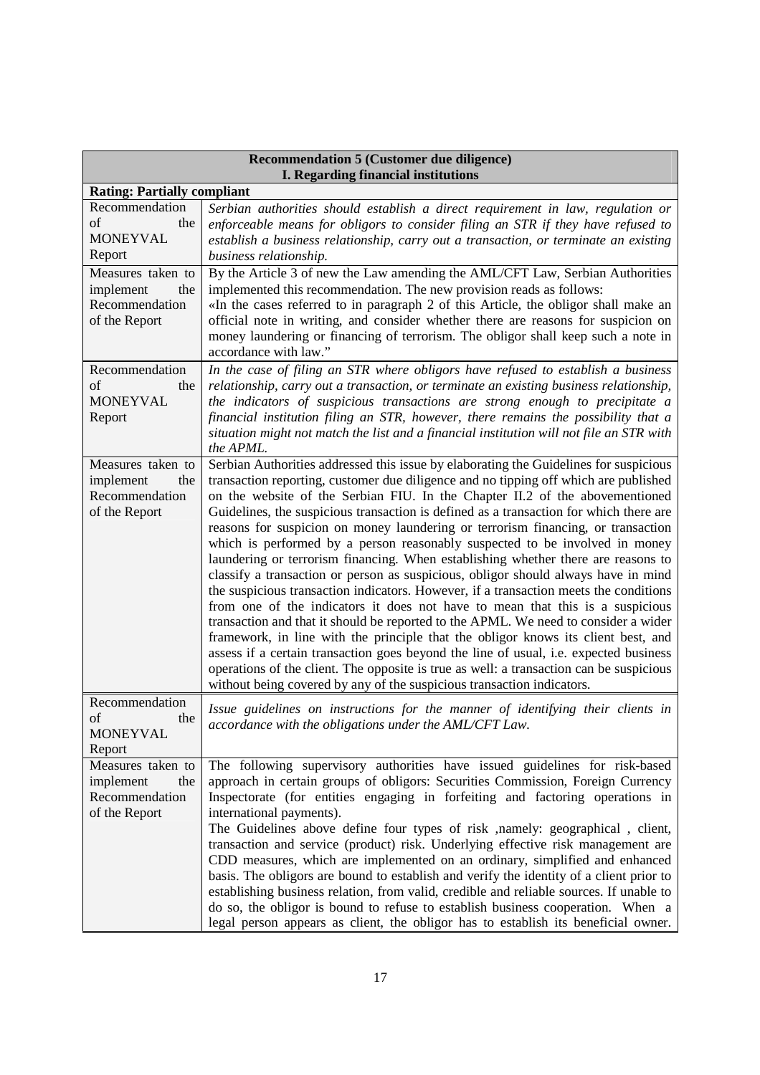| <b>Recommendation 5 (Customer due diligence)</b><br>I. Regarding financial institutions           |                                                                                                                                                                                                                                                                                                                                                                                                                                                                                                                                                                                                                                                                                                                                                                                                                                                                                                                                                                                                                                                                                                                                                                                                                                                                                                                           |  |
|---------------------------------------------------------------------------------------------------|---------------------------------------------------------------------------------------------------------------------------------------------------------------------------------------------------------------------------------------------------------------------------------------------------------------------------------------------------------------------------------------------------------------------------------------------------------------------------------------------------------------------------------------------------------------------------------------------------------------------------------------------------------------------------------------------------------------------------------------------------------------------------------------------------------------------------------------------------------------------------------------------------------------------------------------------------------------------------------------------------------------------------------------------------------------------------------------------------------------------------------------------------------------------------------------------------------------------------------------------------------------------------------------------------------------------------|--|
| <b>Rating: Partially compliant</b>                                                                |                                                                                                                                                                                                                                                                                                                                                                                                                                                                                                                                                                                                                                                                                                                                                                                                                                                                                                                                                                                                                                                                                                                                                                                                                                                                                                                           |  |
| Recommendation<br>of<br>the<br><b>MONEYVAL</b><br>Report<br>Measures taken to<br>implement<br>the | Serbian authorities should establish a direct requirement in law, regulation or<br>enforceable means for obligors to consider filing an STR if they have refused to<br>establish a business relationship, carry out a transaction, or terminate an existing<br>business relationship.<br>By the Article 3 of new the Law amending the AML/CFT Law, Serbian Authorities<br>implemented this recommendation. The new provision reads as follows:                                                                                                                                                                                                                                                                                                                                                                                                                                                                                                                                                                                                                                                                                                                                                                                                                                                                            |  |
| Recommendation<br>of the Report                                                                   | «In the cases referred to in paragraph 2 of this Article, the obligor shall make an<br>official note in writing, and consider whether there are reasons for suspicion on<br>money laundering or financing of terrorism. The obligor shall keep such a note in<br>accordance with law."                                                                                                                                                                                                                                                                                                                                                                                                                                                                                                                                                                                                                                                                                                                                                                                                                                                                                                                                                                                                                                    |  |
| Recommendation<br>of<br>the<br><b>MONEYVAL</b><br>Report                                          | In the case of filing an STR where obligors have refused to establish a business<br>relationship, carry out a transaction, or terminate an existing business relationship,<br>the indicators of suspicious transactions are strong enough to precipitate a<br>financial institution filing an STR, however, there remains the possibility that a<br>situation might not match the list and a financial institution will not file an STR with<br>the APML.                                                                                                                                                                                                                                                                                                                                                                                                                                                                                                                                                                                                                                                                                                                                                                                                                                                                 |  |
| Measures taken to<br>implement<br>the<br>Recommendation<br>of the Report                          | Serbian Authorities addressed this issue by elaborating the Guidelines for suspicious<br>transaction reporting, customer due diligence and no tipping off which are published<br>on the website of the Serbian FIU. In the Chapter II.2 of the abovementioned<br>Guidelines, the suspicious transaction is defined as a transaction for which there are<br>reasons for suspicion on money laundering or terrorism financing, or transaction<br>which is performed by a person reasonably suspected to be involved in money<br>laundering or terrorism financing. When establishing whether there are reasons to<br>classify a transaction or person as suspicious, obligor should always have in mind<br>the suspicious transaction indicators. However, if a transaction meets the conditions<br>from one of the indicators it does not have to mean that this is a suspicious<br>transaction and that it should be reported to the APML. We need to consider a wider<br>framework, in line with the principle that the obligor knows its client best, and<br>assess if a certain transaction goes beyond the line of usual, i.e. expected business<br>operations of the client. The opposite is true as well: a transaction can be suspicious<br>without being covered by any of the suspicious transaction indicators. |  |
| Recommendation<br>of<br>the<br><b>MONEYVAL</b><br>Report                                          | Issue guidelines on instructions for the manner of identifying their clients in<br>accordance with the obligations under the AML/CFT Law.                                                                                                                                                                                                                                                                                                                                                                                                                                                                                                                                                                                                                                                                                                                                                                                                                                                                                                                                                                                                                                                                                                                                                                                 |  |
| Measures taken to<br>implement<br>the<br>Recommendation<br>of the Report                          | The following supervisory authorities have issued guidelines for risk-based<br>approach in certain groups of obligors: Securities Commission, Foreign Currency<br>Inspectorate (for entities engaging in forfeiting and factoring operations in<br>international payments).<br>The Guidelines above define four types of risk , namely: geographical, client,<br>transaction and service (product) risk. Underlying effective risk management are<br>CDD measures, which are implemented on an ordinary, simplified and enhanced<br>basis. The obligors are bound to establish and verify the identity of a client prior to<br>establishing business relation, from valid, credible and reliable sources. If unable to<br>do so, the obligor is bound to refuse to establish business cooperation. When a<br>legal person appears as client, the obligor has to establish its beneficial owner.                                                                                                                                                                                                                                                                                                                                                                                                                           |  |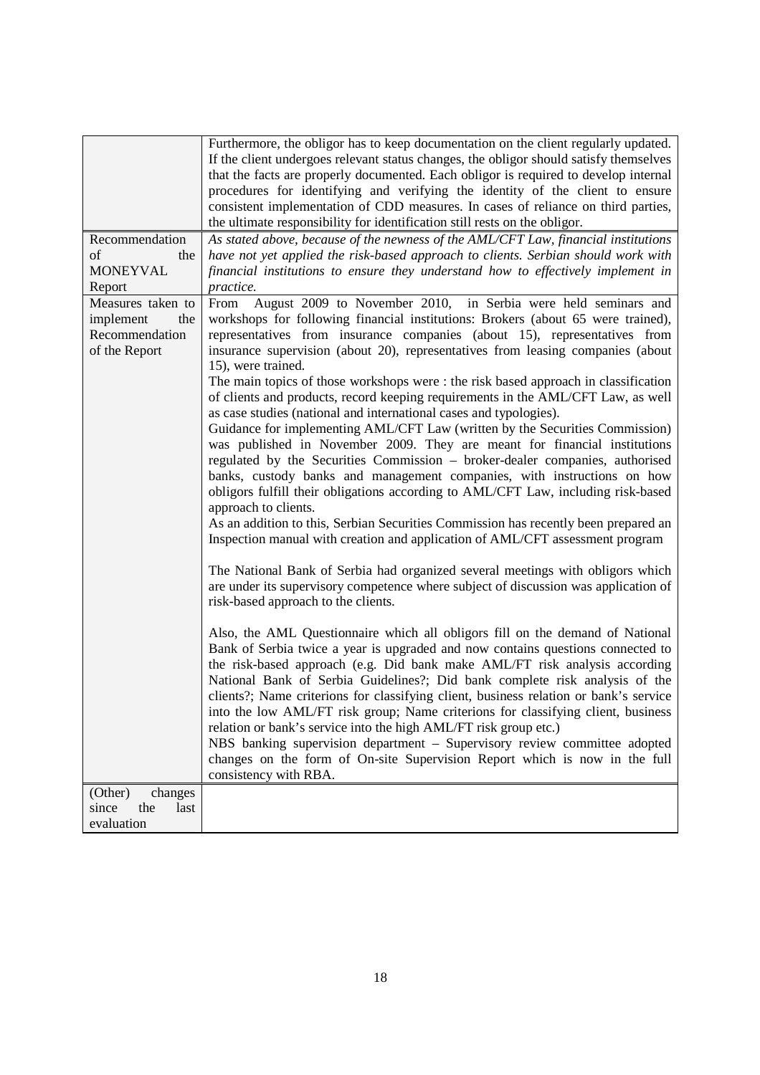|                      | Furthermore, the obligor has to keep documentation on the client regularly updated.<br>If the client undergoes relevant status changes, the obligor should satisfy themselves |
|----------------------|-------------------------------------------------------------------------------------------------------------------------------------------------------------------------------|
|                      | that the facts are properly documented. Each obligor is required to develop internal                                                                                          |
|                      | procedures for identifying and verifying the identity of the client to ensure                                                                                                 |
|                      | consistent implementation of CDD measures. In cases of reliance on third parties,                                                                                             |
|                      | the ultimate responsibility for identification still rests on the obligor.                                                                                                    |
| Recommendation       | As stated above, because of the newness of the AML/CFT Law, financial institutions                                                                                            |
| of<br>the            | have not yet applied the risk-based approach to clients. Serbian should work with                                                                                             |
| <b>MONEYVAL</b>      | financial institutions to ensure they understand how to effectively implement in                                                                                              |
| Report               | practice.                                                                                                                                                                     |
| Measures taken to    | August 2009 to November 2010, in Serbia were held seminars and<br>From                                                                                                        |
| implement<br>the     | workshops for following financial institutions: Brokers (about 65 were trained),                                                                                              |
| Recommendation       | representatives from insurance companies (about 15), representatives from                                                                                                     |
| of the Report        | insurance supervision (about 20), representatives from leasing companies (about                                                                                               |
|                      | 15), were trained.                                                                                                                                                            |
|                      | The main topics of those workshops were : the risk based approach in classification                                                                                           |
|                      | of clients and products, record keeping requirements in the AML/CFT Law, as well                                                                                              |
|                      | as case studies (national and international cases and typologies).                                                                                                            |
|                      | Guidance for implementing AML/CFT Law (written by the Securities Commission)                                                                                                  |
|                      | was published in November 2009. They are meant for financial institutions                                                                                                     |
|                      | regulated by the Securities Commission – broker-dealer companies, authorised                                                                                                  |
|                      | banks, custody banks and management companies, with instructions on how                                                                                                       |
|                      | obligors fulfill their obligations according to AML/CFT Law, including risk-based                                                                                             |
|                      | approach to clients.                                                                                                                                                          |
|                      | As an addition to this, Serbian Securities Commission has recently been prepared an                                                                                           |
|                      | Inspection manual with creation and application of AML/CFT assessment program                                                                                                 |
|                      |                                                                                                                                                                               |
|                      | The National Bank of Serbia had organized several meetings with obligors which                                                                                                |
|                      | are under its supervisory competence where subject of discussion was application of                                                                                           |
|                      | risk-based approach to the clients.                                                                                                                                           |
|                      |                                                                                                                                                                               |
|                      | Also, the AML Questionnaire which all obligors fill on the demand of National                                                                                                 |
|                      | Bank of Serbia twice a year is upgraded and now contains questions connected to<br>the risk-based approach (e.g. Did bank make AML/FT risk analysis according                 |
|                      | National Bank of Serbia Guidelines?; Did bank complete risk analysis of the                                                                                                   |
|                      |                                                                                                                                                                               |
|                      | clients?; Name criterions for classifying client, business relation or bank's service<br>into the low AML/FT risk group; Name criterions for classifying client, business     |
|                      | relation or bank's service into the high AML/FT risk group etc.)                                                                                                              |
|                      | NBS banking supervision department - Supervisory review committee adopted                                                                                                     |
|                      | changes on the form of On-site Supervision Report which is now in the full                                                                                                    |
|                      | consistency with RBA.                                                                                                                                                         |
| (Other)<br>changes   |                                                                                                                                                                               |
| since<br>the<br>last |                                                                                                                                                                               |
| evaluation           |                                                                                                                                                                               |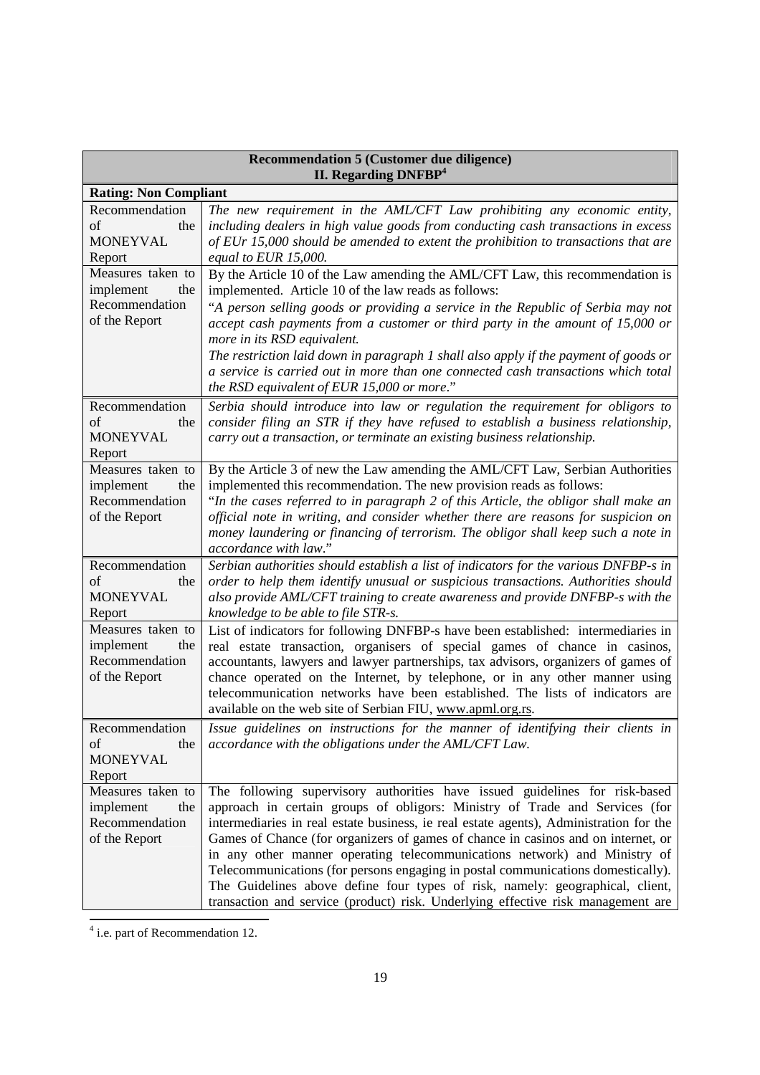| <b>Recommendation 5 (Customer due diligence)</b><br>II. Regarding DNFBP <sup>4</sup>              |                                                                                                                                                                                                                                                                                                                                                                                                                                                                                                                                                                                                                                                                                 |
|---------------------------------------------------------------------------------------------------|---------------------------------------------------------------------------------------------------------------------------------------------------------------------------------------------------------------------------------------------------------------------------------------------------------------------------------------------------------------------------------------------------------------------------------------------------------------------------------------------------------------------------------------------------------------------------------------------------------------------------------------------------------------------------------|
| <b>Rating: Non Compliant</b>                                                                      |                                                                                                                                                                                                                                                                                                                                                                                                                                                                                                                                                                                                                                                                                 |
| Recommendation<br>of<br>the<br><b>MONEYVAL</b><br>Report<br>Measures taken to<br>implement<br>the | The new requirement in the AML/CFT Law prohibiting any economic entity,<br>including dealers in high value goods from conducting cash transactions in excess<br>of EUr 15,000 should be amended to extent the prohibition to transactions that are<br>equal to EUR $15,000$ .<br>By the Article 10 of the Law amending the AML/CFT Law, this recommendation is<br>implemented. Article 10 of the law reads as follows:                                                                                                                                                                                                                                                          |
| Recommendation<br>of the Report                                                                   | "A person selling goods or providing a service in the Republic of Serbia may not<br>accept cash payments from a customer or third party in the amount of 15,000 or<br>more in its RSD equivalent.<br>The restriction laid down in paragraph 1 shall also apply if the payment of goods or<br>a service is carried out in more than one connected cash transactions which total<br>the RSD equivalent of EUR 15,000 or more."                                                                                                                                                                                                                                                    |
| Recommendation<br>of<br>the<br><b>MONEYVAL</b><br>Report                                          | Serbia should introduce into law or regulation the requirement for obligors to<br>consider filing an STR if they have refused to establish a business relationship,<br>carry out a transaction, or terminate an existing business relationship.                                                                                                                                                                                                                                                                                                                                                                                                                                 |
| Measures taken to<br>implement<br>the<br>Recommendation<br>of the Report                          | By the Article 3 of new the Law amending the AML/CFT Law, Serbian Authorities<br>implemented this recommendation. The new provision reads as follows:<br>"In the cases referred to in paragraph 2 of this Article, the obligor shall make an<br>official note in writing, and consider whether there are reasons for suspicion on<br>money laundering or financing of terrorism. The obligor shall keep such a note in<br>accordance with law."                                                                                                                                                                                                                                 |
| Recommendation<br>of<br>the<br><b>MONEYVAL</b><br>Report                                          | Serbian authorities should establish a list of indicators for the various DNFBP-s in<br>order to help them identify unusual or suspicious transactions. Authorities should<br>also provide AML/CFT training to create awareness and provide DNFBP-s with the<br>knowledge to be able to file STR-s.                                                                                                                                                                                                                                                                                                                                                                             |
| Measures taken to<br>implement<br>the<br>Recommendation<br>of the Report                          | List of indicators for following DNFBP-s have been established: intermediaries in<br>real estate transaction, organisers of special games of chance in casinos,<br>accountants, lawyers and lawyer partnerships, tax advisors, organizers of games of<br>chance operated on the Internet, by telephone, or in any other manner using<br>telecommunication networks have been established. The lists of indicators are<br>available on the web site of Serbian FIU, www.apml.org.rs.                                                                                                                                                                                             |
| Recommendation<br>of<br>the<br><b>MONEYVAL</b><br>Report                                          | Issue guidelines on instructions for the manner of identifying their clients in<br>accordance with the obligations under the AML/CFT Law.                                                                                                                                                                                                                                                                                                                                                                                                                                                                                                                                       |
| Measures taken to<br>implement<br>the<br>Recommendation<br>of the Report                          | The following supervisory authorities have issued guidelines for risk-based<br>approach in certain groups of obligors: Ministry of Trade and Services (for<br>intermediaries in real estate business, ie real estate agents), Administration for the<br>Games of Chance (for organizers of games of chance in casinos and on internet, or<br>in any other manner operating telecommunications network) and Ministry of<br>Telecommunications (for persons engaging in postal communications domestically).<br>The Guidelines above define four types of risk, namely: geographical, client,<br>transaction and service (product) risk. Underlying effective risk management are |

 4 i.e. part of Recommendation 12.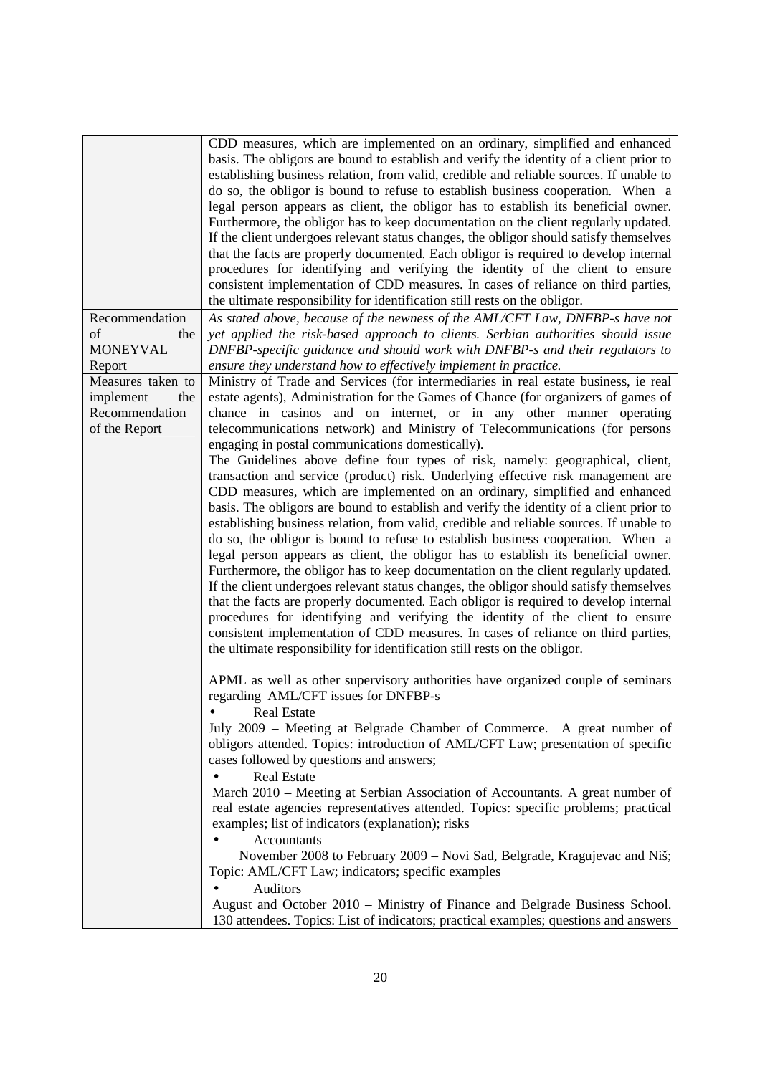|                             | CDD measures, which are implemented on an ordinary, simplified and enhanced<br>basis. The obligors are bound to establish and verify the identity of a client prior to |
|-----------------------------|------------------------------------------------------------------------------------------------------------------------------------------------------------------------|
|                             | establishing business relation, from valid, credible and reliable sources. If unable to                                                                                |
|                             | do so, the obligor is bound to refuse to establish business cooperation. When a                                                                                        |
|                             | legal person appears as client, the obligor has to establish its beneficial owner.                                                                                     |
|                             | Furthermore, the obligor has to keep documentation on the client regularly updated.                                                                                    |
|                             | If the client undergoes relevant status changes, the obligor should satisfy themselves                                                                                 |
|                             | that the facts are properly documented. Each obligor is required to develop internal                                                                                   |
|                             | procedures for identifying and verifying the identity of the client to ensure                                                                                          |
|                             | consistent implementation of CDD measures. In cases of reliance on third parties,                                                                                      |
|                             | the ultimate responsibility for identification still rests on the obligor.                                                                                             |
| Recommendation<br>of<br>the | As stated above, because of the newness of the AML/CFT Law, DNFBP-s have not<br>yet applied the risk-based approach to clients. Serbian authorities should issue       |
| <b>MONEYVAL</b>             | DNFBP-specific guidance and should work with DNFBP-s and their regulators to                                                                                           |
| Report                      | ensure they understand how to effectively implement in practice.                                                                                                       |
| Measures taken to           | Ministry of Trade and Services (for intermediaries in real estate business, ie real                                                                                    |
| implement<br>the            | estate agents), Administration for the Games of Chance (for organizers of games of                                                                                     |
| Recommendation              | chance in casinos and on internet, or in any other manner operating                                                                                                    |
| of the Report               | telecommunications network) and Ministry of Telecommunications (for persons                                                                                            |
|                             | engaging in postal communications domestically).                                                                                                                       |
|                             | The Guidelines above define four types of risk, namely: geographical, client,                                                                                          |
|                             | transaction and service (product) risk. Underlying effective risk management are                                                                                       |
|                             | CDD measures, which are implemented on an ordinary, simplified and enhanced                                                                                            |
|                             | basis. The obligors are bound to establish and verify the identity of a client prior to                                                                                |
|                             | establishing business relation, from valid, credible and reliable sources. If unable to                                                                                |
|                             | do so, the obligor is bound to refuse to establish business cooperation. When a<br>legal person appears as client, the obligor has to establish its beneficial owner.  |
|                             | Furthermore, the obligor has to keep documentation on the client regularly updated.                                                                                    |
|                             | If the client undergoes relevant status changes, the obligor should satisfy themselves                                                                                 |
|                             | that the facts are properly documented. Each obligor is required to develop internal                                                                                   |
|                             | procedures for identifying and verifying the identity of the client to ensure                                                                                          |
|                             | consistent implementation of CDD measures. In cases of reliance on third parties,                                                                                      |
|                             | the ultimate responsibility for identification still rests on the obligor.                                                                                             |
|                             |                                                                                                                                                                        |
|                             | APML as well as other supervisory authorities have organized couple of seminars<br>regarding AML/CFT issues for DNFBP-s                                                |
|                             | <b>Real Estate</b>                                                                                                                                                     |
|                             | July 2009 - Meeting at Belgrade Chamber of Commerce. A great number of                                                                                                 |
|                             | obligors attended. Topics: introduction of AML/CFT Law; presentation of specific                                                                                       |
|                             | cases followed by questions and answers;                                                                                                                               |
|                             | <b>Real Estate</b>                                                                                                                                                     |
|                             | March 2010 – Meeting at Serbian Association of Accountants. A great number of                                                                                          |
|                             | real estate agencies representatives attended. Topics: specific problems; practical                                                                                    |
|                             | examples; list of indicators (explanation); risks                                                                                                                      |
|                             | Accountants                                                                                                                                                            |
|                             | November 2008 to February 2009 - Novi Sad, Belgrade, Kragujevac and Niš;                                                                                               |
|                             | Topic: AML/CFT Law; indicators; specific examples                                                                                                                      |
|                             | Auditors                                                                                                                                                               |
|                             | August and October 2010 – Ministry of Finance and Belgrade Business School.                                                                                            |
|                             | 130 attendees. Topics: List of indicators; practical examples; questions and answers                                                                                   |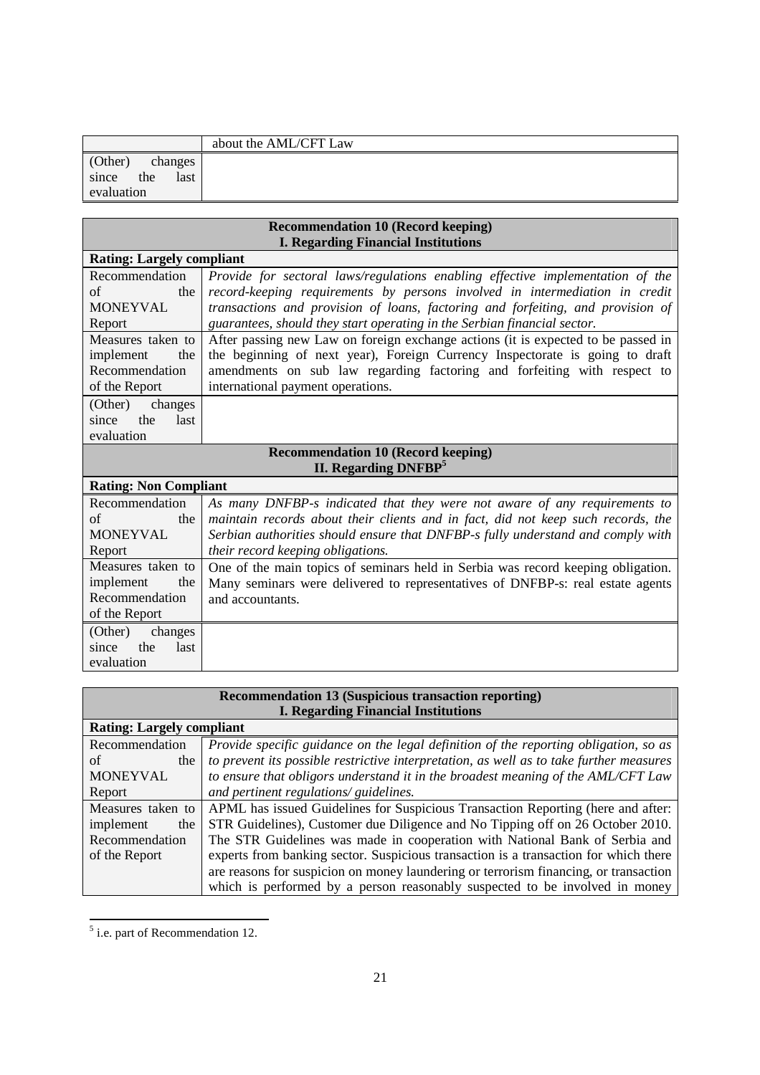|                                    | about the AML/CFT Law |
|------------------------------------|-----------------------|
| (Other)<br>changes                 |                       |
| the<br>since<br>last<br>evaluation |                       |

| <b>Recommendation 10 (Record keeping)</b>  |                                                                                   |  |
|--------------------------------------------|-----------------------------------------------------------------------------------|--|
| <b>I. Regarding Financial Institutions</b> |                                                                                   |  |
| <b>Rating: Largely compliant</b>           |                                                                                   |  |
| Recommendation                             | Provide for sectoral laws/regulations enabling effective implementation of the    |  |
| of<br>the                                  | record-keeping requirements by persons involved in intermediation in credit       |  |
| <b>MONEYVAL</b>                            | transactions and provision of loans, factoring and forfeiting, and provision of   |  |
| Report                                     | guarantees, should they start operating in the Serbian financial sector.          |  |
| Measures taken to                          | After passing new Law on foreign exchange actions (it is expected to be passed in |  |
| implement<br>the                           | the beginning of next year), Foreign Currency Inspectorate is going to draft      |  |
| Recommendation                             | amendments on sub law regarding factoring and forfeiting with respect to          |  |
| of the Report                              | international payment operations.                                                 |  |
| (Other)<br>changes                         |                                                                                   |  |
| the<br>last<br>since                       |                                                                                   |  |
| evaluation                                 |                                                                                   |  |
| <b>Recommendation 10 (Record keeping)</b>  |                                                                                   |  |
|                                            |                                                                                   |  |
|                                            | II. Regarding DNFBP <sup>5</sup>                                                  |  |
| <b>Rating: Non Compliant</b>               |                                                                                   |  |
| Recommendation                             | As many DNFBP-s indicated that they were not aware of any requirements to         |  |
| of<br>the                                  | maintain records about their clients and in fact, did not keep such records, the  |  |
| <b>MONEYVAL</b>                            | Serbian authorities should ensure that DNFBP-s fully understand and comply with   |  |
| Report                                     | their record keeping obligations.                                                 |  |
| Measures taken to                          | One of the main topics of seminars held in Serbia was record keeping obligation.  |  |
| implement<br>the                           | Many seminars were delivered to representatives of DNFBP-s: real estate agents    |  |
| Recommendation                             | and accountants.                                                                  |  |
| of the Report                              |                                                                                   |  |
| (Other)<br>changes                         |                                                                                   |  |
| the<br>last<br>since                       |                                                                                   |  |

| <b>Recommendation 13 (Suspicious transaction reporting)</b> |                                                                                         |
|-------------------------------------------------------------|-----------------------------------------------------------------------------------------|
| <b>I. Regarding Financial Institutions</b>                  |                                                                                         |
| <b>Rating: Largely compliant</b>                            |                                                                                         |
| Recommendation                                              | Provide specific guidance on the legal definition of the reporting obligation, so as    |
| of<br>the                                                   | to prevent its possible restrictive interpretation, as well as to take further measures |
| <b>MONEYVAL</b>                                             | to ensure that obligors understand it in the broadest meaning of the AML/CFT Law        |
| Report                                                      | and pertinent regulations/ guidelines.                                                  |
| Measures taken to                                           | APML has issued Guidelines for Suspicious Transaction Reporting (here and after:        |
| implement<br>the                                            | STR Guidelines), Customer due Diligence and No Tipping off on 26 October 2010.          |
| Recommendation                                              | The STR Guidelines was made in cooperation with National Bank of Serbia and             |
| of the Report                                               | experts from banking sector. Suspicious transaction is a transaction for which there    |
|                                                             | are reasons for suspicion on money laundering or terrorism financing, or transaction    |
|                                                             | which is performed by a person reasonably suspected to be involved in money             |

<sup>&</sup>lt;sup>5</sup> i.e. part of Recommendation 12.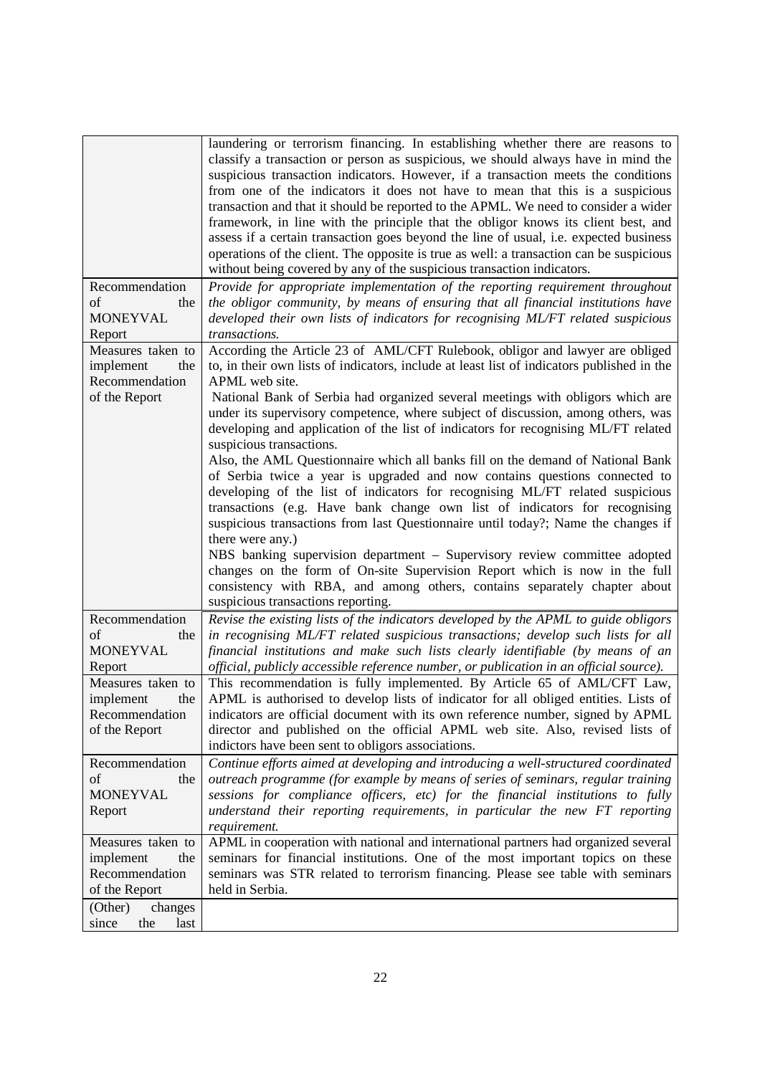|                      | laundering or terrorism financing. In establishing whether there are reasons to<br>classify a transaction or person as suspicious, we should always have in mind the<br>suspicious transaction indicators. However, if a transaction meets the conditions<br>from one of the indicators it does not have to mean that this is a suspicious<br>transaction and that it should be reported to the APML. We need to consider a wider<br>framework, in line with the principle that the obligor knows its client best, and<br>assess if a certain transaction goes beyond the line of usual, i.e. expected business<br>operations of the client. The opposite is true as well: a transaction can be suspicious<br>without being covered by any of the suspicious transaction indicators. |
|----------------------|--------------------------------------------------------------------------------------------------------------------------------------------------------------------------------------------------------------------------------------------------------------------------------------------------------------------------------------------------------------------------------------------------------------------------------------------------------------------------------------------------------------------------------------------------------------------------------------------------------------------------------------------------------------------------------------------------------------------------------------------------------------------------------------|
| Recommendation       | Provide for appropriate implementation of the reporting requirement throughout                                                                                                                                                                                                                                                                                                                                                                                                                                                                                                                                                                                                                                                                                                       |
| of<br>the            | the obligor community, by means of ensuring that all financial institutions have                                                                                                                                                                                                                                                                                                                                                                                                                                                                                                                                                                                                                                                                                                     |
| <b>MONEYVAL</b>      | developed their own lists of indicators for recognising ML/FT related suspicious                                                                                                                                                                                                                                                                                                                                                                                                                                                                                                                                                                                                                                                                                                     |
| Report               | transactions.                                                                                                                                                                                                                                                                                                                                                                                                                                                                                                                                                                                                                                                                                                                                                                        |
| Measures taken to    | According the Article 23 of AML/CFT Rulebook, obligor and lawyer are obliged                                                                                                                                                                                                                                                                                                                                                                                                                                                                                                                                                                                                                                                                                                         |
| implement<br>the     | to, in their own lists of indicators, include at least list of indicators published in the                                                                                                                                                                                                                                                                                                                                                                                                                                                                                                                                                                                                                                                                                           |
| Recommendation       | APML web site.                                                                                                                                                                                                                                                                                                                                                                                                                                                                                                                                                                                                                                                                                                                                                                       |
| of the Report        | National Bank of Serbia had organized several meetings with obligors which are                                                                                                                                                                                                                                                                                                                                                                                                                                                                                                                                                                                                                                                                                                       |
|                      | under its supervisory competence, where subject of discussion, among others, was                                                                                                                                                                                                                                                                                                                                                                                                                                                                                                                                                                                                                                                                                                     |
|                      | developing and application of the list of indicators for recognising ML/FT related                                                                                                                                                                                                                                                                                                                                                                                                                                                                                                                                                                                                                                                                                                   |
|                      | suspicious transactions.                                                                                                                                                                                                                                                                                                                                                                                                                                                                                                                                                                                                                                                                                                                                                             |
|                      | Also, the AML Questionnaire which all banks fill on the demand of National Bank                                                                                                                                                                                                                                                                                                                                                                                                                                                                                                                                                                                                                                                                                                      |
|                      | of Serbia twice a year is upgraded and now contains questions connected to                                                                                                                                                                                                                                                                                                                                                                                                                                                                                                                                                                                                                                                                                                           |
|                      | developing of the list of indicators for recognising ML/FT related suspicious                                                                                                                                                                                                                                                                                                                                                                                                                                                                                                                                                                                                                                                                                                        |
|                      | transactions (e.g. Have bank change own list of indicators for recognising                                                                                                                                                                                                                                                                                                                                                                                                                                                                                                                                                                                                                                                                                                           |
|                      | suspicious transactions from last Questionnaire until today?; Name the changes if                                                                                                                                                                                                                                                                                                                                                                                                                                                                                                                                                                                                                                                                                                    |
|                      | there were any.)                                                                                                                                                                                                                                                                                                                                                                                                                                                                                                                                                                                                                                                                                                                                                                     |
|                      | NBS banking supervision department - Supervisory review committee adopted                                                                                                                                                                                                                                                                                                                                                                                                                                                                                                                                                                                                                                                                                                            |
|                      | changes on the form of On-site Supervision Report which is now in the full                                                                                                                                                                                                                                                                                                                                                                                                                                                                                                                                                                                                                                                                                                           |
|                      | consistency with RBA, and among others, contains separately chapter about                                                                                                                                                                                                                                                                                                                                                                                                                                                                                                                                                                                                                                                                                                            |
|                      | suspicious transactions reporting.                                                                                                                                                                                                                                                                                                                                                                                                                                                                                                                                                                                                                                                                                                                                                   |
| Recommendation       | Revise the existing lists of the indicators developed by the APML to guide obligors                                                                                                                                                                                                                                                                                                                                                                                                                                                                                                                                                                                                                                                                                                  |
| of<br>the            | in recognising ML/FT related suspicious transactions; develop such lists for all                                                                                                                                                                                                                                                                                                                                                                                                                                                                                                                                                                                                                                                                                                     |
| <b>MONEYVAL</b>      | financial institutions and make such lists clearly identifiable (by means of an                                                                                                                                                                                                                                                                                                                                                                                                                                                                                                                                                                                                                                                                                                      |
| Report               | official, publicly accessible reference number, or publication in an official source).                                                                                                                                                                                                                                                                                                                                                                                                                                                                                                                                                                                                                                                                                               |
| Measures taken to    | This recommendation is fully implemented. By Article 65 of AML/CFT Law,                                                                                                                                                                                                                                                                                                                                                                                                                                                                                                                                                                                                                                                                                                              |
| implement<br>the     | APML is authorised to develop lists of indicator for all obliged entities. Lists of                                                                                                                                                                                                                                                                                                                                                                                                                                                                                                                                                                                                                                                                                                  |
| Recommendation       | indicators are official document with its own reference number, signed by APML                                                                                                                                                                                                                                                                                                                                                                                                                                                                                                                                                                                                                                                                                                       |
| of the Report        | director and published on the official APML web site. Also, revised lists of                                                                                                                                                                                                                                                                                                                                                                                                                                                                                                                                                                                                                                                                                                         |
|                      | indictors have been sent to obligors associations.                                                                                                                                                                                                                                                                                                                                                                                                                                                                                                                                                                                                                                                                                                                                   |
| Recommendation       | Continue efforts aimed at developing and introducing a well-structured coordinated                                                                                                                                                                                                                                                                                                                                                                                                                                                                                                                                                                                                                                                                                                   |
| of<br>the            | outreach programme (for example by means of series of seminars, regular training                                                                                                                                                                                                                                                                                                                                                                                                                                                                                                                                                                                                                                                                                                     |
| MONEYVAL             | sessions for compliance officers, etc) for the financial institutions to fully                                                                                                                                                                                                                                                                                                                                                                                                                                                                                                                                                                                                                                                                                                       |
| Report               | understand their reporting requirements, in particular the new FT reporting                                                                                                                                                                                                                                                                                                                                                                                                                                                                                                                                                                                                                                                                                                          |
|                      | requirement.                                                                                                                                                                                                                                                                                                                                                                                                                                                                                                                                                                                                                                                                                                                                                                         |
| Measures taken to    | APML in cooperation with national and international partners had organized several                                                                                                                                                                                                                                                                                                                                                                                                                                                                                                                                                                                                                                                                                                   |
| implement<br>the     | seminars for financial institutions. One of the most important topics on these                                                                                                                                                                                                                                                                                                                                                                                                                                                                                                                                                                                                                                                                                                       |
| Recommendation       | seminars was STR related to terrorism financing. Please see table with seminars                                                                                                                                                                                                                                                                                                                                                                                                                                                                                                                                                                                                                                                                                                      |
| of the Report        | held in Serbia.                                                                                                                                                                                                                                                                                                                                                                                                                                                                                                                                                                                                                                                                                                                                                                      |
| changes<br>(Other)   |                                                                                                                                                                                                                                                                                                                                                                                                                                                                                                                                                                                                                                                                                                                                                                                      |
| the<br>last<br>since |                                                                                                                                                                                                                                                                                                                                                                                                                                                                                                                                                                                                                                                                                                                                                                                      |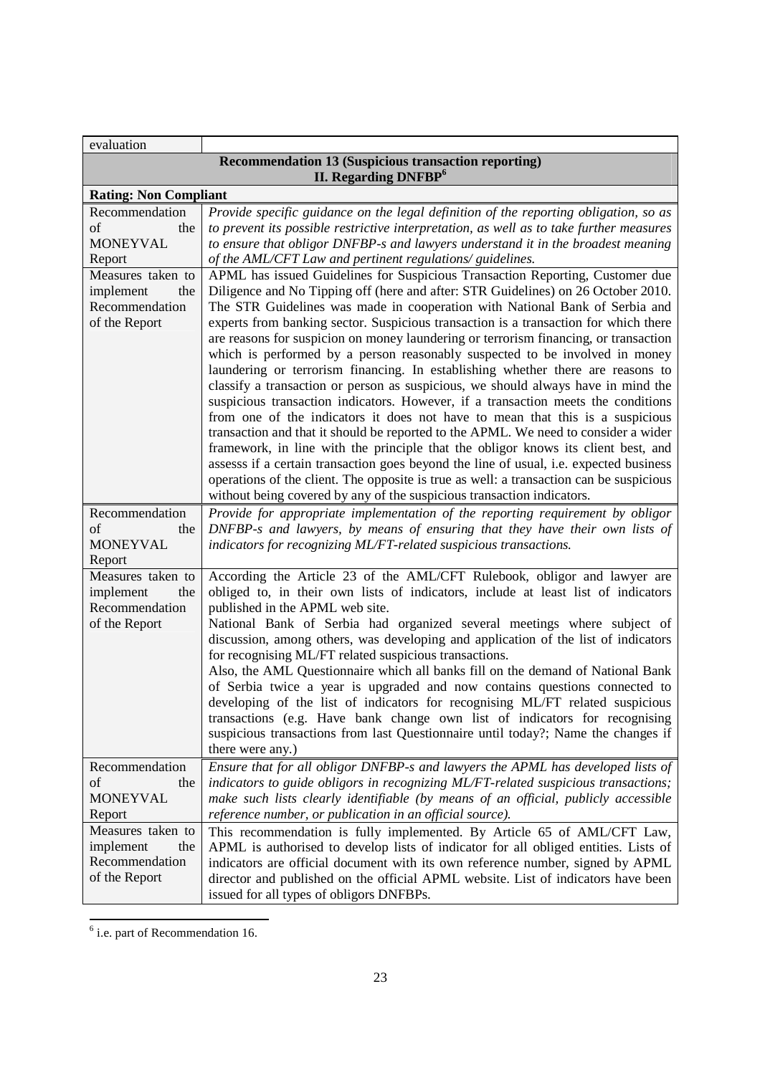| evaluation                   |                                                                                                                                                                          |
|------------------------------|--------------------------------------------------------------------------------------------------------------------------------------------------------------------------|
|                              | <b>Recommendation 13 (Suspicious transaction reporting)</b><br><b>II. Regarding DNFBP</b> <sup>6</sup>                                                                   |
| <b>Rating: Non Compliant</b> |                                                                                                                                                                          |
| Recommendation               | Provide specific guidance on the legal definition of the reporting obligation, so as                                                                                     |
| of<br>the                    | to prevent its possible restrictive interpretation, as well as to take further measures                                                                                  |
| <b>MONEYVAL</b>              | to ensure that obligor DNFBP-s and lawyers understand it in the broadest meaning                                                                                         |
| Report                       | of the AML/CFT Law and pertinent regulations/ guidelines.                                                                                                                |
| Measures taken to            | APML has issued Guidelines for Suspicious Transaction Reporting, Customer due                                                                                            |
| implement<br>the             | Diligence and No Tipping off (here and after: STR Guidelines) on 26 October 2010.                                                                                        |
| Recommendation               | The STR Guidelines was made in cooperation with National Bank of Serbia and                                                                                              |
| of the Report                | experts from banking sector. Suspicious transaction is a transaction for which there                                                                                     |
|                              | are reasons for suspicion on money laundering or terrorism financing, or transaction                                                                                     |
|                              | which is performed by a person reasonably suspected to be involved in money                                                                                              |
|                              | laundering or terrorism financing. In establishing whether there are reasons to                                                                                          |
|                              | classify a transaction or person as suspicious, we should always have in mind the                                                                                        |
|                              | suspicious transaction indicators. However, if a transaction meets the conditions                                                                                        |
|                              | from one of the indicators it does not have to mean that this is a suspicious                                                                                            |
|                              | transaction and that it should be reported to the APML. We need to consider a wider<br>framework, in line with the principle that the obligor knows its client best, and |
|                              | assesss if a certain transaction goes beyond the line of usual, i.e. expected business                                                                                   |
|                              | operations of the client. The opposite is true as well: a transaction can be suspicious                                                                                  |
|                              | without being covered by any of the suspicious transaction indicators.                                                                                                   |
| Recommendation               | Provide for appropriate implementation of the reporting requirement by obligor                                                                                           |
| of<br>the                    | DNFBP-s and lawyers, by means of ensuring that they have their own lists of                                                                                              |
| <b>MONEYVAL</b>              | indicators for recognizing ML/FT-related suspicious transactions.                                                                                                        |
| Report                       |                                                                                                                                                                          |
| Measures taken to            | According the Article 23 of the AML/CFT Rulebook, obligor and lawyer are                                                                                                 |
| implement<br>the             | obliged to, in their own lists of indicators, include at least list of indicators                                                                                        |
| Recommendation               | published in the APML web site.                                                                                                                                          |
| of the Report                | National Bank of Serbia had organized several meetings where subject of                                                                                                  |
|                              | discussion, among others, was developing and application of the list of indicators                                                                                       |
|                              | for recognising ML/FT related suspicious transactions.                                                                                                                   |
|                              | Also, the AML Questionnaire which all banks fill on the demand of National Bank                                                                                          |
|                              | of Serbia twice a year is upgraded and now contains questions connected to                                                                                               |
|                              | developing of the list of indicators for recognising ML/FT related suspicious                                                                                            |
|                              | transactions (e.g. Have bank change own list of indicators for recognising                                                                                               |
|                              | suspicious transactions from last Questionnaire until today?; Name the changes if                                                                                        |
|                              | there were any.)                                                                                                                                                         |
| Recommendation               | Ensure that for all obligor DNFBP-s and lawyers the APML has developed lists of                                                                                          |
| of<br>the                    | indicators to guide obligors in recognizing ML/FT-related suspicious transactions;                                                                                       |
| <b>MONEYVAL</b>              | make such lists clearly identifiable (by means of an official, publicly accessible                                                                                       |
| Report                       | reference number, or publication in an official source).                                                                                                                 |
| Measures taken to            | This recommendation is fully implemented. By Article 65 of AML/CFT Law,                                                                                                  |
| implement<br>the             | APML is authorised to develop lists of indicator for all obliged entities. Lists of                                                                                      |
| Recommendation               | indicators are official document with its own reference number, signed by APML                                                                                           |
| of the Report                | director and published on the official APML website. List of indicators have been                                                                                        |
|                              | issued for all types of obligors DNFBPs.                                                                                                                                 |

<sup>&</sup>lt;sup>6</sup> i.e. part of Recommendation 16.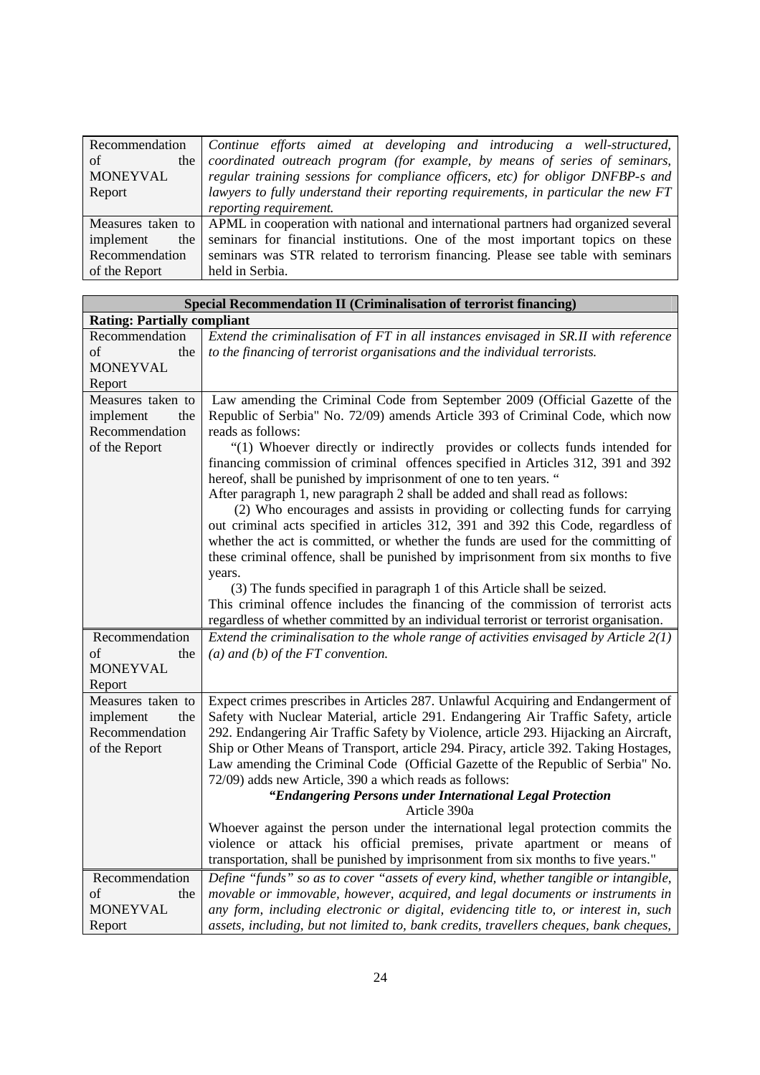| Recommendation     | Continue efforts aimed at developing and introducing a well-structured,                              |
|--------------------|------------------------------------------------------------------------------------------------------|
| of                 | the coordinated outreach program (for example, by means of series of seminars,                       |
| <b>MONEYVAL</b>    | regular training sessions for compliance officers, etc) for obligor DNFBP-s and                      |
| Report             | lawyers to fully understand their reporting requirements, in particular the new FT                   |
|                    | reporting requirement.                                                                               |
|                    | Measures taken to APML in cooperation with national and international partners had organized several |
| implement<br>the 1 | seminars for financial institutions. One of the most important topics on these                       |
| Recommendation     | seminars was STR related to terrorism financing. Please see table with seminars                      |
| of the Report      | held in Serbia.                                                                                      |

| Special Recommendation II (Criminalisation of terrorist financing)       |                                                                                                                                                                                                                                                                                                                                                                                                                                                                                                                                                                                                                                                                                                                                                                                                                                                                                                                                                                                                                                                                                                                           |
|--------------------------------------------------------------------------|---------------------------------------------------------------------------------------------------------------------------------------------------------------------------------------------------------------------------------------------------------------------------------------------------------------------------------------------------------------------------------------------------------------------------------------------------------------------------------------------------------------------------------------------------------------------------------------------------------------------------------------------------------------------------------------------------------------------------------------------------------------------------------------------------------------------------------------------------------------------------------------------------------------------------------------------------------------------------------------------------------------------------------------------------------------------------------------------------------------------------|
| <b>Rating: Partially compliant</b>                                       |                                                                                                                                                                                                                                                                                                                                                                                                                                                                                                                                                                                                                                                                                                                                                                                                                                                                                                                                                                                                                                                                                                                           |
| Recommendation<br>of<br>the<br><b>MONEYVAL</b><br>Report                 | Extend the criminalisation of FT in all instances envisaged in SR.II with reference<br>to the financing of terrorist organisations and the individual terrorists.                                                                                                                                                                                                                                                                                                                                                                                                                                                                                                                                                                                                                                                                                                                                                                                                                                                                                                                                                         |
| Measures taken to<br>implement<br>the<br>Recommendation<br>of the Report | Law amending the Criminal Code from September 2009 (Official Gazette of the<br>Republic of Serbia" No. 72/09) amends Article 393 of Criminal Code, which now<br>reads as follows:<br>"(1) Whoever directly or indirectly provides or collects funds intended for<br>financing commission of criminal offences specified in Articles 312, 391 and 392<br>hereof, shall be punished by imprisonment of one to ten years. "<br>After paragraph 1, new paragraph 2 shall be added and shall read as follows:<br>(2) Who encourages and assists in providing or collecting funds for carrying<br>out criminal acts specified in articles 312, 391 and 392 this Code, regardless of<br>whether the act is committed, or whether the funds are used for the committing of<br>these criminal offence, shall be punished by imprisonment from six months to five<br>years.<br>(3) The funds specified in paragraph 1 of this Article shall be seized.<br>This criminal offence includes the financing of the commission of terrorist acts<br>regardless of whether committed by an individual terrorist or terrorist organisation. |
| Recommendation<br>of<br>the<br><b>MONEYVAL</b><br>Report                 | Extend the criminalisation to the whole range of activities envisaged by Article $2(1)$<br>$(a)$ and $(b)$ of the FT convention.                                                                                                                                                                                                                                                                                                                                                                                                                                                                                                                                                                                                                                                                                                                                                                                                                                                                                                                                                                                          |
| Measures taken to<br>implement<br>the<br>Recommendation<br>of the Report | Expect crimes prescribes in Articles 287. Unlawful Acquiring and Endangerment of<br>Safety with Nuclear Material, article 291. Endangering Air Traffic Safety, article<br>292. Endangering Air Traffic Safety by Violence, article 293. Hijacking an Aircraft,<br>Ship or Other Means of Transport, article 294. Piracy, article 392. Taking Hostages,<br>Law amending the Criminal Code (Official Gazette of the Republic of Serbia" No.<br>72/09) adds new Article, 390 a which reads as follows:<br>"Endangering Persons under International Legal Protection<br>Article 390a<br>Whoever against the person under the international legal protection commits the<br>violence or attack his official premises, private apartment or means of<br>transportation, shall be punished by imprisonment from six months to five years."                                                                                                                                                                                                                                                                                       |
| Recommendation<br>of<br>the<br><b>MONEYVAL</b><br>Report                 | Define "funds" so as to cover "assets of every kind, whether tangible or intangible,<br>movable or immovable, however, acquired, and legal documents or instruments in<br>any form, including electronic or digital, evidencing title to, or interest in, such<br>assets, including, but not limited to, bank credits, travellers cheques, bank cheques,                                                                                                                                                                                                                                                                                                                                                                                                                                                                                                                                                                                                                                                                                                                                                                  |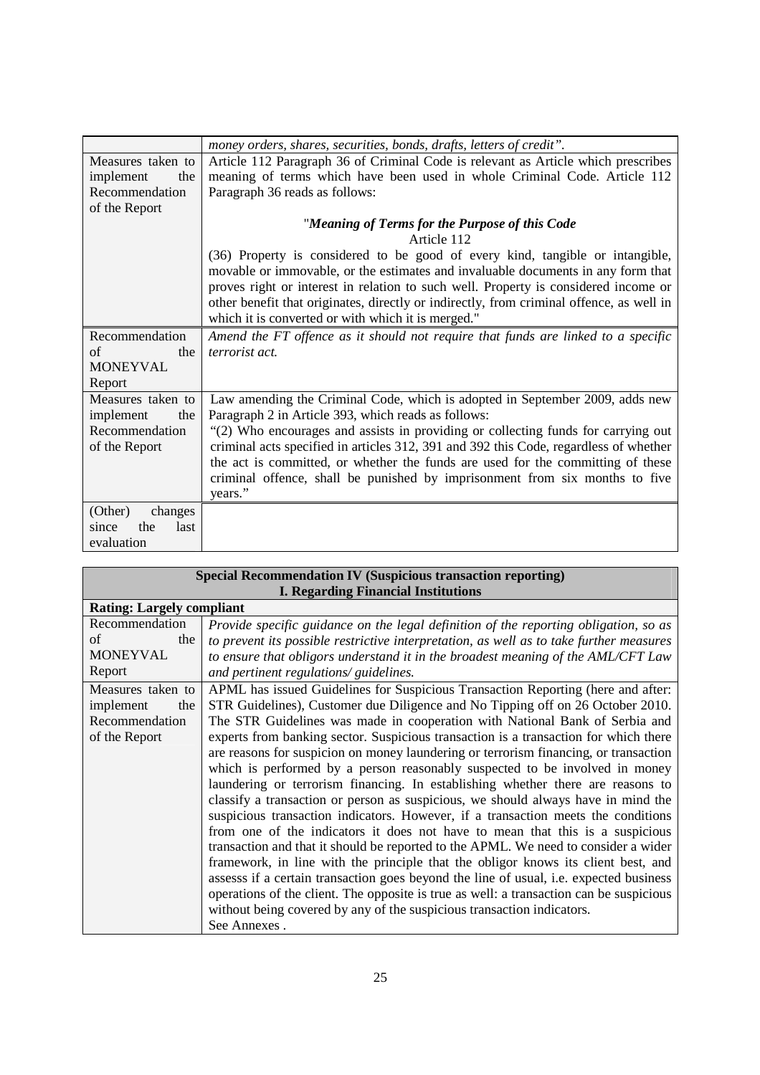|                                 | money orders, shares, securities, bonds, drafts, letters of credit".                                                                                                                                                                                                                                                                                 |
|---------------------------------|------------------------------------------------------------------------------------------------------------------------------------------------------------------------------------------------------------------------------------------------------------------------------------------------------------------------------------------------------|
| Measures taken to               | Article 112 Paragraph 36 of Criminal Code is relevant as Article which prescribes                                                                                                                                                                                                                                                                    |
| implement<br>the                | meaning of terms which have been used in whole Criminal Code. Article 112                                                                                                                                                                                                                                                                            |
| Recommendation                  | Paragraph 36 reads as follows:                                                                                                                                                                                                                                                                                                                       |
| of the Report                   |                                                                                                                                                                                                                                                                                                                                                      |
|                                 | "Meaning of Terms for the Purpose of this Code                                                                                                                                                                                                                                                                                                       |
|                                 | Article 112                                                                                                                                                                                                                                                                                                                                          |
|                                 | (36) Property is considered to be good of every kind, tangible or intangible,<br>movable or immovable, or the estimates and invaluable documents in any form that<br>proves right or interest in relation to such well. Property is considered income or<br>other benefit that originates, directly or indirectly, from criminal offence, as well in |
|                                 | which it is converted or with which it is merged."                                                                                                                                                                                                                                                                                                   |
| Recommendation                  | Amend the FT offence as it should not require that funds are linked to a specific                                                                                                                                                                                                                                                                    |
| of<br>the                       | terrorist act.                                                                                                                                                                                                                                                                                                                                       |
| <b>MONEYVAL</b>                 |                                                                                                                                                                                                                                                                                                                                                      |
| Report                          |                                                                                                                                                                                                                                                                                                                                                      |
| Measures taken to               | Law amending the Criminal Code, which is adopted in September 2009, adds new                                                                                                                                                                                                                                                                         |
| implement<br>the                | Paragraph 2 in Article 393, which reads as follows:                                                                                                                                                                                                                                                                                                  |
| Recommendation<br>of the Report | "(2) Who encourages and assists in providing or collecting funds for carrying out<br>criminal acts specified in articles 312, 391 and 392 this Code, regardless of whether                                                                                                                                                                           |
|                                 | the act is committed, or whether the funds are used for the committing of these                                                                                                                                                                                                                                                                      |
|                                 | criminal offence, shall be punished by imprisonment from six months to five                                                                                                                                                                                                                                                                          |
|                                 | years."                                                                                                                                                                                                                                                                                                                                              |
| (Other)<br>changes              |                                                                                                                                                                                                                                                                                                                                                      |
| last<br>the<br>since            |                                                                                                                                                                                                                                                                                                                                                      |
| evaluation                      |                                                                                                                                                                                                                                                                                                                                                      |

| <b>Special Recommendation IV (Suspicious transaction reporting)</b> |                                                                                         |  |
|---------------------------------------------------------------------|-----------------------------------------------------------------------------------------|--|
| <b>I. Regarding Financial Institutions</b>                          |                                                                                         |  |
| <b>Rating: Largely compliant</b>                                    |                                                                                         |  |
| Recommendation                                                      | Provide specific guidance on the legal definition of the reporting obligation, so as    |  |
| of<br>the                                                           | to prevent its possible restrictive interpretation, as well as to take further measures |  |
| <b>MONEYVAL</b>                                                     | to ensure that obligors understand it in the broadest meaning of the AML/CFT Law        |  |
| Report                                                              | and pertinent regulations/ guidelines.                                                  |  |
| Measures taken to                                                   | APML has issued Guidelines for Suspicious Transaction Reporting (here and after:        |  |
| implement<br>the                                                    | STR Guidelines), Customer due Diligence and No Tipping off on 26 October 2010.          |  |
| Recommendation                                                      | The STR Guidelines was made in cooperation with National Bank of Serbia and             |  |
| of the Report                                                       | experts from banking sector. Suspicious transaction is a transaction for which there    |  |
|                                                                     | are reasons for suspicion on money laundering or terrorism financing, or transaction    |  |
|                                                                     | which is performed by a person reasonably suspected to be involved in money             |  |
|                                                                     | laundering or terrorism financing. In establishing whether there are reasons to         |  |
|                                                                     | classify a transaction or person as suspicious, we should always have in mind the       |  |
|                                                                     | suspicious transaction indicators. However, if a transaction meets the conditions       |  |
|                                                                     | from one of the indicators it does not have to mean that this is a suspicious           |  |
|                                                                     | transaction and that it should be reported to the APML. We need to consider a wider     |  |
|                                                                     | framework, in line with the principle that the obligor knows its client best, and       |  |
|                                                                     | assesss if a certain transaction goes beyond the line of usual, i.e. expected business  |  |
|                                                                     | operations of the client. The opposite is true as well: a transaction can be suspicious |  |
|                                                                     | without being covered by any of the suspicious transaction indicators.                  |  |
|                                                                     | See Annexes.                                                                            |  |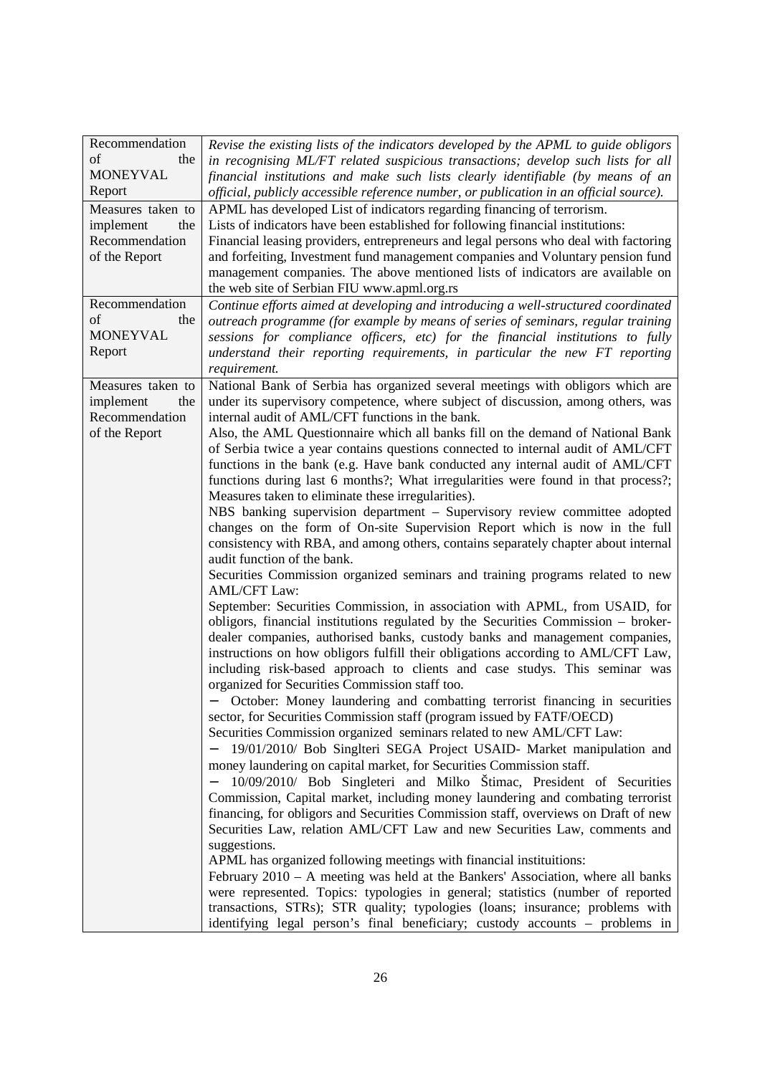| Recommendation    | Revise the existing lists of the indicators developed by the APML to guide obligors                                                                              |
|-------------------|------------------------------------------------------------------------------------------------------------------------------------------------------------------|
| of<br>the         | in recognising ML/FT related suspicious transactions; develop such lists for all                                                                                 |
| <b>MONEYVAL</b>   | financial institutions and make such lists clearly identifiable (by means of an                                                                                  |
| Report            | official, publicly accessible reference number, or publication in an official source).                                                                           |
| Measures taken to | APML has developed List of indicators regarding financing of terrorism.                                                                                          |
| implement<br>the  | Lists of indicators have been established for following financial institutions:                                                                                  |
| Recommendation    | Financial leasing providers, entrepreneurs and legal persons who deal with factoring                                                                             |
| of the Report     | and forfeiting, Investment fund management companies and Voluntary pension fund                                                                                  |
|                   | management companies. The above mentioned lists of indicators are available on                                                                                   |
|                   | the web site of Serbian FIU www.apml.org.rs                                                                                                                      |
| Recommendation    | Continue efforts aimed at developing and introducing a well-structured coordinated                                                                               |
| of<br>the         | outreach programme (for example by means of series of seminars, regular training                                                                                 |
| <b>MONEYVAL</b>   | sessions for compliance officers, etc) for the financial institutions to fully                                                                                   |
| Report            | understand their reporting requirements, in particular the new FT reporting                                                                                      |
|                   | requirement.                                                                                                                                                     |
| Measures taken to | National Bank of Serbia has organized several meetings with obligors which are                                                                                   |
| implement<br>the  | under its supervisory competence, where subject of discussion, among others, was                                                                                 |
| Recommendation    | internal audit of AML/CFT functions in the bank.                                                                                                                 |
| of the Report     | Also, the AML Questionnaire which all banks fill on the demand of National Bank                                                                                  |
|                   | of Serbia twice a year contains questions connected to internal audit of AML/CFT                                                                                 |
|                   | functions in the bank (e.g. Have bank conducted any internal audit of AML/CFT                                                                                    |
|                   | functions during last 6 months?; What irregularities were found in that process?;                                                                                |
|                   | Measures taken to eliminate these irregularities).                                                                                                               |
|                   | NBS banking supervision department – Supervisory review committee adopted                                                                                        |
|                   | changes on the form of On-site Supervision Report which is now in the full                                                                                       |
|                   | consistency with RBA, and among others, contains separately chapter about internal                                                                               |
|                   | audit function of the bank.                                                                                                                                      |
|                   | Securities Commission organized seminars and training programs related to new<br><b>AML/CFT Law:</b>                                                             |
|                   | September: Securities Commission, in association with APML, from USAID, for                                                                                      |
|                   | obligors, financial institutions regulated by the Securities Commission – broker-                                                                                |
|                   | dealer companies, authorised banks, custody banks and management companies,                                                                                      |
|                   | instructions on how obligors fulfill their obligations according to AML/CFT Law,                                                                                 |
|                   | including risk-based approach to clients and case studys. This seminar was                                                                                       |
|                   | organized for Securities Commission staff too.                                                                                                                   |
|                   | - October: Money laundering and combatting terrorist financing in securities                                                                                     |
|                   | sector, for Securities Commission staff (program issued by FATF/OECD)                                                                                            |
|                   | Securities Commission organized seminars related to new AML/CFT Law:                                                                                             |
|                   | 19/01/2010/ Bob Singlteri SEGA Project USAID- Market manipulation and                                                                                            |
|                   | money laundering on capital market, for Securities Commission staff.                                                                                             |
|                   | 10/09/2010/ Bob Singleteri and Milko Štimac, President of Securities                                                                                             |
|                   | Commission, Capital market, including money laundering and combating terrorist                                                                                   |
|                   | financing, for obligors and Securities Commission staff, overviews on Draft of new                                                                               |
|                   | Securities Law, relation AML/CFT Law and new Securities Law, comments and                                                                                        |
|                   | suggestions.                                                                                                                                                     |
|                   | APML has organized following meetings with financial instituitions:                                                                                              |
|                   | February 2010 – A meeting was held at the Bankers' Association, where all banks                                                                                  |
|                   | were represented. Topics: typologies in general; statistics (number of reported<br>transactions, STRs); STR quality; typologies (loans; insurance; problems with |
|                   | identifying legal person's final beneficiary; custody accounts - problems in                                                                                     |
|                   |                                                                                                                                                                  |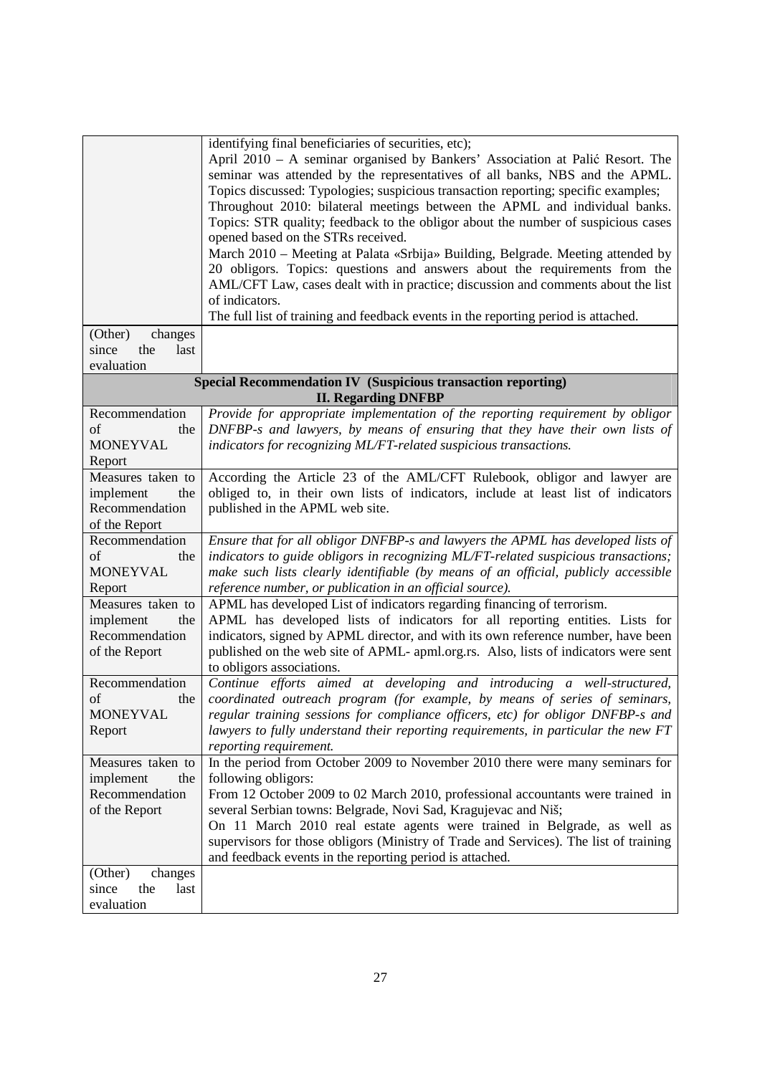|                                                                     | identifying final beneficiaries of securities, etc);                                                                                                          |
|---------------------------------------------------------------------|---------------------------------------------------------------------------------------------------------------------------------------------------------------|
|                                                                     | April 2010 - A seminar organised by Bankers' Association at Palić Resort. The                                                                                 |
|                                                                     | seminar was attended by the representatives of all banks, NBS and the APML.                                                                                   |
|                                                                     | Topics discussed: Typologies; suspicious transaction reporting; specific examples;                                                                            |
|                                                                     | Throughout 2010: bilateral meetings between the APML and individual banks.                                                                                    |
|                                                                     | Topics: STR quality; feedback to the obligor about the number of suspicious cases                                                                             |
|                                                                     | opened based on the STRs received.                                                                                                                            |
|                                                                     | March 2010 - Meeting at Palata «Srbija» Building, Belgrade. Meeting attended by                                                                               |
|                                                                     | 20 obligors. Topics: questions and answers about the requirements from the                                                                                    |
|                                                                     | AML/CFT Law, cases dealt with in practice; discussion and comments about the list                                                                             |
|                                                                     | of indicators.                                                                                                                                                |
|                                                                     | The full list of training and feedback events in the reporting period is attached.                                                                            |
|                                                                     |                                                                                                                                                               |
| (Other)<br>changes                                                  |                                                                                                                                                               |
| since<br>the<br>last                                                |                                                                                                                                                               |
| evaluation                                                          |                                                                                                                                                               |
| <b>Special Recommendation IV (Suspicious transaction reporting)</b> |                                                                                                                                                               |
| Recommendation                                                      | <b>II. Regarding DNFBP</b>                                                                                                                                    |
| of                                                                  | Provide for appropriate implementation of the reporting requirement by obligor<br>DNFBP-s and lawyers, by means of ensuring that they have their own lists of |
| the<br><b>MONEYVAL</b>                                              |                                                                                                                                                               |
|                                                                     | indicators for recognizing ML/FT-related suspicious transactions.                                                                                             |
| Report                                                              |                                                                                                                                                               |
| Measures taken to                                                   | According the Article 23 of the AML/CFT Rulebook, obligor and lawyer are                                                                                      |
| implement<br>the                                                    | obliged to, in their own lists of indicators, include at least list of indicators                                                                             |
| Recommendation                                                      | published in the APML web site.                                                                                                                               |
| of the Report                                                       |                                                                                                                                                               |
| Recommendation                                                      | Ensure that for all obligor DNFBP-s and lawyers the APML has developed lists of                                                                               |
| of<br>the                                                           | indicators to guide obligors in recognizing ML/FT-related suspicious transactions;                                                                            |
| <b>MONEYVAL</b>                                                     | make such lists clearly identifiable (by means of an official, publicly accessible                                                                            |
| Report                                                              | reference number, or publication in an official source).                                                                                                      |
| Measures taken to                                                   | APML has developed List of indicators regarding financing of terrorism.                                                                                       |
| implement<br>the                                                    | APML has developed lists of indicators for all reporting entities. Lists for                                                                                  |
| Recommendation                                                      | indicators, signed by APML director, and with its own reference number, have been                                                                             |
| of the Report                                                       | published on the web site of APML- apml.org.rs. Also, lists of indicators were sent                                                                           |
|                                                                     | to obligors associations.                                                                                                                                     |
| Recommendation                                                      | Continue efforts aimed at developing and introducing a well-structured,                                                                                       |
| of<br>the                                                           | coordinated outreach program (for example, by means of series of seminars,                                                                                    |
| <b>MONEYVAL</b>                                                     | regular training sessions for compliance officers, etc) for obligor DNFBP-s and                                                                               |
| Report                                                              | lawyers to fully understand their reporting requirements, in particular the new FT                                                                            |
|                                                                     | reporting requirement.                                                                                                                                        |
| Measures taken to                                                   | In the period from October 2009 to November 2010 there were many seminars for                                                                                 |
| implement<br>the                                                    | following obligors:                                                                                                                                           |
| Recommendation                                                      | From 12 October 2009 to 02 March 2010, professional accountants were trained in                                                                               |
| of the Report                                                       | several Serbian towns: Belgrade, Novi Sad, Kragujevac and Niš;                                                                                                |
|                                                                     | On 11 March 2010 real estate agents were trained in Belgrade, as well as                                                                                      |
|                                                                     | supervisors for those obligors (Ministry of Trade and Services). The list of training                                                                         |
|                                                                     | and feedback events in the reporting period is attached.                                                                                                      |
| (Other)<br>changes                                                  |                                                                                                                                                               |
| since<br>the<br>last                                                |                                                                                                                                                               |
| evaluation                                                          |                                                                                                                                                               |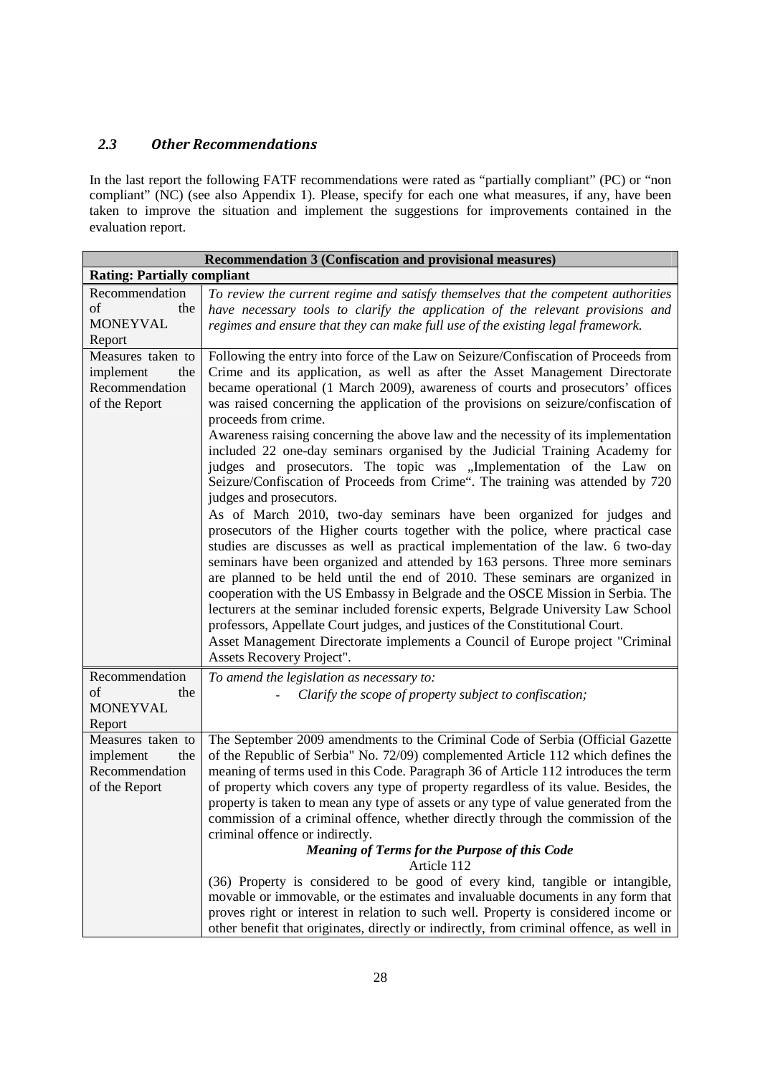### *2.3 Other Recommendations*

In the last report the following FATF recommendations were rated as "partially compliant" (PC) or "non compliant" (NC) (see also Appendix 1). Please, specify for each one what measures, if any, have been taken to improve the situation and implement the suggestions for improvements contained in the evaluation report.

| <b>Recommendation 3 (Confiscation and provisional measures)</b>          |                                                                                                                                                                                                                                                                                                                                                                                                                                                                                                                                                                                                                                                                                                                                                                                                                                                                                                                                                                                                                                                                                                                                                                                                                                                                                                                                                                                                                                                                                                                       |  |
|--------------------------------------------------------------------------|-----------------------------------------------------------------------------------------------------------------------------------------------------------------------------------------------------------------------------------------------------------------------------------------------------------------------------------------------------------------------------------------------------------------------------------------------------------------------------------------------------------------------------------------------------------------------------------------------------------------------------------------------------------------------------------------------------------------------------------------------------------------------------------------------------------------------------------------------------------------------------------------------------------------------------------------------------------------------------------------------------------------------------------------------------------------------------------------------------------------------------------------------------------------------------------------------------------------------------------------------------------------------------------------------------------------------------------------------------------------------------------------------------------------------------------------------------------------------------------------------------------------------|--|
| <b>Rating: Partially compliant</b>                                       |                                                                                                                                                                                                                                                                                                                                                                                                                                                                                                                                                                                                                                                                                                                                                                                                                                                                                                                                                                                                                                                                                                                                                                                                                                                                                                                                                                                                                                                                                                                       |  |
| Recommendation<br>of<br>the<br><b>MONEYVAL</b><br>Report                 | To review the current regime and satisfy themselves that the competent authorities<br>have necessary tools to clarify the application of the relevant provisions and<br>regimes and ensure that they can make full use of the existing legal framework.                                                                                                                                                                                                                                                                                                                                                                                                                                                                                                                                                                                                                                                                                                                                                                                                                                                                                                                                                                                                                                                                                                                                                                                                                                                               |  |
| Measures taken to<br>implement<br>the<br>Recommendation<br>of the Report | Following the entry into force of the Law on Seizure/Confiscation of Proceeds from<br>Crime and its application, as well as after the Asset Management Directorate<br>became operational (1 March 2009), awareness of courts and prosecutors' offices<br>was raised concerning the application of the provisions on seizure/confiscation of<br>proceeds from crime.<br>Awareness raising concerning the above law and the necessity of its implementation<br>included 22 one-day seminars organised by the Judicial Training Academy for<br>judges and prosecutors. The topic was "Implementation of the Law on<br>Seizure/Confiscation of Proceeds from Crime". The training was attended by 720<br>judges and prosecutors.<br>As of March 2010, two-day seminars have been organized for judges and<br>prosecutors of the Higher courts together with the police, where practical case<br>studies are discusses as well as practical implementation of the law. 6 two-day<br>seminars have been organized and attended by 163 persons. Three more seminars<br>are planned to be held until the end of 2010. These seminars are organized in<br>cooperation with the US Embassy in Belgrade and the OSCE Mission in Serbia. The<br>lecturers at the seminar included forensic experts, Belgrade University Law School<br>professors, Appellate Court judges, and justices of the Constitutional Court.<br>Asset Management Directorate implements a Council of Europe project "Criminal<br>Assets Recovery Project". |  |
| Recommendation<br>of<br>the<br><b>MONEYVAL</b><br>Report                 | To amend the legislation as necessary to:<br>Clarify the scope of property subject to confiscation;                                                                                                                                                                                                                                                                                                                                                                                                                                                                                                                                                                                                                                                                                                                                                                                                                                                                                                                                                                                                                                                                                                                                                                                                                                                                                                                                                                                                                   |  |
| Measures taken to<br>implement<br>the<br>Recommendation<br>of the Report | The September 2009 amendments to the Criminal Code of Serbia (Official Gazette<br>of the Republic of Serbia" No. 72/09) complemented Article 112 which defines the<br>meaning of terms used in this Code. Paragraph 36 of Article 112 introduces the term<br>of property which covers any type of property regardless of its value. Besides, the<br>property is taken to mean any type of assets or any type of value generated from the<br>commission of a criminal offence, whether directly through the commission of the<br>criminal offence or indirectly.<br><b>Meaning of Terms for the Purpose of this Code</b><br>Article 112<br>(36) Property is considered to be good of every kind, tangible or intangible,<br>movable or immovable, or the estimates and invaluable documents in any form that<br>proves right or interest in relation to such well. Property is considered income or<br>other benefit that originates, directly or indirectly, from criminal offence, as well in                                                                                                                                                                                                                                                                                                                                                                                                                                                                                                                        |  |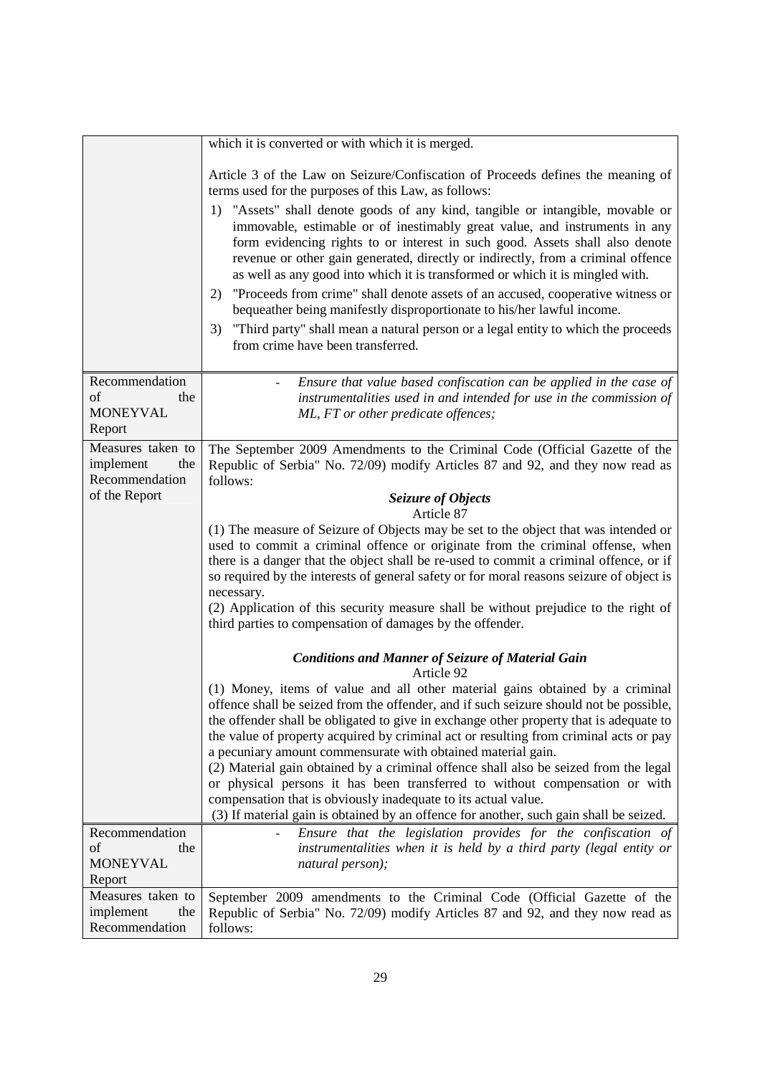|                                                          | which it is converted or with which it is merged.                                                                                                                                                                                                                                                                                                                                                                                                                                                                                                                                                                                                                                                                                                                                                                                                               |  |
|----------------------------------------------------------|-----------------------------------------------------------------------------------------------------------------------------------------------------------------------------------------------------------------------------------------------------------------------------------------------------------------------------------------------------------------------------------------------------------------------------------------------------------------------------------------------------------------------------------------------------------------------------------------------------------------------------------------------------------------------------------------------------------------------------------------------------------------------------------------------------------------------------------------------------------------|--|
|                                                          | Article 3 of the Law on Seizure/Confiscation of Proceeds defines the meaning of<br>terms used for the purposes of this Law, as follows:<br>1) "Assets" shall denote goods of any kind, tangible or intangible, movable or<br>immovable, estimable or of inestimably great value, and instruments in any<br>form evidencing rights to or interest in such good. Assets shall also denote<br>revenue or other gain generated, directly or indirectly, from a criminal offence<br>as well as any good into which it is transformed or which it is mingled with.<br>"Proceeds from crime" shall denote assets of an accused, cooperative witness or<br>2)<br>bequeather being manifestly disproportionate to his/her lawful income.<br>"Third party" shall mean a natural person or a legal entity to which the proceeds<br>3)<br>from crime have been transferred. |  |
| Recommendation<br>of<br>the<br><b>MONEYVAL</b><br>Report | Ensure that value based confiscation can be applied in the case of<br>instrumentalities used in and intended for use in the commission of<br>ML, FT or other predicate offences;                                                                                                                                                                                                                                                                                                                                                                                                                                                                                                                                                                                                                                                                                |  |
| Measures taken to<br>implement<br>the<br>Recommendation  | The September 2009 Amendments to the Criminal Code (Official Gazette of the<br>Republic of Serbia" No. 72/09) modify Articles 87 and 92, and they now read as<br>follows:                                                                                                                                                                                                                                                                                                                                                                                                                                                                                                                                                                                                                                                                                       |  |
| of the Report                                            | Seizure of Objects                                                                                                                                                                                                                                                                                                                                                                                                                                                                                                                                                                                                                                                                                                                                                                                                                                              |  |
|                                                          | Article 87<br>(1) The measure of Seizure of Objects may be set to the object that was intended or<br>used to commit a criminal offence or originate from the criminal offense, when<br>there is a danger that the object shall be re-used to commit a criminal offence, or if<br>so required by the interests of general safety or for moral reasons seizure of object is<br>necessary.<br>(2) Application of this security measure shall be without prejudice to the right of<br>third parties to compensation of damages by the offender.                                                                                                                                                                                                                                                                                                                     |  |
|                                                          | <b>Conditions and Manner of Seizure of Material Gain</b><br>Article 92                                                                                                                                                                                                                                                                                                                                                                                                                                                                                                                                                                                                                                                                                                                                                                                          |  |
|                                                          | (1) Money, items of value and all other material gains obtained by a criminal<br>offence shall be seized from the offender, and if such seizure should not be possible,<br>the offender shall be obligated to give in exchange other property that is adequate to<br>the value of property acquired by criminal act or resulting from criminal acts or pay<br>a pecuniary amount commensurate with obtained material gain.<br>(2) Material gain obtained by a criminal offence shall also be seized from the legal<br>or physical persons it has been transferred to without compensation or with<br>compensation that is obviously inadequate to its actual value.<br>(3) If material gain is obtained by an offence for another, such gain shall be seized.                                                                                                   |  |
| Recommendation                                           | Ensure that the legislation provides for the confiscation of                                                                                                                                                                                                                                                                                                                                                                                                                                                                                                                                                                                                                                                                                                                                                                                                    |  |
| of<br>the                                                | instrumentalities when it is held by a third party (legal entity or                                                                                                                                                                                                                                                                                                                                                                                                                                                                                                                                                                                                                                                                                                                                                                                             |  |
| <b>MONEYVAL</b><br>Report                                | natural person);                                                                                                                                                                                                                                                                                                                                                                                                                                                                                                                                                                                                                                                                                                                                                                                                                                                |  |
| Measures taken to                                        | September 2009 amendments to the Criminal Code (Official Gazette of the                                                                                                                                                                                                                                                                                                                                                                                                                                                                                                                                                                                                                                                                                                                                                                                         |  |
| implement<br>the<br>Recommendation                       | Republic of Serbia" No. 72/09) modify Articles 87 and 92, and they now read as<br>follows:                                                                                                                                                                                                                                                                                                                                                                                                                                                                                                                                                                                                                                                                                                                                                                      |  |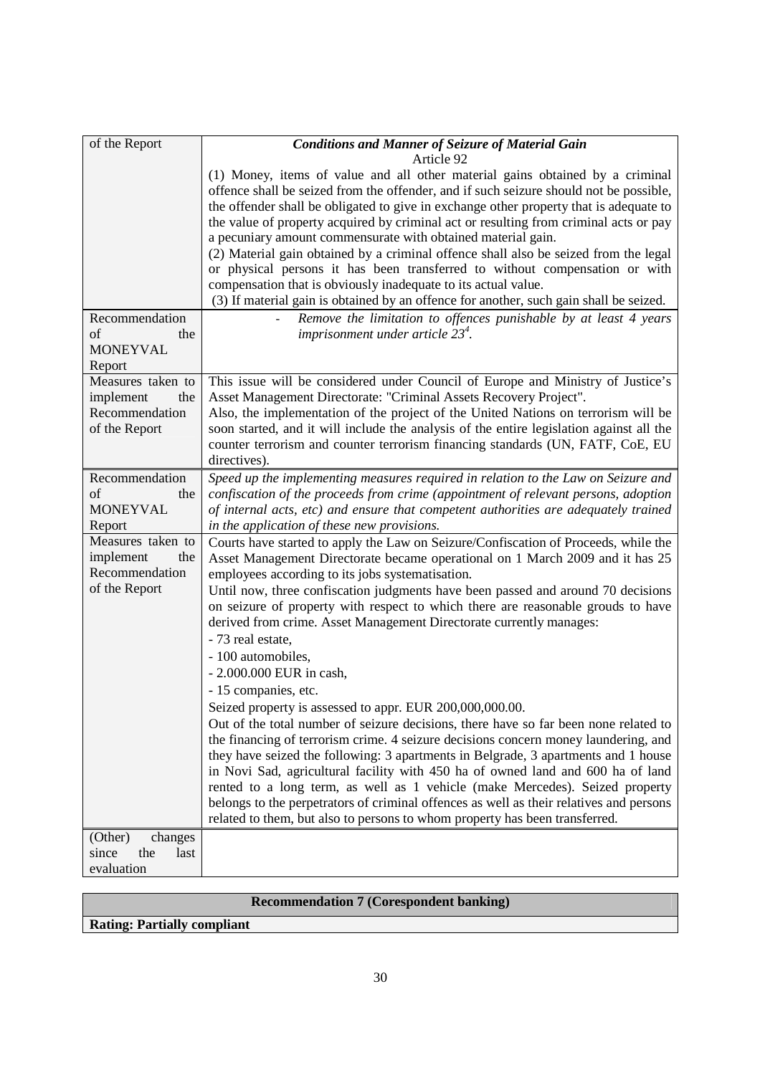| of the Report                                           | <b>Conditions and Manner of Seizure of Material Gain</b>                                                                                                                                                                                                                                                                        |
|---------------------------------------------------------|---------------------------------------------------------------------------------------------------------------------------------------------------------------------------------------------------------------------------------------------------------------------------------------------------------------------------------|
|                                                         | Article 92                                                                                                                                                                                                                                                                                                                      |
|                                                         | (1) Money, items of value and all other material gains obtained by a criminal<br>offence shall be seized from the offender, and if such seizure should not be possible,<br>the offender shall be obligated to give in exchange other property that is adequate to                                                               |
|                                                         | the value of property acquired by criminal act or resulting from criminal acts or pay<br>a pecuniary amount commensurate with obtained material gain.                                                                                                                                                                           |
|                                                         | (2) Material gain obtained by a criminal offence shall also be seized from the legal<br>or physical persons it has been transferred to without compensation or with<br>compensation that is obviously inadequate to its actual value.<br>(3) If material gain is obtained by an offence for another, such gain shall be seized. |
| Recommendation                                          | Remove the limitation to offences punishable by $\overline{at}$ least 4 years                                                                                                                                                                                                                                                   |
| of<br>the<br><b>MONEYVAL</b>                            | imprisonment under article $23^4$ .                                                                                                                                                                                                                                                                                             |
| Report                                                  |                                                                                                                                                                                                                                                                                                                                 |
| Measures taken to<br>implement<br>the                   | This issue will be considered under Council of Europe and Ministry of Justice's<br>Asset Management Directorate: "Criminal Assets Recovery Project".                                                                                                                                                                            |
| Recommendation<br>of the Report                         | Also, the implementation of the project of the United Nations on terrorism will be<br>soon started, and it will include the analysis of the entire legislation against all the<br>counter terrorism and counter terrorism financing standards (UN, FATF, CoE, EU<br>directives).                                                |
| Recommendation                                          | Speed up the implementing measures required in relation to the Law on Seizure and                                                                                                                                                                                                                                               |
| of<br>the<br><b>MONEYVAL</b><br>Report                  | confiscation of the proceeds from crime (appointment of relevant persons, adoption<br>of internal acts, etc) and ensure that competent authorities are adequately trained<br>in the application of these new provisions.                                                                                                        |
| Measures taken to<br>implement<br>the<br>Recommendation | Courts have started to apply the Law on Seizure/Confiscation of Proceeds, while the<br>Asset Management Directorate became operational on 1 March 2009 and it has 25<br>employees according to its jobs systematisation.                                                                                                        |
| of the Report                                           | Until now, three confiscation judgments have been passed and around 70 decisions<br>on seizure of property with respect to which there are reasonable grouds to have<br>derived from crime. Asset Management Directorate currently manages:                                                                                     |
|                                                         | - 73 real estate,<br>- 100 automobiles,                                                                                                                                                                                                                                                                                         |
|                                                         | - 2.000.000 EUR in cash,                                                                                                                                                                                                                                                                                                        |
|                                                         | - 15 companies, etc.<br>Seized property is assessed to appr. EUR 200,000,000.00.                                                                                                                                                                                                                                                |
|                                                         | Out of the total number of seizure decisions, there have so far been none related to                                                                                                                                                                                                                                            |
|                                                         | the financing of terrorism crime. 4 seizure decisions concern money laundering, and<br>they have seized the following: 3 apartments in Belgrade, 3 apartments and 1 house                                                                                                                                                       |
|                                                         | in Novi Sad, agricultural facility with 450 ha of owned land and 600 ha of land<br>rented to a long term, as well as 1 vehicle (make Mercedes). Seized property                                                                                                                                                                 |
|                                                         | belongs to the perpetrators of criminal offences as well as their relatives and persons                                                                                                                                                                                                                                         |
|                                                         | related to them, but also to persons to whom property has been transferred.                                                                                                                                                                                                                                                     |
| (Other)<br>changes<br>the<br>since<br>last              |                                                                                                                                                                                                                                                                                                                                 |
| evaluation                                              |                                                                                                                                                                                                                                                                                                                                 |
|                                                         |                                                                                                                                                                                                                                                                                                                                 |

|                                    | <b>Recommendation 7 (Corespondent banking)</b> |
|------------------------------------|------------------------------------------------|
| <b>Rating: Partially compliant</b> |                                                |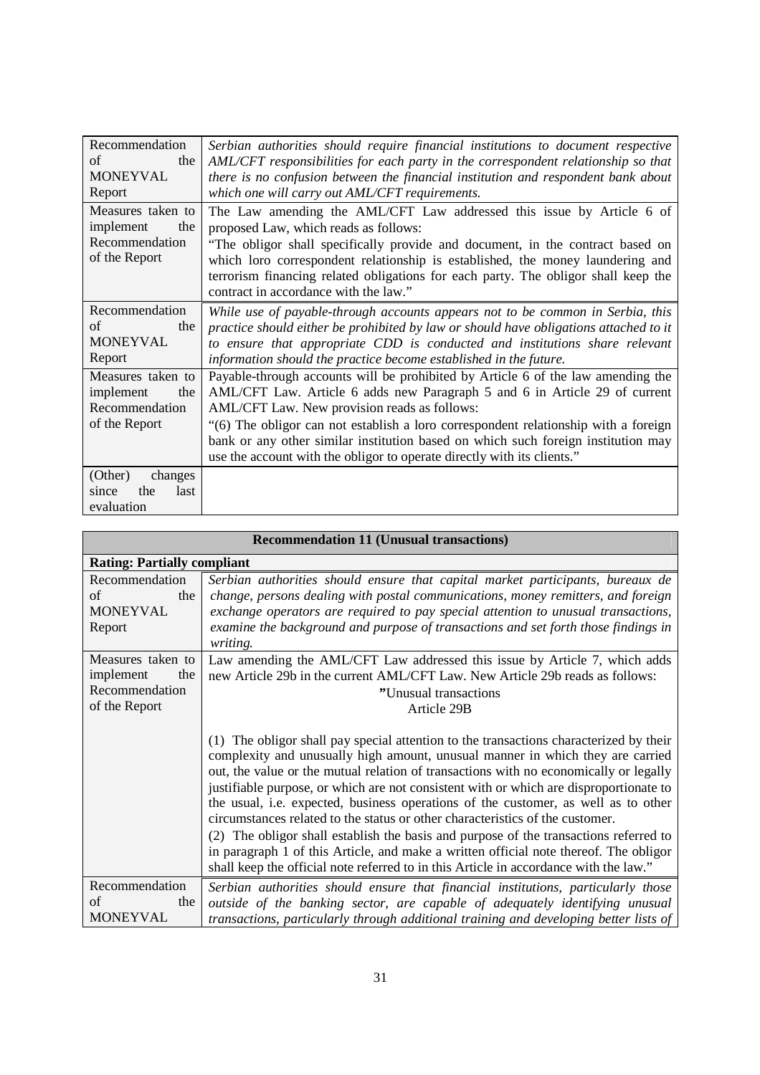| Recommendation       | Serbian authorities should require financial institutions to document respective      |
|----------------------|---------------------------------------------------------------------------------------|
| of<br>the            | AML/CFT responsibilities for each party in the correspondent relationship so that     |
| MONEYVAL             | there is no confusion between the financial institution and respondent bank about     |
| Report               | which one will carry out AML/CFT requirements.                                        |
| Measures taken to    | The Law amending the AML/CFT Law addressed this issue by Article 6 of                 |
| implement<br>the     | proposed Law, which reads as follows:                                                 |
| Recommendation       | "The obligor shall specifically provide and document, in the contract based on        |
| of the Report        | which loro correspondent relationship is established, the money laundering and        |
|                      | terrorism financing related obligations for each party. The obligor shall keep the    |
|                      | contract in accordance with the law."                                                 |
| Recommendation       | While use of payable-through accounts appears not to be common in Serbia, this        |
| of<br>the            | practice should either be prohibited by law or should have obligations attached to it |
| <b>MONEYVAL</b>      | to ensure that appropriate CDD is conducted and institutions share relevant           |
| Report               | information should the practice become established in the future.                     |
| Measures taken to    | Payable-through accounts will be prohibited by Article 6 of the law amending the      |
| implement<br>the     | AML/CFT Law. Article 6 adds new Paragraph 5 and 6 in Article 29 of current            |
| Recommendation       | AML/CFT Law. New provision reads as follows:                                          |
| of the Report        | "(6) The obligor can not establish a loro correspondent relationship with a foreign   |
|                      | bank or any other similar institution based on which such foreign institution may     |
|                      | use the account with the obligor to operate directly with its clients."               |
| (Other)<br>changes   |                                                                                       |
| last<br>the<br>since |                                                                                       |
| evaluation           |                                                                                       |

| <b>Recommendation 11 (Unusual transactions)</b>                          |                                                                                                                                                                                                                                                                                                                                                                                                                                                                                                                                                                                                                                                                                                                                                                                                               |
|--------------------------------------------------------------------------|---------------------------------------------------------------------------------------------------------------------------------------------------------------------------------------------------------------------------------------------------------------------------------------------------------------------------------------------------------------------------------------------------------------------------------------------------------------------------------------------------------------------------------------------------------------------------------------------------------------------------------------------------------------------------------------------------------------------------------------------------------------------------------------------------------------|
| <b>Rating: Partially compliant</b>                                       |                                                                                                                                                                                                                                                                                                                                                                                                                                                                                                                                                                                                                                                                                                                                                                                                               |
| Recommendation<br>of<br>the<br><b>MONEYVAL</b><br>Report                 | Serbian authorities should ensure that capital market participants, bureaux de<br>change, persons dealing with postal communications, money remitters, and foreign<br>exchange operators are required to pay special attention to unusual transactions,<br>examine the background and purpose of transactions and set forth those findings in<br>writing.                                                                                                                                                                                                                                                                                                                                                                                                                                                     |
| Measures taken to<br>implement<br>the<br>Recommendation<br>of the Report | Law amending the AML/CFT Law addressed this issue by Article 7, which adds<br>new Article 29b in the current AML/CFT Law. New Article 29b reads as follows:<br>"Unusual transactions<br>Article 29B                                                                                                                                                                                                                                                                                                                                                                                                                                                                                                                                                                                                           |
|                                                                          | (1) The obligor shall pay special attention to the transactions characterized by their<br>complexity and unusually high amount, unusual manner in which they are carried<br>out, the value or the mutual relation of transactions with no economically or legally<br>justifiable purpose, or which are not consistent with or which are disproportionate to<br>the usual, i.e. expected, business operations of the customer, as well as to other<br>circumstances related to the status or other characteristics of the customer.<br>(2) The obligor shall establish the basis and purpose of the transactions referred to<br>in paragraph 1 of this Article, and make a written official note thereof. The obligor<br>shall keep the official note referred to in this Article in accordance with the law." |
| Recommendation<br>of<br>the<br><b>MONEYVAL</b>                           | Serbian authorities should ensure that financial institutions, particularly those<br>outside of the banking sector, are capable of adequately identifying unusual<br>transactions, particularly through additional training and developing better lists of                                                                                                                                                                                                                                                                                                                                                                                                                                                                                                                                                    |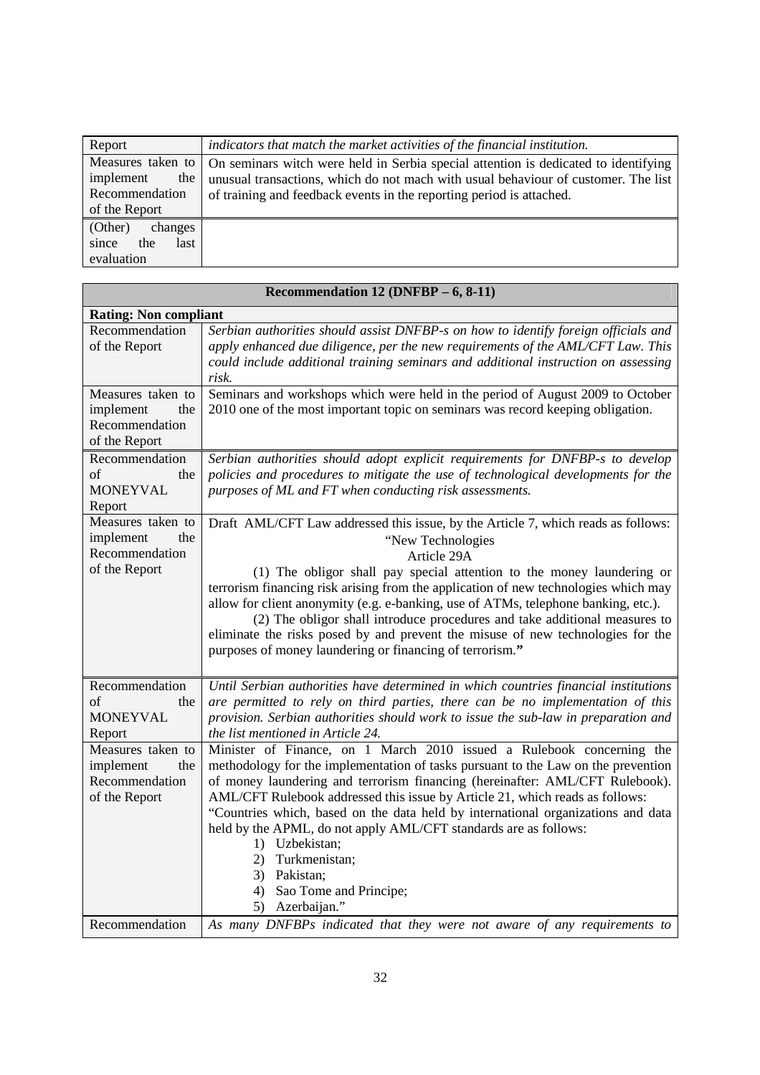| Report                                                   | indicators that match the market activities of the financial institution.                                                                                                                                                                                             |
|----------------------------------------------------------|-----------------------------------------------------------------------------------------------------------------------------------------------------------------------------------------------------------------------------------------------------------------------|
| implement<br>the<br>Recommendation<br>of the Report      | Measures taken to   On seminars witch were held in Serbia special attention is dedicated to identifying<br>unusual transactions, which do not mach with usual behaviour of customer. The list<br>of training and feedback events in the reporting period is attached. |
| (Other)<br>changes<br>since<br>the<br>last<br>evaluation |                                                                                                                                                                                                                                                                       |

| Recommendation 12 (DNFBP - 6, 8-11)                                      |                                                                                                                                                                                                                                                                                                                                                                                                                                                                                                                                                                                                           |
|--------------------------------------------------------------------------|-----------------------------------------------------------------------------------------------------------------------------------------------------------------------------------------------------------------------------------------------------------------------------------------------------------------------------------------------------------------------------------------------------------------------------------------------------------------------------------------------------------------------------------------------------------------------------------------------------------|
| <b>Rating: Non compliant</b>                                             |                                                                                                                                                                                                                                                                                                                                                                                                                                                                                                                                                                                                           |
| Recommendation<br>of the Report                                          | Serbian authorities should assist DNFBP-s on how to identify foreign officials and<br>apply enhanced due diligence, per the new requirements of the AML/CFT Law. This<br>could include additional training seminars and additional instruction on assessing<br>risk.                                                                                                                                                                                                                                                                                                                                      |
| Measures taken to<br>implement<br>the<br>Recommendation<br>of the Report | Seminars and workshops which were held in the period of August 2009 to October<br>2010 one of the most important topic on seminars was record keeping obligation.                                                                                                                                                                                                                                                                                                                                                                                                                                         |
| Recommendation<br>οf<br>the<br><b>MONEYVAL</b><br>Report                 | Serbian authorities should adopt explicit requirements for DNFBP-s to develop<br>policies and procedures to mitigate the use of technological developments for the<br>purposes of ML and FT when conducting risk assessments.                                                                                                                                                                                                                                                                                                                                                                             |
| Measures taken to<br>implement<br>the<br>Recommendation<br>of the Report | Draft AML/CFT Law addressed this issue, by the Article 7, which reads as follows:<br>"New Technologies<br>Article 29A<br>(1) The obligor shall pay special attention to the money laundering or<br>terrorism financing risk arising from the application of new technologies which may<br>allow for client anonymity (e.g. e-banking, use of ATMs, telephone banking, etc.).<br>(2) The obligor shall introduce procedures and take additional measures to<br>eliminate the risks posed by and prevent the misuse of new technologies for the<br>purposes of money laundering or financing of terrorism." |
| Recommendation<br>of<br>the<br><b>MONEYVAL</b><br>Report                 | Until Serbian authorities have determined in which countries financial institutions<br>are permitted to rely on third parties, there can be no implementation of this<br>provision. Serbian authorities should work to issue the sub-law in preparation and<br>the list mentioned in Article 24.                                                                                                                                                                                                                                                                                                          |
| Measures taken to<br>implement<br>the<br>Recommendation<br>of the Report | Minister of Finance, on 1 March 2010 issued a Rulebook concerning the<br>methodology for the implementation of tasks pursuant to the Law on the prevention<br>of money laundering and terrorism financing (hereinafter: AML/CFT Rulebook).<br>AML/CFT Rulebook addressed this issue by Article 21, which reads as follows:<br>"Countries which, based on the data held by international organizations and data<br>held by the APML, do not apply AML/CFT standards are as follows:<br>1) Uzbekistan;<br>Turkmenistan;<br>2)<br>3) Pakistan;<br>4) Sao Tome and Principe;<br>5) Azerbaijan."               |
| Recommendation                                                           | As many DNFBPs indicated that they were not aware of any requirements to                                                                                                                                                                                                                                                                                                                                                                                                                                                                                                                                  |

#### **Recommendation 12 (DNFBP – 6, 8-11)**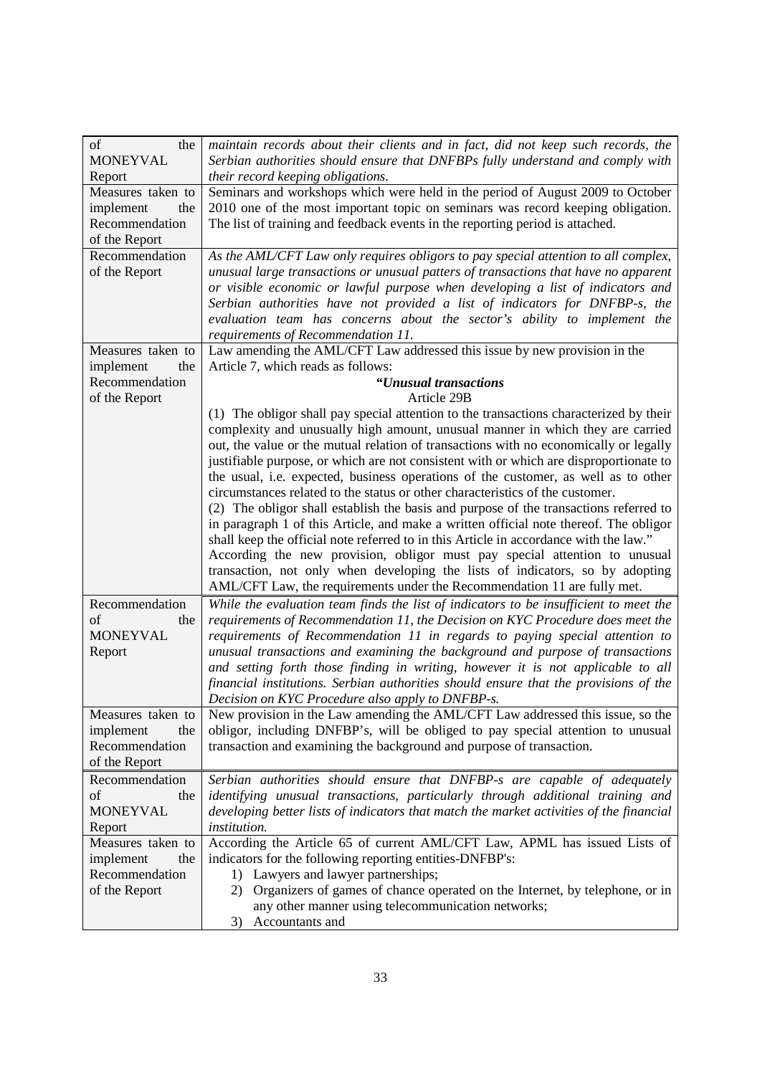| of<br>the<br><b>MONEYVAL</b>       | maintain records about their clients and in fact, did not keep such records, the<br>Serbian authorities should ensure that DNFBPs fully understand and comply with  |
|------------------------------------|---------------------------------------------------------------------------------------------------------------------------------------------------------------------|
| Report                             | their record keeping obligations.                                                                                                                                   |
| Measures taken to                  | Seminars and workshops which were held in the period of August 2009 to October                                                                                      |
| the<br>implement                   | 2010 one of the most important topic on seminars was record keeping obligation.                                                                                     |
| Recommendation                     | The list of training and feedback events in the reporting period is attached.                                                                                       |
| of the Report                      |                                                                                                                                                                     |
| Recommendation                     | As the AML/CFT Law only requires obligors to pay special attention to all complex,                                                                                  |
| of the Report                      | unusual large transactions or unusual patters of transactions that have no apparent                                                                                 |
|                                    | or visible economic or lawful purpose when developing a list of indicators and                                                                                      |
|                                    | Serbian authorities have not provided a list of indicators for DNFBP-s, the                                                                                         |
|                                    | evaluation team has concerns about the sector's ability to implement the                                                                                            |
|                                    | requirements of Recommendation 11.                                                                                                                                  |
| Measures taken to<br>the           | Law amending the AML/CFT Law addressed this issue by new provision in the<br>Article 7, which reads as follows:                                                     |
| implement<br>Recommendation        | "Unusual transactions                                                                                                                                               |
| of the Report                      | Article 29B                                                                                                                                                         |
|                                    | (1) The obligor shall pay special attention to the transactions characterized by their                                                                              |
|                                    | complexity and unusually high amount, unusual manner in which they are carried                                                                                      |
|                                    | out, the value or the mutual relation of transactions with no economically or legally                                                                               |
|                                    | justifiable purpose, or which are not consistent with or which are disproportionate to                                                                              |
|                                    | the usual, i.e. expected, business operations of the customer, as well as to other                                                                                  |
|                                    | circumstances related to the status or other characteristics of the customer.                                                                                       |
|                                    | (2) The obligor shall establish the basis and purpose of the transactions referred to                                                                               |
|                                    | in paragraph 1 of this Article, and make a written official note thereof. The obligor                                                                               |
|                                    | shall keep the official note referred to in this Article in accordance with the law."<br>According the new provision, obligor must pay special attention to unusual |
|                                    | transaction, not only when developing the lists of indicators, so by adopting                                                                                       |
|                                    | AML/CFT Law, the requirements under the Recommendation 11 are fully met.                                                                                            |
| Recommendation                     | While the evaluation team finds the list of indicators to be insufficient to meet the                                                                               |
| of<br>the                          | requirements of Recommendation 11, the Decision on KYC Procedure does meet the                                                                                      |
| <b>MONEYVAL</b>                    | requirements of Recommendation 11 in regards to paying special attention to                                                                                         |
| Report                             | unusual transactions and examining the background and purpose of transactions                                                                                       |
|                                    | and setting forth those finding in writing, however it is not applicable to all                                                                                     |
|                                    | financial institutions. Serbian authorities should ensure that the provisions of the                                                                                |
|                                    | Decision on KYC Procedure also apply to DNFBP-s.                                                                                                                    |
| Measures taken to                  | New provision in the Law amending the AML/CFT Law addressed this issue, so the                                                                                      |
| implement<br>the<br>Recommendation | obligor, including DNFBP's, will be obliged to pay special attention to unusual<br>transaction and examining the background and purpose of transaction.             |
| of the Report                      |                                                                                                                                                                     |
| Recommendation                     | Serbian authorities should ensure that DNFBP-s are capable of adequately                                                                                            |
| of<br>the                          | identifying unusual transactions, particularly through additional training and                                                                                      |
| <b>MONEYVAL</b>                    | developing better lists of indicators that match the market activities of the financial                                                                             |
| Report                             | institution.                                                                                                                                                        |
| Measures taken to                  | According the Article 65 of current AML/CFT Law, APML has issued Lists of                                                                                           |
| the<br>implement                   | indicators for the following reporting entities-DNFBP's:                                                                                                            |
| Recommendation                     | 1) Lawyers and lawyer partnerships;                                                                                                                                 |
| of the Report                      | 2) Organizers of games of chance operated on the Internet, by telephone, or in                                                                                      |
|                                    | any other manner using telecommunication networks;                                                                                                                  |
|                                    | 3) Accountants and                                                                                                                                                  |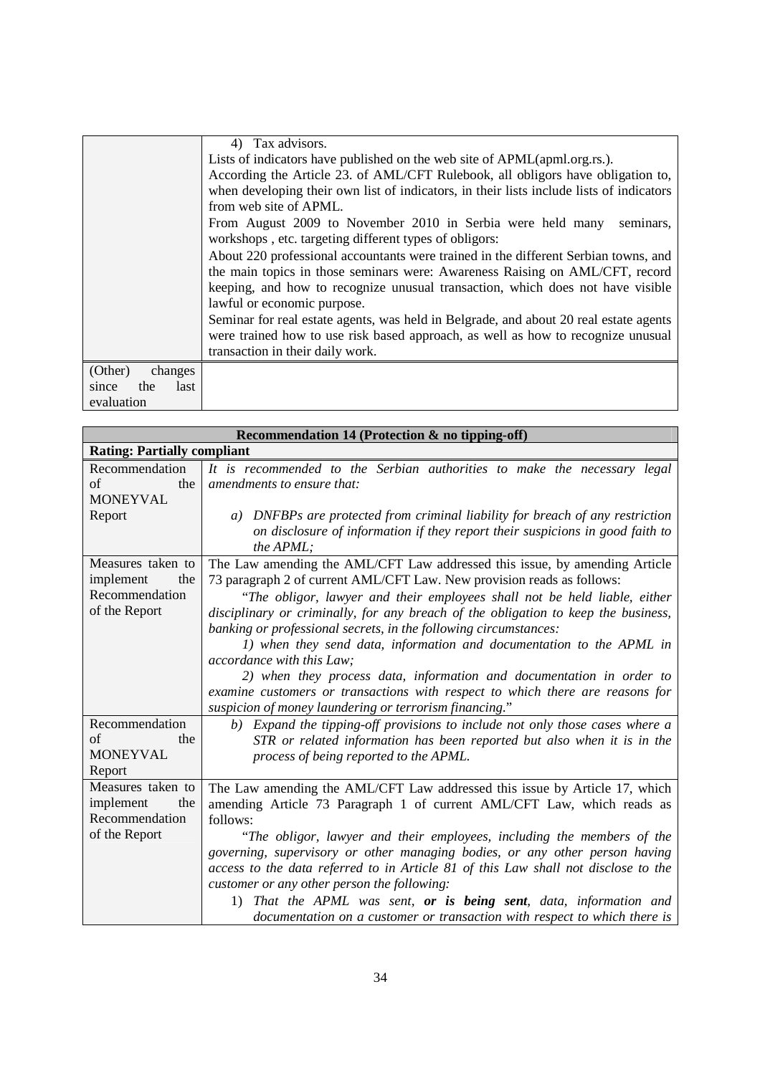|                      | 4) Tax advisors.                                                                                                                  |
|----------------------|-----------------------------------------------------------------------------------------------------------------------------------|
|                      | Lists of indicators have published on the web site of APML(apml.org.rs.).                                                         |
|                      | According the Article 23. of AML/CFT Rulebook, all obligors have obligation to,                                                   |
|                      | when developing their own list of indicators, in their lists include lists of indicators                                          |
|                      | from web site of APML.                                                                                                            |
|                      | From August 2009 to November 2010 in Serbia were held many<br>seminars,<br>workshops, etc. targeting different types of obligors: |
|                      | About 220 professional accountants were trained in the different Serbian towns, and                                               |
|                      | the main topics in those seminars were: Awareness Raising on AML/CFT, record                                                      |
|                      | keeping, and how to recognize unusual transaction, which does not have visible                                                    |
|                      | lawful or economic purpose.                                                                                                       |
|                      | Seminar for real estate agents, was held in Belgrade, and about 20 real estate agents                                             |
|                      | were trained how to use risk based approach, as well as how to recognize unusual                                                  |
|                      | transaction in their daily work.                                                                                                  |
| (Other)<br>changes   |                                                                                                                                   |
| last<br>the<br>since |                                                                                                                                   |
| evaluation           |                                                                                                                                   |

| Recommendation 14 (Protection & no tipping-off) |                                                                                    |
|-------------------------------------------------|------------------------------------------------------------------------------------|
| <b>Rating: Partially compliant</b>              |                                                                                    |
| Recommendation                                  | It is recommended to the Serbian authorities to make the necessary legal           |
| of<br>the                                       | amendments to ensure that:                                                         |
| <b>MONEYVAL</b>                                 |                                                                                    |
| Report                                          | a) DNFBPs are protected from criminal liability for breach of any restriction      |
|                                                 | on disclosure of information if they report their suspicions in good faith to      |
|                                                 | the APML;                                                                          |
| Measures taken to                               | The Law amending the AML/CFT Law addressed this issue, by amending Article         |
| implement<br>the                                | 73 paragraph 2 of current AML/CFT Law. New provision reads as follows:             |
| Recommendation                                  | "The obligor, lawyer and their employees shall not be held liable, either          |
| of the Report                                   | disciplinary or criminally, for any breach of the obligation to keep the business, |
|                                                 | banking or professional secrets, in the following circumstances:                   |
|                                                 | 1) when they send data, information and documentation to the APML in               |
|                                                 | <i>accordance with this Law:</i>                                                   |
|                                                 | 2) when they process data, information and documentation in order to               |
|                                                 | examine customers or transactions with respect to which there are reasons for      |
|                                                 | suspicion of money laundering or terrorism financing."                             |
| Recommendation                                  | b) Expand the tipping-off provisions to include not only those cases where a       |
| of<br>the                                       | STR or related information has been reported but also when it is in the            |
| <b>MONEYVAL</b>                                 | process of being reported to the APML.                                             |
| Report                                          |                                                                                    |
| Measures taken to                               | The Law amending the AML/CFT Law addressed this issue by Article 17, which         |
| implement<br>the                                | amending Article 73 Paragraph 1 of current AML/CFT Law, which reads as             |
| Recommendation                                  | follows:                                                                           |
| of the Report                                   | "The obligor, lawyer and their employees, including the members of the             |
|                                                 | governing, supervisory or other managing bodies, or any other person having        |
|                                                 | access to the data referred to in Article 81 of this Law shall not disclose to the |
|                                                 | customer or any other person the following:                                        |
|                                                 | 1) That the APML was sent, or is being sent, data, information and                 |
|                                                 | documentation on a customer or transaction with respect to which there is          |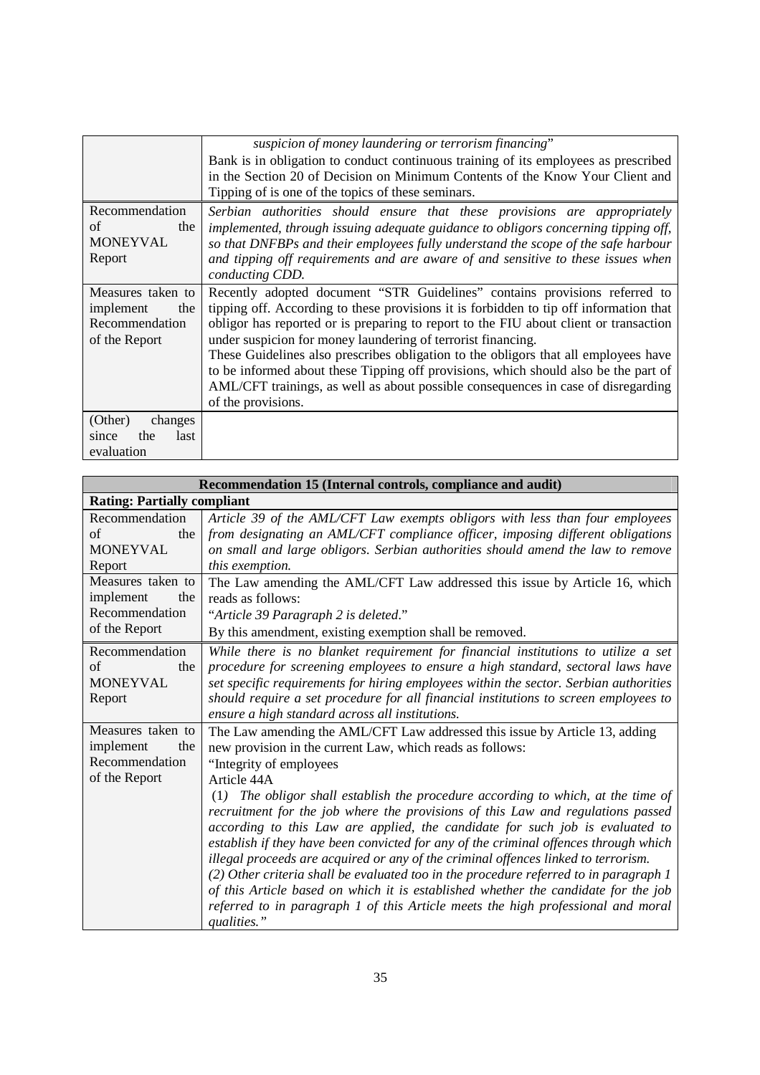|                                                                          | suspicion of money laundering or terrorism financing"<br>Bank is in obligation to conduct continuous training of its employees as prescribed                                                                                                                                                                                                                                                                                                                                                                                                                                                                           |
|--------------------------------------------------------------------------|------------------------------------------------------------------------------------------------------------------------------------------------------------------------------------------------------------------------------------------------------------------------------------------------------------------------------------------------------------------------------------------------------------------------------------------------------------------------------------------------------------------------------------------------------------------------------------------------------------------------|
|                                                                          | in the Section 20 of Decision on Minimum Contents of the Know Your Client and<br>Tipping of is one of the topics of these seminars.                                                                                                                                                                                                                                                                                                                                                                                                                                                                                    |
| Recommendation<br>of<br>the<br>MONEYVAL<br>Report                        | Serbian authorities should ensure that these provisions are appropriately<br>implemented, through issuing adequate guidance to obligors concerning tipping off,<br>so that DNFBPs and their employees fully understand the scope of the safe harbour<br>and tipping off requirements and are aware of and sensitive to these issues when<br>conducting CDD.                                                                                                                                                                                                                                                            |
| Measures taken to<br>implement<br>the<br>Recommendation<br>of the Report | Recently adopted document "STR Guidelines" contains provisions referred to<br>tipping off. According to these provisions it is forbidden to tip off information that<br>obligor has reported or is preparing to report to the FIU about client or transaction<br>under suspicion for money laundering of terrorist financing.<br>These Guidelines also prescribes obligation to the obligors that all employees have<br>to be informed about these Tipping off provisions, which should also be the part of<br>AML/CFT trainings, as well as about possible consequences in case of disregarding<br>of the provisions. |
| (Other)<br>changes<br>the<br>last<br>since<br>evaluation                 |                                                                                                                                                                                                                                                                                                                                                                                                                                                                                                                                                                                                                        |

| Recommendation 15 (Internal controls, compliance and audit) |                                                                                       |
|-------------------------------------------------------------|---------------------------------------------------------------------------------------|
| <b>Rating: Partially compliant</b>                          |                                                                                       |
| Recommendation                                              | Article 39 of the AML/CFT Law exempts obligors with less than four employees          |
| of<br>the                                                   | from designating an AML/CFT compliance officer, imposing different obligations        |
| <b>MONEYVAL</b>                                             | on small and large obligors. Serbian authorities should amend the law to remove       |
| Report                                                      | this exemption.                                                                       |
| Measures taken to                                           | The Law amending the AML/CFT Law addressed this issue by Article 16, which            |
| implement<br>the                                            | reads as follows:                                                                     |
| Recommendation                                              | "Article 39 Paragraph 2 is deleted."                                                  |
| of the Report                                               | By this amendment, existing exemption shall be removed.                               |
| Recommendation                                              | While there is no blanket requirement for financial institutions to utilize a set     |
| of<br>the                                                   | procedure for screening employees to ensure a high standard, sectoral laws have       |
| <b>MONEYVAL</b>                                             | set specific requirements for hiring employees within the sector. Serbian authorities |
| Report                                                      | should require a set procedure for all financial institutions to screen employees to  |
|                                                             | ensure a high standard across all institutions.                                       |
| Measures taken to                                           | The Law amending the AML/CFT Law addressed this issue by Article 13, adding           |
| implement<br>the                                            | new provision in the current Law, which reads as follows:                             |
| Recommendation                                              | "Integrity of employees"                                                              |
| of the Report                                               | Article 44A                                                                           |
|                                                             | The obligor shall establish the procedure according to which, at the time of<br>(1)   |
|                                                             | recruitment for the job where the provisions of this Law and regulations passed       |
|                                                             | according to this Law are applied, the candidate for such job is evaluated to         |
|                                                             | establish if they have been convicted for any of the criminal offences through which  |
|                                                             | illegal proceeds are acquired or any of the criminal offences linked to terrorism.    |
|                                                             | (2) Other criteria shall be evaluated too in the procedure referred to in paragraph 1 |
|                                                             | of this Article based on which it is established whether the candidate for the job    |
|                                                             | referred to in paragraph 1 of this Article meets the high professional and moral      |
|                                                             | qualities."                                                                           |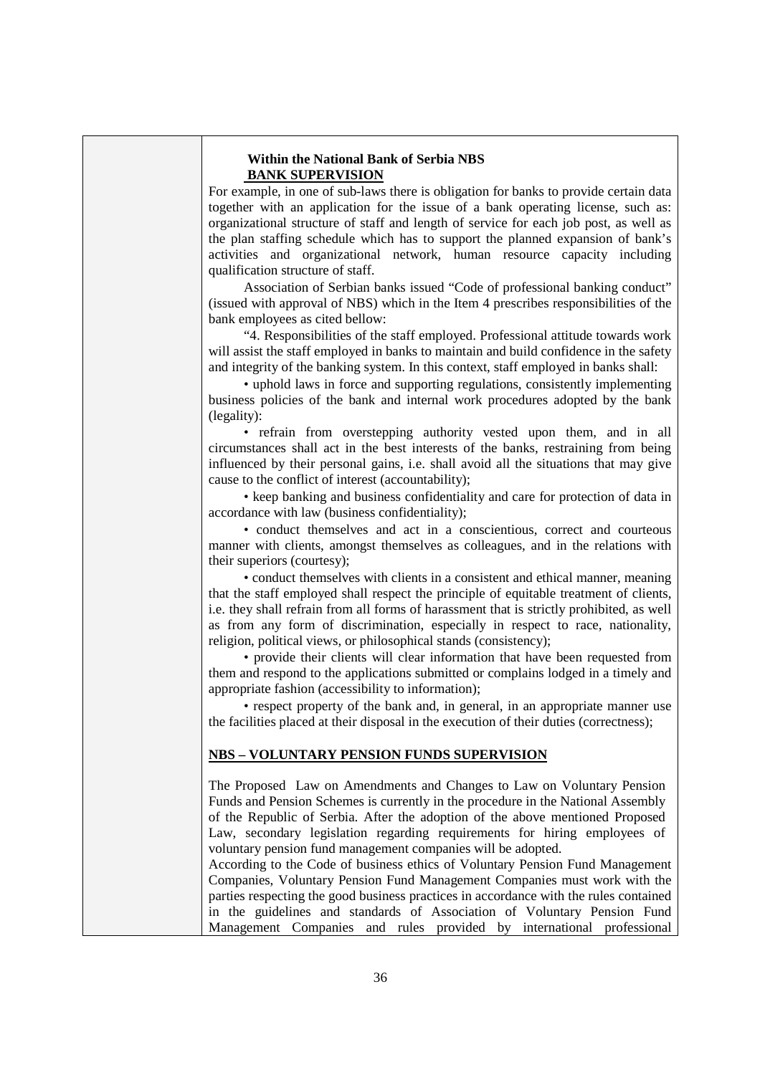#### **Within the National Bank of Serbia NBS BANK SUPERVISION**

For example, in one of sub-laws there is obligation for banks to provide certain data together with an application for the issue of a bank operating license, such as: organizational structure of staff and length of service for each job post, as well as the plan staffing schedule which has to support the planned expansion of bank's activities and organizational network, human resource capacity including qualification structure of staff.

Association of Serbian banks issued "Code of professional banking conduct" (issued with approval of NBS) which in the Item 4 prescribes responsibilities of the bank employees as cited bellow:

"4. Responsibilities of the staff employed. Professional attitude towards work will assist the staff employed in banks to maintain and build confidence in the safety and integrity of the banking system. In this context, staff employed in banks shall:

• uphold laws in force and supporting regulations, consistently implementing business policies of the bank and internal work procedures adopted by the bank (legality):

• refrain from overstepping authority vested upon them, and in all circumstances shall act in the best interests of the banks, restraining from being influenced by their personal gains, i.e. shall avoid all the situations that may give cause to the conflict of interest (accountability);

• keep banking and business confidentiality and care for protection of data in accordance with law (business confidentiality);

• conduct themselves and act in a conscientious, correct and courteous manner with clients, amongst themselves as colleagues, and in the relations with their superiors (courtesy);

• conduct themselves with clients in a consistent and ethical manner, meaning that the staff employed shall respect the principle of equitable treatment of clients, i.e. they shall refrain from all forms of harassment that is strictly prohibited, as well as from any form of discrimination, especially in respect to race, nationality, religion, political views, or philosophical stands (consistency);

• provide their clients will clear information that have been requested from them and respond to the applications submitted or complains lodged in a timely and appropriate fashion (accessibility to information);

• respect property of the bank and, in general, in an appropriate manner use the facilities placed at their disposal in the execution of their duties (correctness);

#### **NBS – VOLUNTARY PENSION FUNDS SUPERVISION**

The Proposed Law on Amendments and Changes to Law on Voluntary Pension Funds and Pension Schemes is currently in the procedure in the National Assembly of the Republic of Serbia. After the adoption of the above mentioned Proposed Law, secondary legislation regarding requirements for hiring employees of voluntary pension fund management companies will be adopted.

According to the Code of business ethics of Voluntary Pension Fund Management Companies, Voluntary Pension Fund Management Companies must work with the parties respecting the good business practices in accordance with the rules contained in the guidelines and standards of Association of Voluntary Pension Fund Management Companies and rules provided by international professional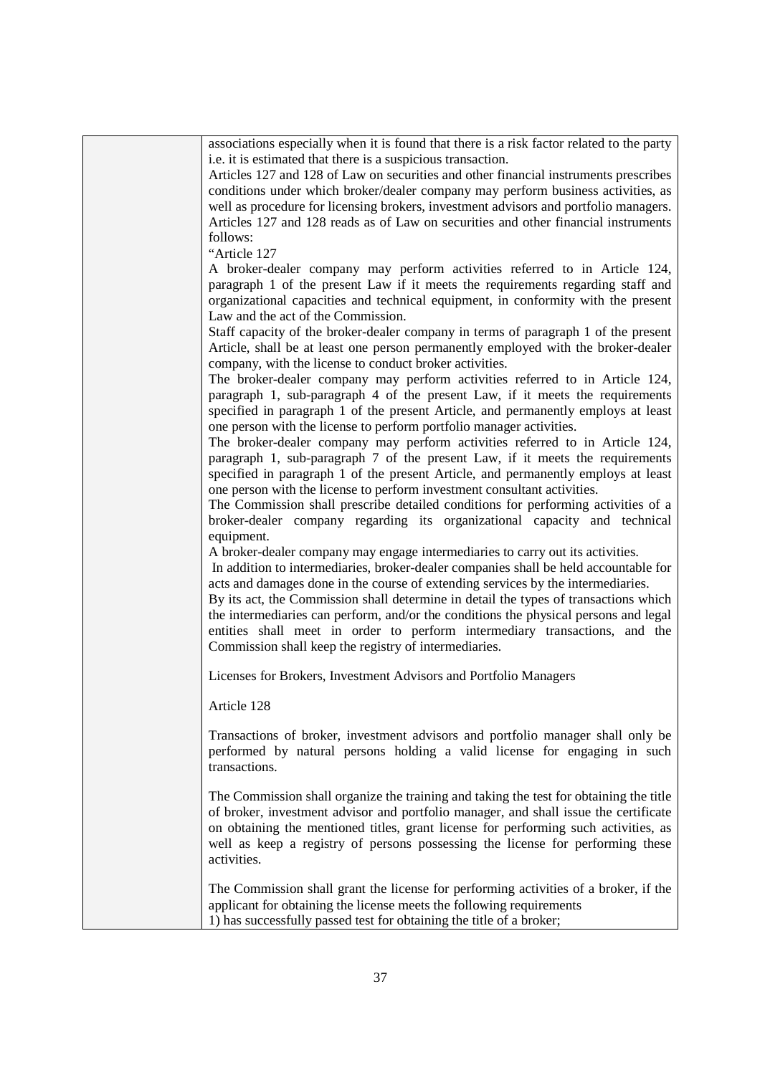| associations especially when it is found that there is a risk factor related to the party<br>i.e. it is estimated that there is a suspicious transaction. |
|-----------------------------------------------------------------------------------------------------------------------------------------------------------|
|                                                                                                                                                           |
| Articles 127 and 128 of Law on securities and other financial instruments prescribes                                                                      |
| conditions under which broker/dealer company may perform business activities, as                                                                          |
| well as procedure for licensing brokers, investment advisors and portfolio managers.                                                                      |
| Articles 127 and 128 reads as of Law on securities and other financial instruments                                                                        |
| follows:                                                                                                                                                  |
| "Article 127                                                                                                                                              |
| A broker-dealer company may perform activities referred to in Article 124,                                                                                |
| paragraph 1 of the present Law if it meets the requirements regarding staff and                                                                           |
| organizational capacities and technical equipment, in conformity with the present                                                                         |
| Law and the act of the Commission.                                                                                                                        |
| Staff capacity of the broker-dealer company in terms of paragraph 1 of the present                                                                        |
| Article, shall be at least one person permanently employed with the broker-dealer                                                                         |
| company, with the license to conduct broker activities.                                                                                                   |
| The broker-dealer company may perform activities referred to in Article 124,                                                                              |
| paragraph 1, sub-paragraph 4 of the present Law, if it meets the requirements                                                                             |
| specified in paragraph 1 of the present Article, and permanently employs at least                                                                         |
| one person with the license to perform portfolio manager activities.                                                                                      |
| The broker-dealer company may perform activities referred to in Article 124,                                                                              |
| paragraph 1, sub-paragraph 7 of the present Law, if it meets the requirements                                                                             |
| specified in paragraph 1 of the present Article, and permanently employs at least                                                                         |
| one person with the license to perform investment consultant activities.                                                                                  |
| The Commission shall prescribe detailed conditions for performing activities of a                                                                         |
| broker-dealer company regarding its organizational capacity and technical                                                                                 |
| equipment.                                                                                                                                                |
| A broker-dealer company may engage intermediaries to carry out its activities.                                                                            |
| In addition to intermediaries, broker-dealer companies shall be held accountable for                                                                      |
| acts and damages done in the course of extending services by the intermediaries.                                                                          |
| By its act, the Commission shall determine in detail the types of transactions which                                                                      |
| the intermediaries can perform, and/or the conditions the physical persons and legal                                                                      |
| entities shall meet in order to perform intermediary transactions, and the                                                                                |
| Commission shall keep the registry of intermediaries.                                                                                                     |
| Licenses for Brokers, Investment Advisors and Portfolio Managers                                                                                          |
|                                                                                                                                                           |
| Article 128                                                                                                                                               |
| Transactions of broker, investment advisors and portfolio manager shall only be                                                                           |
| performed by natural persons holding a valid license for engaging in such                                                                                 |
| transactions.                                                                                                                                             |
|                                                                                                                                                           |
| The Commission shall organize the training and taking the test for obtaining the title                                                                    |
| of broker, investment advisor and portfolio manager, and shall issue the certificate                                                                      |
| on obtaining the mentioned titles, grant license for performing such activities, as                                                                       |
| well as keep a registry of persons possessing the license for performing these                                                                            |
| activities.                                                                                                                                               |
| The Commission shall grant the license for performing activities of a broker, if the                                                                      |
| applicant for obtaining the license meets the following requirements                                                                                      |
| 1) has successfully passed test for obtaining the title of a broker;                                                                                      |
|                                                                                                                                                           |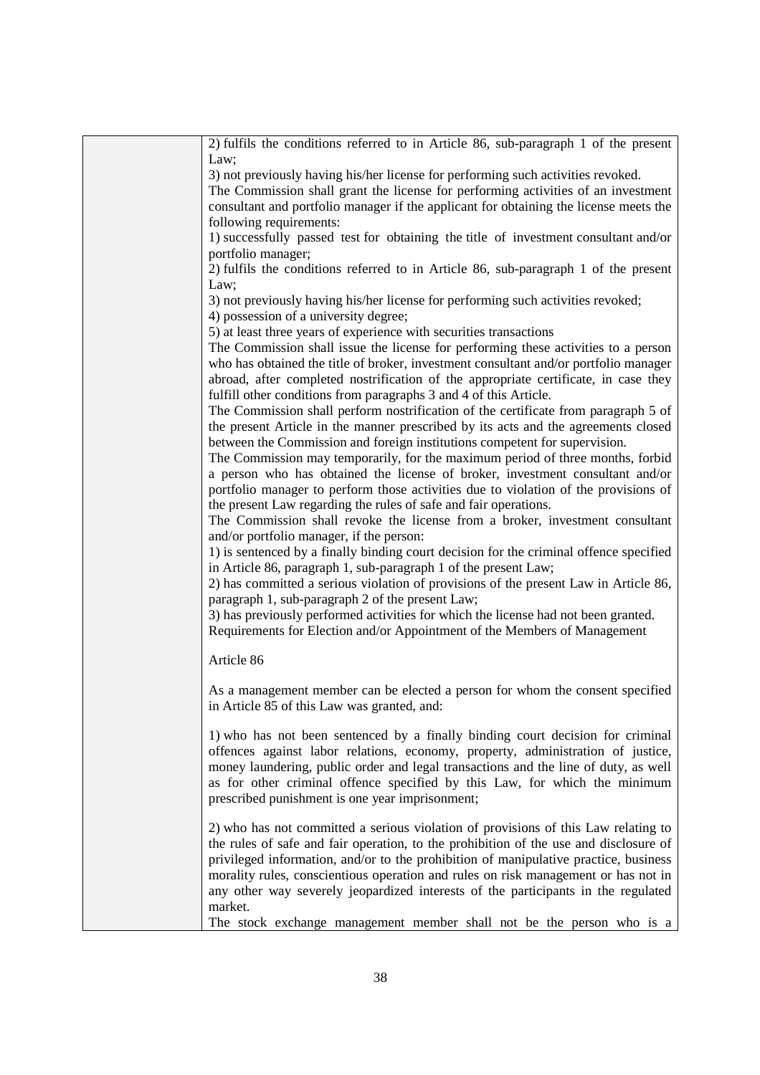| 2) fulfils the conditions referred to in Article 86, sub-paragraph 1 of the present<br>Law: |
|---------------------------------------------------------------------------------------------|
|                                                                                             |
| 3) not previously having his/her license for performing such activities revoked.            |
| The Commission shall grant the license for performing activities of an investment           |
| consultant and portfolio manager if the applicant for obtaining the license meets the       |
| following requirements:                                                                     |
| 1) successfully passed test for obtaining the title of investment consultant and/or         |
| portfolio manager;                                                                          |
| 2) fulfils the conditions referred to in Article 86, sub-paragraph 1 of the present         |
|                                                                                             |
| Law;                                                                                        |
| 3) not previously having his/her license for performing such activities revoked;            |
| 4) possession of a university degree;                                                       |
| 5) at least three years of experience with securities transactions                          |
| The Commission shall issue the license for performing these activities to a person          |
| who has obtained the title of broker, investment consultant and/or portfolio manager        |
| abroad, after completed nostrification of the appropriate certificate, in case they         |
| fulfill other conditions from paragraphs 3 and 4 of this Article.                           |
| The Commission shall perform nostrification of the certificate from paragraph 5 of          |
|                                                                                             |
| the present Article in the manner prescribed by its acts and the agreements closed          |
| between the Commission and foreign institutions competent for supervision.                  |
| The Commission may temporarily, for the maximum period of three months, forbid              |
| a person who has obtained the license of broker, investment consultant and/or               |
| portfolio manager to perform those activities due to violation of the provisions of         |
| the present Law regarding the rules of safe and fair operations.                            |
| The Commission shall revoke the license from a broker, investment consultant                |
| and/or portfolio manager, if the person:                                                    |
| 1) is sentenced by a finally binding court decision for the criminal offence specified      |
| in Article 86, paragraph 1, sub-paragraph 1 of the present Law;                             |
|                                                                                             |
| 2) has committed a serious violation of provisions of the present Law in Article 86,        |
| paragraph 1, sub-paragraph 2 of the present Law;                                            |
| 3) has previously performed activities for which the license had not been granted.          |
| Requirements for Election and/or Appointment of the Members of Management                   |
|                                                                                             |
| Article 86                                                                                  |
| As a management member can be elected a person for whom the consent specified               |
| in Article 85 of this Law was granted, and:                                                 |
|                                                                                             |
| 1) who has not been sentenced by a finally binding court decision for criminal              |
|                                                                                             |
| offences against labor relations, economy, property, administration of justice,             |
| money laundering, public order and legal transactions and the line of duty, as well         |
| as for other criminal offence specified by this Law, for which the minimum                  |
| prescribed punishment is one year imprisonment;                                             |
|                                                                                             |
| 2) who has not committed a serious violation of provisions of this Law relating to          |
| the rules of safe and fair operation, to the prohibition of the use and disclosure of       |
| privileged information, and/or to the prohibition of manipulative practice, business        |
| morality rules, conscientious operation and rules on risk management or has not in          |
| any other way severely jeopardized interests of the participants in the regulated           |
| market.                                                                                     |
| The stock exchange management member shall not be the person who is a                       |
|                                                                                             |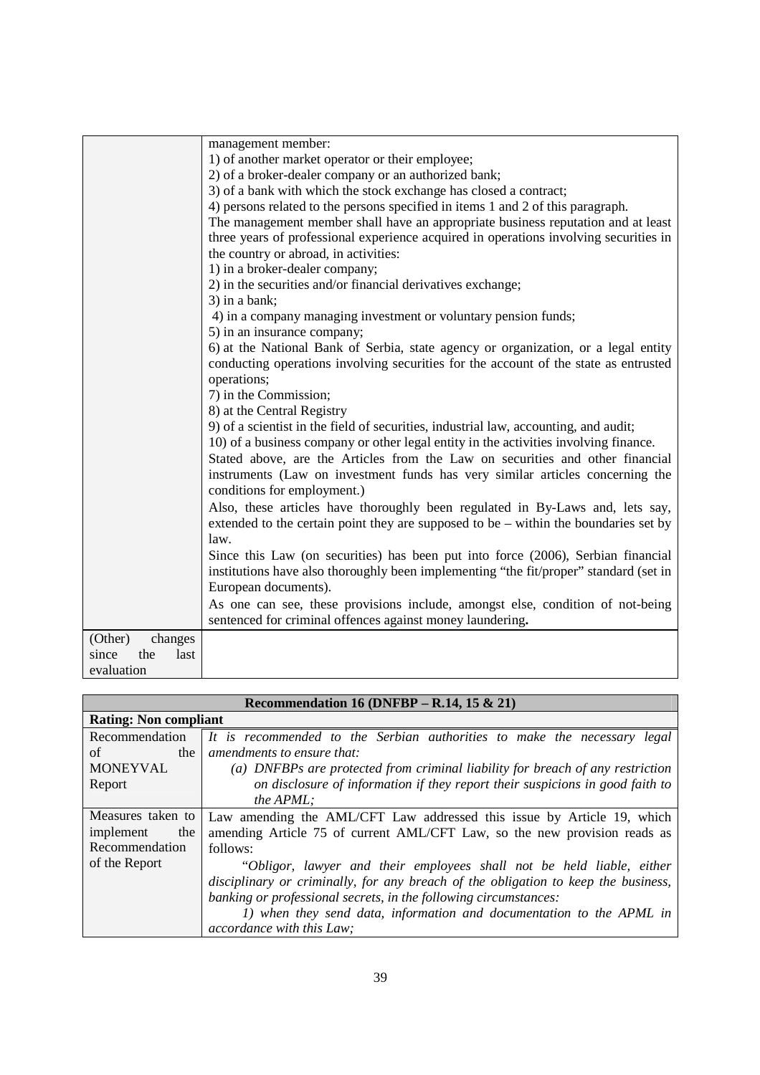|                      | management member:                                                                    |
|----------------------|---------------------------------------------------------------------------------------|
|                      | 1) of another market operator or their employee;                                      |
|                      | 2) of a broker-dealer company or an authorized bank;                                  |
|                      | 3) of a bank with which the stock exchange has closed a contract;                     |
|                      | 4) persons related to the persons specified in items 1 and 2 of this paragraph.       |
|                      | The management member shall have an appropriate business reputation and at least      |
|                      | three years of professional experience acquired in operations involving securities in |
|                      | the country or abroad, in activities:                                                 |
|                      | 1) in a broker-dealer company;                                                        |
|                      | 2) in the securities and/or financial derivatives exchange;                           |
|                      | 3) in a bank;                                                                         |
|                      | 4) in a company managing investment or voluntary pension funds;                       |
|                      | 5) in an insurance company;                                                           |
|                      | 6) at the National Bank of Serbia, state agency or organization, or a legal entity    |
|                      | conducting operations involving securities for the account of the state as entrusted  |
|                      | operations;                                                                           |
|                      | 7) in the Commission;                                                                 |
|                      | 8) at the Central Registry                                                            |
|                      | 9) of a scientist in the field of securities, industrial law, accounting, and audit;  |
|                      | 10) of a business company or other legal entity in the activities involving finance.  |
|                      | Stated above, are the Articles from the Law on securities and other financial         |
|                      | instruments (Law on investment funds has very similar articles concerning the         |
|                      | conditions for employment.)                                                           |
|                      | Also, these articles have thoroughly been regulated in By-Laws and, lets say,         |
|                      | extended to the certain point they are supposed to be – within the boundaries set by  |
|                      | law.                                                                                  |
|                      | Since this Law (on securities) has been put into force (2006), Serbian financial      |
|                      | institutions have also thoroughly been implementing "the fit/proper" standard (set in |
|                      | European documents).                                                                  |
|                      | As one can see, these provisions include, amongst else, condition of not-being        |
|                      | sentenced for criminal offences against money laundering.                             |
| (Other)<br>changes   |                                                                                       |
| the<br>since<br>last |                                                                                       |
| evaluation           |                                                                                       |

| Recommendation 16 (DNFBP – R.14, 15 & 21) |                                                                                    |
|-------------------------------------------|------------------------------------------------------------------------------------|
| <b>Rating: Non compliant</b>              |                                                                                    |
| Recommendation                            | It is recommended to the Serbian authorities to make the necessary legal           |
| of<br>the                                 | amendments to ensure that:                                                         |
| <b>MONEYVAL</b>                           | (a) DNFBPs are protected from criminal liability for breach of any restriction     |
| Report                                    | on disclosure of information if they report their suspicions in good faith to      |
|                                           | the APML:                                                                          |
| Measures taken to                         | Law amending the AML/CFT Law addressed this issue by Article 19, which             |
| implement<br>the                          | amending Article 75 of current AML/CFT Law, so the new provision reads as          |
| Recommendation                            | follows:                                                                           |
| of the Report                             | "Obligor, lawyer and their employees shall not be held liable, either              |
|                                           | disciplinary or criminally, for any breach of the obligation to keep the business, |
|                                           | banking or professional secrets, in the following circumstances:                   |
|                                           | 1) when they send data, information and documentation to the APML in               |
|                                           | accordance with this Law;                                                          |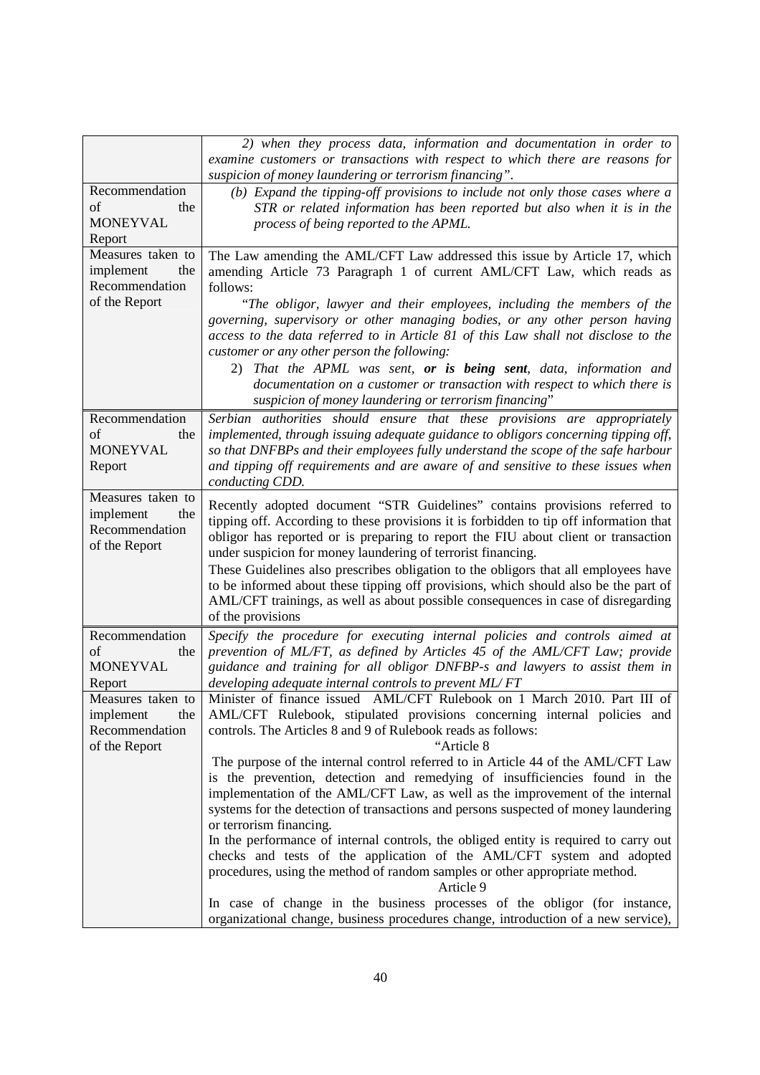|                                                                          | 2) when they process data, information and documentation in order to<br>examine customers or transactions with respect to which there are reasons for<br>suspicion of money laundering or terrorism financing".                                                                                                                                                                                                                                                                                                                                                                                                                                                                                                                                                          |
|--------------------------------------------------------------------------|--------------------------------------------------------------------------------------------------------------------------------------------------------------------------------------------------------------------------------------------------------------------------------------------------------------------------------------------------------------------------------------------------------------------------------------------------------------------------------------------------------------------------------------------------------------------------------------------------------------------------------------------------------------------------------------------------------------------------------------------------------------------------|
| Recommendation<br>of<br>the<br><b>MONEYVAL</b><br>Report                 | (b) Expand the tipping-off provisions to include not only those cases where a<br>STR or related information has been reported but also when it is in the<br>process of being reported to the APML.                                                                                                                                                                                                                                                                                                                                                                                                                                                                                                                                                                       |
| Measures taken to<br>implement<br>the<br>Recommendation<br>of the Report | The Law amending the AML/CFT Law addressed this issue by Article 17, which<br>amending Article 73 Paragraph 1 of current AML/CFT Law, which reads as<br>follows:<br>"The obligor, lawyer and their employees, including the members of the<br>governing, supervisory or other managing bodies, or any other person having<br>access to the data referred to in Article 81 of this Law shall not disclose to the<br>customer or any other person the following:<br>2) That the APML was sent, or is being sent, data, information and<br>documentation on a customer or transaction with respect to which there is<br>suspicion of money laundering or terrorism financing"                                                                                               |
| Recommendation<br>of<br>the<br><b>MONEYVAL</b><br>Report                 | Serbian authorities should ensure that these provisions are appropriately<br>implemented, through issuing adequate guidance to obligors concerning tipping off,<br>so that DNFBPs and their employees fully understand the scope of the safe harbour<br>and tipping off requirements and are aware of and sensitive to these issues when<br>conducting CDD.                                                                                                                                                                                                                                                                                                                                                                                                              |
| Measures taken to<br>implement<br>the<br>Recommendation<br>of the Report | Recently adopted document "STR Guidelines" contains provisions referred to<br>tipping off. According to these provisions it is forbidden to tip off information that<br>obligor has reported or is preparing to report the FIU about client or transaction<br>under suspicion for money laundering of terrorist financing.<br>These Guidelines also prescribes obligation to the obligors that all employees have<br>to be informed about these tipping off provisions, which should also be the part of<br>AML/CFT trainings, as well as about possible consequences in case of disregarding<br>of the provisions                                                                                                                                                       |
| Recommendation<br>of<br>the<br><b>MONEYVAL</b><br>Report                 | Specify the procedure for executing internal policies and controls aimed at<br>prevention of ML/FT, as defined by Articles 45 of the AML/CFT Law; provide<br>guidance and training for all obligor DNFBP-s and lawyers to assist them in<br>developing adequate internal controls to prevent ML/FT                                                                                                                                                                                                                                                                                                                                                                                                                                                                       |
| Measures taken to<br>implement<br>the<br>Recommendation<br>of the Report | Minister of finance issued AML/CFT Rulebook on 1 March 2010. Part III of<br>AML/CFT Rulebook, stipulated provisions concerning internal policies and<br>controls. The Articles 8 and 9 of Rulebook reads as follows:<br>"Article 8<br>The purpose of the internal control referred to in Article 44 of the AML/CFT Law<br>is the prevention, detection and remedying of insufficiencies found in the<br>implementation of the AML/CFT Law, as well as the improvement of the internal<br>systems for the detection of transactions and persons suspected of money laundering<br>or terrorism financing.<br>In the performance of internal controls, the obliged entity is required to carry out<br>checks and tests of the application of the AML/CFT system and adopted |
|                                                                          | procedures, using the method of random samples or other appropriate method.<br>Article 9<br>In case of change in the business processes of the obligor (for instance,<br>organizational change, business procedures change, introduction of a new service),                                                                                                                                                                                                                                                                                                                                                                                                                                                                                                              |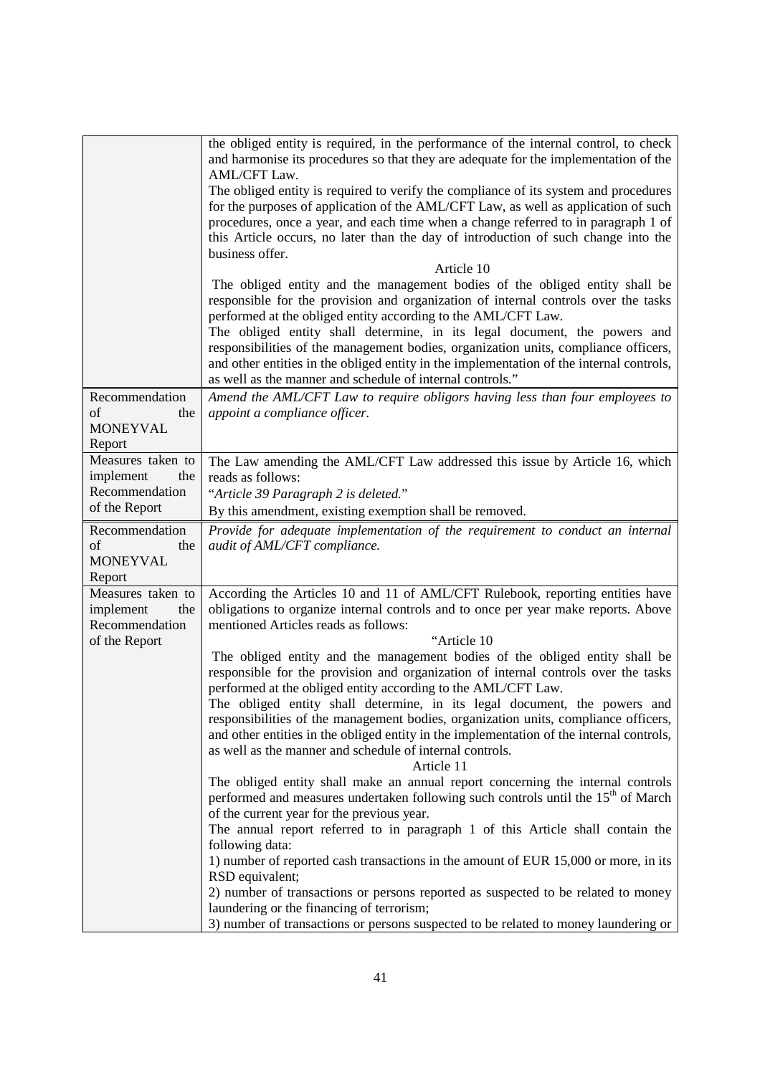|                                                                          | the obliged entity is required, in the performance of the internal control, to check<br>and harmonise its procedures so that they are adequate for the implementation of the<br>AML/CFT Law.<br>The obliged entity is required to verify the compliance of its system and procedures<br>for the purposes of application of the AML/CFT Law, as well as application of such<br>procedures, once a year, and each time when a change referred to in paragraph 1 of<br>this Article occurs, no later than the day of introduction of such change into the<br>business offer.<br>Article 10<br>The obliged entity and the management bodies of the obliged entity shall be<br>responsible for the provision and organization of internal controls over the tasks<br>performed at the obliged entity according to the AML/CFT Law.<br>The obliged entity shall determine, in its legal document, the powers and<br>responsibilities of the management bodies, organization units, compliance officers,<br>and other entities in the obliged entity in the implementation of the internal controls,<br>as well as the manner and schedule of internal controls." |
|--------------------------------------------------------------------------|------------------------------------------------------------------------------------------------------------------------------------------------------------------------------------------------------------------------------------------------------------------------------------------------------------------------------------------------------------------------------------------------------------------------------------------------------------------------------------------------------------------------------------------------------------------------------------------------------------------------------------------------------------------------------------------------------------------------------------------------------------------------------------------------------------------------------------------------------------------------------------------------------------------------------------------------------------------------------------------------------------------------------------------------------------------------------------------------------------------------------------------------------------|
| Recommendation                                                           | Amend the AML/CFT Law to require obligors having less than four employees to                                                                                                                                                                                                                                                                                                                                                                                                                                                                                                                                                                                                                                                                                                                                                                                                                                                                                                                                                                                                                                                                               |
| of<br>the<br><b>MONEYVAL</b><br>Report                                   | appoint a compliance officer.                                                                                                                                                                                                                                                                                                                                                                                                                                                                                                                                                                                                                                                                                                                                                                                                                                                                                                                                                                                                                                                                                                                              |
| Measures taken to                                                        | The Law amending the AML/CFT Law addressed this issue by Article 16, which                                                                                                                                                                                                                                                                                                                                                                                                                                                                                                                                                                                                                                                                                                                                                                                                                                                                                                                                                                                                                                                                                 |
| implement<br>the<br>Recommendation                                       | reads as follows:                                                                                                                                                                                                                                                                                                                                                                                                                                                                                                                                                                                                                                                                                                                                                                                                                                                                                                                                                                                                                                                                                                                                          |
| of the Report                                                            | "Article 39 Paragraph 2 is deleted."<br>By this amendment, existing exemption shall be removed.                                                                                                                                                                                                                                                                                                                                                                                                                                                                                                                                                                                                                                                                                                                                                                                                                                                                                                                                                                                                                                                            |
| Recommendation                                                           | Provide for adequate implementation of the requirement to conduct an internal                                                                                                                                                                                                                                                                                                                                                                                                                                                                                                                                                                                                                                                                                                                                                                                                                                                                                                                                                                                                                                                                              |
| of<br>the<br><b>MONEYVAL</b><br>Report                                   | audit of AML/CFT compliance.                                                                                                                                                                                                                                                                                                                                                                                                                                                                                                                                                                                                                                                                                                                                                                                                                                                                                                                                                                                                                                                                                                                               |
| Measures taken to<br>implement<br>the<br>Recommendation<br>of the Report | According the Articles 10 and 11 of AML/CFT Rulebook, reporting entities have<br>obligations to organize internal controls and to once per year make reports. Above<br>mentioned Articles reads as follows:<br>"Article 10                                                                                                                                                                                                                                                                                                                                                                                                                                                                                                                                                                                                                                                                                                                                                                                                                                                                                                                                 |
|                                                                          | The obliged entity and the management bodies of the obliged entity shall be<br>responsible for the provision and organization of internal controls over the tasks<br>performed at the obliged entity according to the AML/CFT Law.<br>The obliged entity shall determine, in its legal document, the powers and<br>responsibilities of the management bodies, organization units, compliance officers,<br>and other entities in the obliged entity in the implementation of the internal controls,<br>as well as the manner and schedule of internal controls.<br>Article 11                                                                                                                                                                                                                                                                                                                                                                                                                                                                                                                                                                               |
|                                                                          | The obliged entity shall make an annual report concerning the internal controls<br>performed and measures undertaken following such controls until the 15 <sup>th</sup> of March<br>of the current year for the previous year.<br>The annual report referred to in paragraph 1 of this Article shall contain the<br>following data:<br>1) number of reported cash transactions in the amount of EUR 15,000 or more, in its<br>RSD equivalent;<br>2) number of transactions or persons reported as suspected to be related to money<br>laundering or the financing of terrorism;<br>3) number of transactions or persons suspected to be related to money laundering or                                                                                                                                                                                                                                                                                                                                                                                                                                                                                     |
|                                                                          |                                                                                                                                                                                                                                                                                                                                                                                                                                                                                                                                                                                                                                                                                                                                                                                                                                                                                                                                                                                                                                                                                                                                                            |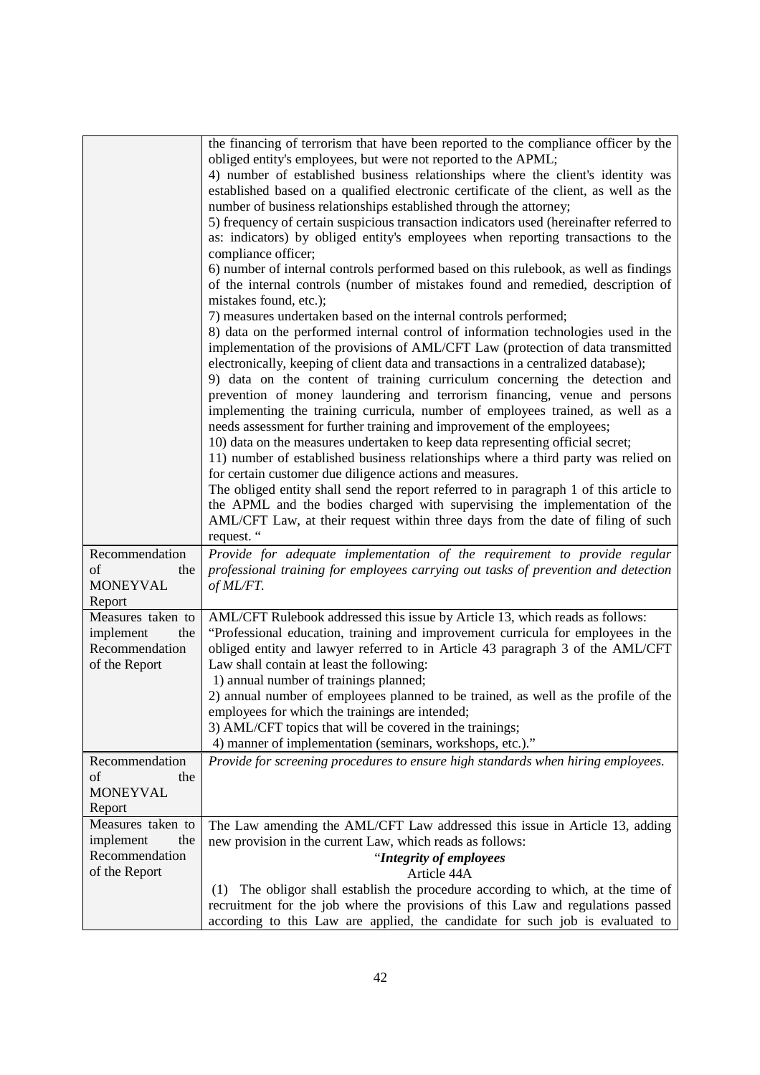|                                                                          | the financing of terrorism that have been reported to the compliance officer by the<br>obliged entity's employees, but were not reported to the APML;<br>4) number of established business relationships where the client's identity was<br>established based on a qualified electronic certificate of the client, as well as the<br>number of business relationships established through the attorney;<br>5) frequency of certain suspicious transaction indicators used (hereinafter referred to<br>as: indicators) by obliged entity's employees when reporting transactions to the<br>compliance officer;<br>6) number of internal controls performed based on this rulebook, as well as findings<br>of the internal controls (number of mistakes found and remedied, description of<br>mistakes found, etc.);                                                                                                                                                                                                                                                  |
|--------------------------------------------------------------------------|---------------------------------------------------------------------------------------------------------------------------------------------------------------------------------------------------------------------------------------------------------------------------------------------------------------------------------------------------------------------------------------------------------------------------------------------------------------------------------------------------------------------------------------------------------------------------------------------------------------------------------------------------------------------------------------------------------------------------------------------------------------------------------------------------------------------------------------------------------------------------------------------------------------------------------------------------------------------------------------------------------------------------------------------------------------------|
|                                                                          | 7) measures undertaken based on the internal controls performed;<br>8) data on the performed internal control of information technologies used in the<br>implementation of the provisions of AML/CFT Law (protection of data transmitted<br>electronically, keeping of client data and transactions in a centralized database);<br>9) data on the content of training curriculum concerning the detection and<br>prevention of money laundering and terrorism financing, venue and persons<br>implementing the training curricula, number of employees trained, as well as a<br>needs assessment for further training and improvement of the employees;<br>10) data on the measures undertaken to keep data representing official secret;<br>11) number of established business relationships where a third party was relied on<br>for certain customer due diligence actions and measures.<br>The obliged entity shall send the report referred to in paragraph 1 of this article to<br>the APML and the bodies charged with supervising the implementation of the |
|                                                                          | AML/CFT Law, at their request within three days from the date of filing of such<br>request. "                                                                                                                                                                                                                                                                                                                                                                                                                                                                                                                                                                                                                                                                                                                                                                                                                                                                                                                                                                       |
| Recommendation<br>of<br>the<br><b>MONEYVAL</b><br>Report                 | Provide for adequate implementation of the requirement to provide regular<br>professional training for employees carrying out tasks of prevention and detection<br>of ML/FT.                                                                                                                                                                                                                                                                                                                                                                                                                                                                                                                                                                                                                                                                                                                                                                                                                                                                                        |
| Measures taken to<br>implement<br>the<br>Recommendation<br>of the Report | AML/CFT Rulebook addressed this issue by Article 13, which reads as follows:<br>"Professional education, training and improvement curricula for employees in the<br>obliged entity and lawyer referred to in Article 43 paragraph 3 of the AML/CFT<br>Law shall contain at least the following:<br>1) annual number of trainings planned;                                                                                                                                                                                                                                                                                                                                                                                                                                                                                                                                                                                                                                                                                                                           |
|                                                                          | 2) annual number of employees planned to be trained, as well as the profile of the<br>employees for which the trainings are intended;<br>3) AML/CFT topics that will be covered in the trainings;<br>4) manner of implementation (seminars, workshops, etc.)."                                                                                                                                                                                                                                                                                                                                                                                                                                                                                                                                                                                                                                                                                                                                                                                                      |
| Recommendation<br>of<br>the<br><b>MONEYVAL</b><br>Report                 | Provide for screening procedures to ensure high standards when hiring employees.                                                                                                                                                                                                                                                                                                                                                                                                                                                                                                                                                                                                                                                                                                                                                                                                                                                                                                                                                                                    |
| Measures taken to<br>implement<br>the<br>Recommendation<br>of the Report | The Law amending the AML/CFT Law addressed this issue in Article 13, adding<br>new provision in the current Law, which reads as follows:<br>"Integrity of employees<br>Article 44A<br>The obligor shall establish the procedure according to which, at the time of<br>(1)<br>recruitment for the job where the provisions of this Law and regulations passed                                                                                                                                                                                                                                                                                                                                                                                                                                                                                                                                                                                                                                                                                                        |
|                                                                          | according to this Law are applied, the candidate for such job is evaluated to                                                                                                                                                                                                                                                                                                                                                                                                                                                                                                                                                                                                                                                                                                                                                                                                                                                                                                                                                                                       |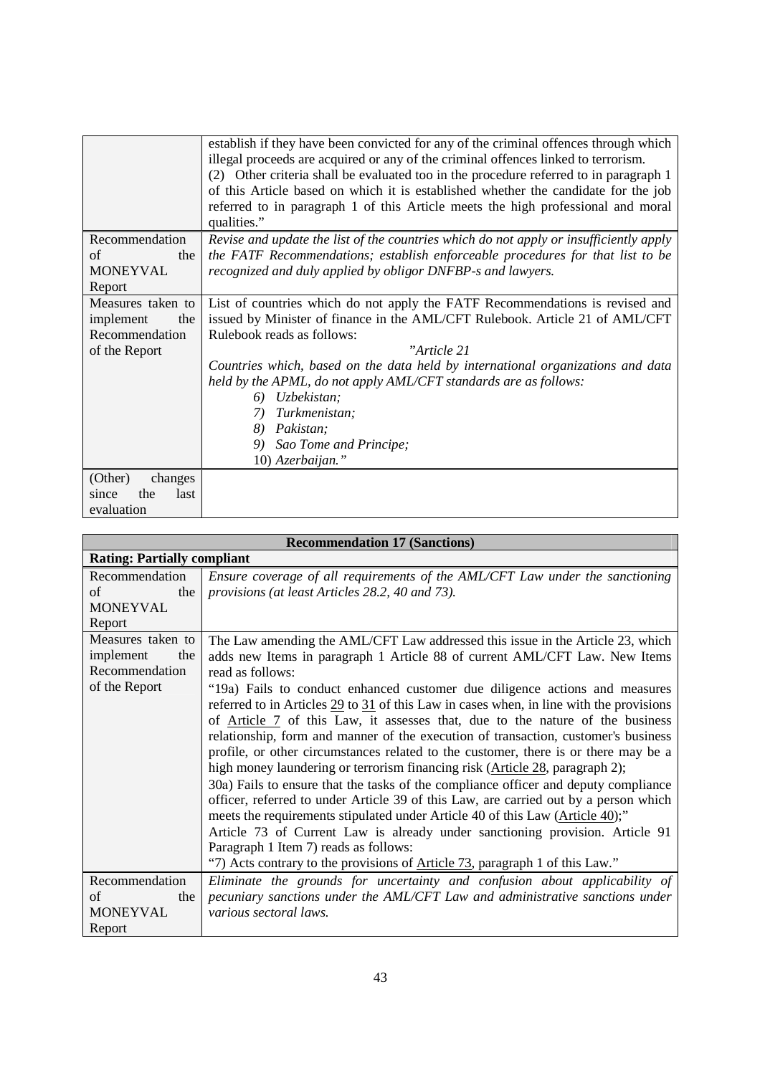|                                                                          | establish if they have been convicted for any of the criminal offences through which<br>illegal proceeds are acquired or any of the criminal offences linked to terrorism.<br>(2) Other criteria shall be evaluated too in the procedure referred to in paragraph 1<br>of this Article based on which it is established whether the candidate for the job<br>referred to in paragraph 1 of this Article meets the high professional and moral<br>qualities."                        |
|--------------------------------------------------------------------------|-------------------------------------------------------------------------------------------------------------------------------------------------------------------------------------------------------------------------------------------------------------------------------------------------------------------------------------------------------------------------------------------------------------------------------------------------------------------------------------|
| Recommendation<br>of<br>the<br>MONEYVAL<br>Report                        | Revise and update the list of the countries which do not apply or insufficiently apply<br>the FATF Recommendations; establish enforceable procedures for that list to be<br>recognized and duly applied by obligor DNFBP-s and lawyers.                                                                                                                                                                                                                                             |
| Measures taken to<br>implement<br>the<br>Recommendation<br>of the Report | List of countries which do not apply the FATF Recommendations is revised and<br>issued by Minister of finance in the AML/CFT Rulebook. Article 21 of AML/CFT<br>Rulebook reads as follows:<br>"Article 21<br>Countries which, based on the data held by international organizations and data<br>held by the APML, do not apply AML/CFT standards are as follows:<br>Uzbekistan;<br>6)<br>Turkmenistan;<br>7)<br>Pakistan;<br>8)<br>Sao Tome and Principe;<br>9)<br>10) Azerbaijan." |
| (Other)<br>changes<br>the<br>last<br>since<br>evaluation                 |                                                                                                                                                                                                                                                                                                                                                                                                                                                                                     |

| <b>Recommendation 17 (Sanctions)</b>                                     |                                                                                                                                                                                                                                                                                                                                                                                                                                                                                                                                                                                                                                                                                                                                                                                                                                                                                                                                                                                                                                                                                                                                                                                                             |  |
|--------------------------------------------------------------------------|-------------------------------------------------------------------------------------------------------------------------------------------------------------------------------------------------------------------------------------------------------------------------------------------------------------------------------------------------------------------------------------------------------------------------------------------------------------------------------------------------------------------------------------------------------------------------------------------------------------------------------------------------------------------------------------------------------------------------------------------------------------------------------------------------------------------------------------------------------------------------------------------------------------------------------------------------------------------------------------------------------------------------------------------------------------------------------------------------------------------------------------------------------------------------------------------------------------|--|
|                                                                          | <b>Rating: Partially compliant</b>                                                                                                                                                                                                                                                                                                                                                                                                                                                                                                                                                                                                                                                                                                                                                                                                                                                                                                                                                                                                                                                                                                                                                                          |  |
| Recommendation<br>of<br>the<br><b>MONEYVAL</b><br>Report                 | Ensure coverage of all requirements of the AML/CFT Law under the sanctioning<br>provisions (at least Articles 28.2, 40 and 73).                                                                                                                                                                                                                                                                                                                                                                                                                                                                                                                                                                                                                                                                                                                                                                                                                                                                                                                                                                                                                                                                             |  |
| Measures taken to<br>implement<br>the<br>Recommendation<br>of the Report | The Law amending the AML/CFT Law addressed this issue in the Article 23, which<br>adds new Items in paragraph 1 Article 88 of current AML/CFT Law. New Items<br>read as follows:<br>"19a) Fails to conduct enhanced customer due diligence actions and measures<br>referred to in Articles $\frac{29}{10}$ to $\frac{31}{10}$ of this Law in cases when, in line with the provisions<br>of Article 7 of this Law, it assesses that, due to the nature of the business<br>relationship, form and manner of the execution of transaction, customer's business<br>profile, or other circumstances related to the customer, there is or there may be a<br>high money laundering or terrorism financing risk (Article 28, paragraph 2);<br>30a) Fails to ensure that the tasks of the compliance officer and deputy compliance<br>officer, referred to under Article 39 of this Law, are carried out by a person which<br>meets the requirements stipulated under Article 40 of this Law (Article 40);"<br>Article 73 of Current Law is already under sanctioning provision. Article 91<br>Paragraph 1 Item 7) reads as follows:<br>"7) Acts contrary to the provisions of Article 73, paragraph 1 of this Law." |  |
| Recommendation<br>of<br>the<br><b>MONEYVAL</b><br>Report                 | Eliminate the grounds for uncertainty and confusion about applicability of<br>pecuniary sanctions under the AML/CFT Law and administrative sanctions under<br>various sectoral laws.                                                                                                                                                                                                                                                                                                                                                                                                                                                                                                                                                                                                                                                                                                                                                                                                                                                                                                                                                                                                                        |  |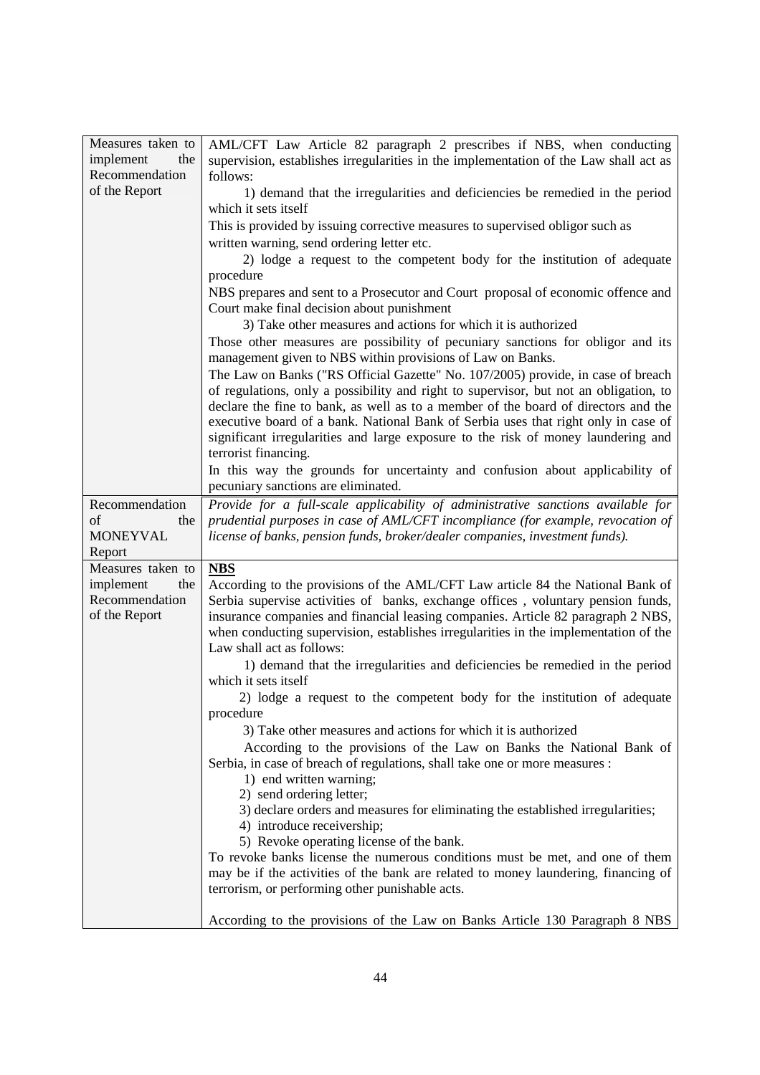| Measures taken to | AML/CFT Law Article 82 paragraph 2 prescribes if NBS, when conducting                                      |
|-------------------|------------------------------------------------------------------------------------------------------------|
| implement<br>the  | supervision, establishes irregularities in the implementation of the Law shall act as                      |
| Recommendation    | follows:                                                                                                   |
| of the Report     | 1) demand that the irregularities and deficiencies be remedied in the period                               |
|                   | which it sets itself                                                                                       |
|                   | This is provided by issuing corrective measures to supervised obligor such as                              |
|                   | written warning, send ordering letter etc.                                                                 |
|                   | 2) lodge a request to the competent body for the institution of adequate                                   |
|                   | procedure                                                                                                  |
|                   | NBS prepares and sent to a Prosecutor and Court proposal of economic offence and                           |
|                   | Court make final decision about punishment                                                                 |
|                   | 3) Take other measures and actions for which it is authorized                                              |
|                   | Those other measures are possibility of pecuniary sanctions for obligor and its                            |
|                   | management given to NBS within provisions of Law on Banks.                                                 |
|                   | The Law on Banks ("RS Official Gazette" No. 107/2005) provide, in case of breach                           |
|                   | of regulations, only a possibility and right to supervisor, but not an obligation, to                      |
|                   | declare the fine to bank, as well as to a member of the board of directors and the                         |
|                   | executive board of a bank. National Bank of Serbia uses that right only in case of                         |
|                   | significant irregularities and large exposure to the risk of money laundering and                          |
|                   | terrorist financing.                                                                                       |
|                   | In this way the grounds for uncertainty and confusion about applicability of                               |
|                   | pecuniary sanctions are eliminated.                                                                        |
| Recommendation    | Provide for a full-scale applicability of administrative sanctions available for                           |
| of<br>the         | prudential purposes in case of AML/CFT incompliance (for example, revocation of                            |
|                   |                                                                                                            |
| <b>MONEYVAL</b>   | license of banks, pension funds, broker/dealer companies, investment funds).                               |
| Report            |                                                                                                            |
| Measures taken to | <b>NBS</b>                                                                                                 |
| implement<br>the  | According to the provisions of the AML/CFT Law article 84 the National Bank of                             |
| Recommendation    | Serbia supervise activities of banks, exchange offices, voluntary pension funds,                           |
| of the Report     | insurance companies and financial leasing companies. Article 82 paragraph 2 NBS,                           |
|                   | when conducting supervision, establishes irregularities in the implementation of the                       |
|                   | Law shall act as follows:                                                                                  |
|                   | 1) demand that the irregularities and deficiencies be remedied in the period                               |
|                   | which it sets itself                                                                                       |
|                   | 2) lodge a request to the competent body for the institution of adequate                                   |
|                   | procedure                                                                                                  |
|                   | 3) Take other measures and actions for which it is authorized                                              |
|                   | According to the provisions of the Law on Banks the National Bank of                                       |
|                   | Serbia, in case of breach of regulations, shall take one or more measures :                                |
|                   | 1) end written warning;                                                                                    |
|                   | 2) send ordering letter;<br>3) declare orders and measures for eliminating the established irregularities; |
|                   | 4) introduce receivership;                                                                                 |
|                   | 5) Revoke operating license of the bank.                                                                   |
|                   | To revoke banks license the numerous conditions must be met, and one of them                               |
|                   | may be if the activities of the bank are related to money laundering, financing of                         |
|                   | terrorism, or performing other punishable acts.                                                            |
|                   | According to the provisions of the Law on Banks Article 130 Paragraph 8 NBS                                |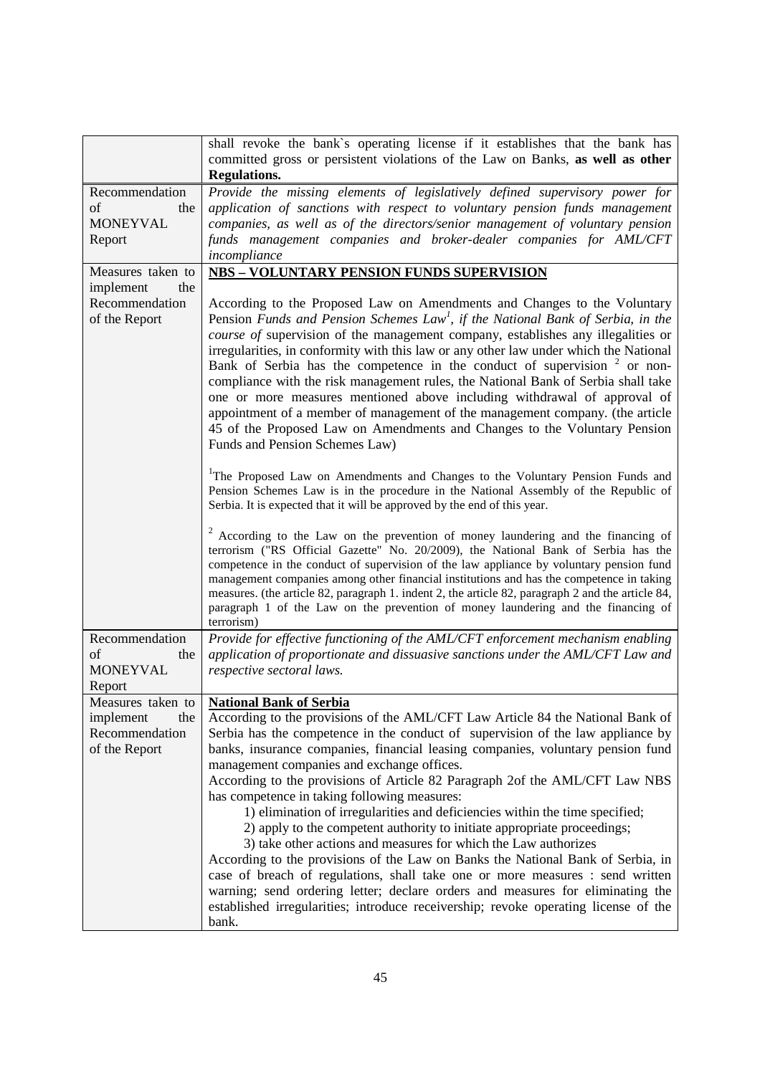| shall revoke the bank's operating license if it establishes that the bank has<br>committed gross or persistent violations of the Law on Banks, as well as other                                                                                                                                                                                                                                                                                                                                                                                                                                                                                                                                                                                                                                                                                                                                                                                                                                                                                                                |
|--------------------------------------------------------------------------------------------------------------------------------------------------------------------------------------------------------------------------------------------------------------------------------------------------------------------------------------------------------------------------------------------------------------------------------------------------------------------------------------------------------------------------------------------------------------------------------------------------------------------------------------------------------------------------------------------------------------------------------------------------------------------------------------------------------------------------------------------------------------------------------------------------------------------------------------------------------------------------------------------------------------------------------------------------------------------------------|
| <b>Regulations.</b>                                                                                                                                                                                                                                                                                                                                                                                                                                                                                                                                                                                                                                                                                                                                                                                                                                                                                                                                                                                                                                                            |
| Provide the missing elements of legislatively defined supervisory power for                                                                                                                                                                                                                                                                                                                                                                                                                                                                                                                                                                                                                                                                                                                                                                                                                                                                                                                                                                                                    |
| application of sanctions with respect to voluntary pension funds management                                                                                                                                                                                                                                                                                                                                                                                                                                                                                                                                                                                                                                                                                                                                                                                                                                                                                                                                                                                                    |
| companies, as well as of the directors/senior management of voluntary pension                                                                                                                                                                                                                                                                                                                                                                                                                                                                                                                                                                                                                                                                                                                                                                                                                                                                                                                                                                                                  |
| funds management companies and broker-dealer companies for AML/CFT<br>incompliance                                                                                                                                                                                                                                                                                                                                                                                                                                                                                                                                                                                                                                                                                                                                                                                                                                                                                                                                                                                             |
| <b>NBS - VOLUNTARY PENSION FUNDS SUPERVISION</b>                                                                                                                                                                                                                                                                                                                                                                                                                                                                                                                                                                                                                                                                                                                                                                                                                                                                                                                                                                                                                               |
| According to the Proposed Law on Amendments and Changes to the Voluntary<br>Pension Funds and Pension Schemes Law <sup>1</sup> , if the National Bank of Serbia, in the<br>course of supervision of the management company, establishes any illegalities or<br>irregularities, in conformity with this law or any other law under which the National<br>Bank of Serbia has the competence in the conduct of supervision <sup>2</sup> or non-<br>compliance with the risk management rules, the National Bank of Serbia shall take<br>one or more measures mentioned above including withdrawal of approval of<br>appointment of a member of management of the management company. (the article<br>45 of the Proposed Law on Amendments and Changes to the Voluntary Pension<br>Funds and Pension Schemes Law)<br><sup>1</sup> The Proposed Law on Amendments and Changes to the Voluntary Pension Funds and<br>Pension Schemes Law is in the procedure in the National Assembly of the Republic of<br>Serbia. It is expected that it will be approved by the end of this year. |
| <sup>2</sup> According to the Law on the prevention of money laundering and the financing of<br>terrorism ("RS Official Gazette" No. 20/2009), the National Bank of Serbia has the<br>competence in the conduct of supervision of the law appliance by voluntary pension fund<br>management companies among other financial institutions and has the competence in taking<br>measures. (the article 82, paragraph 1. indent 2, the article 82, paragraph 2 and the article 84,<br>paragraph 1 of the Law on the prevention of money laundering and the financing of<br>terrorism)                                                                                                                                                                                                                                                                                                                                                                                                                                                                                              |
| Provide for effective functioning of the AML/CFT enforcement mechanism enabling<br>application of proportionate and dissuasive sanctions under the AML/CFT Law and<br>respective sectoral laws.                                                                                                                                                                                                                                                                                                                                                                                                                                                                                                                                                                                                                                                                                                                                                                                                                                                                                |
| Measures taken to   National Bank of Serbia<br>According to the provisions of the AML/CFT Law Article 84 the National Bank of<br>Serbia has the competence in the conduct of supervision of the law appliance by<br>banks, insurance companies, financial leasing companies, voluntary pension fund<br>management companies and exchange offices.<br>According to the provisions of Article 82 Paragraph 2of the AML/CFT Law NBS<br>has competence in taking following measures:<br>1) elimination of irregularities and deficiencies within the time specified;<br>2) apply to the competent authority to initiate appropriate proceedings;<br>3) take other actions and measures for which the Law authorizes<br>According to the provisions of the Law on Banks the National Bank of Serbia, in<br>case of breach of regulations, shall take one or more measures : send written<br>warning; send ordering letter; declare orders and measures for eliminating the<br>established irregularities; introduce receivership; revoke operating license of the                   |
|                                                                                                                                                                                                                                                                                                                                                                                                                                                                                                                                                                                                                                                                                                                                                                                                                                                                                                                                                                                                                                                                                |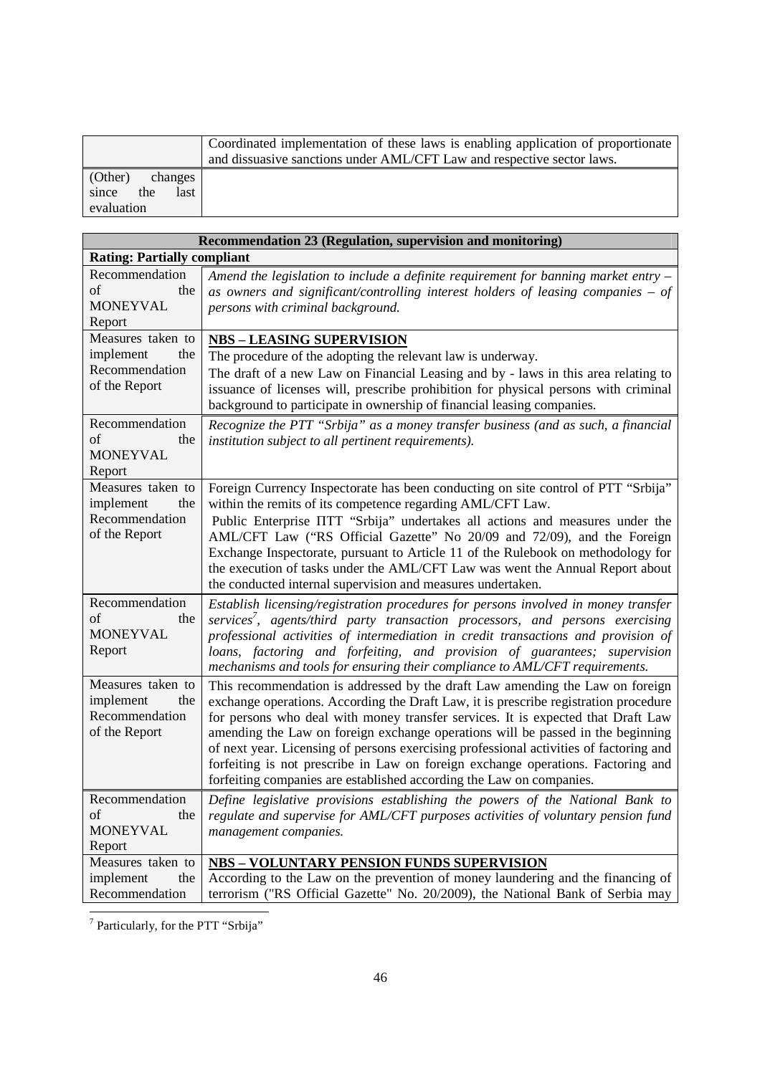|                      | Coordinated implementation of these laws is enabling application of proportionate<br>and dissuasive sanctions under AML/CFT Law and respective sector laws. |
|----------------------|-------------------------------------------------------------------------------------------------------------------------------------------------------------|
| (Other)<br>changes   |                                                                                                                                                             |
| since<br>the<br>last |                                                                                                                                                             |
| evaluation           |                                                                                                                                                             |

| Recommendation 23 (Regulation, supervision and monitoring)               |                                                                                                                                                                                                                                                                                                                                                                                                                                                                                                                                                                                                    |  |
|--------------------------------------------------------------------------|----------------------------------------------------------------------------------------------------------------------------------------------------------------------------------------------------------------------------------------------------------------------------------------------------------------------------------------------------------------------------------------------------------------------------------------------------------------------------------------------------------------------------------------------------------------------------------------------------|--|
| <b>Rating: Partially compliant</b>                                       |                                                                                                                                                                                                                                                                                                                                                                                                                                                                                                                                                                                                    |  |
| Recommendation<br>of<br>the<br><b>MONEYVAL</b><br>Report                 | Amend the legislation to include a definite requirement for banning market entry $-$<br>as owners and significant/controlling interest holders of leasing companies $-$ of<br>persons with criminal background.                                                                                                                                                                                                                                                                                                                                                                                    |  |
| Measures taken to<br>implement<br>the<br>Recommendation<br>of the Report | <b>NBS - LEASING SUPERVISION</b><br>The procedure of the adopting the relevant law is underway.<br>The draft of a new Law on Financial Leasing and by - laws in this area relating to<br>issuance of licenses will, prescribe prohibition for physical persons with criminal<br>background to participate in ownership of financial leasing companies.                                                                                                                                                                                                                                             |  |
| Recommendation<br>of<br>the<br><b>MONEYVAL</b><br>Report                 | Recognize the PTT "Srbija" as a money transfer business (and as such, a financial<br>institution subject to all pertinent requirements).                                                                                                                                                                                                                                                                                                                                                                                                                                                           |  |
| Measures taken to<br>implement<br>the<br>Recommendation<br>of the Report | Foreign Currency Inspectorate has been conducting on site control of PTT "Srbija"<br>within the remits of its competence regarding AML/CFT Law.<br>Public Enterprise IITT "Srbija" undertakes all actions and measures under the<br>AML/CFT Law ("RS Official Gazette" No 20/09 and 72/09), and the Foreign<br>Exchange Inspectorate, pursuant to Article 11 of the Rulebook on methodology for<br>the execution of tasks under the AML/CFT Law was went the Annual Report about<br>the conducted internal supervision and measures undertaken.                                                    |  |
| Recommendation<br>of<br>the<br><b>MONEYVAL</b><br>Report                 | Establish licensing/registration procedures for persons involved in money transfer<br>services', agents/third party transaction processors, and persons exercising<br>professional activities of intermediation in credit transactions and provision of<br>loans, factoring and forfeiting, and provision of guarantees; supervision<br>mechanisms and tools for ensuring their compliance to AML/CFT requirements.                                                                                                                                                                                |  |
| Measures taken to<br>implement<br>the<br>Recommendation<br>of the Report | This recommendation is addressed by the draft Law amending the Law on foreign<br>exchange operations. According the Draft Law, it is prescribe registration procedure<br>for persons who deal with money transfer services. It is expected that Draft Law<br>amending the Law on foreign exchange operations will be passed in the beginning<br>of next year. Licensing of persons exercising professional activities of factoring and<br>forfeiting is not prescribe in Law on foreign exchange operations. Factoring and<br>forfeiting companies are established according the Law on companies. |  |
| Recommendation<br>of<br>the<br><b>MONEYVAL</b><br>Report                 | Define legislative provisions establishing the powers of the National Bank to<br>regulate and supervise for AML/CFT purposes activities of voluntary pension fund<br>management companies.                                                                                                                                                                                                                                                                                                                                                                                                         |  |
| Measures taken to<br>implement<br>the<br>Recommendation                  | <b>NBS - VOLUNTARY PENSION FUNDS SUPERVISION</b><br>According to the Law on the prevention of money laundering and the financing of<br>terrorism ("RS Official Gazette" No. 20/2009), the National Bank of Serbia may                                                                                                                                                                                                                                                                                                                                                                              |  |

<sup>7</sup> Particularly, for the PTT "Srbija"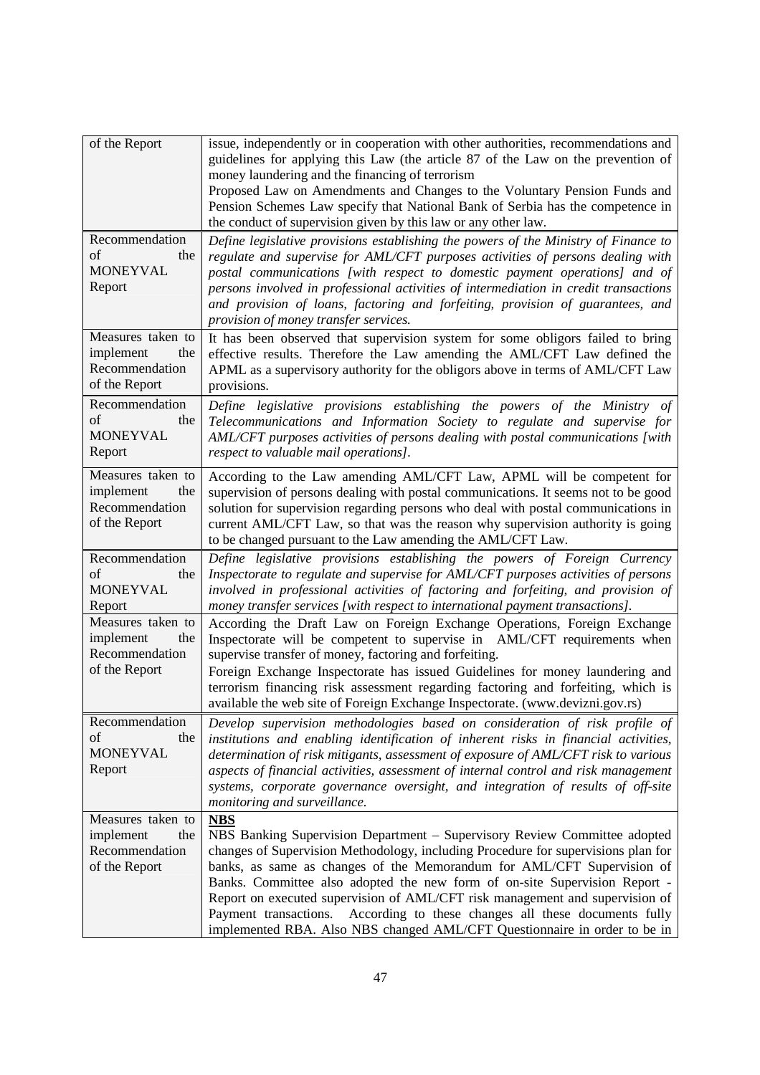| of the Report                                                            | issue, independently or in cooperation with other authorities, recommendations and<br>guidelines for applying this Law (the article 87 of the Law on the prevention of<br>money laundering and the financing of terrorism<br>Proposed Law on Amendments and Changes to the Voluntary Pension Funds and<br>Pension Schemes Law specify that National Bank of Serbia has the competence in<br>the conduct of supervision given by this law or any other law.                                                                                                               |
|--------------------------------------------------------------------------|--------------------------------------------------------------------------------------------------------------------------------------------------------------------------------------------------------------------------------------------------------------------------------------------------------------------------------------------------------------------------------------------------------------------------------------------------------------------------------------------------------------------------------------------------------------------------|
| Recommendation<br>οf<br>the<br><b>MONEYVAL</b><br>Report                 | Define legislative provisions establishing the powers of the Ministry of Finance to<br>regulate and supervise for AML/CFT purposes activities of persons dealing with<br>postal communications [with respect to domestic payment operations] and of<br>persons involved in professional activities of intermediation in credit transactions<br>and provision of loans, factoring and forfeiting, provision of guarantees, and<br>provision of money transfer services.                                                                                                   |
| Measures taken to<br>implement<br>the<br>Recommendation<br>of the Report | It has been observed that supervision system for some obligors failed to bring<br>effective results. Therefore the Law amending the AML/CFT Law defined the<br>APML as a supervisory authority for the obligors above in terms of AML/CFT Law<br>provisions.                                                                                                                                                                                                                                                                                                             |
| Recommendation<br>of<br>the<br><b>MONEYVAL</b><br>Report                 | Define legislative provisions establishing the powers of the Ministry of<br>Telecommunications and Information Society to regulate and supervise for<br>AML/CFT purposes activities of persons dealing with postal communications [with<br>respect to valuable mail operations].                                                                                                                                                                                                                                                                                         |
| Measures taken to<br>implement<br>the<br>Recommendation<br>of the Report | According to the Law amending AML/CFT Law, APML will be competent for<br>supervision of persons dealing with postal communications. It seems not to be good<br>solution for supervision regarding persons who deal with postal communications in<br>current AML/CFT Law, so that was the reason why supervision authority is going<br>to be changed pursuant to the Law amending the AML/CFT Law.                                                                                                                                                                        |
| Recommendation<br>of<br>the<br><b>MONEYVAL</b><br>Report                 | Define legislative provisions establishing the powers of Foreign Currency<br>Inspectorate to regulate and supervise for AML/CFT purposes activities of persons<br>involved in professional activities of factoring and forfeiting, and provision of<br>money transfer services [with respect to international payment transactions].                                                                                                                                                                                                                                     |
| Measures taken to<br>implement<br>the<br>Recommendation<br>of the Report | According the Draft Law on Foreign Exchange Operations, Foreign Exchange<br>Inspectorate will be competent to supervise in AML/CFT requirements when<br>supervise transfer of money, factoring and forfeiting.<br>Foreign Exchange Inspectorate has issued Guidelines for money laundering and<br>terrorism financing risk assessment regarding factoring and forfeiting, which is<br>available the web site of Foreign Exchange Inspectorate. (www.devizni.gov.rs)                                                                                                      |
| Recommendation<br>of<br>the<br><b>MONEYVAL</b><br>Report                 | Develop supervision methodologies based on consideration of risk profile of<br>institutions and enabling identification of inherent risks in financial activities,<br>determination of risk mitigants, assessment of exposure of AML/CFT risk to various<br>aspects of financial activities, assessment of internal control and risk management<br>systems, corporate governance oversight, and integration of results of off-site<br>monitoring and surveillance.                                                                                                       |
| Measures taken to<br>implement<br>the<br>Recommendation<br>of the Report | NBS<br>NBS Banking Supervision Department – Supervisory Review Committee adopted<br>changes of Supervision Methodology, including Procedure for supervisions plan for<br>banks, as same as changes of the Memorandum for AML/CFT Supervision of<br>Banks. Committee also adopted the new form of on-site Supervision Report -<br>Report on executed supervision of AML/CFT risk management and supervision of<br>Payment transactions. According to these changes all these documents fully<br>implemented RBA. Also NBS changed AML/CFT Questionnaire in order to be in |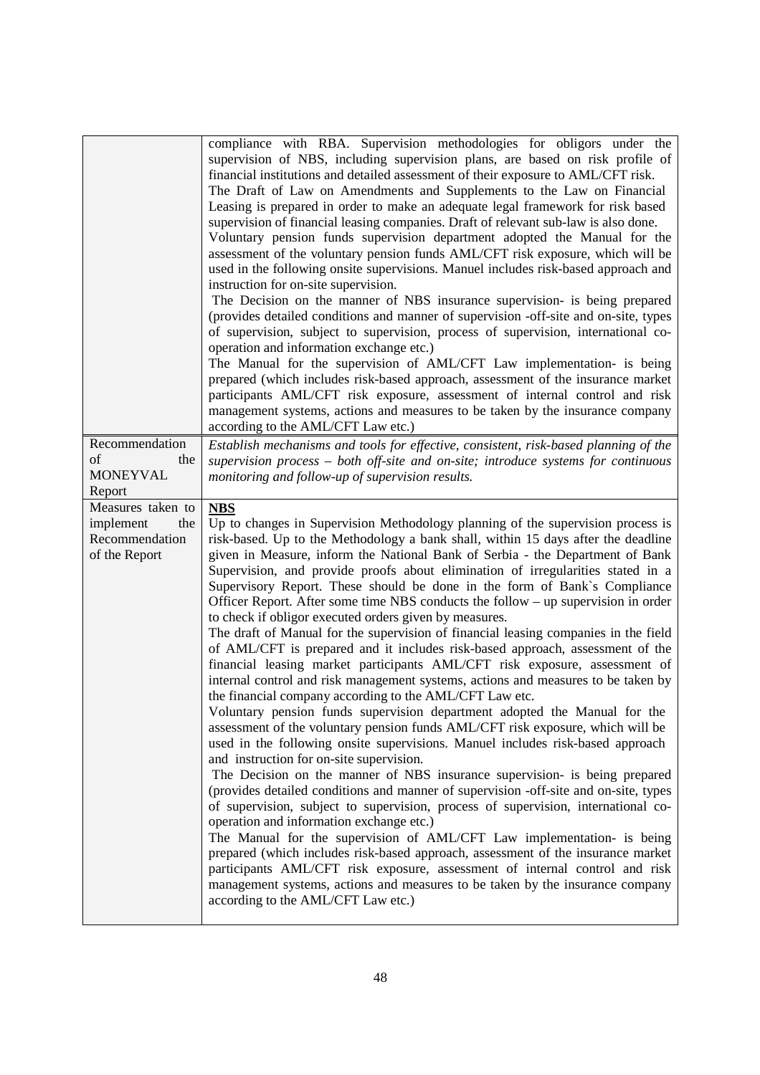|                           | compliance with RBA. Supervision methodologies for obligors under the<br>supervision of NBS, including supervision plans, are based on risk profile of<br>financial institutions and detailed assessment of their exposure to AML/CFT risk.<br>The Draft of Law on Amendments and Supplements to the Law on Financial<br>Leasing is prepared in order to make an adequate legal framework for risk based<br>supervision of financial leasing companies. Draft of relevant sub-law is also done.<br>Voluntary pension funds supervision department adopted the Manual for the<br>assessment of the voluntary pension funds AML/CFT risk exposure, which will be<br>used in the following onsite supervisions. Manuel includes risk-based approach and<br>instruction for on-site supervision.<br>The Decision on the manner of NBS insurance supervision- is being prepared<br>(provides detailed conditions and manner of supervision -off-site and on-site, types<br>of supervision, subject to supervision, process of supervision, international co-<br>operation and information exchange etc.)<br>The Manual for the supervision of AML/CFT Law implementation- is being<br>prepared (which includes risk-based approach, assessment of the insurance market<br>participants AML/CFT risk exposure, assessment of internal control and risk<br>management systems, actions and measures to be taken by the insurance company<br>according to the AML/CFT Law etc.) |
|---------------------------|-------------------------------------------------------------------------------------------------------------------------------------------------------------------------------------------------------------------------------------------------------------------------------------------------------------------------------------------------------------------------------------------------------------------------------------------------------------------------------------------------------------------------------------------------------------------------------------------------------------------------------------------------------------------------------------------------------------------------------------------------------------------------------------------------------------------------------------------------------------------------------------------------------------------------------------------------------------------------------------------------------------------------------------------------------------------------------------------------------------------------------------------------------------------------------------------------------------------------------------------------------------------------------------------------------------------------------------------------------------------------------------------------------------------------------------------------------------------------|
| Recommendation            | Establish mechanisms and tools for effective, consistent, risk-based planning of the                                                                                                                                                                                                                                                                                                                                                                                                                                                                                                                                                                                                                                                                                                                                                                                                                                                                                                                                                                                                                                                                                                                                                                                                                                                                                                                                                                                    |
| of<br>the                 | supervision process $-$ both off-site and on-site; introduce systems for continuous                                                                                                                                                                                                                                                                                                                                                                                                                                                                                                                                                                                                                                                                                                                                                                                                                                                                                                                                                                                                                                                                                                                                                                                                                                                                                                                                                                                     |
| <b>MONEYVAL</b><br>Report | monitoring and follow-up of supervision results.                                                                                                                                                                                                                                                                                                                                                                                                                                                                                                                                                                                                                                                                                                                                                                                                                                                                                                                                                                                                                                                                                                                                                                                                                                                                                                                                                                                                                        |
| Measures taken to         | <b>NBS</b>                                                                                                                                                                                                                                                                                                                                                                                                                                                                                                                                                                                                                                                                                                                                                                                                                                                                                                                                                                                                                                                                                                                                                                                                                                                                                                                                                                                                                                                              |
| implement<br>the          | Up to changes in Supervision Methodology planning of the supervision process is                                                                                                                                                                                                                                                                                                                                                                                                                                                                                                                                                                                                                                                                                                                                                                                                                                                                                                                                                                                                                                                                                                                                                                                                                                                                                                                                                                                         |
| Recommendation            | risk-based. Up to the Methodology a bank shall, within 15 days after the deadline                                                                                                                                                                                                                                                                                                                                                                                                                                                                                                                                                                                                                                                                                                                                                                                                                                                                                                                                                                                                                                                                                                                                                                                                                                                                                                                                                                                       |
| of the Report             | given in Measure, inform the National Bank of Serbia - the Department of Bank                                                                                                                                                                                                                                                                                                                                                                                                                                                                                                                                                                                                                                                                                                                                                                                                                                                                                                                                                                                                                                                                                                                                                                                                                                                                                                                                                                                           |
|                           | Supervision, and provide proofs about elimination of irregularities stated in a                                                                                                                                                                                                                                                                                                                                                                                                                                                                                                                                                                                                                                                                                                                                                                                                                                                                                                                                                                                                                                                                                                                                                                                                                                                                                                                                                                                         |
|                           | Supervisory Report. These should be done in the form of Bank's Compliance<br>Officer Report. After some time NBS conducts the follow – up supervision in order                                                                                                                                                                                                                                                                                                                                                                                                                                                                                                                                                                                                                                                                                                                                                                                                                                                                                                                                                                                                                                                                                                                                                                                                                                                                                                          |
|                           | to check if obligor executed orders given by measures.                                                                                                                                                                                                                                                                                                                                                                                                                                                                                                                                                                                                                                                                                                                                                                                                                                                                                                                                                                                                                                                                                                                                                                                                                                                                                                                                                                                                                  |
|                           | The draft of Manual for the supervision of financial leasing companies in the field<br>of AML/CFT is prepared and it includes risk-based approach, assessment of the<br>financial leasing market participants AML/CFT risk exposure, assessment of<br>internal control and risk management systems, actions and measures to be taken by<br>the financial company according to the AML/CFT Law etc.                                                                                                                                                                                                                                                                                                                                                                                                                                                                                                                                                                                                                                                                                                                                                                                                                                                                                                                                                                                                                                                                      |
|                           | Voluntary pension funds supervision department adopted the Manual for the<br>assessment of the voluntary pension funds AML/CFT risk exposure, which will be<br>used in the following onsite supervisions. Manuel includes risk-based approach<br>and instruction for on-site supervision.                                                                                                                                                                                                                                                                                                                                                                                                                                                                                                                                                                                                                                                                                                                                                                                                                                                                                                                                                                                                                                                                                                                                                                               |
|                           | The Decision on the manner of NBS insurance supervision- is being prepared<br>(provides detailed conditions and manner of supervision -off-site and on-site, types<br>of supervision, subject to supervision, process of supervision, international co-<br>operation and information exchange etc.)                                                                                                                                                                                                                                                                                                                                                                                                                                                                                                                                                                                                                                                                                                                                                                                                                                                                                                                                                                                                                                                                                                                                                                     |
|                           | The Manual for the supervision of AML/CFT Law implementation- is being<br>prepared (which includes risk-based approach, assessment of the insurance market<br>participants AML/CFT risk exposure, assessment of internal control and risk<br>management systems, actions and measures to be taken by the insurance company<br>according to the AML/CFT Law etc.)                                                                                                                                                                                                                                                                                                                                                                                                                                                                                                                                                                                                                                                                                                                                                                                                                                                                                                                                                                                                                                                                                                        |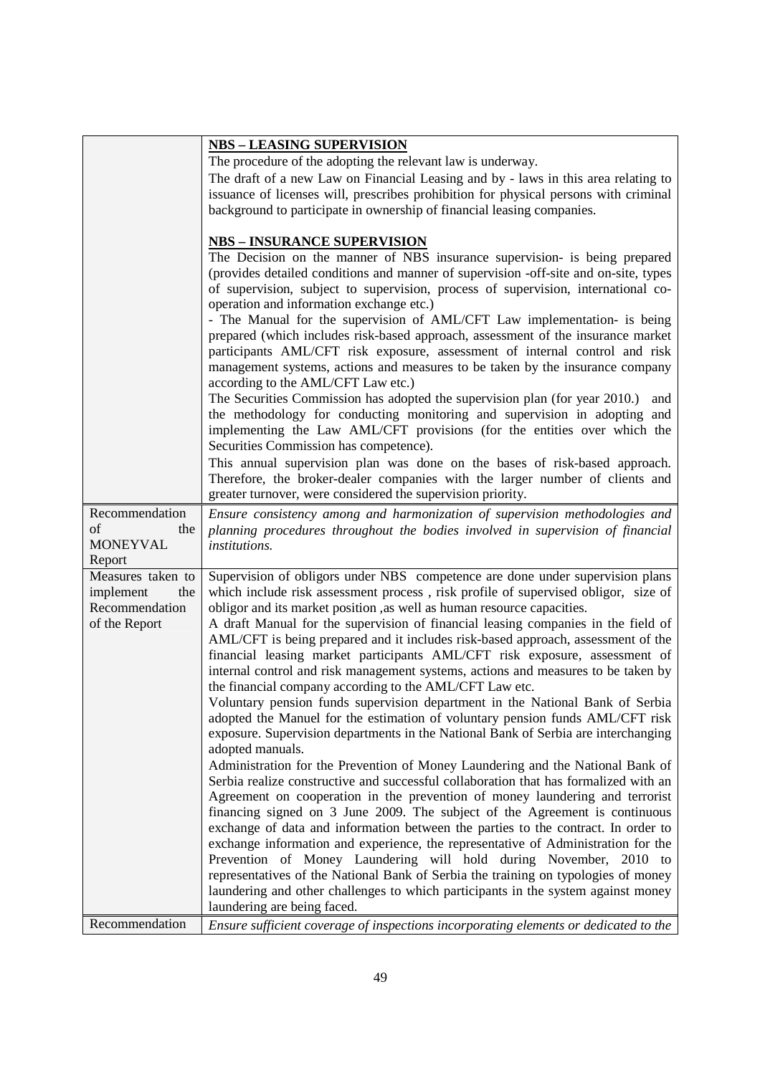|                                                         | <b>NBS - LEASING SUPERVISION</b>                                                                                                                                                                                                                                                                                                                                                                                                                                                     |
|---------------------------------------------------------|--------------------------------------------------------------------------------------------------------------------------------------------------------------------------------------------------------------------------------------------------------------------------------------------------------------------------------------------------------------------------------------------------------------------------------------------------------------------------------------|
|                                                         | The procedure of the adopting the relevant law is underway.                                                                                                                                                                                                                                                                                                                                                                                                                          |
|                                                         | The draft of a new Law on Financial Leasing and by - laws in this area relating to                                                                                                                                                                                                                                                                                                                                                                                                   |
|                                                         | issuance of licenses will, prescribes prohibition for physical persons with criminal                                                                                                                                                                                                                                                                                                                                                                                                 |
|                                                         | background to participate in ownership of financial leasing companies.                                                                                                                                                                                                                                                                                                                                                                                                               |
|                                                         |                                                                                                                                                                                                                                                                                                                                                                                                                                                                                      |
|                                                         | <u>NBS – INSURANCE SUPERVISION</u>                                                                                                                                                                                                                                                                                                                                                                                                                                                   |
|                                                         | The Decision on the manner of NBS insurance supervision- is being prepared<br>(provides detailed conditions and manner of supervision -off-site and on-site, types<br>of supervision, subject to supervision, process of supervision, international co-<br>operation and information exchange etc.)                                                                                                                                                                                  |
|                                                         | - The Manual for the supervision of AML/CFT Law implementation- is being<br>prepared (which includes risk-based approach, assessment of the insurance market<br>participants AML/CFT risk exposure, assessment of internal control and risk                                                                                                                                                                                                                                          |
|                                                         | management systems, actions and measures to be taken by the insurance company<br>according to the AML/CFT Law etc.)                                                                                                                                                                                                                                                                                                                                                                  |
|                                                         | The Securities Commission has adopted the supervision plan (for year 2010.)<br>and<br>the methodology for conducting monitoring and supervision in adopting and<br>implementing the Law AML/CFT provisions (for the entities over which the                                                                                                                                                                                                                                          |
|                                                         | Securities Commission has competence).                                                                                                                                                                                                                                                                                                                                                                                                                                               |
|                                                         | This annual supervision plan was done on the bases of risk-based approach.<br>Therefore, the broker-dealer companies with the larger number of clients and<br>greater turnover, were considered the supervision priority.                                                                                                                                                                                                                                                            |
| Recommendation                                          | Ensure consistency among and harmonization of supervision methodologies and                                                                                                                                                                                                                                                                                                                                                                                                          |
| οf<br>the                                               | planning procedures throughout the bodies involved in supervision of financial                                                                                                                                                                                                                                                                                                                                                                                                       |
| <b>MONEYVAL</b>                                         | institutions.                                                                                                                                                                                                                                                                                                                                                                                                                                                                        |
| Report                                                  |                                                                                                                                                                                                                                                                                                                                                                                                                                                                                      |
| Measures taken to<br>the<br>implement<br>Recommendation | Supervision of obligors under NBS competence are done under supervision plans<br>which include risk assessment process, risk profile of supervised obligor, size of<br>obligor and its market position , as well as human resource capacities.                                                                                                                                                                                                                                       |
| of the Report                                           | A draft Manual for the supervision of financial leasing companies in the field of<br>AML/CFT is being prepared and it includes risk-based approach, assessment of the<br>financial leasing market participants AML/CFT risk exposure, assessment of<br>internal control and risk management systems, actions and measures to be taken by<br>the financial company according to the AML/CFT Law etc.<br>Voluntary pension funds supervision department in the National Bank of Serbia |
|                                                         | adopted the Manuel for the estimation of voluntary pension funds AML/CFT risk<br>exposure. Supervision departments in the National Bank of Serbia are interchanging<br>adopted manuals.                                                                                                                                                                                                                                                                                              |
|                                                         | Administration for the Prevention of Money Laundering and the National Bank of<br>Serbia realize constructive and successful collaboration that has formalized with an                                                                                                                                                                                                                                                                                                               |
|                                                         | Agreement on cooperation in the prevention of money laundering and terrorist                                                                                                                                                                                                                                                                                                                                                                                                         |
|                                                         | financing signed on 3 June 2009. The subject of the Agreement is continuous                                                                                                                                                                                                                                                                                                                                                                                                          |
|                                                         | exchange of data and information between the parties to the contract. In order to                                                                                                                                                                                                                                                                                                                                                                                                    |
|                                                         | exchange information and experience, the representative of Administration for the                                                                                                                                                                                                                                                                                                                                                                                                    |
|                                                         | Prevention of Money Laundering will hold during November, 2010 to                                                                                                                                                                                                                                                                                                                                                                                                                    |
|                                                         | representatives of the National Bank of Serbia the training on typologies of money<br>laundering and other challenges to which participants in the system against money                                                                                                                                                                                                                                                                                                              |
|                                                         | laundering are being faced.                                                                                                                                                                                                                                                                                                                                                                                                                                                          |
| Recommendation                                          | Ensure sufficient coverage of inspections incorporating elements or dedicated to the                                                                                                                                                                                                                                                                                                                                                                                                 |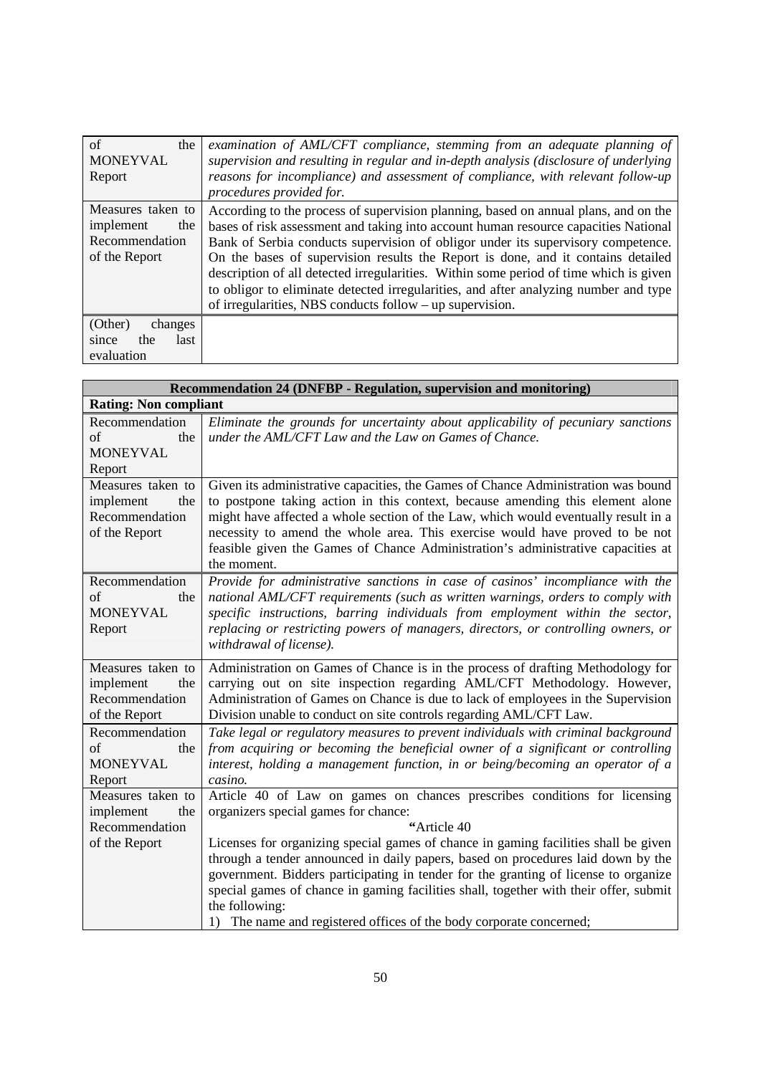| of<br>the            | examination of AML/CFT compliance, stemming from an adequate planning of              |
|----------------------|---------------------------------------------------------------------------------------|
| <b>MONEYVAL</b>      | supervision and resulting in regular and in-depth analysis (disclosure of underlying  |
| Report               | reasons for incompliance) and assessment of compliance, with relevant follow-up       |
|                      | procedures provided for.                                                              |
| Measures taken to    | According to the process of supervision planning, based on annual plans, and on the   |
| implement<br>the     | bases of risk assessment and taking into account human resource capacities National   |
| Recommendation       | Bank of Serbia conducts supervision of obligor under its supervisory competence.      |
| of the Report        | On the bases of supervision results the Report is done, and it contains detailed      |
|                      | description of all detected irregularities. Within some period of time which is given |
|                      | to obligor to eliminate detected irregularities, and after analyzing number and type  |
|                      | of irregularities, NBS conducts follow – up supervision.                              |
| (Other)<br>changes   |                                                                                       |
| the<br>last<br>since |                                                                                       |
| evaluation           |                                                                                       |

| Recommendation 24 (DNFBP - Regulation, supervision and monitoring) |                                                                                       |  |
|--------------------------------------------------------------------|---------------------------------------------------------------------------------------|--|
|                                                                    | <b>Rating: Non compliant</b>                                                          |  |
| Recommendation                                                     | Eliminate the grounds for uncertainty about applicability of pecuniary sanctions      |  |
| of<br>the                                                          | under the AML/CFT Law and the Law on Games of Chance.                                 |  |
| <b>MONEYVAL</b>                                                    |                                                                                       |  |
| Report                                                             |                                                                                       |  |
| Measures taken to                                                  | Given its administrative capacities, the Games of Chance Administration was bound     |  |
| implement<br>the                                                   | to postpone taking action in this context, because amending this element alone        |  |
| Recommendation                                                     | might have affected a whole section of the Law, which would eventually result in a    |  |
| of the Report                                                      | necessity to amend the whole area. This exercise would have proved to be not          |  |
|                                                                    | feasible given the Games of Chance Administration's administrative capacities at      |  |
|                                                                    | the moment.                                                                           |  |
| Recommendation                                                     | Provide for administrative sanctions in case of casinos' incompliance with the        |  |
| of<br>the                                                          | national AML/CFT requirements (such as written warnings, orders to comply with        |  |
| <b>MONEYVAL</b>                                                    | specific instructions, barring individuals from employment within the sector,         |  |
| Report                                                             | replacing or restricting powers of managers, directors, or controlling owners, or     |  |
|                                                                    | withdrawal of license).                                                               |  |
| Measures taken to                                                  | Administration on Games of Chance is in the process of drafting Methodology for       |  |
| implement<br>the                                                   | carrying out on site inspection regarding AML/CFT Methodology. However,               |  |
| Recommendation                                                     | Administration of Games on Chance is due to lack of employees in the Supervision      |  |
| of the Report                                                      | Division unable to conduct on site controls regarding AML/CFT Law.                    |  |
| Recommendation                                                     | Take legal or regulatory measures to prevent individuals with criminal background     |  |
| of<br>the                                                          | from acquiring or becoming the beneficial owner of a significant or controlling       |  |
| <b>MONEYVAL</b>                                                    | interest, holding a management function, in or being/becoming an operator of a        |  |
| Report                                                             | casino.                                                                               |  |
| Measures taken to                                                  | Article 40 of Law on games on chances prescribes conditions for licensing             |  |
| implement<br>the                                                   | organizers special games for chance:                                                  |  |
| Recommendation                                                     | "Article 40                                                                           |  |
| of the Report                                                      | Licenses for organizing special games of chance in gaming facilities shall be given   |  |
|                                                                    | through a tender announced in daily papers, based on procedures laid down by the      |  |
|                                                                    | government. Bidders participating in tender for the granting of license to organize   |  |
|                                                                    | special games of chance in gaming facilities shall, together with their offer, submit |  |
|                                                                    | the following:                                                                        |  |
|                                                                    | 1) The name and registered offices of the body corporate concerned;                   |  |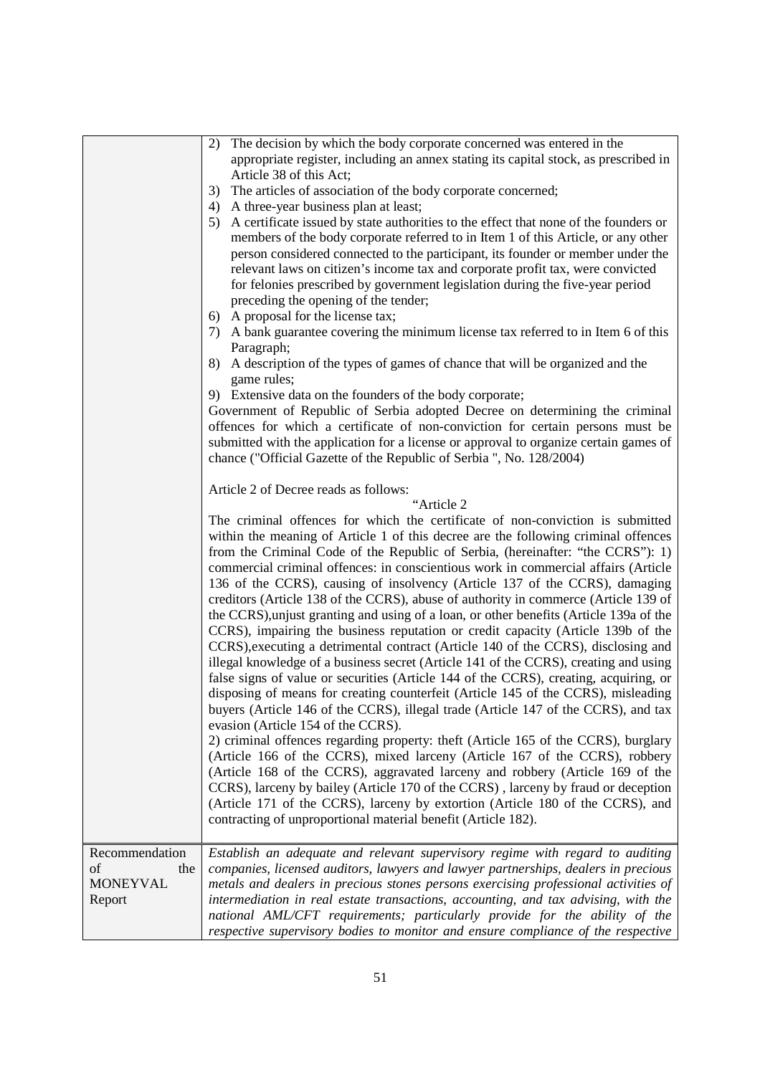|                                                          | The decision by which the body corporate concerned was entered in the<br>2)<br>appropriate register, including an annex stating its capital stock, as prescribed in<br>Article 38 of this Act;<br>3)<br>The articles of association of the body corporate concerned;<br>A three-year business plan at least;<br>4)<br>A certificate issued by state authorities to the effect that none of the founders or<br>5)<br>members of the body corporate referred to in Item 1 of this Article, or any other<br>person considered connected to the participant, its founder or member under the<br>relevant laws on citizen's income tax and corporate profit tax, were convicted<br>for felonies prescribed by government legislation during the five-year period<br>preceding the opening of the tender;<br>A proposal for the license tax;<br>6)<br>A bank guarantee covering the minimum license tax referred to in Item 6 of this<br>7)<br>Paragraph;<br>A description of the types of games of chance that will be organized and the<br>8)<br>game rules;<br>9) Extensive data on the founders of the body corporate;<br>Government of Republic of Serbia adopted Decree on determining the criminal<br>offences for which a certificate of non-conviction for certain persons must be<br>submitted with the application for a license or approval to organize certain games of<br>chance ("Official Gazette of the Republic of Serbia ", No. 128/2004)<br>Article 2 of Decree reads as follows:<br>"Article 2<br>The criminal offences for which the certificate of non-conviction is submitted<br>within the meaning of Article 1 of this decree are the following criminal offences<br>from the Criminal Code of the Republic of Serbia, (hereinafter: "the CCRS"): 1)<br>commercial criminal offences: in conscientious work in commercial affairs (Article |
|----------------------------------------------------------|----------------------------------------------------------------------------------------------------------------------------------------------------------------------------------------------------------------------------------------------------------------------------------------------------------------------------------------------------------------------------------------------------------------------------------------------------------------------------------------------------------------------------------------------------------------------------------------------------------------------------------------------------------------------------------------------------------------------------------------------------------------------------------------------------------------------------------------------------------------------------------------------------------------------------------------------------------------------------------------------------------------------------------------------------------------------------------------------------------------------------------------------------------------------------------------------------------------------------------------------------------------------------------------------------------------------------------------------------------------------------------------------------------------------------------------------------------------------------------------------------------------------------------------------------------------------------------------------------------------------------------------------------------------------------------------------------------------------------------------------------------------------------------------------------------------------------------------------------------------|
|                                                          | 136 of the CCRS), causing of insolvency (Article 137 of the CCRS), damaging<br>creditors (Article 138 of the CCRS), abuse of authority in commerce (Article 139 of<br>the CCRS), unjust granting and using of a loan, or other benefits (Article 139a of the<br>CCRS), impairing the business reputation or credit capacity (Article 139b of the<br>CCRS), executing a detrimental contract (Article 140 of the CCRS), disclosing and<br>illegal knowledge of a business secret (Article 141 of the CCRS), creating and using<br>false signs of value or securities (Article 144 of the CCRS), creating, acquiring, or<br>disposing of means for creating counterfeit (Article 145 of the CCRS), misleading<br>buyers (Article 146 of the CCRS), illegal trade (Article 147 of the CCRS), and tax<br>evasion (Article 154 of the CCRS).<br>2) criminal offences regarding property: theft (Article 165 of the CCRS), burglary<br>(Article 166 of the CCRS), mixed larceny (Article 167 of the CCRS), robbery<br>(Article 168 of the CCRS), aggravated larceny and robbery (Article 169 of the<br>CCRS), larceny by bailey (Article 170 of the CCRS), larceny by fraud or deception                                                                                                                                                                                                                                                                                                                                                                                                                                                                                                                                                                                                                                                                             |
|                                                          | (Article 171 of the CCRS), larceny by extortion (Article 180 of the CCRS), and<br>contracting of unproportional material benefit (Article 182).                                                                                                                                                                                                                                                                                                                                                                                                                                                                                                                                                                                                                                                                                                                                                                                                                                                                                                                                                                                                                                                                                                                                                                                                                                                                                                                                                                                                                                                                                                                                                                                                                                                                                                                |
| Recommendation<br>of<br>the<br><b>MONEYVAL</b><br>Report | Establish an adequate and relevant supervisory regime with regard to auditing<br>companies, licensed auditors, lawyers and lawyer partnerships, dealers in precious<br>metals and dealers in precious stones persons exercising professional activities of<br>intermediation in real estate transactions, accounting, and tax advising, with the<br>national AML/CFT requirements; particularly provide for the ability of the<br>respective supervisory bodies to monitor and ensure compliance of the respective                                                                                                                                                                                                                                                                                                                                                                                                                                                                                                                                                                                                                                                                                                                                                                                                                                                                                                                                                                                                                                                                                                                                                                                                                                                                                                                                             |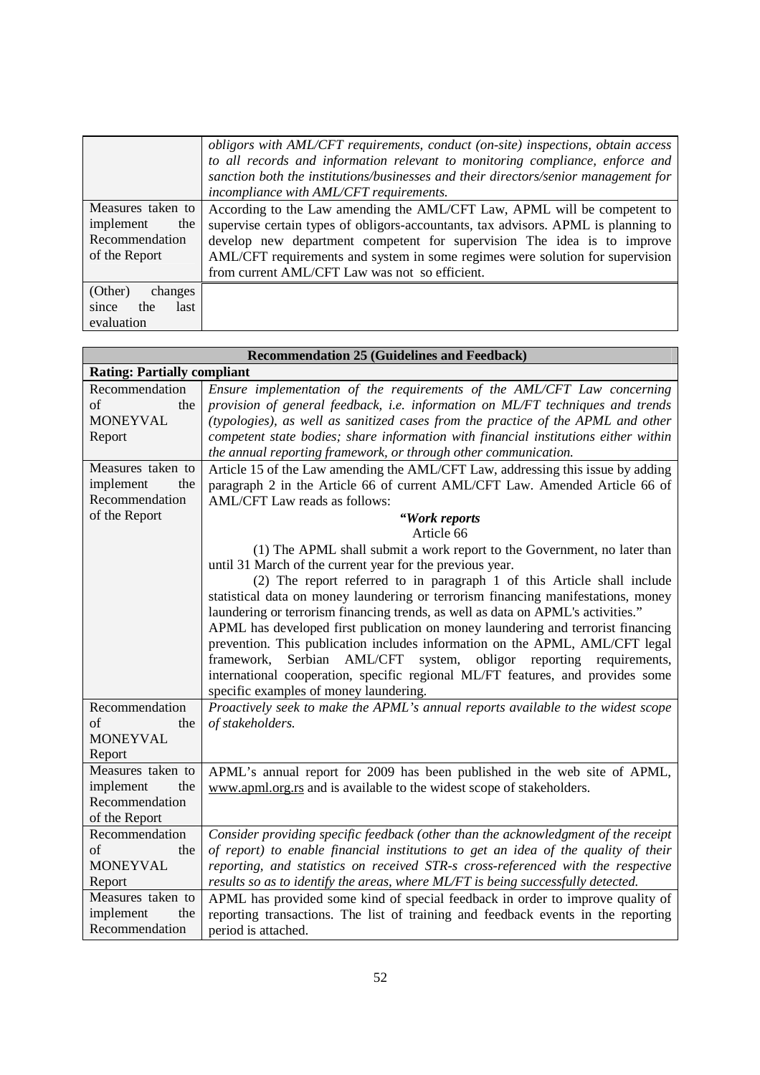|                                                                          | obligors with AML/CFT requirements, conduct (on-site) inspections, obtain access<br>to all records and information relevant to monitoring compliance, enforce and<br>sanction both the institutions/businesses and their directors/senior management for                                                                                                                     |
|--------------------------------------------------------------------------|------------------------------------------------------------------------------------------------------------------------------------------------------------------------------------------------------------------------------------------------------------------------------------------------------------------------------------------------------------------------------|
|                                                                          | incompliance with AML/CFT requirements.                                                                                                                                                                                                                                                                                                                                      |
| Measures taken to<br>implement<br>the<br>Recommendation<br>of the Report | According to the Law amending the AML/CFT Law, APML will be competent to<br>supervise certain types of obligors-accountants, tax advisors. APML is planning to<br>develop new department competent for supervision The idea is to improve<br>AML/CFT requirements and system in some regimes were solution for supervision<br>from current AML/CFT Law was not so efficient. |
| (Other)<br>changes<br>the<br>last<br>since<br>evaluation                 |                                                                                                                                                                                                                                                                                                                                                                              |

| <b>Recommendation 25 (Guidelines and Feedback)</b> |                                                                                     |
|----------------------------------------------------|-------------------------------------------------------------------------------------|
| <b>Rating: Partially compliant</b>                 |                                                                                     |
| Recommendation                                     | Ensure implementation of the requirements of the AML/CFT Law concerning             |
| the<br>of                                          | provision of general feedback, i.e. information on ML/FT techniques and trends      |
| <b>MONEYVAL</b>                                    | (typologies), as well as sanitized cases from the practice of the APML and other    |
| Report                                             | competent state bodies; share information with financial institutions either within |
|                                                    | the annual reporting framework, or through other communication.                     |
| Measures taken to                                  | Article 15 of the Law amending the AML/CFT Law, addressing this issue by adding     |
| implement<br>the                                   | paragraph 2 in the Article 66 of current AML/CFT Law. Amended Article 66 of         |
| Recommendation                                     | AML/CFT Law reads as follows:                                                       |
| of the Report                                      | "Work reports                                                                       |
|                                                    | Article 66                                                                          |
|                                                    | (1) The APML shall submit a work report to the Government, no later than            |
|                                                    | until 31 March of the current year for the previous year.                           |
|                                                    | (2) The report referred to in paragraph 1 of this Article shall include             |
|                                                    | statistical data on money laundering or terrorism financing manifestations, money   |
|                                                    | laundering or terrorism financing trends, as well as data on APML's activities."    |
|                                                    | APML has developed first publication on money laundering and terrorist financing    |
|                                                    | prevention. This publication includes information on the APML, AML/CFT legal        |
|                                                    | framework,<br>Serbian AML/CFT system, obligor reporting requirements,               |
|                                                    | international cooperation, specific regional ML/FT features, and provides some      |
|                                                    | specific examples of money laundering.                                              |
| Recommendation                                     | Proactively seek to make the APML's annual reports available to the widest scope    |
| οf<br>the                                          | of stakeholders.                                                                    |
| <b>MONEYVAL</b>                                    |                                                                                     |
| Report                                             |                                                                                     |
| Measures taken to                                  | APML's annual report for 2009 has been published in the web site of APML,           |
| implement<br>the                                   | www.apml.org.rs and is available to the widest scope of stakeholders.               |
| Recommendation                                     |                                                                                     |
| of the Report                                      |                                                                                     |
| Recommendation                                     | Consider providing specific feedback (other than the acknowledgment of the receipt  |
| of<br>the                                          | of report) to enable financial institutions to get an idea of the quality of their  |
| <b>MONEYVAL</b>                                    | reporting, and statistics on received STR-s cross-referenced with the respective    |
| Report                                             | results so as to identify the areas, where ML/FT is being successfully detected.    |
| Measures taken to                                  | APML has provided some kind of special feedback in order to improve quality of      |
| implement<br>the                                   | reporting transactions. The list of training and feedback events in the reporting   |
| Recommendation                                     | period is attached.                                                                 |
|                                                    |                                                                                     |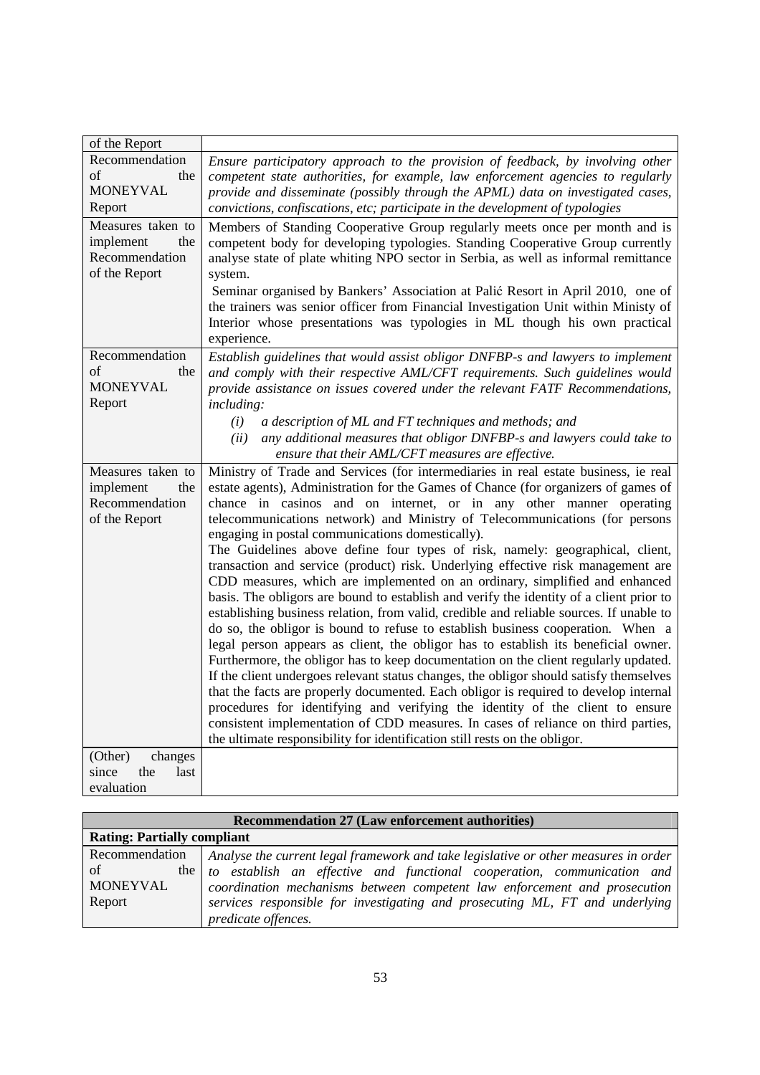| of the Report                         |                                                                                                                                                                           |
|---------------------------------------|---------------------------------------------------------------------------------------------------------------------------------------------------------------------------|
| Recommendation                        | Ensure participatory approach to the provision of feedback, by involving other                                                                                            |
| of<br>the                             | competent state authorities, for example, law enforcement agencies to regularly                                                                                           |
| <b>MONEYVAL</b>                       | provide and disseminate (possibly through the APML) data on investigated cases,                                                                                           |
| Report                                | convictions, confiscations, etc; participate in the development of typologies                                                                                             |
| Measures taken to<br>implement<br>the | Members of Standing Cooperative Group regularly meets once per month and is                                                                                               |
| Recommendation                        | competent body for developing typologies. Standing Cooperative Group currently<br>analyse state of plate whiting NPO sector in Serbia, as well as informal remittance     |
| of the Report                         | system.                                                                                                                                                                   |
|                                       | Seminar organised by Bankers' Association at Palić Resort in April 2010, one of                                                                                           |
|                                       | the trainers was senior officer from Financial Investigation Unit within Ministy of                                                                                       |
|                                       | Interior whose presentations was typologies in ML though his own practical                                                                                                |
|                                       | experience.                                                                                                                                                               |
| Recommendation                        | Establish guidelines that would assist obligor DNFBP-s and lawyers to implement                                                                                           |
| of<br>the                             | and comply with their respective AML/CFT requirements. Such guidelines would                                                                                              |
| <b>MONEYVAL</b>                       | provide assistance on issues covered under the relevant FATF Recommendations,                                                                                             |
| Report                                | <i>including:</i>                                                                                                                                                         |
|                                       | a description of ML and FT techniques and methods; and<br>(i)                                                                                                             |
|                                       | any additional measures that obligor DNFBP-s and lawyers could take to<br>(ii)                                                                                            |
|                                       | ensure that their AML/CFT measures are effective.                                                                                                                         |
| Measures taken to<br>implement<br>the | Ministry of Trade and Services (for intermediaries in real estate business, ie real<br>estate agents), Administration for the Games of Chance (for organizers of games of |
| Recommendation                        | chance in casinos and on internet, or in any other manner operating                                                                                                       |
| of the Report                         | telecommunications network) and Ministry of Telecommunications (for persons                                                                                               |
|                                       | engaging in postal communications domestically).                                                                                                                          |
|                                       | The Guidelines above define four types of risk, namely: geographical, client,                                                                                             |
|                                       | transaction and service (product) risk. Underlying effective risk management are                                                                                          |
|                                       | CDD measures, which are implemented on an ordinary, simplified and enhanced                                                                                               |
|                                       | basis. The obligors are bound to establish and verify the identity of a client prior to                                                                                   |
|                                       | establishing business relation, from valid, credible and reliable sources. If unable to                                                                                   |
|                                       | do so, the obligor is bound to refuse to establish business cooperation. When a<br>legal person appears as client, the obligor has to establish its beneficial owner.     |
|                                       | Furthermore, the obligor has to keep documentation on the client regularly updated.                                                                                       |
|                                       | If the client undergoes relevant status changes, the obligor should satisfy themselves                                                                                    |
|                                       | that the facts are properly documented. Each obligor is required to develop internal                                                                                      |
|                                       | procedures for identifying and verifying the identity of the client to ensure                                                                                             |
|                                       | consistent implementation of CDD measures. In cases of reliance on third parties,                                                                                         |
|                                       | the ultimate responsibility for identification still rests on the obligor.                                                                                                |
| (Other)<br>changes                    |                                                                                                                                                                           |
| since<br>the<br>last                  |                                                                                                                                                                           |
| evaluation                            |                                                                                                                                                                           |

| <b>Recommendation 27 (Law enforcement authorities)</b> |                                                                                     |
|--------------------------------------------------------|-------------------------------------------------------------------------------------|
| <b>Rating: Partially compliant</b>                     |                                                                                     |
| Recommendation                                         | Analyse the current legal framework and take legislative or other measures in order |
| of                                                     | the to establish an effective and functional cooperation, communication and         |
| MONEYVAL                                               | coordination mechanisms between competent law enforcement and prosecution           |
| Report                                                 | services responsible for investigating and prosecuting ML, FT and underlying        |
|                                                        | predicate offences.                                                                 |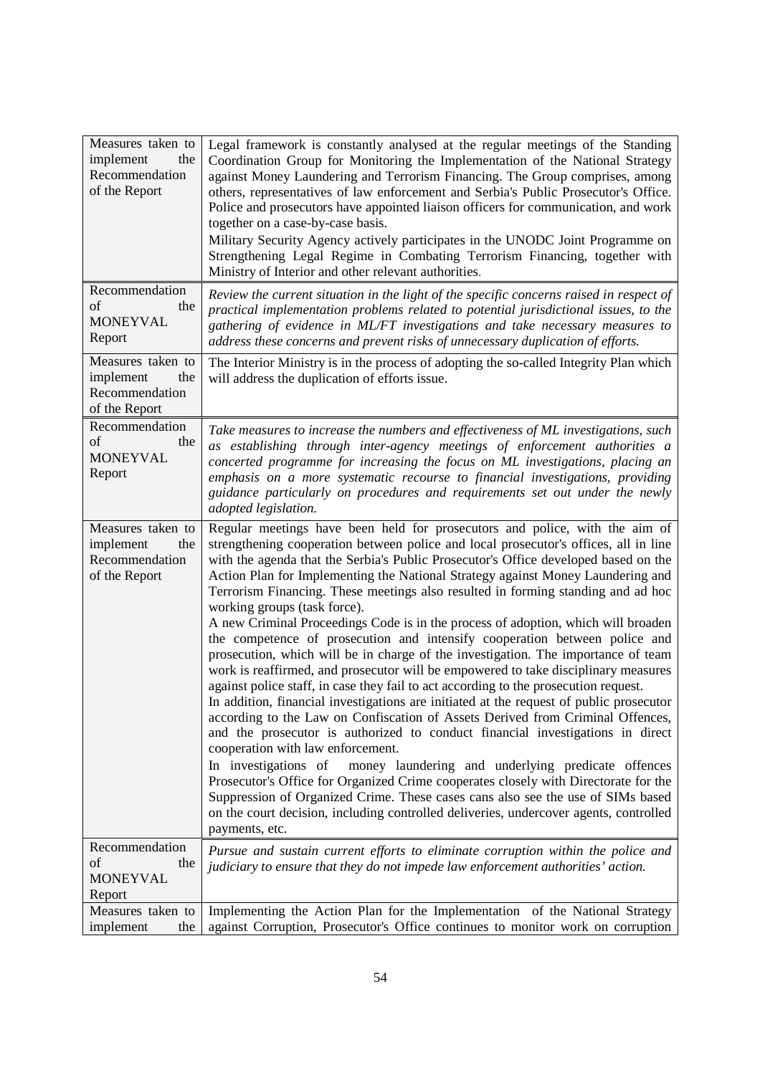| Measures taken to<br>implement<br>the<br>Recommendation<br>of the Report | Legal framework is constantly analysed at the regular meetings of the Standing<br>Coordination Group for Monitoring the Implementation of the National Strategy<br>against Money Laundering and Terrorism Financing. The Group comprises, among<br>others, representatives of law enforcement and Serbia's Public Prosecutor's Office.<br>Police and prosecutors have appointed liaison officers for communication, and work<br>together on a case-by-case basis.<br>Military Security Agency actively participates in the UNODC Joint Programme on<br>Strengthening Legal Regime in Combating Terrorism Financing, together with<br>Ministry of Interior and other relevant authorities.                                                                                                                                                                                                                                                                                                                                                                                                                                                                                                                                                                                                                                                                                                                                                                                                                                                                                      |
|--------------------------------------------------------------------------|--------------------------------------------------------------------------------------------------------------------------------------------------------------------------------------------------------------------------------------------------------------------------------------------------------------------------------------------------------------------------------------------------------------------------------------------------------------------------------------------------------------------------------------------------------------------------------------------------------------------------------------------------------------------------------------------------------------------------------------------------------------------------------------------------------------------------------------------------------------------------------------------------------------------------------------------------------------------------------------------------------------------------------------------------------------------------------------------------------------------------------------------------------------------------------------------------------------------------------------------------------------------------------------------------------------------------------------------------------------------------------------------------------------------------------------------------------------------------------------------------------------------------------------------------------------------------------|
| Recommendation<br>of<br>the<br><b>MONEYVAL</b><br>Report                 | Review the current situation in the light of the specific concerns raised in respect of<br>practical implementation problems related to potential jurisdictional issues, to the<br>gathering of evidence in ML/FT investigations and take necessary measures to<br>address these concerns and prevent risks of unnecessary duplication of efforts.                                                                                                                                                                                                                                                                                                                                                                                                                                                                                                                                                                                                                                                                                                                                                                                                                                                                                                                                                                                                                                                                                                                                                                                                                             |
| Measures taken to<br>implement<br>the<br>Recommendation<br>of the Report | The Interior Ministry is in the process of adopting the so-called Integrity Plan which<br>will address the duplication of efforts issue.                                                                                                                                                                                                                                                                                                                                                                                                                                                                                                                                                                                                                                                                                                                                                                                                                                                                                                                                                                                                                                                                                                                                                                                                                                                                                                                                                                                                                                       |
| Recommendation<br>of<br>the<br><b>MONEYVAL</b><br>Report                 | Take measures to increase the numbers and effectiveness of ML investigations, such<br>as establishing through inter-agency meetings of enforcement authorities a<br>concerted programme for increasing the focus on ML investigations, placing an<br>emphasis on a more systematic recourse to financial investigations, providing<br>guidance particularly on procedures and requirements set out under the newly<br>adopted legislation.                                                                                                                                                                                                                                                                                                                                                                                                                                                                                                                                                                                                                                                                                                                                                                                                                                                                                                                                                                                                                                                                                                                                     |
| Measures taken to<br>implement<br>the<br>Recommendation<br>of the Report | Regular meetings have been held for prosecutors and police, with the aim of<br>strengthening cooperation between police and local prosecutor's offices, all in line<br>with the agenda that the Serbia's Public Prosecutor's Office developed based on the<br>Action Plan for Implementing the National Strategy against Money Laundering and<br>Terrorism Financing. These meetings also resulted in forming standing and ad hoc<br>working groups (task force).<br>A new Criminal Proceedings Code is in the process of adoption, which will broaden<br>the competence of prosecution and intensify cooperation between police and<br>prosecution, which will be in charge of the investigation. The importance of team<br>work is reaffirmed, and prosecutor will be empowered to take disciplinary measures<br>against police staff, in case they fail to act according to the prosecution request.<br>In addition, financial investigations are initiated at the request of public prosecutor<br>according to the Law on Confiscation of Assets Derived from Criminal Offences,<br>and the prosecutor is authorized to conduct financial investigations in direct<br>cooperation with law enforcement.<br>In investigations of<br>money laundering and underlying predicate offences<br>Prosecutor's Office for Organized Crime cooperates closely with Directorate for the<br>Suppression of Organized Crime. These cases cans also see the use of SIMs based<br>on the court decision, including controlled deliveries, undercover agents, controlled<br>payments, etc. |
| Recommendation<br>of<br>the<br><b>MONEYVAL</b><br>Report                 | Pursue and sustain current efforts to eliminate corruption within the police and<br>judiciary to ensure that they do not impede law enforcement authorities' action.                                                                                                                                                                                                                                                                                                                                                                                                                                                                                                                                                                                                                                                                                                                                                                                                                                                                                                                                                                                                                                                                                                                                                                                                                                                                                                                                                                                                           |
| Measures taken to<br>implement<br>the                                    | Implementing the Action Plan for the Implementation of the National Strategy<br>against Corruption, Prosecutor's Office continues to monitor work on corruption                                                                                                                                                                                                                                                                                                                                                                                                                                                                                                                                                                                                                                                                                                                                                                                                                                                                                                                                                                                                                                                                                                                                                                                                                                                                                                                                                                                                                |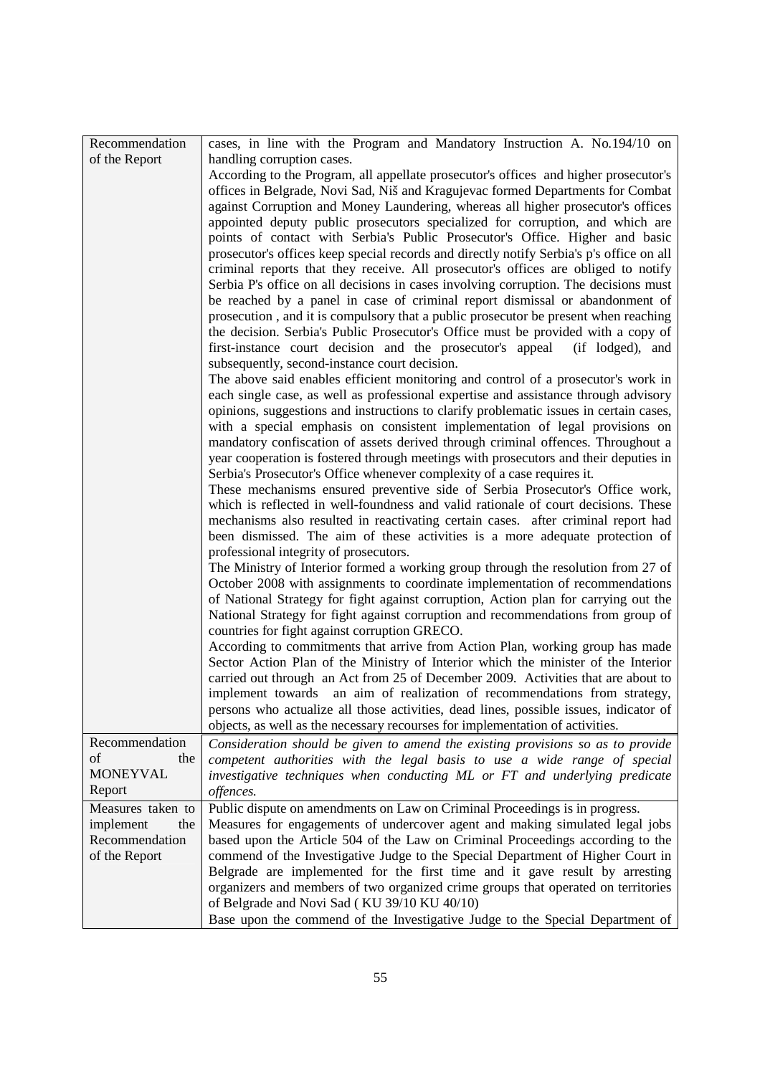| Recommendation            | cases, in line with the Program and Mandatory Instruction A. No.194/10 on                                                                                                                                                                                                                                                                                                                                                                |
|---------------------------|------------------------------------------------------------------------------------------------------------------------------------------------------------------------------------------------------------------------------------------------------------------------------------------------------------------------------------------------------------------------------------------------------------------------------------------|
| of the Report             | handling corruption cases.                                                                                                                                                                                                                                                                                                                                                                                                               |
|                           | According to the Program, all appellate prosecutor's offices and higher prosecutor's<br>offices in Belgrade, Novi Sad, Niš and Kragujevac formed Departments for Combat<br>against Corruption and Money Laundering, whereas all higher prosecutor's offices                                                                                                                                                                              |
|                           | appointed deputy public prosecutors specialized for corruption, and which are<br>points of contact with Serbia's Public Prosecutor's Office. Higher and basic<br>prosecutor's offices keep special records and directly notify Serbia's p's office on all                                                                                                                                                                                |
|                           | criminal reports that they receive. All prosecutor's offices are obliged to notify<br>Serbia P's office on all decisions in cases involving corruption. The decisions must<br>be reached by a panel in case of criminal report dismissal or abandonment of<br>prosecution, and it is compulsory that a public prosecutor be present when reaching                                                                                        |
|                           | the decision. Serbia's Public Prosecutor's Office must be provided with a copy of<br>first-instance court decision and the prosecutor's appeal<br>(if lodged), and<br>subsequently, second-instance court decision.                                                                                                                                                                                                                      |
|                           | The above said enables efficient monitoring and control of a prosecutor's work in<br>each single case, as well as professional expertise and assistance through advisory<br>opinions, suggestions and instructions to clarify problematic issues in certain cases,<br>with a special emphasis on consistent implementation of legal provisions on                                                                                        |
|                           | mandatory confiscation of assets derived through criminal offences. Throughout a<br>year cooperation is fostered through meetings with prosecutors and their deputies in<br>Serbia's Prosecutor's Office whenever complexity of a case requires it.                                                                                                                                                                                      |
|                           | These mechanisms ensured preventive side of Serbia Prosecutor's Office work,<br>which is reflected in well-foundness and valid rationale of court decisions. These<br>mechanisms also resulted in reactivating certain cases. after criminal report had<br>been dismissed. The aim of these activities is a more adequate protection of                                                                                                  |
|                           | professional integrity of prosecutors.<br>The Ministry of Interior formed a working group through the resolution from 27 of<br>October 2008 with assignments to coordinate implementation of recommendations<br>of National Strategy for fight against corruption, Action plan for carrying out the<br>National Strategy for fight against corruption and recommendations from group of<br>countries for fight against corruption GRECO. |
|                           | According to commitments that arrive from Action Plan, working group has made<br>Sector Action Plan of the Ministry of Interior which the minister of the Interior                                                                                                                                                                                                                                                                       |
|                           | carried out through an Act from 25 of December 2009. Activities that are about to<br>implement towards an aim of realization of recommendations from strategy,<br>persons who actualize all those activities, dead lines, possible issues, indicator of                                                                                                                                                                                  |
|                           | objects, as well as the necessary recourses for implementation of activities.                                                                                                                                                                                                                                                                                                                                                            |
| Recommendation            | Consideration should be given to amend the existing provisions so as to provide                                                                                                                                                                                                                                                                                                                                                          |
| of<br>the                 | competent authorities with the legal basis to use a wide range of special                                                                                                                                                                                                                                                                                                                                                                |
| <b>MONEYVAL</b><br>Report | investigative techniques when conducting ML or FT and underlying predicate<br>offences.                                                                                                                                                                                                                                                                                                                                                  |
| Measures taken to         | Public dispute on amendments on Law on Criminal Proceedings is in progress.                                                                                                                                                                                                                                                                                                                                                              |
| implement<br>the          | Measures for engagements of undercover agent and making simulated legal jobs                                                                                                                                                                                                                                                                                                                                                             |
| Recommendation            | based upon the Article 504 of the Law on Criminal Proceedings according to the                                                                                                                                                                                                                                                                                                                                                           |
| of the Report             | commend of the Investigative Judge to the Special Department of Higher Court in                                                                                                                                                                                                                                                                                                                                                          |
|                           | Belgrade are implemented for the first time and it gave result by arresting<br>organizers and members of two organized crime groups that operated on territories<br>of Belgrade and Novi Sad (KU 39/10 KU 40/10)                                                                                                                                                                                                                         |
|                           | Base upon the commend of the Investigative Judge to the Special Department of                                                                                                                                                                                                                                                                                                                                                            |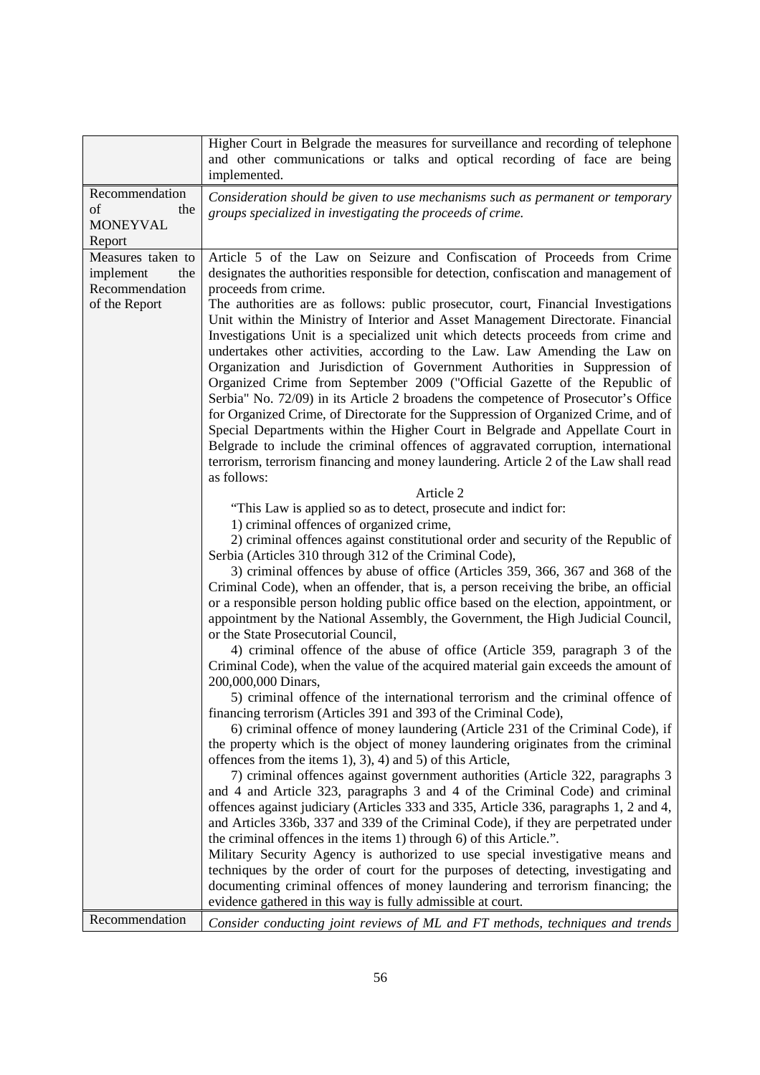|                                                                          | Higher Court in Belgrade the measures for surveillance and recording of telephone<br>and other communications or talks and optical recording of face are being<br>implemented.                                                                                                                                                                                                                                                                                                                                                                                                                                                                                                                                                                                                                                                                                                                                                                                                                                                                                                                                                                                                                                                                                                                                                                                                                                                                                                                                                                                                                                                                                                                                                                                                                                                                 |
|--------------------------------------------------------------------------|------------------------------------------------------------------------------------------------------------------------------------------------------------------------------------------------------------------------------------------------------------------------------------------------------------------------------------------------------------------------------------------------------------------------------------------------------------------------------------------------------------------------------------------------------------------------------------------------------------------------------------------------------------------------------------------------------------------------------------------------------------------------------------------------------------------------------------------------------------------------------------------------------------------------------------------------------------------------------------------------------------------------------------------------------------------------------------------------------------------------------------------------------------------------------------------------------------------------------------------------------------------------------------------------------------------------------------------------------------------------------------------------------------------------------------------------------------------------------------------------------------------------------------------------------------------------------------------------------------------------------------------------------------------------------------------------------------------------------------------------------------------------------------------------------------------------------------------------|
| Recommendation<br>of<br>the<br><b>MONEYVAL</b><br>Report                 | Consideration should be given to use mechanisms such as permanent or temporary<br>groups specialized in investigating the proceeds of crime.                                                                                                                                                                                                                                                                                                                                                                                                                                                                                                                                                                                                                                                                                                                                                                                                                                                                                                                                                                                                                                                                                                                                                                                                                                                                                                                                                                                                                                                                                                                                                                                                                                                                                                   |
| Measures taken to<br>implement<br>the<br>Recommendation<br>of the Report | Article 5 of the Law on Seizure and Confiscation of Proceeds from Crime<br>designates the authorities responsible for detection, confiscation and management of<br>proceeds from crime.<br>The authorities are as follows: public prosecutor, court, Financial Investigations<br>Unit within the Ministry of Interior and Asset Management Directorate. Financial<br>Investigations Unit is a specialized unit which detects proceeds from crime and<br>undertakes other activities, according to the Law. Law Amending the Law on<br>Organization and Jurisdiction of Government Authorities in Suppression of<br>Organized Crime from September 2009 ("Official Gazette of the Republic of<br>Serbia" No. 72/09) in its Article 2 broadens the competence of Prosecutor's Office<br>for Organized Crime, of Directorate for the Suppression of Organized Crime, and of<br>Special Departments within the Higher Court in Belgrade and Appellate Court in<br>Belgrade to include the criminal offences of aggravated corruption, international<br>terrorism, terrorism financing and money laundering. Article 2 of the Law shall read                                                                                                                                                                                                                                                                                                                                                                                                                                                                                                                                                                                                                                                                                                        |
|                                                                          | as follows:<br>Article 2                                                                                                                                                                                                                                                                                                                                                                                                                                                                                                                                                                                                                                                                                                                                                                                                                                                                                                                                                                                                                                                                                                                                                                                                                                                                                                                                                                                                                                                                                                                                                                                                                                                                                                                                                                                                                       |
|                                                                          | "This Law is applied so as to detect, prosecute and indict for:<br>1) criminal offences of organized crime,<br>2) criminal offences against constitutional order and security of the Republic of<br>Serbia (Articles 310 through 312 of the Criminal Code),<br>3) criminal offences by abuse of office (Articles 359, 366, 367 and 368 of the<br>Criminal Code), when an offender, that is, a person receiving the bribe, an official<br>or a responsible person holding public office based on the election, appointment, or<br>appointment by the National Assembly, the Government, the High Judicial Council,<br>or the State Prosecutorial Council,<br>4) criminal offence of the abuse of office (Article 359, paragraph 3 of the<br>Criminal Code), when the value of the acquired material gain exceeds the amount of<br>200,000,000 Dinars,<br>5) criminal offence of the international terrorism and the criminal offence of<br>financing terrorism (Articles 391 and 393 of the Criminal Code),<br>6) criminal offence of money laundering (Article 231 of the Criminal Code), if<br>the property which is the object of money laundering originates from the criminal<br>offences from the items 1), 3), 4) and 5) of this Article,<br>7) criminal offences against government authorities (Article 322, paragraphs 3<br>and 4 and Article 323, paragraphs 3 and 4 of the Criminal Code) and criminal<br>offences against judiciary (Articles 333 and 335, Article 336, paragraphs 1, 2 and 4,<br>and Articles 336b, 337 and 339 of the Criminal Code), if they are perpetrated under<br>the criminal offences in the items 1) through 6) of this Article.".<br>Military Security Agency is authorized to use special investigative means and<br>techniques by the order of court for the purposes of detecting, investigating and |
|                                                                          | documenting criminal offences of money laundering and terrorism financing; the<br>evidence gathered in this way is fully admissible at court.                                                                                                                                                                                                                                                                                                                                                                                                                                                                                                                                                                                                                                                                                                                                                                                                                                                                                                                                                                                                                                                                                                                                                                                                                                                                                                                                                                                                                                                                                                                                                                                                                                                                                                  |
| Recommendation                                                           | Consider conducting joint reviews of ML and FT methods, techniques and trends                                                                                                                                                                                                                                                                                                                                                                                                                                                                                                                                                                                                                                                                                                                                                                                                                                                                                                                                                                                                                                                                                                                                                                                                                                                                                                                                                                                                                                                                                                                                                                                                                                                                                                                                                                  |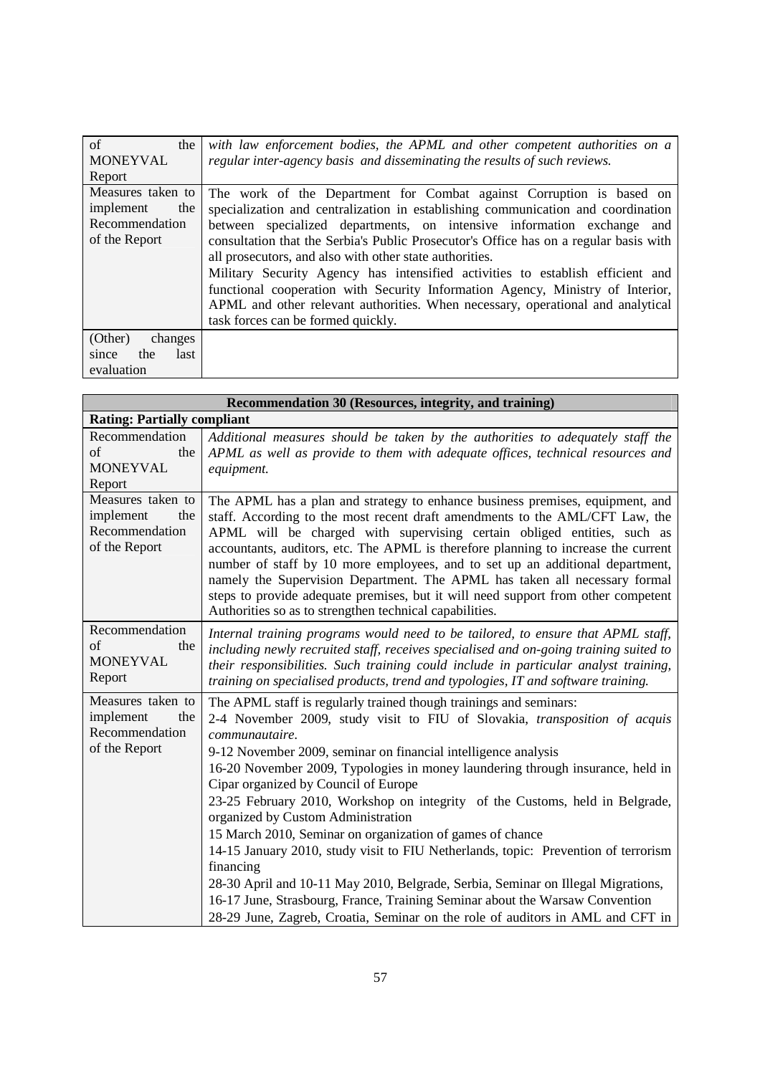| of<br>the<br><b>MONEYVAL</b><br>Report                                   | with law enforcement bodies, the APML and other competent authorities on a<br>regular inter-agency basis and disseminating the results of such reviews.                                                                                                                                                                                                                                                                                                                                                                                                                                                                                                                             |
|--------------------------------------------------------------------------|-------------------------------------------------------------------------------------------------------------------------------------------------------------------------------------------------------------------------------------------------------------------------------------------------------------------------------------------------------------------------------------------------------------------------------------------------------------------------------------------------------------------------------------------------------------------------------------------------------------------------------------------------------------------------------------|
| Measures taken to<br>implement<br>the<br>Recommendation<br>of the Report | The work of the Department for Combat against Corruption is based on<br>specialization and centralization in establishing communication and coordination<br>between specialized departments, on intensive information exchange and<br>consultation that the Serbia's Public Prosecutor's Office has on a regular basis with<br>all prosecutors, and also with other state authorities.<br>Military Security Agency has intensified activities to establish efficient and<br>functional cooperation with Security Information Agency, Ministry of Interior,<br>APML and other relevant authorities. When necessary, operational and analytical<br>task forces can be formed quickly. |
| (Other)<br>changes<br>the<br>last<br>since<br>evaluation                 |                                                                                                                                                                                                                                                                                                                                                                                                                                                                                                                                                                                                                                                                                     |

| Recommendation 30 (Resources, integrity, and training)                   |                                                                                                                                                                                                                                                                                                                                                                                                                                                                                                                                                                                                                                                                                                                                                                                                                                                                                                            |
|--------------------------------------------------------------------------|------------------------------------------------------------------------------------------------------------------------------------------------------------------------------------------------------------------------------------------------------------------------------------------------------------------------------------------------------------------------------------------------------------------------------------------------------------------------------------------------------------------------------------------------------------------------------------------------------------------------------------------------------------------------------------------------------------------------------------------------------------------------------------------------------------------------------------------------------------------------------------------------------------|
| <b>Rating: Partially compliant</b>                                       |                                                                                                                                                                                                                                                                                                                                                                                                                                                                                                                                                                                                                                                                                                                                                                                                                                                                                                            |
| Recommendation<br>of<br>the<br><b>MONEYVAL</b><br>Report                 | Additional measures should be taken by the authorities to adequately staff the<br>APML as well as provide to them with adequate offices, technical resources and<br>equipment.                                                                                                                                                                                                                                                                                                                                                                                                                                                                                                                                                                                                                                                                                                                             |
| Measures taken to<br>implement<br>the<br>Recommendation<br>of the Report | The APML has a plan and strategy to enhance business premises, equipment, and<br>staff. According to the most recent draft amendments to the AML/CFT Law, the<br>APML will be charged with supervising certain obliged entities, such as<br>accountants, auditors, etc. The APML is therefore planning to increase the current<br>number of staff by 10 more employees, and to set up an additional department,<br>namely the Supervision Department. The APML has taken all necessary formal<br>steps to provide adequate premises, but it will need support from other competent<br>Authorities so as to strengthen technical capabilities.                                                                                                                                                                                                                                                              |
| Recommendation<br>of<br>the<br><b>MONEYVAL</b><br>Report                 | Internal training programs would need to be tailored, to ensure that APML staff,<br>including newly recruited staff, receives specialised and on-going training suited to<br>their responsibilities. Such training could include in particular analyst training,<br>training on specialised products, trend and typologies, IT and software training.                                                                                                                                                                                                                                                                                                                                                                                                                                                                                                                                                      |
| Measures taken to<br>implement<br>the<br>Recommendation<br>of the Report | The APML staff is regularly trained though trainings and seminars:<br>2-4 November 2009, study visit to FIU of Slovakia, transposition of acquis<br>communautaire.<br>9-12 November 2009, seminar on financial intelligence analysis<br>16-20 November 2009, Typologies in money laundering through insurance, held in<br>Cipar organized by Council of Europe<br>23-25 February 2010, Workshop on integrity of the Customs, held in Belgrade,<br>organized by Custom Administration<br>15 March 2010, Seminar on organization of games of chance<br>14-15 January 2010, study visit to FIU Netherlands, topic: Prevention of terrorism<br>financing<br>28-30 April and 10-11 May 2010, Belgrade, Serbia, Seminar on Illegal Migrations,<br>16-17 June, Strasbourg, France, Training Seminar about the Warsaw Convention<br>28-29 June, Zagreb, Croatia, Seminar on the role of auditors in AML and CFT in |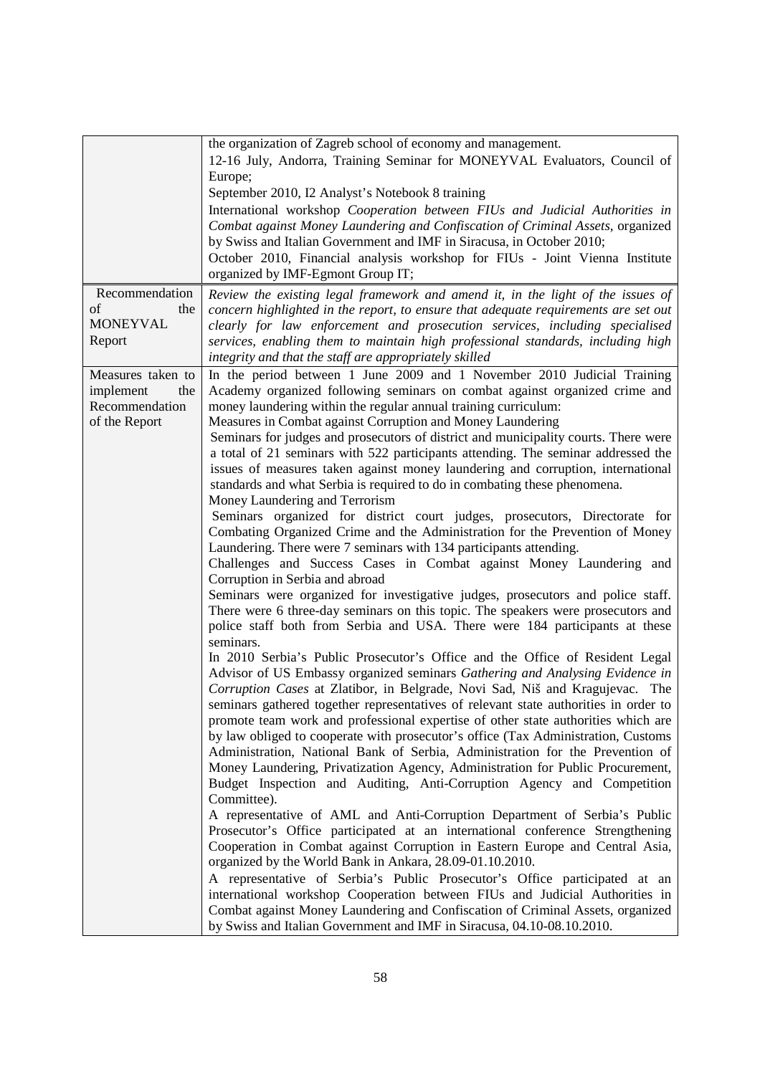|                                                                          | the organization of Zagreb school of economy and management.<br>12-16 July, Andorra, Training Seminar for MONEYVAL Evaluators, Council of<br>Europe;<br>September 2010, I2 Analyst's Notebook 8 training<br>International workshop Cooperation between FIUs and Judicial Authorities in<br>Combat against Money Laundering and Confiscation of Criminal Assets, organized<br>by Swiss and Italian Government and IMF in Siracusa, in October 2010;<br>October 2010, Financial analysis workshop for FIUs - Joint Vienna Institute<br>organized by IMF-Egmont Group IT;                                                                                                                                                                                                                                                                                                                                                                                                                                                                                                                                                                                                                                                                                                                                                                                                                                                                                                                                                                                                                                                                                                                                                                                                                                                                                                                                                                                                                                                                                                                                                                                                                                                                                                                                                                                                                                                                                                                                                                                                                                                                                                                                 |
|--------------------------------------------------------------------------|--------------------------------------------------------------------------------------------------------------------------------------------------------------------------------------------------------------------------------------------------------------------------------------------------------------------------------------------------------------------------------------------------------------------------------------------------------------------------------------------------------------------------------------------------------------------------------------------------------------------------------------------------------------------------------------------------------------------------------------------------------------------------------------------------------------------------------------------------------------------------------------------------------------------------------------------------------------------------------------------------------------------------------------------------------------------------------------------------------------------------------------------------------------------------------------------------------------------------------------------------------------------------------------------------------------------------------------------------------------------------------------------------------------------------------------------------------------------------------------------------------------------------------------------------------------------------------------------------------------------------------------------------------------------------------------------------------------------------------------------------------------------------------------------------------------------------------------------------------------------------------------------------------------------------------------------------------------------------------------------------------------------------------------------------------------------------------------------------------------------------------------------------------------------------------------------------------------------------------------------------------------------------------------------------------------------------------------------------------------------------------------------------------------------------------------------------------------------------------------------------------------------------------------------------------------------------------------------------------------------------------------------------------------------------------------------------------|
| Recommendation<br>of<br>the<br><b>MONEYVAL</b><br>Report                 | Review the existing legal framework and amend it, in the light of the issues of<br>concern highlighted in the report, to ensure that adequate requirements are set out<br>clearly for law enforcement and prosecution services, including specialised<br>services, enabling them to maintain high professional standards, including high<br>integrity and that the staff are appropriately skilled                                                                                                                                                                                                                                                                                                                                                                                                                                                                                                                                                                                                                                                                                                                                                                                                                                                                                                                                                                                                                                                                                                                                                                                                                                                                                                                                                                                                                                                                                                                                                                                                                                                                                                                                                                                                                                                                                                                                                                                                                                                                                                                                                                                                                                                                                                     |
| Measures taken to<br>implement<br>the<br>Recommendation<br>of the Report | In the period between 1 June 2009 and 1 November 2010 Judicial Training<br>Academy organized following seminars on combat against organized crime and<br>money laundering within the regular annual training curriculum:<br>Measures in Combat against Corruption and Money Laundering<br>Seminars for judges and prosecutors of district and municipality courts. There were<br>a total of 21 seminars with 522 participants attending. The seminar addressed the<br>issues of measures taken against money laundering and corruption, international<br>standards and what Serbia is required to do in combating these phenomena.<br>Money Laundering and Terrorism<br>Seminars organized for district court judges, prosecutors, Directorate for<br>Combating Organized Crime and the Administration for the Prevention of Money<br>Laundering. There were 7 seminars with 134 participants attending.<br>Challenges and Success Cases in Combat against Money Laundering and<br>Corruption in Serbia and abroad<br>Seminars were organized for investigative judges, prosecutors and police staff.<br>There were 6 three-day seminars on this topic. The speakers were prosecutors and<br>police staff both from Serbia and USA. There were 184 participants at these<br>seminars.<br>In 2010 Serbia's Public Prosecutor's Office and the Office of Resident Legal<br>Advisor of US Embassy organized seminars Gathering and Analysing Evidence in<br>Corruption Cases at Zlatibor, in Belgrade, Novi Sad, Niš and Kragujevac. The<br>seminars gathered together representatives of relevant state authorities in order to<br>promote team work and professional expertise of other state authorities which are<br>by law obliged to cooperate with prosecutor's office (Tax Administration, Customs<br>Administration, National Bank of Serbia, Administration for the Prevention of<br>Money Laundering, Privatization Agency, Administration for Public Procurement,<br>Budget Inspection and Auditing, Anti-Corruption Agency and Competition<br>Committee).<br>A representative of AML and Anti-Corruption Department of Serbia's Public<br>Prosecutor's Office participated at an international conference Strengthening<br>Cooperation in Combat against Corruption in Eastern Europe and Central Asia,<br>organized by the World Bank in Ankara, 28.09-01.10.2010.<br>A representative of Serbia's Public Prosecutor's Office participated at an<br>international workshop Cooperation between FIUs and Judicial Authorities in<br>Combat against Money Laundering and Confiscation of Criminal Assets, organized<br>by Swiss and Italian Government and IMF in Siracusa, 04.10-08.10.2010. |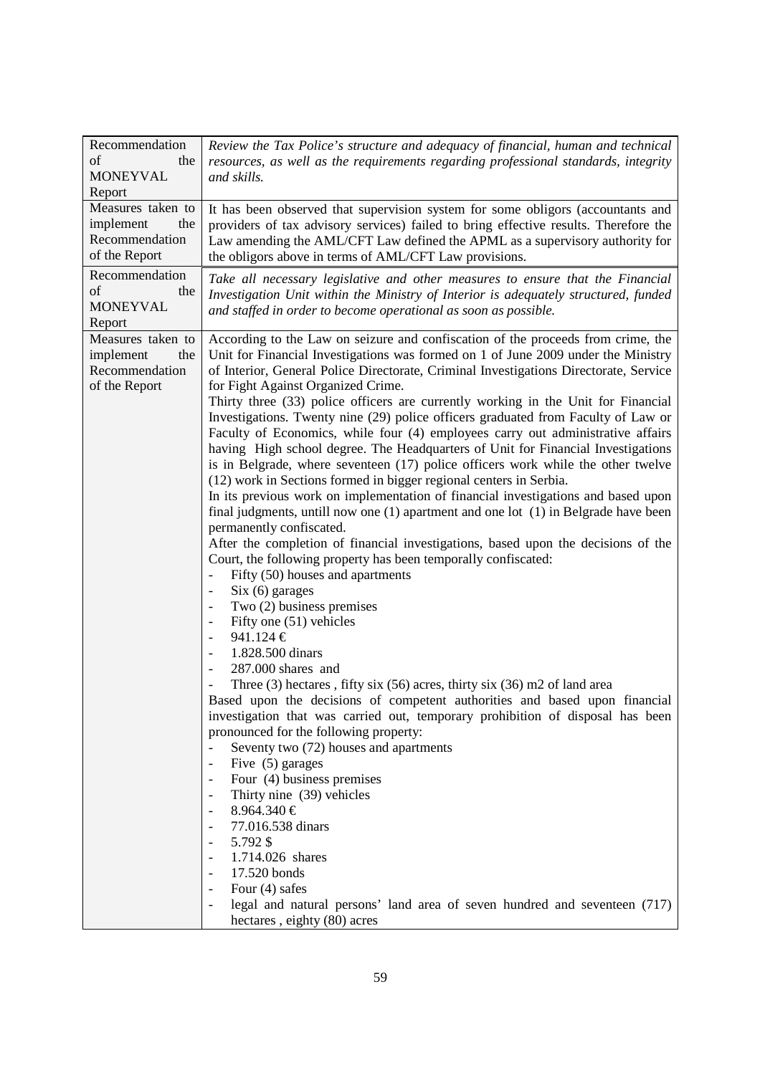| Recommendation<br>of<br>the<br><b>MONEYVAL</b><br>Report                 | Review the Tax Police's structure and adequacy of financial, human and technical<br>resources, as well as the requirements regarding professional standards, integrity<br>and skills.                                                                                                                                                                                                                                                                                                                                                                                                                                                                                                                                                                                                                                                                                                                                                                                                                                                                                                                                                                                                                                                                                                                                                                                                                                                                                                                                                                                                                                                                                                                                                                                                                                                                                                                                                                                                                                                                                                            |
|--------------------------------------------------------------------------|--------------------------------------------------------------------------------------------------------------------------------------------------------------------------------------------------------------------------------------------------------------------------------------------------------------------------------------------------------------------------------------------------------------------------------------------------------------------------------------------------------------------------------------------------------------------------------------------------------------------------------------------------------------------------------------------------------------------------------------------------------------------------------------------------------------------------------------------------------------------------------------------------------------------------------------------------------------------------------------------------------------------------------------------------------------------------------------------------------------------------------------------------------------------------------------------------------------------------------------------------------------------------------------------------------------------------------------------------------------------------------------------------------------------------------------------------------------------------------------------------------------------------------------------------------------------------------------------------------------------------------------------------------------------------------------------------------------------------------------------------------------------------------------------------------------------------------------------------------------------------------------------------------------------------------------------------------------------------------------------------------------------------------------------------------------------------------------------------|
| Measures taken to<br>implement<br>the<br>Recommendation<br>of the Report | It has been observed that supervision system for some obligors (accountants and<br>providers of tax advisory services) failed to bring effective results. Therefore the<br>Law amending the AML/CFT Law defined the APML as a supervisory authority for<br>the obligors above in terms of AML/CFT Law provisions.                                                                                                                                                                                                                                                                                                                                                                                                                                                                                                                                                                                                                                                                                                                                                                                                                                                                                                                                                                                                                                                                                                                                                                                                                                                                                                                                                                                                                                                                                                                                                                                                                                                                                                                                                                                |
| Recommendation<br>of<br>the<br><b>MONEYVAL</b><br>Report                 | Take all necessary legislative and other measures to ensure that the Financial<br>Investigation Unit within the Ministry of Interior is adequately structured, funded<br>and staffed in order to become operational as soon as possible.                                                                                                                                                                                                                                                                                                                                                                                                                                                                                                                                                                                                                                                                                                                                                                                                                                                                                                                                                                                                                                                                                                                                                                                                                                                                                                                                                                                                                                                                                                                                                                                                                                                                                                                                                                                                                                                         |
| Measures taken to<br>implement<br>the<br>Recommendation<br>of the Report | According to the Law on seizure and confiscation of the proceeds from crime, the<br>Unit for Financial Investigations was formed on 1 of June 2009 under the Ministry<br>of Interior, General Police Directorate, Criminal Investigations Directorate, Service<br>for Fight Against Organized Crime.<br>Thirty three (33) police officers are currently working in the Unit for Financial<br>Investigations. Twenty nine (29) police officers graduated from Faculty of Law or<br>Faculty of Economics, while four (4) employees carry out administrative affairs<br>having High school degree. The Headquarters of Unit for Financial Investigations<br>is in Belgrade, where seventeen (17) police officers work while the other twelve<br>(12) work in Sections formed in bigger regional centers in Serbia.<br>In its previous work on implementation of financial investigations and based upon<br>final judgments, untill now one $(1)$ apartment and one lot $(1)$ in Belgrade have been<br>permanently confiscated.<br>After the completion of financial investigations, based upon the decisions of the<br>Court, the following property has been temporally confiscated:<br>Fifty (50) houses and apartments<br>$\overline{\phantom{0}}$<br>$Six (6)$ garages<br>$\overline{\phantom{a}}$<br>Two $(2)$ business premises<br>Fifty one (51) vehicles<br>941.124 €<br>1.828.500 dinars<br>287.000 shares and<br>Three $(3)$ hectares, fifty six $(56)$ acres, thirty six $(36)$ m2 of land area<br>Based upon the decisions of competent authorities and based upon financial<br>investigation that was carried out, temporary prohibition of disposal has been<br>pronounced for the following property:<br>Seventy two (72) houses and apartments<br>Five $(5)$ garages<br>$\overline{\phantom{m}}$<br>Four (4) business premises<br>Thirty nine (39) vehicles<br>$8.964.340 \in$<br>77.016.538 dinars<br>5.792 \$<br>1.714.026 shares<br>17.520 bonds<br>Four $(4)$ safes<br>legal and natural persons' land area of seven hundred and seventeen (717)<br>hectares, eighty (80) acres |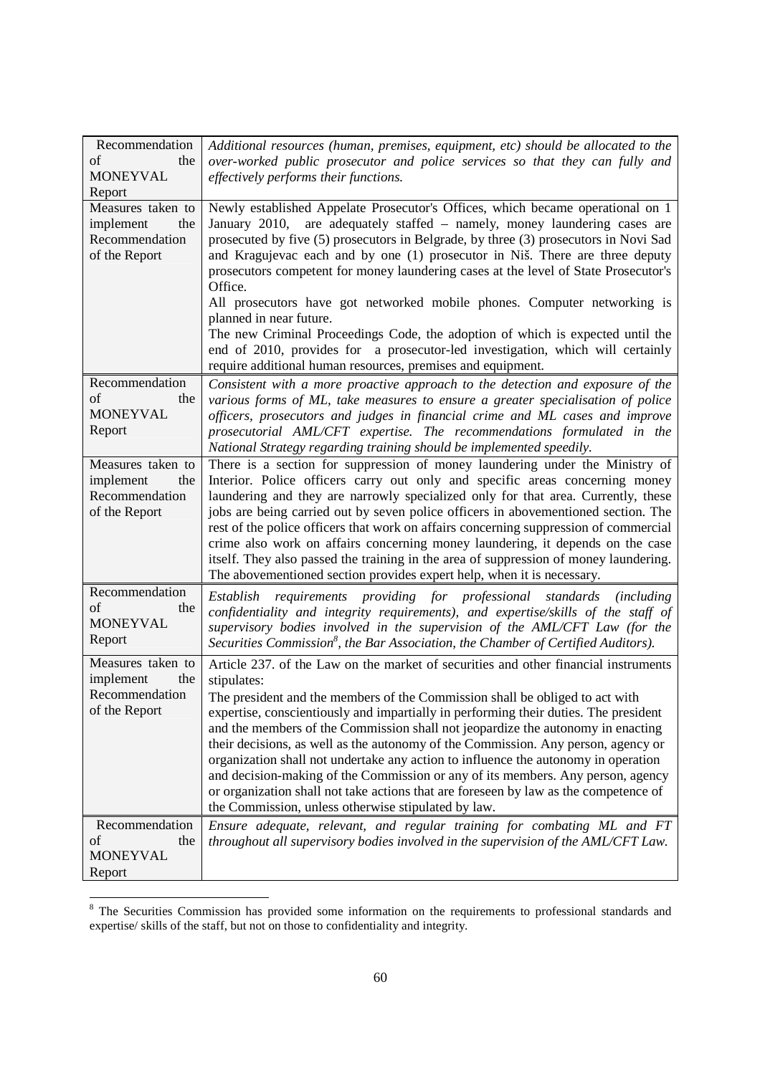| Recommendation                     | Additional resources (human, premises, equipment, etc) should be allocated to the                                                                            |
|------------------------------------|--------------------------------------------------------------------------------------------------------------------------------------------------------------|
| of<br>the                          | over-worked public prosecutor and police services so that they can fully and                                                                                 |
| <b>MONEYVAL</b>                    | effectively performs their functions.                                                                                                                        |
| Report                             |                                                                                                                                                              |
| Measures taken to                  | Newly established Appelate Prosecutor's Offices, which became operational on 1                                                                               |
| the<br>implement                   | are adequately staffed – namely, money laundering cases are<br>January 2010,                                                                                 |
| Recommendation                     | prosecuted by five (5) prosecutors in Belgrade, by three (3) prosecutors in Novi Sad                                                                         |
| of the Report                      | and Kragujevac each and by one (1) prosecutor in Niš. There are three deputy                                                                                 |
|                                    | prosecutors competent for money laundering cases at the level of State Prosecutor's<br>Office.                                                               |
|                                    | All prosecutors have got networked mobile phones. Computer networking is                                                                                     |
|                                    | planned in near future.                                                                                                                                      |
|                                    | The new Criminal Proceedings Code, the adoption of which is expected until the                                                                               |
|                                    | end of 2010, provides for a prosecutor-led investigation, which will certainly                                                                               |
|                                    | require additional human resources, premises and equipment.                                                                                                  |
| Recommendation                     | Consistent with a more proactive approach to the detection and exposure of the                                                                               |
| of<br>the                          | various forms of ML, take measures to ensure a greater specialisation of police                                                                              |
| <b>MONEYVAL</b>                    | officers, prosecutors and judges in financial crime and ML cases and improve                                                                                 |
| Report                             | prosecutorial AML/CFT expertise. The recommendations formulated in the                                                                                       |
|                                    | National Strategy regarding training should be implemented speedily.                                                                                         |
| Measures taken to                  | There is a section for suppression of money laundering under the Ministry of<br>Interior. Police officers carry out only and specific areas concerning money |
| implement<br>the<br>Recommendation | laundering and they are narrowly specialized only for that area. Currently, these                                                                            |
| of the Report                      | jobs are being carried out by seven police officers in abovementioned section. The                                                                           |
|                                    | rest of the police officers that work on affairs concerning suppression of commercial                                                                        |
|                                    | crime also work on affairs concerning money laundering, it depends on the case                                                                               |
|                                    | itself. They also passed the training in the area of suppression of money laundering.                                                                        |
|                                    | The abovementioned section provides expert help, when it is necessary.                                                                                       |
| Recommendation                     | requirements providing for professional standards (including<br>Establish                                                                                    |
| of<br>the                          | confidentiality and integrity requirements), and expertise/skills of the staff of                                                                            |
| <b>MONEYVAL</b>                    | supervisory bodies involved in the supervision of the AML/CFT Law (for the                                                                                   |
| Report                             | Securities Commission <sup>8</sup> , the Bar Association, the Chamber of Certified Auditors).                                                                |
| Measures taken to                  | Article 237. of the Law on the market of securities and other financial instruments                                                                          |
| implement<br>the                   | stipulates:                                                                                                                                                  |
| Recommendation                     | The president and the members of the Commission shall be obliged to act with                                                                                 |
| of the Report                      | expertise, conscientiously and impartially in performing their duties. The president                                                                         |
|                                    | and the members of the Commission shall not jeopardize the autonomy in enacting                                                                              |
|                                    | their decisions, as well as the autonomy of the Commission. Any person, agency or                                                                            |
|                                    | organization shall not undertake any action to influence the autonomy in operation                                                                           |
|                                    | and decision-making of the Commission or any of its members. Any person, agency                                                                              |
|                                    | or organization shall not take actions that are foreseen by law as the competence of                                                                         |
|                                    | the Commission, unless otherwise stipulated by law.                                                                                                          |
| Recommendation                     | Ensure adequate, relevant, and regular training for combating ML and FT                                                                                      |
| οf<br>the                          | throughout all supervisory bodies involved in the supervision of the AML/CFT Law.                                                                            |
| <b>MONEYVAL</b>                    |                                                                                                                                                              |
| Report                             |                                                                                                                                                              |

<sup>&</sup>lt;sup>8</sup> The Securities Commission has provided some information on the requirements to professional standards and expertise/ skills of the staff, but not on those to confidentiality and integrity.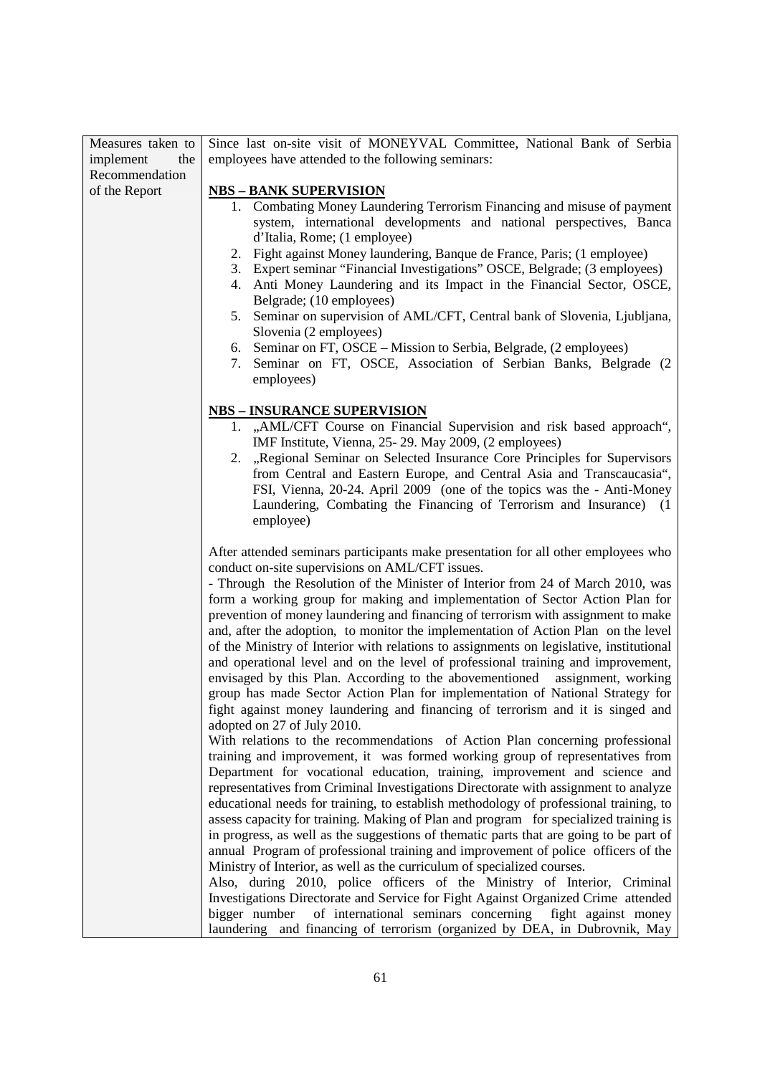| Measures taken to | Since last on-site visit of MONEYVAL Committee, National Bank of Serbia                                                                                 |
|-------------------|---------------------------------------------------------------------------------------------------------------------------------------------------------|
| implement<br>the  | employees have attended to the following seminars:                                                                                                      |
| Recommendation    |                                                                                                                                                         |
| of the Report     | <b>NBS - BANK SUPERVISION</b>                                                                                                                           |
|                   | 1. Combating Money Laundering Terrorism Financing and misuse of payment                                                                                 |
|                   | system, international developments and national perspectives, Banca                                                                                     |
|                   | d'Italia, Rome; (1 employee)                                                                                                                            |
|                   | 2. Fight against Money laundering, Banque de France, Paris; (1 employee)                                                                                |
|                   | 3. Expert seminar "Financial Investigations" OSCE, Belgrade; (3 employees)                                                                              |
|                   | 4. Anti Money Laundering and its Impact in the Financial Sector, OSCE,                                                                                  |
|                   | Belgrade; (10 employees)                                                                                                                                |
|                   | 5. Seminar on supervision of AML/CFT, Central bank of Slovenia, Ljubljana,                                                                              |
|                   | Slovenia (2 employees)                                                                                                                                  |
|                   | Seminar on FT, OSCE – Mission to Serbia, Belgrade, (2 employees)<br>6.                                                                                  |
|                   | 7. Seminar on FT, OSCE, Association of Serbian Banks, Belgrade (2                                                                                       |
|                   | employees)                                                                                                                                              |
|                   |                                                                                                                                                         |
|                   | <b>NBS – INSURANCE SUPERVISION</b>                                                                                                                      |
|                   | 1. "AML/CFT Course on Financial Supervision and risk based approach",                                                                                   |
|                   | IMF Institute, Vienna, 25-29. May 2009, (2 employees)                                                                                                   |
|                   | 2. "Regional Seminar on Selected Insurance Core Principles for Supervisors                                                                              |
|                   | from Central and Eastern Europe, and Central Asia and Transcaucasia",                                                                                   |
|                   | FSI, Vienna, 20-24. April 2009 (one of the topics was the - Anti-Money                                                                                  |
|                   | Laundering, Combating the Financing of Terrorism and Insurance) (1                                                                                      |
|                   | employee)                                                                                                                                               |
|                   | After attended seminars participants make presentation for all other employees who                                                                      |
|                   | conduct on-site supervisions on AML/CFT issues.                                                                                                         |
|                   | - Through the Resolution of the Minister of Interior from 24 of March 2010, was                                                                         |
|                   | form a working group for making and implementation of Sector Action Plan for                                                                            |
|                   | prevention of money laundering and financing of terrorism with assignment to make                                                                       |
|                   |                                                                                                                                                         |
|                   |                                                                                                                                                         |
|                   | and, after the adoption, to monitor the implementation of Action Plan on the level                                                                      |
|                   | of the Ministry of Interior with relations to assignments on legislative, institutional                                                                 |
|                   | and operational level and on the level of professional training and improvement,                                                                        |
|                   | envisaged by this Plan. According to the abovementioned assignment, working                                                                             |
|                   | group has made Sector Action Plan for implementation of National Strategy for                                                                           |
|                   | fight against money laundering and financing of terrorism and it is singed and<br>adopted on 27 of July 2010.                                           |
|                   | With relations to the recommendations of Action Plan concerning professional                                                                            |
|                   | training and improvement, it was formed working group of representatives from                                                                           |
|                   | Department for vocational education, training, improvement and science and                                                                              |
|                   | representatives from Criminal Investigations Directorate with assignment to analyze                                                                     |
|                   | educational needs for training, to establish methodology of professional training, to                                                                   |
|                   | assess capacity for training. Making of Plan and program for specialized training is                                                                    |
|                   | in progress, as well as the suggestions of thematic parts that are going to be part of                                                                  |
|                   | annual Program of professional training and improvement of police officers of the                                                                       |
|                   | Ministry of Interior, as well as the curriculum of specialized courses.                                                                                 |
|                   | Also, during 2010, police officers of the Ministry of Interior, Criminal                                                                                |
|                   | Investigations Directorate and Service for Fight Against Organized Crime attended                                                                       |
|                   | of international seminars concerning fight against money<br>bigger number<br>laundering and financing of terrorism (organized by DEA, in Dubrovnik, May |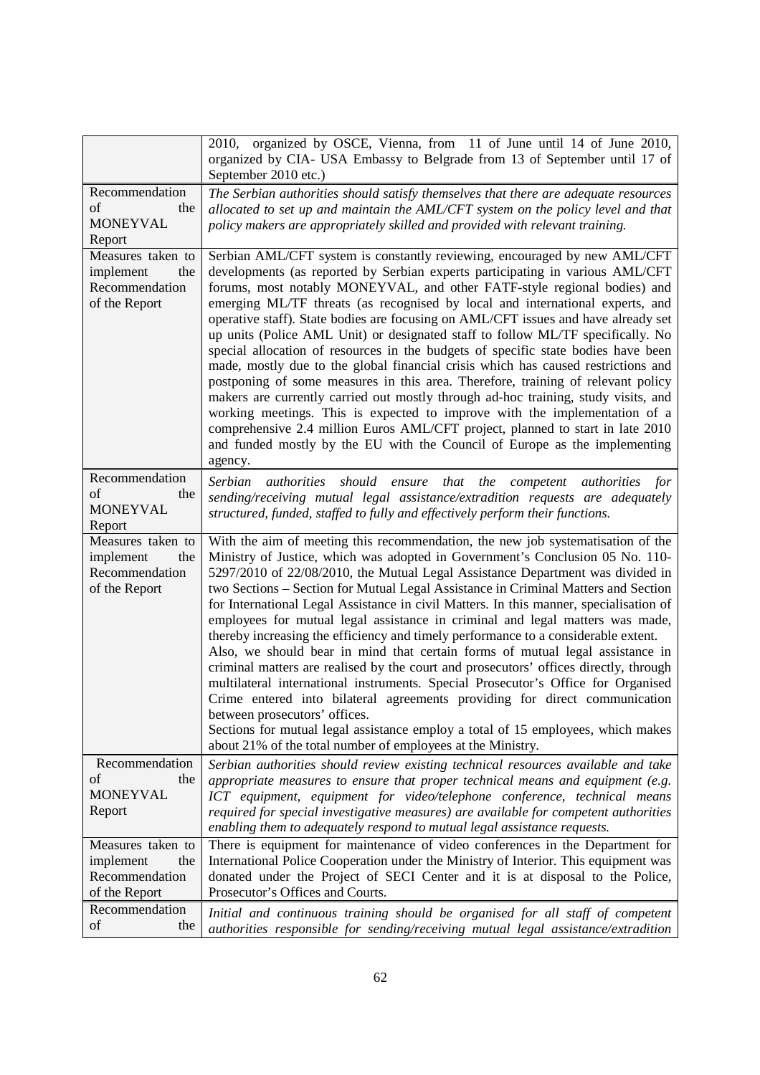|                                                                          | 2010, organized by OSCE, Vienna, from 11 of June until 14 of June 2010,<br>organized by CIA- USA Embassy to Belgrade from 13 of September until 17 of<br>September 2010 etc.)                                                                                                                                                                                                                                                                                                                                                                                                                                                                                                                                                                                                                                                                                                                                                                                                                                                                                                                                                              |
|--------------------------------------------------------------------------|--------------------------------------------------------------------------------------------------------------------------------------------------------------------------------------------------------------------------------------------------------------------------------------------------------------------------------------------------------------------------------------------------------------------------------------------------------------------------------------------------------------------------------------------------------------------------------------------------------------------------------------------------------------------------------------------------------------------------------------------------------------------------------------------------------------------------------------------------------------------------------------------------------------------------------------------------------------------------------------------------------------------------------------------------------------------------------------------------------------------------------------------|
| Recommendation<br>of<br>the<br><b>MONEYVAL</b><br>Report                 | The Serbian authorities should satisfy themselves that there are adequate resources<br>allocated to set up and maintain the AML/CFT system on the policy level and that<br>policy makers are appropriately skilled and provided with relevant training.                                                                                                                                                                                                                                                                                                                                                                                                                                                                                                                                                                                                                                                                                                                                                                                                                                                                                    |
| Measures taken to<br>implement<br>the<br>Recommendation<br>of the Report | Serbian AML/CFT system is constantly reviewing, encouraged by new AML/CFT<br>developments (as reported by Serbian experts participating in various AML/CFT<br>forums, most notably MONEYVAL, and other FATF-style regional bodies) and<br>emerging ML/TF threats (as recognised by local and international experts, and<br>operative staff). State bodies are focusing on AML/CFT issues and have already set<br>up units (Police AML Unit) or designated staff to follow ML/TF specifically. No<br>special allocation of resources in the budgets of specific state bodies have been<br>made, mostly due to the global financial crisis which has caused restrictions and<br>postponing of some measures in this area. Therefore, training of relevant policy<br>makers are currently carried out mostly through ad-hoc training, study visits, and<br>working meetings. This is expected to improve with the implementation of a<br>comprehensive 2.4 million Euros AML/CFT project, planned to start in late 2010<br>and funded mostly by the EU with the Council of Europe as the implementing<br>agency.                              |
| Recommendation<br>of<br>the<br><b>MONEYVAL</b><br>Report                 | <b>Serbian</b><br><i>authorities</i><br>that the competent<br>should<br>ensure<br><i>authorities for</i><br>sending/receiving mutual legal assistance/extradition requests are adequately<br>structured, funded, staffed to fully and effectively perform their functions.                                                                                                                                                                                                                                                                                                                                                                                                                                                                                                                                                                                                                                                                                                                                                                                                                                                                 |
| Measures taken to<br>implement<br>the<br>Recommendation<br>of the Report | With the aim of meeting this recommendation, the new job systematisation of the<br>Ministry of Justice, which was adopted in Government's Conclusion 05 No. 110-<br>5297/2010 of 22/08/2010, the Mutual Legal Assistance Department was divided in<br>two Sections – Section for Mutual Legal Assistance in Criminal Matters and Section<br>for International Legal Assistance in civil Matters. In this manner, specialisation of<br>employees for mutual legal assistance in criminal and legal matters was made,<br>thereby increasing the efficiency and timely performance to a considerable extent.<br>Also, we should bear in mind that certain forms of mutual legal assistance in<br>criminal matters are realised by the court and prosecutors' offices directly, through<br>multilateral international instruments. Special Prosecutor's Office for Organised<br>Crime entered into bilateral agreements providing for direct communication<br>between prosecutors' offices.<br>Sections for mutual legal assistance employ a total of 15 employees, which makes<br>about 21% of the total number of employees at the Ministry. |
| Recommendation<br>οf<br>the<br><b>MONEYVAL</b><br>Report                 | Serbian authorities should review existing technical resources available and take<br>appropriate measures to ensure that proper technical means and equipment (e.g.<br>ICT equipment, equipment for video/telephone conference, technical means<br>required for special investigative measures) are available for competent authorities<br>enabling them to adequately respond to mutual legal assistance requests.                                                                                                                                                                                                                                                                                                                                                                                                                                                                                                                                                                                                                                                                                                                        |
| Measures taken to<br>the<br>implement<br>Recommendation<br>of the Report | There is equipment for maintenance of video conferences in the Department for<br>International Police Cooperation under the Ministry of Interior. This equipment was<br>donated under the Project of SECI Center and it is at disposal to the Police,<br>Prosecutor's Offices and Courts.                                                                                                                                                                                                                                                                                                                                                                                                                                                                                                                                                                                                                                                                                                                                                                                                                                                  |
| Recommendation<br>of<br>the                                              | Initial and continuous training should be organised for all staff of competent<br>authorities responsible for sending/receiving mutual legal assistance/extradition                                                                                                                                                                                                                                                                                                                                                                                                                                                                                                                                                                                                                                                                                                                                                                                                                                                                                                                                                                        |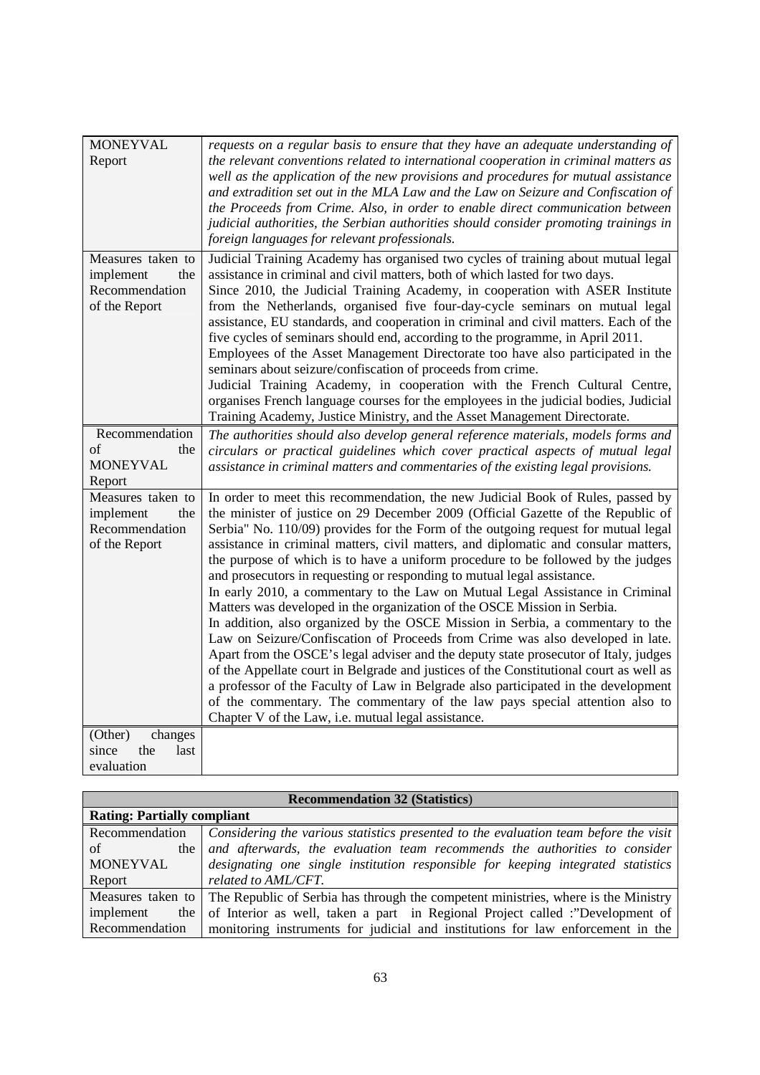| <b>MONEYVAL</b>                   | requests on a regular basis to ensure that they have an adequate understanding of      |
|-----------------------------------|----------------------------------------------------------------------------------------|
| Report                            | the relevant conventions related to international cooperation in criminal matters as   |
|                                   | well as the application of the new provisions and procedures for mutual assistance     |
|                                   | and extradition set out in the MLA Law and the Law on Seizure and Confiscation of      |
|                                   | the Proceeds from Crime. Also, in order to enable direct communication between         |
|                                   | judicial authorities, the Serbian authorities should consider promoting trainings in   |
|                                   | foreign languages for relevant professionals.                                          |
| Measures taken to                 | Judicial Training Academy has organised two cycles of training about mutual legal      |
| implement<br>the                  | assistance in criminal and civil matters, both of which lasted for two days.           |
| Recommendation                    | Since 2010, the Judicial Training Academy, in cooperation with ASER Institute          |
| of the Report                     | from the Netherlands, organised five four-day-cycle seminars on mutual legal           |
|                                   | assistance, EU standards, and cooperation in criminal and civil matters. Each of the   |
|                                   | five cycles of seminars should end, according to the programme, in April 2011.         |
|                                   | Employees of the Asset Management Directorate too have also participated in the        |
|                                   | seminars about seizure/confiscation of proceeds from crime.                            |
|                                   | Judicial Training Academy, in cooperation with the French Cultural Centre,             |
|                                   | organises French language courses for the employees in the judicial bodies, Judicial   |
|                                   | Training Academy, Justice Ministry, and the Asset Management Directorate.              |
| Recommendation                    | The authorities should also develop general reference materials, models forms and      |
| of<br>the                         | circulars or practical guidelines which cover practical aspects of mutual legal        |
| <b>MONEYVAL</b>                   | assistance in criminal matters and commentaries of the existing legal provisions.      |
| Report                            |                                                                                        |
| Measures taken to                 | In order to meet this recommendation, the new Judicial Book of Rules, passed by        |
| implement<br>the                  | the minister of justice on 29 December 2009 (Official Gazette of the Republic of       |
| Recommendation                    | Serbia" No. 110/09) provides for the Form of the outgoing request for mutual legal     |
| of the Report                     | assistance in criminal matters, civil matters, and diplomatic and consular matters,    |
|                                   | the purpose of which is to have a uniform procedure to be followed by the judges       |
|                                   | and prosecutors in requesting or responding to mutual legal assistance.                |
|                                   | In early 2010, a commentary to the Law on Mutual Legal Assistance in Criminal          |
|                                   | Matters was developed in the organization of the OSCE Mission in Serbia.               |
|                                   | In addition, also organized by the OSCE Mission in Serbia, a commentary to the         |
|                                   | Law on Seizure/Confiscation of Proceeds from Crime was also developed in late.         |
|                                   | Apart from the OSCE's legal adviser and the deputy state prosecutor of Italy, judges   |
|                                   | of the Appellate court in Belgrade and justices of the Constitutional court as well as |
|                                   | a professor of the Faculty of Law in Belgrade also participated in the development     |
|                                   | of the commentary. The commentary of the law pays special attention also to            |
|                                   | Chapter V of the Law, i.e. mutual legal assistance.                                    |
| (Other)<br>changes<br>the<br>last |                                                                                        |
| since                             |                                                                                        |
| evaluation                        |                                                                                        |

| <b>Recommendation 32 (Statistics)</b> |                                                                                      |
|---------------------------------------|--------------------------------------------------------------------------------------|
| <b>Rating: Partially compliant</b>    |                                                                                      |
| Recommendation                        | Considering the various statistics presented to the evaluation team before the visit |
| of<br>the 1                           | and afterwards, the evaluation team recommends the authorities to consider           |
| <b>MONEYVAL</b>                       | designating one single institution responsible for keeping integrated statistics     |
| Report                                | related to AML/CFT.                                                                  |
| Measures taken to                     | The Republic of Serbia has through the competent ministries, where is the Ministry   |
| implement<br>the                      | of Interior as well, taken a part in Regional Project called :"Development of        |
| Recommendation                        | monitoring instruments for judicial and institutions for law enforcement in the      |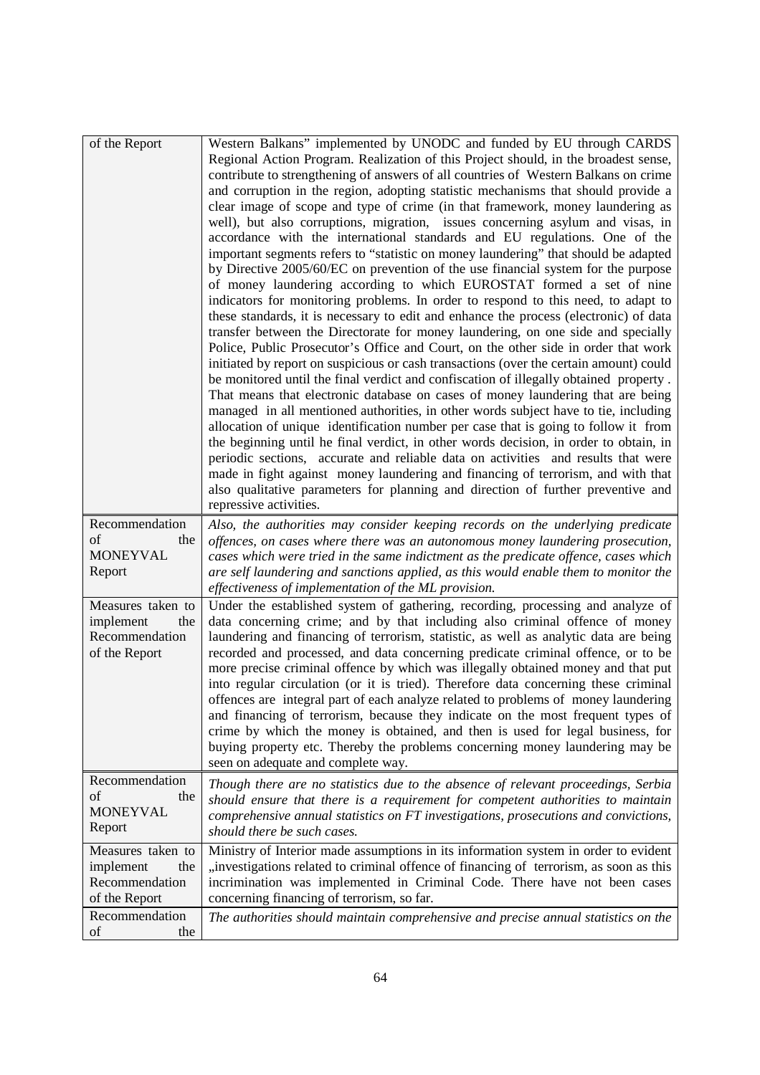| of the Report                | Western Balkans" implemented by UNODC and funded by EU through CARDS                                                                                                       |
|------------------------------|----------------------------------------------------------------------------------------------------------------------------------------------------------------------------|
|                              | Regional Action Program. Realization of this Project should, in the broadest sense,                                                                                        |
|                              | contribute to strengthening of answers of all countries of Western Balkans on crime                                                                                        |
|                              | and corruption in the region, adopting statistic mechanisms that should provide a                                                                                          |
|                              | clear image of scope and type of crime (in that framework, money laundering as                                                                                             |
|                              | well), but also corruptions, migration, issues concerning asylum and visas, in                                                                                             |
|                              | accordance with the international standards and EU regulations. One of the                                                                                                 |
|                              | important segments refers to "statistic on money laundering" that should be adapted                                                                                        |
|                              | by Directive 2005/60/EC on prevention of the use financial system for the purpose                                                                                          |
|                              | of money laundering according to which EUROSTAT formed a set of nine                                                                                                       |
|                              | indicators for monitoring problems. In order to respond to this need, to adapt to                                                                                          |
|                              | these standards, it is necessary to edit and enhance the process (electronic) of data                                                                                      |
|                              | transfer between the Directorate for money laundering, on one side and specially                                                                                           |
|                              | Police, Public Prosecutor's Office and Court, on the other side in order that work                                                                                         |
|                              | initiated by report on suspicious or cash transactions (over the certain amount) could                                                                                     |
|                              | be monitored until the final verdict and confiscation of illegally obtained property.                                                                                      |
|                              | That means that electronic database on cases of money laundering that are being                                                                                            |
|                              | managed in all mentioned authorities, in other words subject have to tie, including<br>allocation of unique identification number per case that is going to follow it from |
|                              | the beginning until he final verdict, in other words decision, in order to obtain, in                                                                                      |
|                              | periodic sections, accurate and reliable data on activities and results that were                                                                                          |
|                              | made in fight against money laundering and financing of terrorism, and with that                                                                                           |
|                              | also qualitative parameters for planning and direction of further preventive and                                                                                           |
|                              | repressive activities.                                                                                                                                                     |
| Recommendation               | Also, the authorities may consider keeping records on the underlying predicate                                                                                             |
| of<br>the                    | offences, on cases where there was an autonomous money laundering prosecution,                                                                                             |
| <b>MONEYVAL</b>              | cases which were tried in the same indictment as the predicate offence, cases which                                                                                        |
| Report                       | are self laundering and sanctions applied, as this would enable them to monitor the                                                                                        |
|                              | effectiveness of implementation of the ML provision.                                                                                                                       |
| Measures taken to            | Under the established system of gathering, recording, processing and analyze of                                                                                            |
| implement<br>the             | data concerning crime; and by that including also criminal offence of money                                                                                                |
| Recommendation               | laundering and financing of terrorism, statistic, as well as analytic data are being                                                                                       |
| of the Report                | recorded and processed, and data concerning predicate criminal offence, or to be                                                                                           |
|                              | more precise criminal offence by which was illegally obtained money and that put                                                                                           |
|                              | into regular circulation (or it is tried). Therefore data concerning these criminal                                                                                        |
|                              | offences are integral part of each analyze related to problems of money laundering                                                                                         |
|                              | and financing of terrorism, because they indicate on the most frequent types of                                                                                            |
|                              | crime by which the money is obtained, and then is used for legal business, for                                                                                             |
|                              | buying property etc. Thereby the problems concerning money laundering may be                                                                                               |
|                              | seen on adequate and complete way.                                                                                                                                         |
| Recommendation               | Though there are no statistics due to the absence of relevant proceedings, Serbia                                                                                          |
| of<br>the<br><b>MONEYVAL</b> | should ensure that there is a requirement for competent authorities to maintain                                                                                            |
|                              | comprehensive annual statistics on FT investigations, prosecutions and convictions,                                                                                        |
| Report                       | should there be such cases.                                                                                                                                                |
| Measures taken to            | Ministry of Interior made assumptions in its information system in order to evident                                                                                        |
| implement<br>the             | "investigations related to criminal offence of financing of terrorism, as soon as this                                                                                     |
| Recommendation               | incrimination was implemented in Criminal Code. There have not been cases                                                                                                  |
| of the Report                | concerning financing of terrorism, so far.                                                                                                                                 |
| Recommendation               | The authorities should maintain comprehensive and precise annual statistics on the                                                                                         |
| of<br>the                    |                                                                                                                                                                            |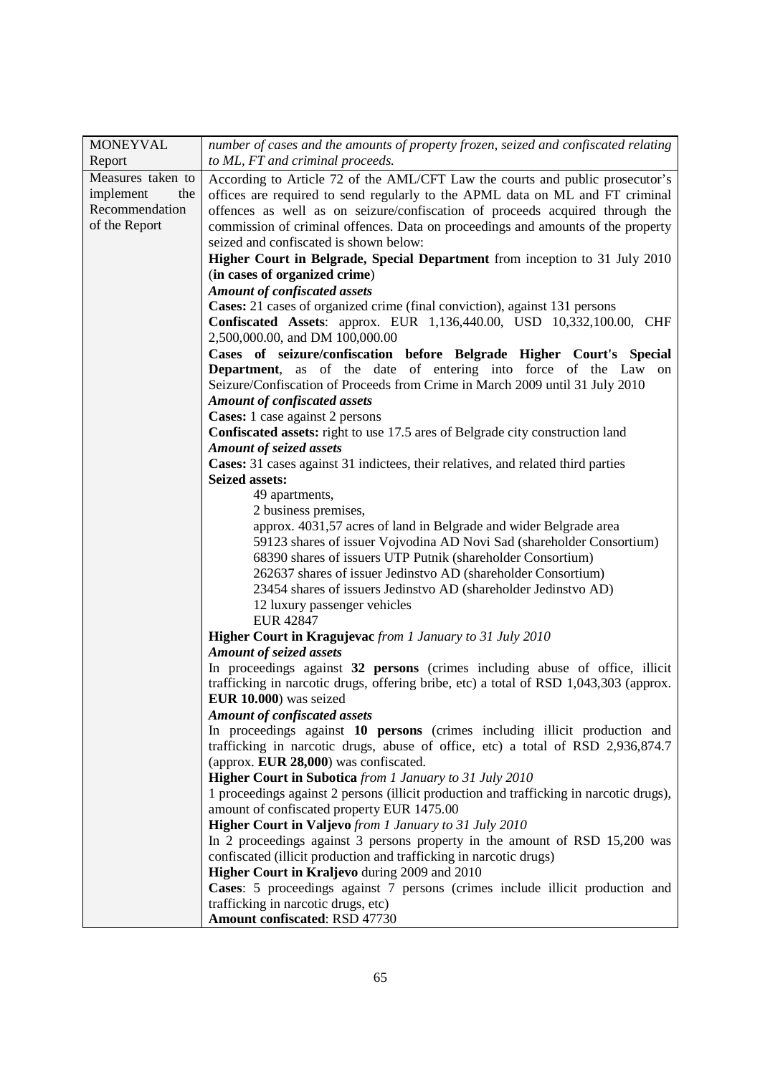| <b>MONEYVAL</b>   | number of cases and the amounts of property frozen, seized and confiscated relating                     |
|-------------------|---------------------------------------------------------------------------------------------------------|
| Report            | to ML, FT and criminal proceeds.                                                                        |
| Measures taken to | According to Article 72 of the AML/CFT Law the courts and public prosecutor's                           |
| implement<br>the  | offices are required to send regularly to the APML data on ML and FT criminal                           |
| Recommendation    | offences as well as on seizure/confiscation of proceeds acquired through the                            |
| of the Report     | commission of criminal offences. Data on proceedings and amounts of the property                        |
|                   | seized and confiscated is shown below:                                                                  |
|                   | Higher Court in Belgrade, Special Department from inception to 31 July 2010                             |
|                   | (in cases of organized crime)                                                                           |
|                   | <b>Amount of confiscated assets</b>                                                                     |
|                   | Cases: 21 cases of organized crime (final conviction), against 131 persons                              |
|                   | <b>Confiscated Assets:</b> approx. EUR 1,136,440.00, USD 10,332,100.00, CHF                             |
|                   | 2,500,000.00, and DM 100,000.00                                                                         |
|                   | Cases of seizure/confiscation before Belgrade Higher Court's Special                                    |
|                   | <b>Department</b> , as of the date of entering into force of the Law<br>on                              |
|                   | Seizure/Confiscation of Proceeds from Crime in March 2009 until 31 July 2010                            |
|                   | <b>Amount of confiscated assets</b>                                                                     |
|                   | <b>Cases:</b> 1 case against 2 persons                                                                  |
|                   | Confiscated assets: right to use 17.5 ares of Belgrade city construction land                           |
|                   | <b>Amount of seized assets</b>                                                                          |
|                   | Cases: 31 cases against 31 indictees, their relatives, and related third parties                        |
|                   | <b>Seized assets:</b>                                                                                   |
|                   | 49 apartments,                                                                                          |
|                   | 2 business premises,                                                                                    |
|                   | approx. 4031,57 acres of land in Belgrade and wider Belgrade area                                       |
|                   | 59123 shares of issuer Vojvodina AD Novi Sad (shareholder Consortium)                                   |
|                   | 68390 shares of issuers UTP Putnik (shareholder Consortium)                                             |
|                   | 262637 shares of issuer Jedinstvo AD (shareholder Consortium)                                           |
|                   | 23454 shares of issuers Jedinstvo AD (shareholder Jedinstvo AD)                                         |
|                   | 12 luxury passenger vehicles                                                                            |
|                   | <b>EUR 42847</b>                                                                                        |
|                   | Higher Court in Kragujevac from 1 January to 31 July 2010                                               |
|                   | <b>Amount of seized assets</b>                                                                          |
|                   | In proceedings against 32 persons (crimes including abuse of office, illicit                            |
|                   | trafficking in narcotic drugs, offering bribe, etc) a total of RSD 1,043,303 (approx.                   |
|                   | EUR 10.000) was seized                                                                                  |
|                   | <b>Amount of confiscated assets</b>                                                                     |
|                   | In proceedings against 10 persons (crimes including illicit production and                              |
|                   | trafficking in narcotic drugs, abuse of office, etc) a total of RSD 2,936,874.7                         |
|                   | (approx. EUR 28,000) was confiscated.<br><b>Higher Court in Subotica</b> from 1 January to 31 July 2010 |
|                   | 1 proceedings against 2 persons (illicit production and trafficking in narcotic drugs),                 |
|                   | amount of confiscated property EUR 1475.00                                                              |
|                   | Higher Court in Valjevo from 1 January to 31 July 2010                                                  |
|                   | In 2 proceedings against 3 persons property in the amount of RSD 15,200 was                             |
|                   | confiscated (illicit production and trafficking in narcotic drugs)                                      |
|                   | Higher Court in Kraljevo during 2009 and 2010                                                           |
|                   | Cases: 5 proceedings against 7 persons (crimes include illicit production and                           |
|                   | trafficking in narcotic drugs, etc)                                                                     |
|                   | Amount confiscated: RSD 47730                                                                           |
|                   |                                                                                                         |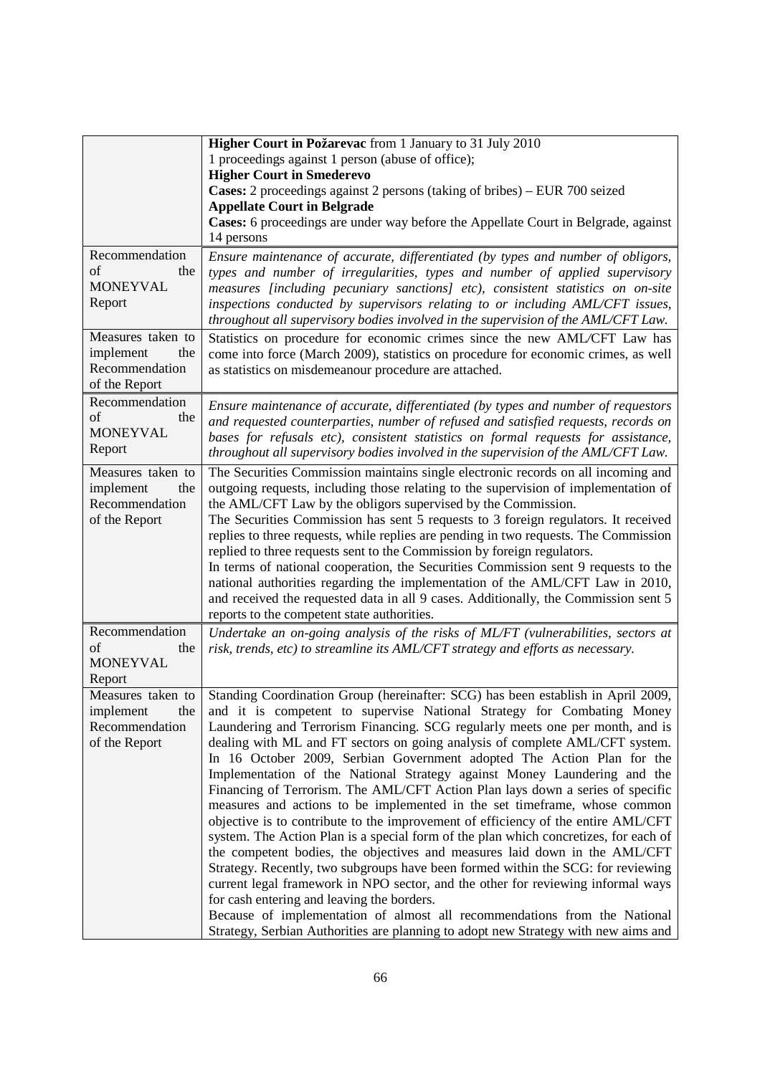|                                    | Higher Court in Požarevac from 1 January to 31 July 2010                                                                                                                 |
|------------------------------------|--------------------------------------------------------------------------------------------------------------------------------------------------------------------------|
|                                    | 1 proceedings against 1 person (abuse of office);                                                                                                                        |
|                                    | <b>Higher Court in Smederevo</b>                                                                                                                                         |
|                                    | Cases: 2 proceedings against 2 persons (taking of bribes) – EUR 700 seized                                                                                               |
|                                    | <b>Appellate Court in Belgrade</b>                                                                                                                                       |
|                                    | Cases: 6 proceedings are under way before the Appellate Court in Belgrade, against                                                                                       |
|                                    | 14 persons                                                                                                                                                               |
| Recommendation                     | Ensure maintenance of accurate, differentiated (by types and number of obligors,                                                                                         |
| of<br>the                          | types and number of irregularities, types and number of applied supervisory                                                                                              |
| <b>MONEYVAL</b>                    | measures [including pecuniary sanctions] etc), consistent statistics on on-site                                                                                          |
| Report                             | inspections conducted by supervisors relating to or including AML/CFT issues,                                                                                            |
|                                    | throughout all supervisory bodies involved in the supervision of the AML/CFT Law.                                                                                        |
| Measures taken to                  | Statistics on procedure for economic crimes since the new AML/CFT Law has                                                                                                |
| implement<br>the                   | come into force (March 2009), statistics on procedure for economic crimes, as well                                                                                       |
| Recommendation                     | as statistics on misdemeanour procedure are attached.                                                                                                                    |
| of the Report                      |                                                                                                                                                                          |
| Recommendation                     | Ensure maintenance of accurate, differentiated (by types and number of requestors                                                                                        |
| of<br>the                          | and requested counterparties, number of refused and satisfied requests, records on                                                                                       |
| <b>MONEYVAL</b>                    | bases for refusals etc), consistent statistics on formal requests for assistance,                                                                                        |
| Report                             | throughout all supervisory bodies involved in the supervision of the AML/CFT Law.                                                                                        |
| Measures taken to                  |                                                                                                                                                                          |
|                                    | The Securities Commission maintains single electronic records on all incoming and<br>outgoing requests, including those relating to the supervision of implementation of |
| implement<br>the<br>Recommendation | the AML/CFT Law by the obligors supervised by the Commission.                                                                                                            |
| of the Report                      | The Securities Commission has sent 5 requests to 3 foreign regulators. It received                                                                                       |
|                                    | replies to three requests, while replies are pending in two requests. The Commission                                                                                     |
|                                    | replied to three requests sent to the Commission by foreign regulators.                                                                                                  |
|                                    | In terms of national cooperation, the Securities Commission sent 9 requests to the                                                                                       |
|                                    | national authorities regarding the implementation of the AML/CFT Law in 2010,                                                                                            |
|                                    | and received the requested data in all 9 cases. Additionally, the Commission sent 5                                                                                      |
|                                    | reports to the competent state authorities.                                                                                                                              |
| Recommendation                     | Undertake an on-going analysis of the risks of ML/FT (vulnerabilities, sectors at                                                                                        |
| of<br>the                          | risk, trends, etc) to streamline its AML/CFT strategy and efforts as necessary.                                                                                          |
| <b>MONEYVAL</b>                    |                                                                                                                                                                          |
| Report                             |                                                                                                                                                                          |
| Measures taken to                  | Standing Coordination Group (hereinafter: SCG) has been establish in April 2009,                                                                                         |
| implement<br>the                   | and it is competent to supervise National Strategy for Combating Money                                                                                                   |
| Recommendation                     | Laundering and Terrorism Financing. SCG regularly meets one per month, and is                                                                                            |
| of the Report                      | dealing with ML and FT sectors on going analysis of complete AML/CFT system.                                                                                             |
|                                    | In 16 October 2009, Serbian Government adopted The Action Plan for the                                                                                                   |
|                                    | Implementation of the National Strategy against Money Laundering and the                                                                                                 |
|                                    | Financing of Terrorism. The AML/CFT Action Plan lays down a series of specific                                                                                           |
|                                    | measures and actions to be implemented in the set timeframe, whose common                                                                                                |
|                                    | objective is to contribute to the improvement of efficiency of the entire AML/CFT                                                                                        |
|                                    | system. The Action Plan is a special form of the plan which concretizes, for each of                                                                                     |
|                                    | the competent bodies, the objectives and measures laid down in the AML/CFT                                                                                               |
|                                    | Strategy. Recently, two subgroups have been formed within the SCG: for reviewing                                                                                         |
|                                    | current legal framework in NPO sector, and the other for reviewing informal ways                                                                                         |
|                                    | for cash entering and leaving the borders.                                                                                                                               |
|                                    | Because of implementation of almost all recommendations from the National                                                                                                |
|                                    | Strategy, Serbian Authorities are planning to adopt new Strategy with new aims and                                                                                       |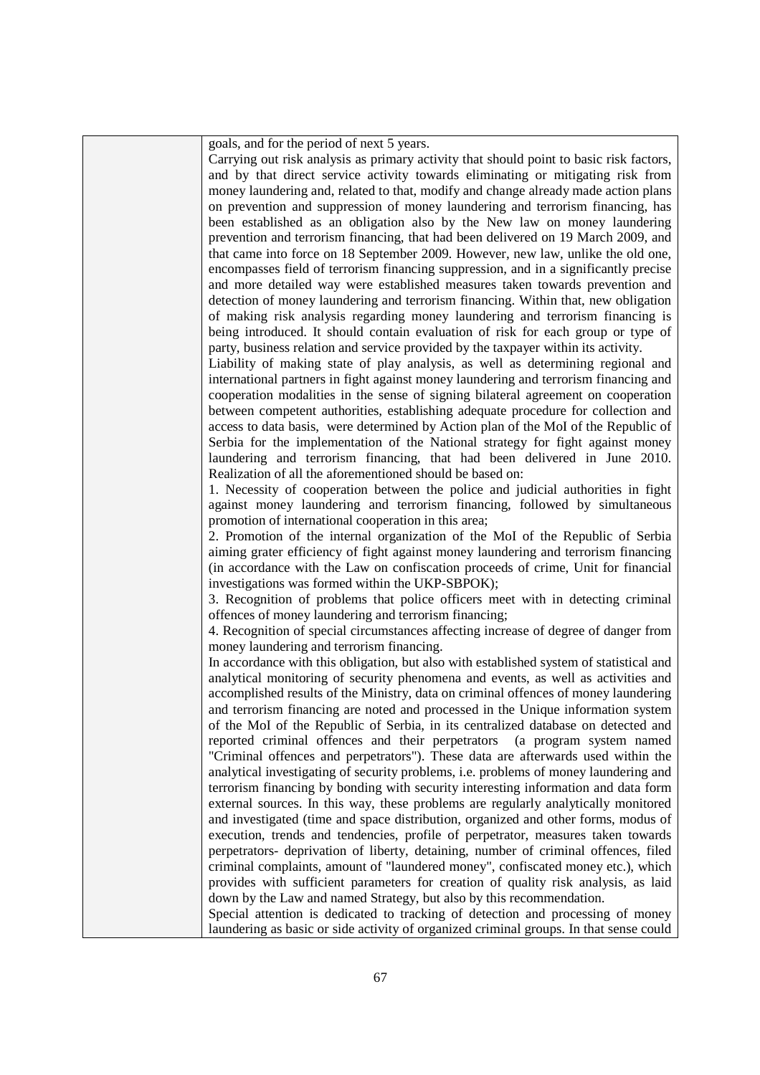| goals, and for the period of next 5 years.                                              |
|-----------------------------------------------------------------------------------------|
| Carrying out risk analysis as primary activity that should point to basic risk factors, |
| and by that direct service activity towards eliminating or mitigating risk from         |
| money laundering and, related to that, modify and change already made action plans      |
| on prevention and suppression of money laundering and terrorism financing, has          |
| been established as an obligation also by the New law on money laundering               |
| prevention and terrorism financing, that had been delivered on 19 March 2009, and       |
| that came into force on 18 September 2009. However, new law, unlike the old one,        |
| encompasses field of terrorism financing suppression, and in a significantly precise    |
| and more detailed way were established measures taken towards prevention and            |
| detection of money laundering and terrorism financing. Within that, new obligation      |
| of making risk analysis regarding money laundering and terrorism financing is           |
| being introduced. It should contain evaluation of risk for each group or type of        |
| party, business relation and service provided by the taxpayer within its activity.      |
| Liability of making state of play analysis, as well as determining regional and         |
| international partners in fight against money laundering and terrorism financing and    |
| cooperation modalities in the sense of signing bilateral agreement on cooperation       |
| between competent authorities, establishing adequate procedure for collection and       |
| access to data basis, were determined by Action plan of the MoI of the Republic of      |
| Serbia for the implementation of the National strategy for fight against money          |
| laundering and terrorism financing, that had been delivered in June 2010.               |
| Realization of all the aforementioned should be based on:                               |
| 1. Necessity of cooperation between the police and judicial authorities in fight        |
| against money laundering and terrorism financing, followed by simultaneous              |
| promotion of international cooperation in this area;                                    |
| 2. Promotion of the internal organization of the MoI of the Republic of Serbia          |
| aiming grater efficiency of fight against money laundering and terrorism financing      |
| (in accordance with the Law on confiscation proceeds of crime, Unit for financial       |
| investigations was formed within the UKP-SBPOK);                                        |
| 3. Recognition of problems that police officers meet with in detecting criminal         |
| offences of money laundering and terrorism financing;                                   |
| 4. Recognition of special circumstances affecting increase of degree of danger from     |
| money laundering and terrorism financing.                                               |
| In accordance with this obligation, but also with established system of statistical and |
| analytical monitoring of security phenomena and events, as well as activities and       |
| accomplished results of the Ministry, data on criminal offences of money laundering     |
| and terrorism financing are noted and processed in the Unique information system        |
| of the MoI of the Republic of Serbia, in its centralized database on detected and       |
| reported criminal offences and their perpetrators<br>(a program system named            |
| "Criminal offences and perpetrators"). These data are afterwards used within the        |
| analytical investigating of security problems, i.e. problems of money laundering and    |
| terrorism financing by bonding with security interesting information and data form      |
| external sources. In this way, these problems are regularly analytically monitored      |
| and investigated (time and space distribution, organized and other forms, modus of      |
| execution, trends and tendencies, profile of perpetrator, measures taken towards        |
| perpetrators- deprivation of liberty, detaining, number of criminal offences, filed     |
| criminal complaints, amount of "laundered money", confiscated money etc.), which        |
| provides with sufficient parameters for creation of quality risk analysis, as laid      |
| down by the Law and named Strategy, but also by this recommendation.                    |
| Special attention is dedicated to tracking of detection and processing of money         |
| laundering as basic or side activity of organized criminal groups. In that sense could  |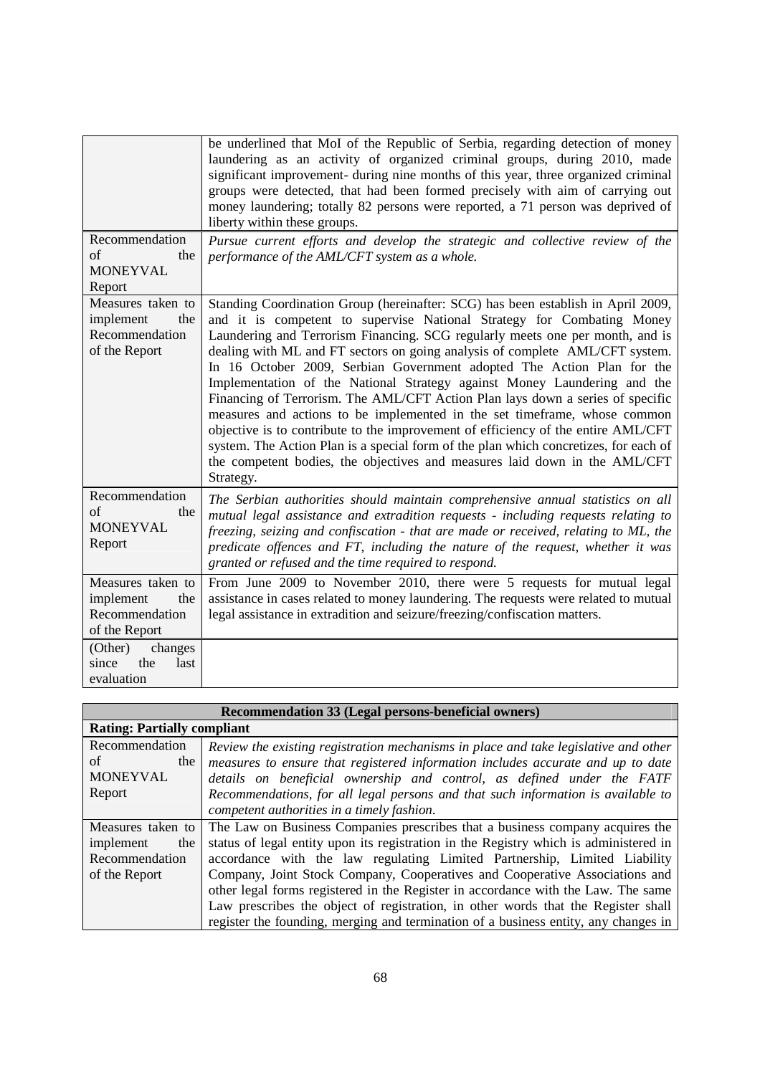|                                                                          | be underlined that MoI of the Republic of Serbia, regarding detection of money<br>laundering as an activity of organized criminal groups, during 2010, made<br>significant improvement- during nine months of this year, three organized criminal<br>groups were detected, that had been formed precisely with aim of carrying out<br>money laundering; totally 82 persons were reported, a 71 person was deprived of<br>liberty within these groups.                                                                                                                                                                                                                                                                                                                                                                                                                                                                    |
|--------------------------------------------------------------------------|--------------------------------------------------------------------------------------------------------------------------------------------------------------------------------------------------------------------------------------------------------------------------------------------------------------------------------------------------------------------------------------------------------------------------------------------------------------------------------------------------------------------------------------------------------------------------------------------------------------------------------------------------------------------------------------------------------------------------------------------------------------------------------------------------------------------------------------------------------------------------------------------------------------------------|
| Recommendation<br>of<br>the<br><b>MONEYVAL</b><br>Report                 | Pursue current efforts and develop the strategic and collective review of the<br>performance of the AML/CFT system as a whole.                                                                                                                                                                                                                                                                                                                                                                                                                                                                                                                                                                                                                                                                                                                                                                                           |
| Measures taken to<br>implement<br>the<br>Recommendation<br>of the Report | Standing Coordination Group (hereinafter: SCG) has been establish in April 2009,<br>and it is competent to supervise National Strategy for Combating Money<br>Laundering and Terrorism Financing. SCG regularly meets one per month, and is<br>dealing with ML and FT sectors on going analysis of complete AML/CFT system.<br>In 16 October 2009, Serbian Government adopted The Action Plan for the<br>Implementation of the National Strategy against Money Laundering and the<br>Financing of Terrorism. The AML/CFT Action Plan lays down a series of specific<br>measures and actions to be implemented in the set timeframe, whose common<br>objective is to contribute to the improvement of efficiency of the entire AML/CFT<br>system. The Action Plan is a special form of the plan which concretizes, for each of<br>the competent bodies, the objectives and measures laid down in the AML/CFT<br>Strategy. |
| Recommendation<br>of<br>the<br><b>MONEYVAL</b><br>Report                 | The Serbian authorities should maintain comprehensive annual statistics on all<br>mutual legal assistance and extradition requests - including requests relating to<br>freezing, seizing and confiscation - that are made or received, relating to ML, the<br>predicate offences and FT, including the nature of the request, whether it was<br>granted or refused and the time required to respond.                                                                                                                                                                                                                                                                                                                                                                                                                                                                                                                     |
| Measures taken to<br>implement<br>the<br>Recommendation<br>of the Report | From June 2009 to November 2010, there were 5 requests for mutual legal<br>assistance in cases related to money laundering. The requests were related to mutual<br>legal assistance in extradition and seizure/freezing/confiscation matters.                                                                                                                                                                                                                                                                                                                                                                                                                                                                                                                                                                                                                                                                            |
| (Other)<br>changes<br>since<br>the<br>last<br>evaluation                 |                                                                                                                                                                                                                                                                                                                                                                                                                                                                                                                                                                                                                                                                                                                                                                                                                                                                                                                          |

| Recommendation 33 (Legal persons-beneficial owners) |                                                                                       |
|-----------------------------------------------------|---------------------------------------------------------------------------------------|
| <b>Rating: Partially compliant</b>                  |                                                                                       |
| Recommendation                                      | Review the existing registration mechanisms in place and take legislative and other   |
| of<br>the                                           | measures to ensure that registered information includes accurate and up to date       |
| <b>MONEYVAL</b>                                     | details on beneficial ownership and control, as defined under the FATF                |
| Report                                              | Recommendations, for all legal persons and that such information is available to      |
|                                                     | competent authorities in a timely fashion.                                            |
| Measures taken to                                   | The Law on Business Companies prescribes that a business company acquires the         |
| implement<br>the                                    | status of legal entity upon its registration in the Registry which is administered in |
| Recommendation                                      | accordance with the law regulating Limited Partnership, Limited Liability             |
| of the Report                                       | Company, Joint Stock Company, Cooperatives and Cooperative Associations and           |
|                                                     | other legal forms registered in the Register in accordance with the Law. The same     |
|                                                     | Law prescribes the object of registration, in other words that the Register shall     |
|                                                     | register the founding, merging and termination of a business entity, any changes in   |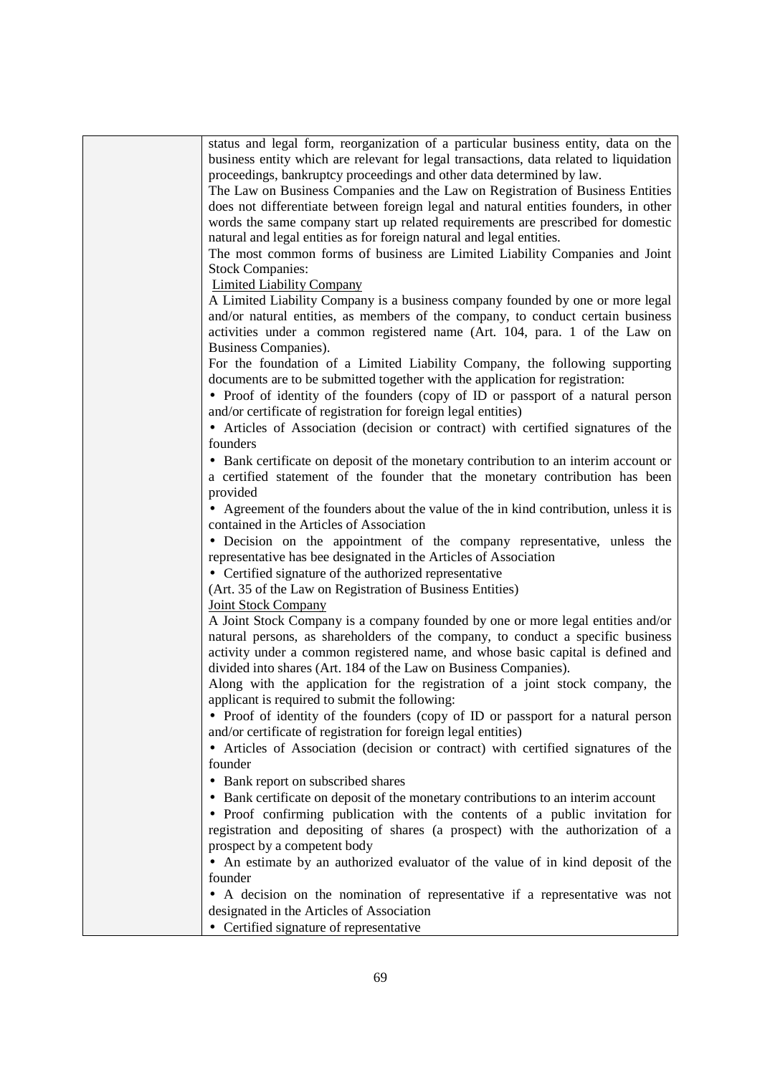| status and legal form, reorganization of a particular business entity, data on the     |
|----------------------------------------------------------------------------------------|
| business entity which are relevant for legal transactions, data related to liquidation |
| proceedings, bankruptcy proceedings and other data determined by law.                  |
| The Law on Business Companies and the Law on Registration of Business Entities         |
| does not differentiate between foreign legal and natural entities founders, in other   |
| words the same company start up related requirements are prescribed for domestic       |
| natural and legal entities as for foreign natural and legal entities.                  |
| The most common forms of business are Limited Liability Companies and Joint            |
| <b>Stock Companies:</b>                                                                |
| <b>Limited Liability Company</b>                                                       |
| A Limited Liability Company is a business company founded by one or more legal         |
| and/or natural entities, as members of the company, to conduct certain business        |
| activities under a common registered name (Art. 104, para. 1 of the Law on             |
| Business Companies).                                                                   |
| For the foundation of a Limited Liability Company, the following supporting            |
| documents are to be submitted together with the application for registration:          |
| • Proof of identity of the founders (copy of ID or passport of a natural person        |
| and/or certificate of registration for foreign legal entities)                         |
| • Articles of Association (decision or contract) with certified signatures of the      |
| founders                                                                               |
| • Bank certificate on deposit of the monetary contribution to an interim account or    |
| a certified statement of the founder that the monetary contribution has been           |
| provided                                                                               |
| • Agreement of the founders about the value of the in kind contribution, unless it is  |
| contained in the Articles of Association                                               |
| • Decision on the appointment of the company representative, unless the                |
| representative has bee designated in the Articles of Association                       |
| • Certified signature of the authorized representative                                 |
| (Art. 35 of the Law on Registration of Business Entities)                              |
| <b>Joint Stock Company</b>                                                             |
| A Joint Stock Company is a company founded by one or more legal entities and/or        |
| natural persons, as shareholders of the company, to conduct a specific business        |
| activity under a common registered name, and whose basic capital is defined and        |
| divided into shares (Art. 184 of the Law on Business Companies).                       |
| Along with the application for the registration of a joint stock company, the          |
| applicant is required to submit the following:                                         |
| • Proof of identity of the founders (copy of ID or passport for a natural person       |
| and/or certificate of registration for foreign legal entities)                         |
| • Articles of Association (decision or contract) with certified signatures of the      |
| founder                                                                                |
| • Bank report on subscribed shares                                                     |
| • Bank certificate on deposit of the monetary contributions to an interim account      |
| • Proof confirming publication with the contents of a public invitation for            |
| registration and depositing of shares (a prospect) with the authorization of a         |
| prospect by a competent body                                                           |
| • An estimate by an authorized evaluator of the value of in kind deposit of the        |
| founder                                                                                |
| • A decision on the nomination of representative if a representative was not           |
| designated in the Articles of Association                                              |
|                                                                                        |
| • Certified signature of representative                                                |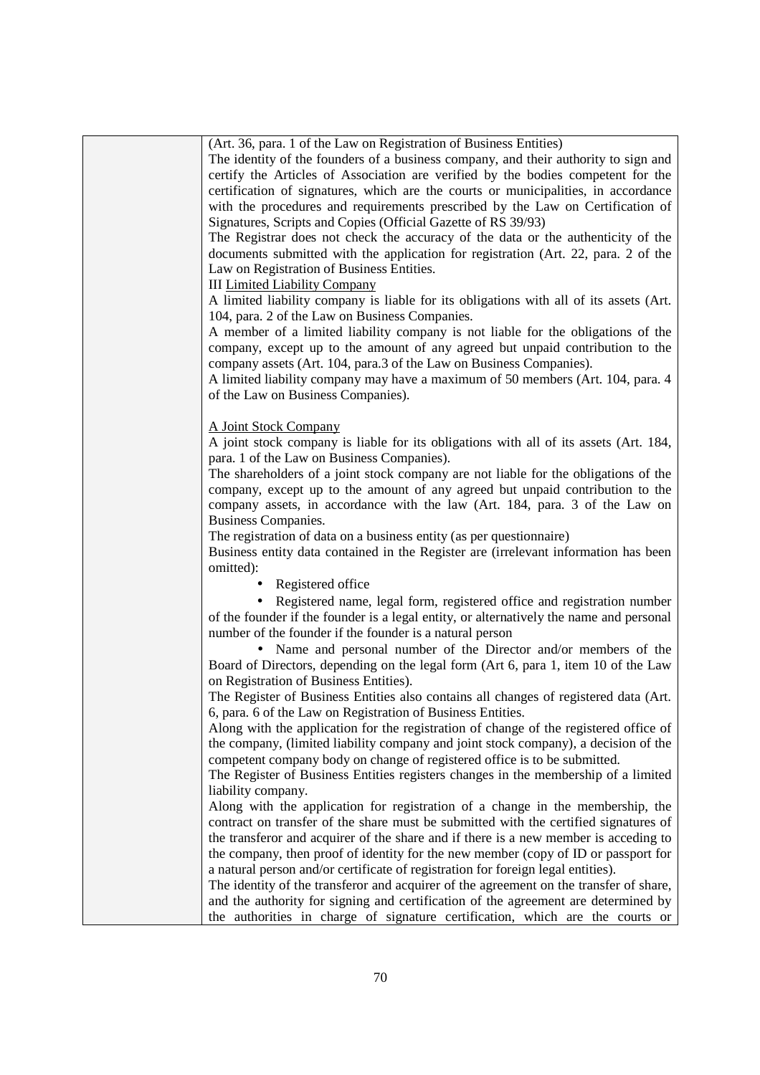| (Art. 36, para. 1 of the Law on Registration of Business Entities)                      |
|-----------------------------------------------------------------------------------------|
| The identity of the founders of a business company, and their authority to sign and     |
| certify the Articles of Association are verified by the bodies competent for the        |
| certification of signatures, which are the courts or municipalities, in accordance      |
| with the procedures and requirements prescribed by the Law on Certification of          |
| Signatures, Scripts and Copies (Official Gazette of RS 39/93)                           |
|                                                                                         |
| The Registrar does not check the accuracy of the data or the authenticity of the        |
| documents submitted with the application for registration (Art. 22, para. 2 of the      |
| Law on Registration of Business Entities.                                               |
| <b>III Limited Liability Company</b>                                                    |
| A limited liability company is liable for its obligations with all of its assets (Art.  |
| 104, para. 2 of the Law on Business Companies.                                          |
| A member of a limited liability company is not liable for the obligations of the        |
| company, except up to the amount of any agreed but unpaid contribution to the           |
| company assets (Art. 104, para.3 of the Law on Business Companies).                     |
| A limited liability company may have a maximum of 50 members (Art. 104, para. 4         |
| of the Law on Business Companies).                                                      |
|                                                                                         |
| A Joint Stock Company                                                                   |
| A joint stock company is liable for its obligations with all of its assets (Art. 184,   |
| para. 1 of the Law on Business Companies).                                              |
| The shareholders of a joint stock company are not liable for the obligations of the     |
| company, except up to the amount of any agreed but unpaid contribution to the           |
|                                                                                         |
| company assets, in accordance with the law (Art. 184, para. 3 of the Law on             |
| Business Companies.                                                                     |
| The registration of data on a business entity (as per questionnaire)                    |
| Business entity data contained in the Register are (irrelevant information has been     |
| omitted):                                                                               |
| • Registered office                                                                     |
| • Registered name, legal form, registered office and registration number                |
| of the founder if the founder is a legal entity, or alternatively the name and personal |
| number of the founder if the founder is a natural person                                |
| • Name and personal number of the Director and/or members of the                        |
| Board of Directors, depending on the legal form (Art 6, para 1, item 10 of the Law      |
| on Registration of Business Entities).                                                  |
| The Register of Business Entities also contains all changes of registered data (Art.    |
| 6, para. 6 of the Law on Registration of Business Entities.                             |
| Along with the application for the registration of change of the registered office of   |
| the company, (limited liability company and joint stock company), a decision of the     |
| competent company body on change of registered office is to be submitted.               |
| The Register of Business Entities registers changes in the membership of a limited      |
| liability company.                                                                      |
| Along with the application for registration of a change in the membership, the          |
| contract on transfer of the share must be submitted with the certified signatures of    |
| the transferor and acquirer of the share and if there is a new member is acceding to    |
| the company, then proof of identity for the new member (copy of ID or passport for      |
|                                                                                         |
| a natural person and/or certificate of registration for foreign legal entities).        |
| The identity of the transferor and acquirer of the agreement on the transfer of share,  |
| and the authority for signing and certification of the agreement are determined by      |
| the authorities in charge of signature certification, which are the courts or           |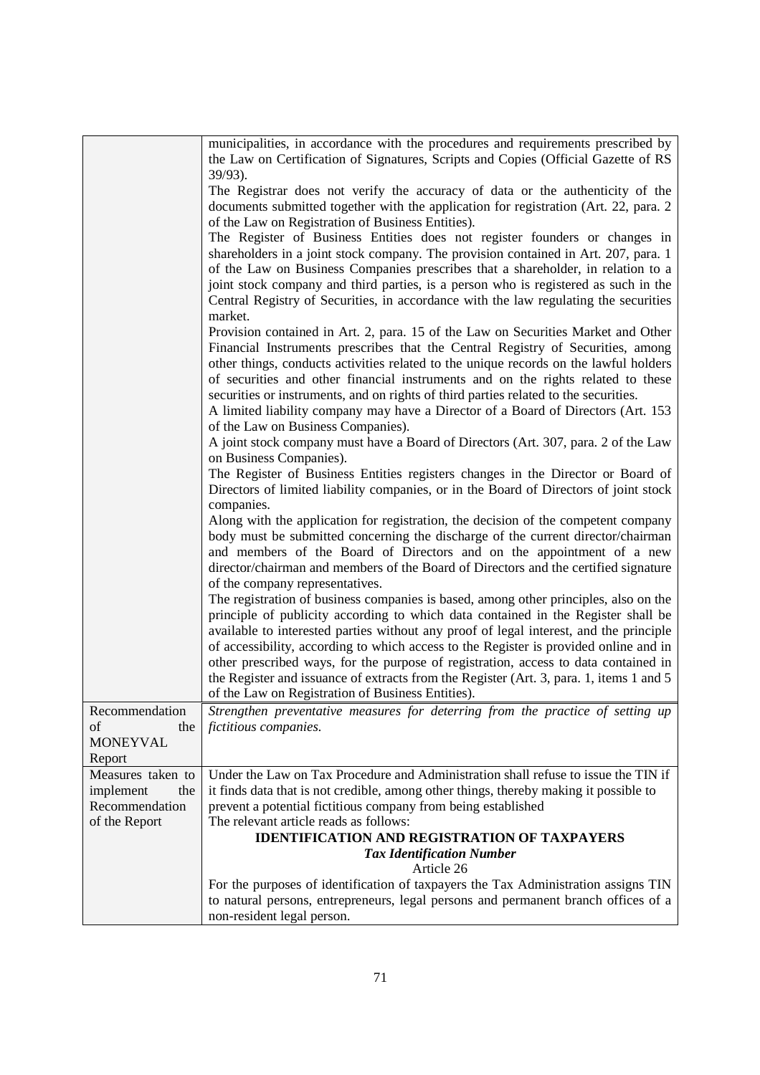|                              | municipalities, in accordance with the procedures and requirements prescribed by<br>the Law on Certification of Signatures, Scripts and Copies (Official Gazette of RS       |
|------------------------------|------------------------------------------------------------------------------------------------------------------------------------------------------------------------------|
|                              | $39/93$ ).                                                                                                                                                                   |
|                              | The Registrar does not verify the accuracy of data or the authenticity of the                                                                                                |
|                              | documents submitted together with the application for registration (Art. 22, para. 2<br>of the Law on Registration of Business Entities).                                    |
|                              | The Register of Business Entities does not register founders or changes in                                                                                                   |
|                              | shareholders in a joint stock company. The provision contained in Art. 207, para. 1                                                                                          |
|                              | of the Law on Business Companies prescribes that a shareholder, in relation to a<br>joint stock company and third parties, is a person who is registered as such in the      |
|                              | Central Registry of Securities, in accordance with the law regulating the securities                                                                                         |
|                              | market.                                                                                                                                                                      |
|                              | Provision contained in Art. 2, para. 15 of the Law on Securities Market and Other                                                                                            |
|                              | Financial Instruments prescribes that the Central Registry of Securities, among<br>other things, conducts activities related to the unique records on the lawful holders     |
|                              | of securities and other financial instruments and on the rights related to these                                                                                             |
|                              | securities or instruments, and on rights of third parties related to the securities.                                                                                         |
|                              | A limited liability company may have a Director of a Board of Directors (Art. 153                                                                                            |
|                              | of the Law on Business Companies).                                                                                                                                           |
|                              | A joint stock company must have a Board of Directors (Art. 307, para. 2 of the Law<br>on Business Companies).                                                                |
|                              | The Register of Business Entities registers changes in the Director or Board of                                                                                              |
|                              | Directors of limited liability companies, or in the Board of Directors of joint stock<br>companies.                                                                          |
|                              | Along with the application for registration, the decision of the competent company                                                                                           |
|                              | body must be submitted concerning the discharge of the current director/chairman                                                                                             |
|                              | and members of the Board of Directors and on the appointment of a new                                                                                                        |
|                              | director/chairman and members of the Board of Directors and the certified signature<br>of the company representatives.                                                       |
|                              | The registration of business companies is based, among other principles, also on the                                                                                         |
|                              | principle of publicity according to which data contained in the Register shall be                                                                                            |
|                              | available to interested parties without any proof of legal interest, and the principle                                                                                       |
|                              | of accessibility, according to which access to the Register is provided online and in<br>other prescribed ways, for the purpose of registration, access to data contained in |
|                              | the Register and issuance of extracts from the Register (Art. 3, para. 1, items 1 and 5                                                                                      |
|                              | of the Law on Registration of Business Entities).                                                                                                                            |
| Recommendation               | Strengthen preventative measures for deterring from the practice of setting up                                                                                               |
| of<br>the<br><b>MONEYVAL</b> | fictitious companies.                                                                                                                                                        |
| Report                       |                                                                                                                                                                              |
| Measures taken to            | Under the Law on Tax Procedure and Administration shall refuse to issue the TIN if                                                                                           |
| implement<br>the             | it finds data that is not credible, among other things, thereby making it possible to                                                                                        |
| Recommendation               | prevent a potential fictitious company from being established<br>The relevant article reads as follows:                                                                      |
| of the Report                | <b>IDENTIFICATION AND REGISTRATION OF TAXPAYERS</b>                                                                                                                          |
|                              | <b>Tax Identification Number</b><br>Article 26                                                                                                                               |
|                              | For the purposes of identification of taxpayers the Tax Administration assigns TIN                                                                                           |
|                              | to natural persons, entrepreneurs, legal persons and permanent branch offices of a<br>non-resident legal person.                                                             |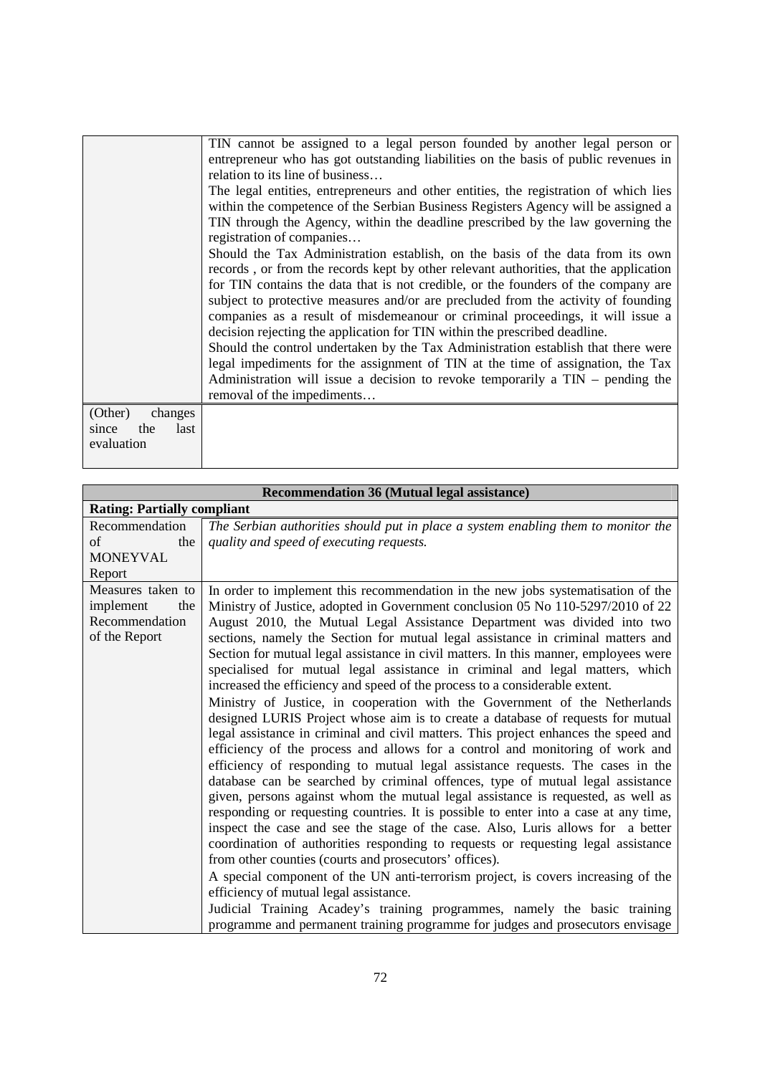|                      | TIN cannot be assigned to a legal person founded by another legal person or<br>entrepreneur who has got outstanding liabilities on the basis of public revenues in      |
|----------------------|-------------------------------------------------------------------------------------------------------------------------------------------------------------------------|
|                      | relation to its line of business                                                                                                                                        |
|                      | The legal entities, entrepreneurs and other entities, the registration of which lies                                                                                    |
|                      | within the competence of the Serbian Business Registers Agency will be assigned a                                                                                       |
|                      | TIN through the Agency, within the deadline prescribed by the law governing the                                                                                         |
|                      | registration of companies                                                                                                                                               |
|                      | Should the Tax Administration establish, on the basis of the data from its own<br>records, or from the records kept by other relevant authorities, that the application |
|                      | for TIN contains the data that is not credible, or the founders of the company are                                                                                      |
|                      | subject to protective measures and/or are precluded from the activity of founding                                                                                       |
|                      | companies as a result of misdemeanour or criminal proceedings, it will issue a                                                                                          |
|                      | decision rejecting the application for TIN within the prescribed deadline.                                                                                              |
|                      | Should the control undertaken by the Tax Administration establish that there were                                                                                       |
|                      | legal impediments for the assignment of TIN at the time of assignation, the Tax                                                                                         |
|                      | Administration will issue a decision to revoke temporarily a $TIN -$ pending the                                                                                        |
|                      | removal of the impediments                                                                                                                                              |
| (Other)<br>changes   |                                                                                                                                                                         |
| the<br>last<br>since |                                                                                                                                                                         |
| evaluation           |                                                                                                                                                                         |
|                      |                                                                                                                                                                         |

| <b>Recommendation 36 (Mutual legal assistance)</b> |                                                                                                                                                                      |
|----------------------------------------------------|----------------------------------------------------------------------------------------------------------------------------------------------------------------------|
| <b>Rating: Partially compliant</b>                 |                                                                                                                                                                      |
| Recommendation                                     | The Serbian authorities should put in place a system enabling them to monitor the                                                                                    |
| of<br>the                                          | quality and speed of executing requests.                                                                                                                             |
| <b>MONEYVAL</b>                                    |                                                                                                                                                                      |
| Report                                             |                                                                                                                                                                      |
| Measures taken to                                  | In order to implement this recommendation in the new jobs systematisation of the                                                                                     |
| implement<br>the                                   | Ministry of Justice, adopted in Government conclusion 05 No 110-5297/2010 of 22                                                                                      |
| Recommendation                                     | August 2010, the Mutual Legal Assistance Department was divided into two                                                                                             |
| of the Report                                      | sections, namely the Section for mutual legal assistance in criminal matters and                                                                                     |
|                                                    | Section for mutual legal assistance in civil matters. In this manner, employees were                                                                                 |
|                                                    | specialised for mutual legal assistance in criminal and legal matters, which                                                                                         |
|                                                    | increased the efficiency and speed of the process to a considerable extent.                                                                                          |
|                                                    | Ministry of Justice, in cooperation with the Government of the Netherlands                                                                                           |
|                                                    | designed LURIS Project whose aim is to create a database of requests for mutual                                                                                      |
|                                                    | legal assistance in criminal and civil matters. This project enhances the speed and                                                                                  |
|                                                    | efficiency of the process and allows for a control and monitoring of work and                                                                                        |
|                                                    | efficiency of responding to mutual legal assistance requests. The cases in the                                                                                       |
|                                                    | database can be searched by criminal offences, type of mutual legal assistance                                                                                       |
|                                                    | given, persons against whom the mutual legal assistance is requested, as well as                                                                                     |
|                                                    | responding or requesting countries. It is possible to enter into a case at any time,                                                                                 |
|                                                    | inspect the case and see the stage of the case. Also, Luris allows for a better<br>coordination of authorities responding to requests or requesting legal assistance |
|                                                    | from other counties (courts and prosecutors' offices).                                                                                                               |
|                                                    |                                                                                                                                                                      |
|                                                    | A special component of the UN anti-terrorism project, is covers increasing of the                                                                                    |
|                                                    | efficiency of mutual legal assistance.                                                                                                                               |
|                                                    | Judicial Training Acadey's training programmes, namely the basic training                                                                                            |
|                                                    | programme and permanent training programme for judges and prosecutors envisage                                                                                       |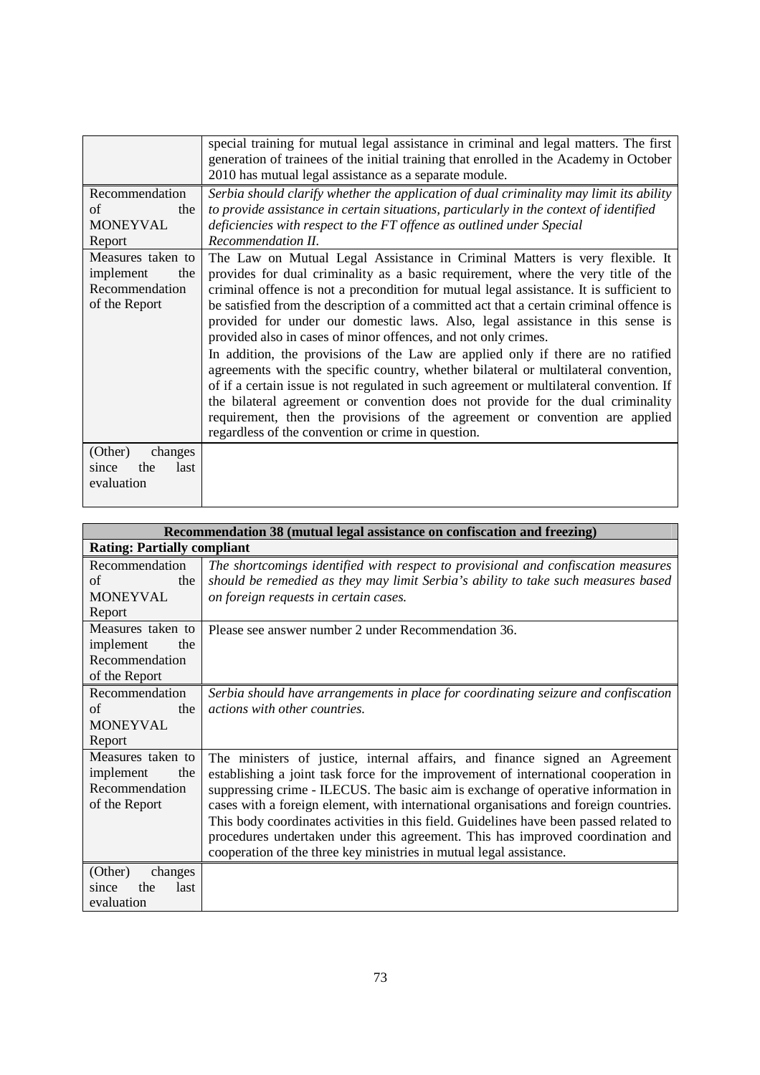|                                                                          | special training for mutual legal assistance in criminal and legal matters. The first<br>generation of trainees of the initial training that enrolled in the Academy in October<br>2010 has mutual legal assistance as a separate module.                                                                                                                                                                                                                                                                                                                                                                                                                                                                                                                                                                                                                                                                                                                                                               |
|--------------------------------------------------------------------------|---------------------------------------------------------------------------------------------------------------------------------------------------------------------------------------------------------------------------------------------------------------------------------------------------------------------------------------------------------------------------------------------------------------------------------------------------------------------------------------------------------------------------------------------------------------------------------------------------------------------------------------------------------------------------------------------------------------------------------------------------------------------------------------------------------------------------------------------------------------------------------------------------------------------------------------------------------------------------------------------------------|
| Recommendation<br>the<br>of<br><b>MONEYVAL</b><br>Report                 | Serbia should clarify whether the application of dual criminality may limit its ability<br>to provide assistance in certain situations, particularly in the context of identified<br>deficiencies with respect to the FT offence as outlined under Special<br>Recommendation II.                                                                                                                                                                                                                                                                                                                                                                                                                                                                                                                                                                                                                                                                                                                        |
| Measures taken to<br>implement<br>the<br>Recommendation<br>of the Report | The Law on Mutual Legal Assistance in Criminal Matters is very flexible. It<br>provides for dual criminality as a basic requirement, where the very title of the<br>criminal offence is not a precondition for mutual legal assistance. It is sufficient to<br>be satisfied from the description of a committed act that a certain criminal offence is<br>provided for under our domestic laws. Also, legal assistance in this sense is<br>provided also in cases of minor offences, and not only crimes.<br>In addition, the provisions of the Law are applied only if there are no ratified<br>agreements with the specific country, whether bilateral or multilateral convention,<br>of if a certain issue is not regulated in such agreement or multilateral convention. If<br>the bilateral agreement or convention does not provide for the dual criminality<br>requirement, then the provisions of the agreement or convention are applied<br>regardless of the convention or crime in question. |
| (Other)<br>changes<br>the<br>last<br>since<br>evaluation                 |                                                                                                                                                                                                                                                                                                                                                                                                                                                                                                                                                                                                                                                                                                                                                                                                                                                                                                                                                                                                         |

| Recommendation 38 (mutual legal assistance on confiscation and freezing) |                                                                                        |
|--------------------------------------------------------------------------|----------------------------------------------------------------------------------------|
| <b>Rating: Partially compliant</b>                                       |                                                                                        |
| Recommendation                                                           | The shortcomings identified with respect to provisional and confiscation measures      |
| of<br>the                                                                | should be remedied as they may limit Serbia's ability to take such measures based      |
| <b>MONEYVAL</b>                                                          | on foreign requests in certain cases.                                                  |
| Report                                                                   |                                                                                        |
| Measures taken to                                                        | Please see answer number 2 under Recommendation 36.                                    |
| implement<br>the                                                         |                                                                                        |
| Recommendation                                                           |                                                                                        |
| of the Report                                                            |                                                                                        |
| Recommendation                                                           | Serbia should have arrangements in place for coordinating seizure and confiscation     |
| of<br>the                                                                | actions with other countries.                                                          |
| <b>MONEYVAL</b>                                                          |                                                                                        |
| Report                                                                   |                                                                                        |
| Measures taken to                                                        | The ministers of justice, internal affairs, and finance signed an Agreement            |
| implement<br>the                                                         | establishing a joint task force for the improvement of international cooperation in    |
| Recommendation                                                           | suppressing crime - ILECUS. The basic aim is exchange of operative information in      |
| of the Report                                                            | cases with a foreign element, with international organisations and foreign countries.  |
|                                                                          | This body coordinates activities in this field. Guidelines have been passed related to |
|                                                                          | procedures undertaken under this agreement. This has improved coordination and         |
|                                                                          | cooperation of the three key ministries in mutual legal assistance.                    |
| (Other)<br>changes                                                       |                                                                                        |
| the<br>last<br>since                                                     |                                                                                        |
| evaluation                                                               |                                                                                        |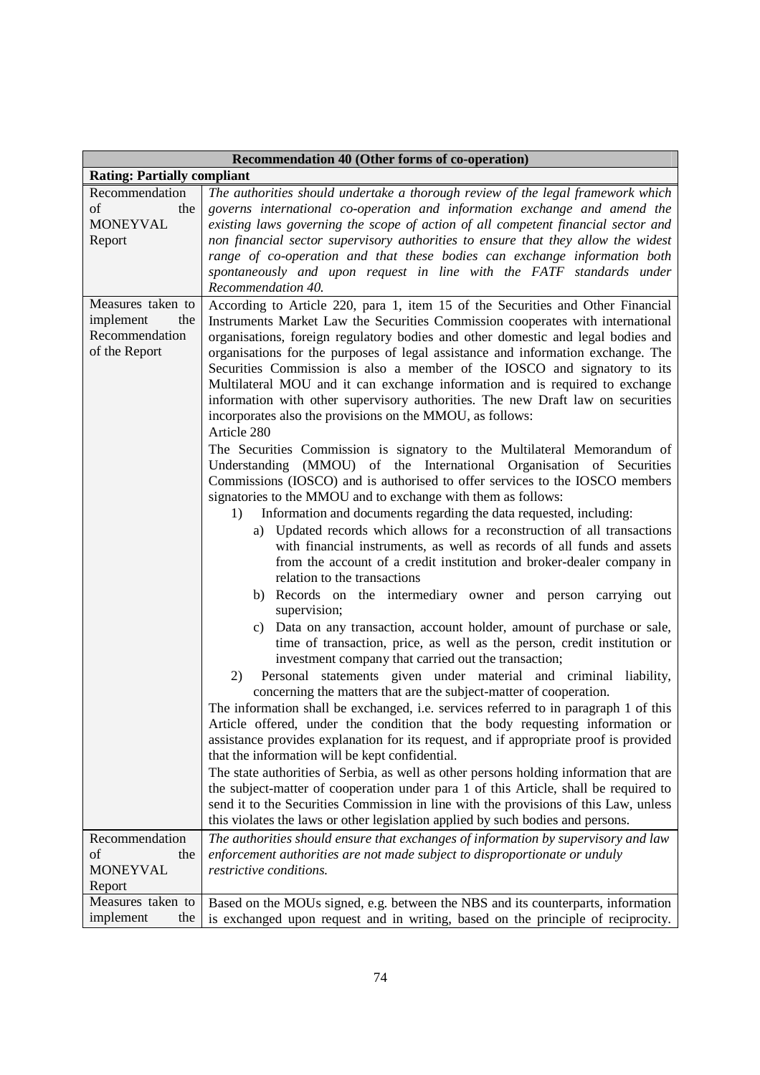| Recommendation 40 (Other forms of co-operation)                          |                                                                                                                                                                                                                                                                                                                                                                                                                                                                                                                                                                                                                                                                                                                                                                                                                                                                                                                                                                                                                                                                                                                                                                                                                                                                                                                                                                                                                                                                                                                                                                                                                                                                                                                                                                                                                                                                                                                                                                                                                                                                                                                                                                                                                                                                                                                                                                                                                                                         |
|--------------------------------------------------------------------------|---------------------------------------------------------------------------------------------------------------------------------------------------------------------------------------------------------------------------------------------------------------------------------------------------------------------------------------------------------------------------------------------------------------------------------------------------------------------------------------------------------------------------------------------------------------------------------------------------------------------------------------------------------------------------------------------------------------------------------------------------------------------------------------------------------------------------------------------------------------------------------------------------------------------------------------------------------------------------------------------------------------------------------------------------------------------------------------------------------------------------------------------------------------------------------------------------------------------------------------------------------------------------------------------------------------------------------------------------------------------------------------------------------------------------------------------------------------------------------------------------------------------------------------------------------------------------------------------------------------------------------------------------------------------------------------------------------------------------------------------------------------------------------------------------------------------------------------------------------------------------------------------------------------------------------------------------------------------------------------------------------------------------------------------------------------------------------------------------------------------------------------------------------------------------------------------------------------------------------------------------------------------------------------------------------------------------------------------------------------------------------------------------------------------------------------------------------|
| <b>Rating: Partially compliant</b>                                       |                                                                                                                                                                                                                                                                                                                                                                                                                                                                                                                                                                                                                                                                                                                                                                                                                                                                                                                                                                                                                                                                                                                                                                                                                                                                                                                                                                                                                                                                                                                                                                                                                                                                                                                                                                                                                                                                                                                                                                                                                                                                                                                                                                                                                                                                                                                                                                                                                                                         |
| Recommendation<br>of<br>the<br><b>MONEYVAL</b><br>Report                 | The authorities should undertake a thorough review of the legal framework which<br>governs international co-operation and information exchange and amend the<br>existing laws governing the scope of action of all competent financial sector and<br>non financial sector supervisory authorities to ensure that they allow the widest<br>range of co-operation and that these bodies can exchange information both<br>spontaneously and upon request in line with the FATF standards under<br>Recommendation 40.                                                                                                                                                                                                                                                                                                                                                                                                                                                                                                                                                                                                                                                                                                                                                                                                                                                                                                                                                                                                                                                                                                                                                                                                                                                                                                                                                                                                                                                                                                                                                                                                                                                                                                                                                                                                                                                                                                                                       |
| Measures taken to<br>implement<br>the<br>Recommendation<br>of the Report | According to Article 220, para 1, item 15 of the Securities and Other Financial<br>Instruments Market Law the Securities Commission cooperates with international<br>organisations, foreign regulatory bodies and other domestic and legal bodies and<br>organisations for the purposes of legal assistance and information exchange. The<br>Securities Commission is also a member of the IOSCO and signatory to its<br>Multilateral MOU and it can exchange information and is required to exchange<br>information with other supervisory authorities. The new Draft law on securities<br>incorporates also the provisions on the MMOU, as follows:<br>Article 280<br>The Securities Commission is signatory to the Multilateral Memorandum of<br>Understanding (MMOU) of the International Organisation of Securities<br>Commissions (IOSCO) and is authorised to offer services to the IOSCO members<br>signatories to the MMOU and to exchange with them as follows:<br>Information and documents regarding the data requested, including:<br>1)<br>a) Updated records which allows for a reconstruction of all transactions<br>with financial instruments, as well as records of all funds and assets<br>from the account of a credit institution and broker-dealer company in<br>relation to the transactions<br>b) Records on the intermediary owner and person carrying out<br>supervision;<br>Data on any transaction, account holder, amount of purchase or sale,<br>C)<br>time of transaction, price, as well as the person, credit institution or<br>investment company that carried out the transaction;<br>Personal statements given under material and criminal liability,<br>2)<br>concerning the matters that are the subject-matter of cooperation.<br>The information shall be exchanged, i.e. services referred to in paragraph 1 of this<br>Article offered, under the condition that the body requesting information or<br>assistance provides explanation for its request, and if appropriate proof is provided<br>that the information will be kept confidential.<br>The state authorities of Serbia, as well as other persons holding information that are<br>the subject-matter of cooperation under para 1 of this Article, shall be required to<br>send it to the Securities Commission in line with the provisions of this Law, unless<br>this violates the laws or other legislation applied by such bodies and persons. |
| Recommendation<br>of<br>the<br><b>MONEYVAL</b><br>Report                 | The authorities should ensure that exchanges of information by supervisory and law<br>enforcement authorities are not made subject to disproportionate or unduly<br>restrictive conditions.                                                                                                                                                                                                                                                                                                                                                                                                                                                                                                                                                                                                                                                                                                                                                                                                                                                                                                                                                                                                                                                                                                                                                                                                                                                                                                                                                                                                                                                                                                                                                                                                                                                                                                                                                                                                                                                                                                                                                                                                                                                                                                                                                                                                                                                             |
| Measures taken to<br>implement<br>the                                    | Based on the MOUs signed, e.g. between the NBS and its counterparts, information<br>is exchanged upon request and in writing, based on the principle of reciprocity.                                                                                                                                                                                                                                                                                                                                                                                                                                                                                                                                                                                                                                                                                                                                                                                                                                                                                                                                                                                                                                                                                                                                                                                                                                                                                                                                                                                                                                                                                                                                                                                                                                                                                                                                                                                                                                                                                                                                                                                                                                                                                                                                                                                                                                                                                    |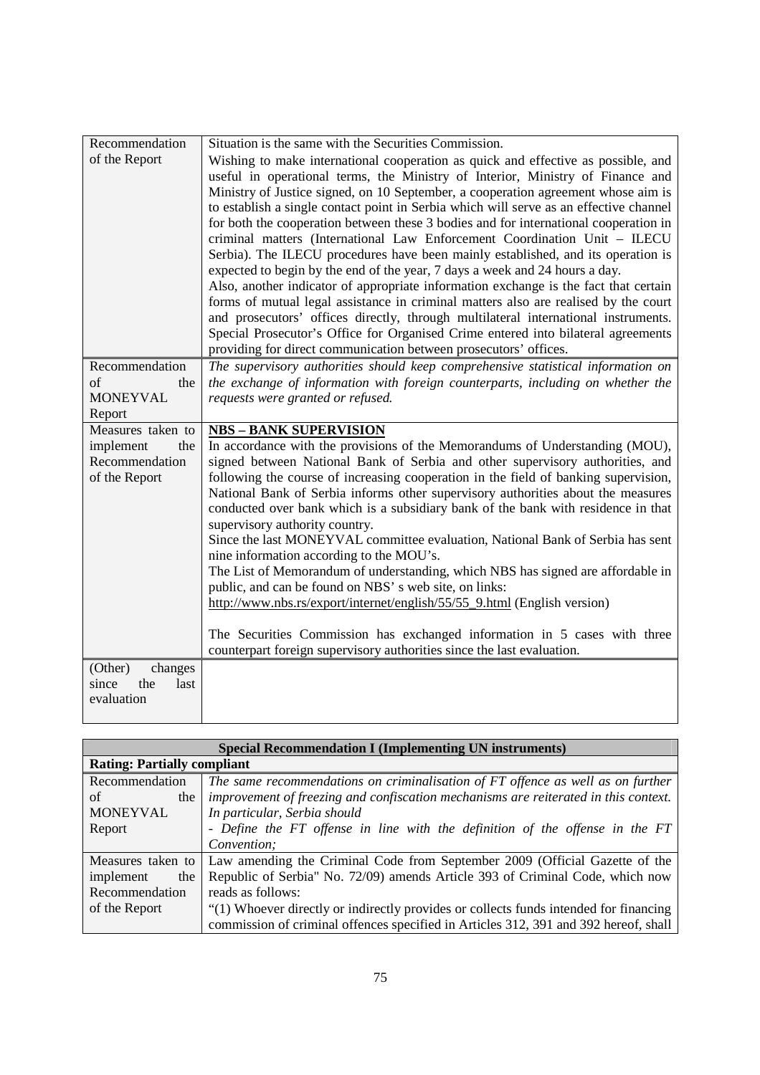| Recommendation       | Situation is the same with the Securities Commission.                                                                                                                     |
|----------------------|---------------------------------------------------------------------------------------------------------------------------------------------------------------------------|
| of the Report        | Wishing to make international cooperation as quick and effective as possible, and                                                                                         |
|                      | useful in operational terms, the Ministry of Interior, Ministry of Finance and                                                                                            |
|                      | Ministry of Justice signed, on 10 September, a cooperation agreement whose aim is                                                                                         |
|                      | to establish a single contact point in Serbia which will serve as an effective channel                                                                                    |
|                      | for both the cooperation between these 3 bodies and for international cooperation in                                                                                      |
|                      | criminal matters (International Law Enforcement Coordination Unit - ILECU                                                                                                 |
|                      | Serbia). The ILECU procedures have been mainly established, and its operation is                                                                                          |
|                      | expected to begin by the end of the year, 7 days a week and 24 hours a day.                                                                                               |
|                      | Also, another indicator of appropriate information exchange is the fact that certain                                                                                      |
|                      | forms of mutual legal assistance in criminal matters also are realised by the court<br>and prosecutors' offices directly, through multilateral international instruments. |
|                      | Special Prosecutor's Office for Organised Crime entered into bilateral agreements                                                                                         |
|                      | providing for direct communication between prosecutors' offices.                                                                                                          |
| Recommendation       | The supervisory authorities should keep comprehensive statistical information on                                                                                          |
| of<br>the            | the exchange of information with foreign counterparts, including on whether the                                                                                           |
| <b>MONEYVAL</b>      | requests were granted or refused.                                                                                                                                         |
| Report               |                                                                                                                                                                           |
| Measures taken to    | <b>NBS - BANK SUPERVISION</b>                                                                                                                                             |
| implement<br>the     | In accordance with the provisions of the Memorandums of Understanding (MOU),                                                                                              |
| Recommendation       | signed between National Bank of Serbia and other supervisory authorities, and                                                                                             |
| of the Report        | following the course of increasing cooperation in the field of banking supervision,                                                                                       |
|                      | National Bank of Serbia informs other supervisory authorities about the measures                                                                                          |
|                      | conducted over bank which is a subsidiary bank of the bank with residence in that                                                                                         |
|                      | supervisory authority country.                                                                                                                                            |
|                      | Since the last MONEYVAL committee evaluation, National Bank of Serbia has sent<br>nine information according to the MOU's.                                                |
|                      | The List of Memorandum of understanding, which NBS has signed are affordable in                                                                                           |
|                      | public, and can be found on NBS' s web site, on links:                                                                                                                    |
|                      | http://www.nbs.rs/export/internet/english/55/55_9.html (English version)                                                                                                  |
|                      |                                                                                                                                                                           |
|                      | The Securities Commission has exchanged information in 5 cases with three                                                                                                 |
|                      | counterpart foreign supervisory authorities since the last evaluation.                                                                                                    |
| (Other)<br>changes   |                                                                                                                                                                           |
| since<br>the<br>last |                                                                                                                                                                           |
| evaluation           |                                                                                                                                                                           |
|                      |                                                                                                                                                                           |

| <b>Special Recommendation I (Implementing UN instruments)</b> |                                                                                       |
|---------------------------------------------------------------|---------------------------------------------------------------------------------------|
| <b>Rating: Partially compliant</b>                            |                                                                                       |
| Recommendation                                                | The same recommendations on criminalisation of FT offence as well as on further       |
| of<br>the                                                     | improvement of freezing and confiscation mechanisms are reiterated in this context.   |
| <b>MONEYVAL</b>                                               | In particular, Serbia should                                                          |
| Report                                                        | - Define the FT offense in line with the definition of the offense in the FT          |
|                                                               | Convention;                                                                           |
| Measures taken to                                             | Law amending the Criminal Code from September 2009 (Official Gazette of the           |
| implement<br>the                                              | Republic of Serbia" No. 72/09) amends Article 393 of Criminal Code, which now         |
| Recommendation                                                | reads as follows:                                                                     |
| of the Report                                                 | "(1) Whoever directly or indirectly provides or collects funds intended for financing |
|                                                               | commission of criminal offences specified in Articles 312, 391 and 392 hereof, shall  |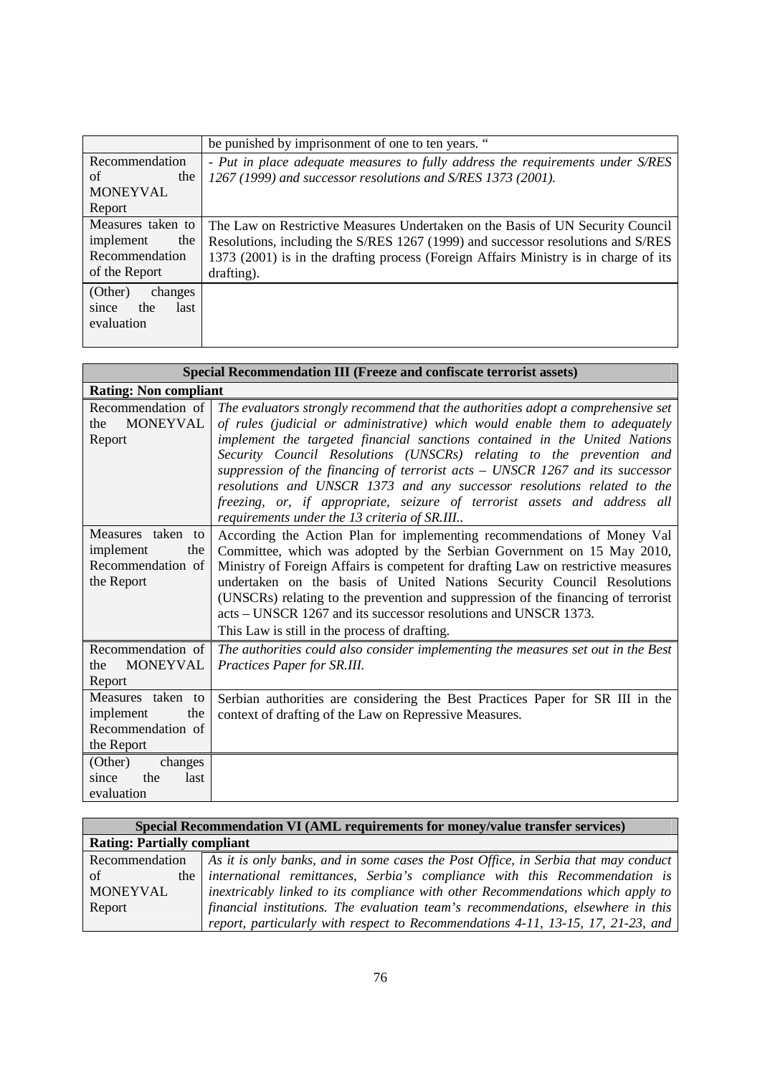|                      | be punished by imprisonment of one to ten years. "                                   |
|----------------------|--------------------------------------------------------------------------------------|
| Recommendation       | - Put in place adequate measures to fully address the requirements under S/RES       |
| of<br>the            | 1267 (1999) and successor resolutions and S/RES 1373 (2001).                         |
| <b>MONEYVAL</b>      |                                                                                      |
| Report               |                                                                                      |
| Measures taken to    | The Law on Restrictive Measures Undertaken on the Basis of UN Security Council       |
| implement<br>the     | Resolutions, including the S/RES 1267 (1999) and successor resolutions and S/RES     |
| Recommendation       | 1373 (2001) is in the drafting process (Foreign Affairs Ministry is in charge of its |
| of the Report        | drafting).                                                                           |
| (Other)<br>changes   |                                                                                      |
| the<br>last<br>since |                                                                                      |
| evaluation           |                                                                                      |
|                      |                                                                                      |

| Special Recommendation III (Freeze and confiscate terrorist assets)      |                                                                                                                                                                                                                                                                                                                                                                                                                                                                                                                                                                                                                |
|--------------------------------------------------------------------------|----------------------------------------------------------------------------------------------------------------------------------------------------------------------------------------------------------------------------------------------------------------------------------------------------------------------------------------------------------------------------------------------------------------------------------------------------------------------------------------------------------------------------------------------------------------------------------------------------------------|
| <b>Rating: Non compliant</b>                                             |                                                                                                                                                                                                                                                                                                                                                                                                                                                                                                                                                                                                                |
| Recommendation of<br><b>MONEYVAL</b><br>the<br>Report                    | The evaluators strongly recommend that the authorities adopt a comprehensive set<br>of rules (judicial or administrative) which would enable them to adequately<br>implement the targeted financial sanctions contained in the United Nations<br>Security Council Resolutions (UNSCRs) relating to the prevention and<br>suppression of the financing of terrorist acts - UNSCR 1267 and its successor<br>resolutions and UNSCR 1373 and any successor resolutions related to the<br>freezing, or, if appropriate, seizure of terrorist assets and address all<br>requirements under the 13 criteria of SR.III |
| Measures taken to<br>implement<br>the<br>Recommendation of<br>the Report | According the Action Plan for implementing recommendations of Money Val<br>Committee, which was adopted by the Serbian Government on 15 May 2010,<br>Ministry of Foreign Affairs is competent for drafting Law on restrictive measures<br>undertaken on the basis of United Nations Security Council Resolutions<br>(UNSCRs) relating to the prevention and suppression of the financing of terrorist<br>acts – UNSCR 1267 and its successor resolutions and UNSCR 1373.<br>This Law is still in the process of drafting.                                                                                      |
| Recommendation of<br><b>MONEYVAL</b><br>the<br>Report                    | The authorities could also consider implementing the measures set out in the Best<br>Practices Paper for SR.III.                                                                                                                                                                                                                                                                                                                                                                                                                                                                                               |
| Measures taken to<br>the<br>implement<br>Recommendation of<br>the Report | Serbian authorities are considering the Best Practices Paper for SR III in the<br>context of drafting of the Law on Repressive Measures.                                                                                                                                                                                                                                                                                                                                                                                                                                                                       |
| (Other)<br>changes<br>since<br>the<br>last<br>evaluation                 |                                                                                                                                                                                                                                                                                                                                                                                                                                                                                                                                                                                                                |

| Special Recommendation VI (AML requirements for money/value transfer services) |                                                                                    |
|--------------------------------------------------------------------------------|------------------------------------------------------------------------------------|
| <b>Rating: Partially compliant</b>                                             |                                                                                    |
| Recommendation                                                                 | As it is only banks, and in some cases the Post Office, in Serbia that may conduct |
| of                                                                             | the international remittances, Serbia's compliance with this Recommendation is     |
| <b>MONEYVAL</b>                                                                | inextricably linked to its compliance with other Recommendations which apply to    |
| Report                                                                         | financial institutions. The evaluation team's recommendations, elsewhere in this   |
|                                                                                | report, particularly with respect to Recommendations 4-11, 13-15, 17, 21-23, and   |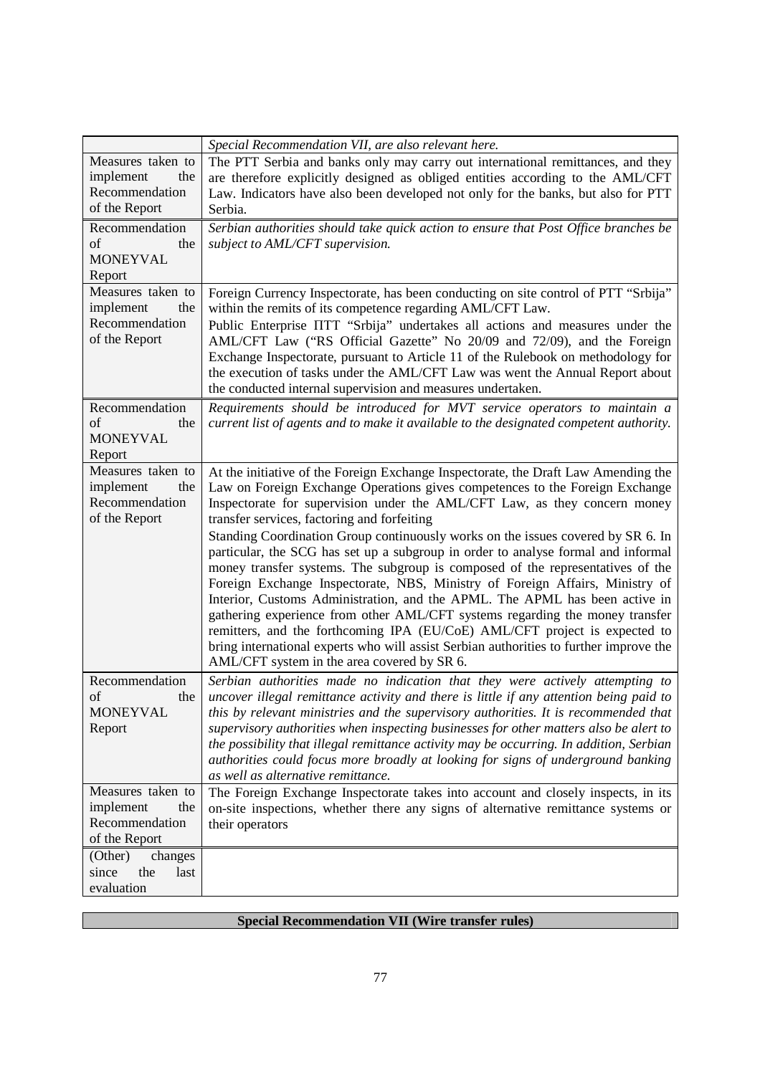|                                    | Special Recommendation VII, are also relevant here.                                                                                                                         |
|------------------------------------|-----------------------------------------------------------------------------------------------------------------------------------------------------------------------------|
| Measures taken to                  | The PTT Serbia and banks only may carry out international remittances, and they                                                                                             |
| implement<br>the<br>Recommendation | are therefore explicitly designed as obliged entities according to the AML/CFT<br>Law. Indicators have also been developed not only for the banks, but also for PTT         |
| of the Report                      | Serbia.                                                                                                                                                                     |
| Recommendation                     | Serbian authorities should take quick action to ensure that Post Office branches be                                                                                         |
| of<br>the                          | subject to AML/CFT supervision.                                                                                                                                             |
| <b>MONEYVAL</b><br>Report          |                                                                                                                                                                             |
| Measures taken to                  | Foreign Currency Inspectorate, has been conducting on site control of PTT "Srbija"                                                                                          |
| implement<br>the                   | within the remits of its competence regarding AML/CFT Law.                                                                                                                  |
| Recommendation                     | Public Enterprise IITT "Srbija" undertakes all actions and measures under the                                                                                               |
| of the Report                      | AML/CFT Law ("RS Official Gazette" No 20/09 and 72/09), and the Foreign                                                                                                     |
|                                    | Exchange Inspectorate, pursuant to Article 11 of the Rulebook on methodology for<br>the execution of tasks under the AML/CFT Law was went the Annual Report about           |
|                                    | the conducted internal supervision and measures undertaken.                                                                                                                 |
| Recommendation                     | Requirements should be introduced for MVT service operators to maintain a                                                                                                   |
| of<br>the<br><b>MONEYVAL</b>       | current list of agents and to make it available to the designated competent authority.                                                                                      |
| Report                             |                                                                                                                                                                             |
| Measures taken to                  | At the initiative of the Foreign Exchange Inspectorate, the Draft Law Amending the                                                                                          |
| implement<br>the                   | Law on Foreign Exchange Operations gives competences to the Foreign Exchange                                                                                                |
| Recommendation<br>of the Report    | Inspectorate for supervision under the AML/CFT Law, as they concern money<br>transfer services, factoring and forfeiting                                                    |
|                                    | Standing Coordination Group continuously works on the issues covered by SR 6. In                                                                                            |
|                                    | particular, the SCG has set up a subgroup in order to analyse formal and informal                                                                                           |
|                                    | money transfer systems. The subgroup is composed of the representatives of the                                                                                              |
|                                    | Foreign Exchange Inspectorate, NBS, Ministry of Foreign Affairs, Ministry of<br>Interior, Customs Administration, and the APML. The APML has been active in                 |
|                                    | gathering experience from other AML/CFT systems regarding the money transfer                                                                                                |
|                                    | remitters, and the forthcoming IPA (EU/CoE) AML/CFT project is expected to                                                                                                  |
|                                    | bring international experts who will assist Serbian authorities to further improve the                                                                                      |
| Recommendation                     | AML/CFT system in the area covered by SR 6.<br>Serbian authorities made no indication that they were actively attempting to                                                 |
| of<br>the                          | uncover illegal remittance activity and there is little if any attention being paid to                                                                                      |
| <b>MONEYVAL</b>                    | this by relevant ministries and the supervisory authorities. It is recommended that                                                                                         |
| Report                             | supervisory authorities when inspecting businesses for other matters also be alert to                                                                                       |
|                                    | the possibility that illegal remittance activity may be occurring. In addition, Serbian<br>authorities could focus more broadly at looking for signs of underground banking |
|                                    | as well as alternative remittance.                                                                                                                                          |
| Measures taken to                  | The Foreign Exchange Inspectorate takes into account and closely inspects, in its                                                                                           |
| implement<br>the<br>Recommendation | on-site inspections, whether there any signs of alternative remittance systems or                                                                                           |
| of the Report                      | their operators                                                                                                                                                             |
| (Other)<br>changes                 |                                                                                                                                                                             |
| since<br>the<br>last               |                                                                                                                                                                             |
| evaluation                         |                                                                                                                                                                             |

## **Special Recommendation VII (Wire transfer rules)**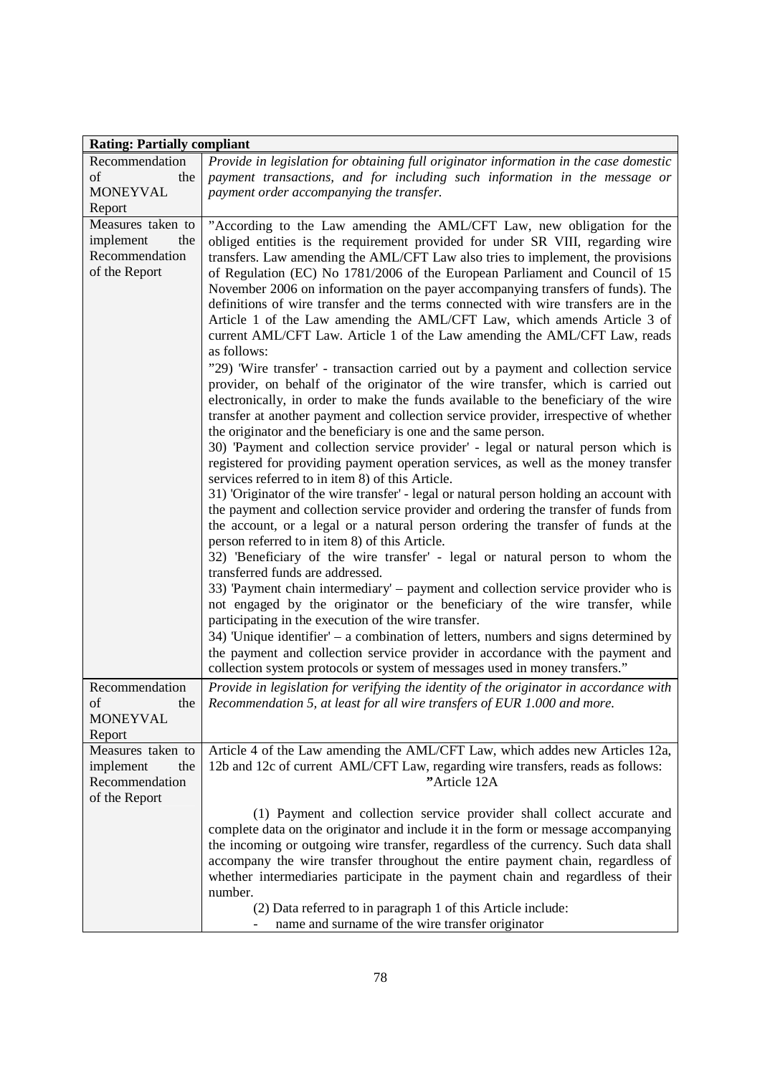| <b>Rating: Partially compliant</b> |                                                                                                                                                                             |
|------------------------------------|-----------------------------------------------------------------------------------------------------------------------------------------------------------------------------|
| Recommendation                     | Provide in legislation for obtaining full originator information in the case domestic                                                                                       |
| of<br>the                          | payment transactions, and for including such information in the message or                                                                                                  |
| <b>MONEYVAL</b>                    | payment order accompanying the transfer.                                                                                                                                    |
| Report                             |                                                                                                                                                                             |
| Measures taken to                  | "According to the Law amending the AML/CFT Law, new obligation for the                                                                                                      |
| implement<br>the                   | obliged entities is the requirement provided for under SR VIII, regarding wire                                                                                              |
| Recommendation                     | transfers. Law amending the AML/CFT Law also tries to implement, the provisions                                                                                             |
| of the Report                      | of Regulation (EC) No 1781/2006 of the European Parliament and Council of 15                                                                                                |
|                                    | November 2006 on information on the payer accompanying transfers of funds). The                                                                                             |
|                                    | definitions of wire transfer and the terms connected with wire transfers are in the                                                                                         |
|                                    | Article 1 of the Law amending the AML/CFT Law, which amends Article 3 of                                                                                                    |
|                                    | current AML/CFT Law. Article 1 of the Law amending the AML/CFT Law, reads                                                                                                   |
|                                    | as follows:                                                                                                                                                                 |
|                                    | "29) 'Wire transfer' - transaction carried out by a payment and collection service                                                                                          |
|                                    | provider, on behalf of the originator of the wire transfer, which is carried out                                                                                            |
|                                    | electronically, in order to make the funds available to the beneficiary of the wire<br>transfer at another payment and collection service provider, irrespective of whether |
|                                    | the originator and the beneficiary is one and the same person.                                                                                                              |
|                                    | 30) 'Payment and collection service provider' - legal or natural person which is                                                                                            |
|                                    | registered for providing payment operation services, as well as the money transfer                                                                                          |
|                                    | services referred to in item 8) of this Article.                                                                                                                            |
|                                    | 31) 'Originator of the wire transfer' - legal or natural person holding an account with                                                                                     |
|                                    | the payment and collection service provider and ordering the transfer of funds from                                                                                         |
|                                    | the account, or a legal or a natural person ordering the transfer of funds at the                                                                                           |
|                                    | person referred to in item 8) of this Article.                                                                                                                              |
|                                    | 32) 'Beneficiary of the wire transfer' - legal or natural person to whom the                                                                                                |
|                                    | transferred funds are addressed.                                                                                                                                            |
|                                    | 33) Payment chain intermediary' – payment and collection service provider who is                                                                                            |
|                                    | not engaged by the originator or the beneficiary of the wire transfer, while                                                                                                |
|                                    | participating in the execution of the wire transfer.                                                                                                                        |
|                                    | $34$ ) Unique identifier – a combination of letters, numbers and signs determined by                                                                                        |
|                                    | the payment and collection service provider in accordance with the payment and                                                                                              |
|                                    | collection system protocols or system of messages used in money transfers."                                                                                                 |
| Recommendation                     | Provide in legislation for verifying the identity of the originator in accordance with                                                                                      |
| of<br>the                          | Recommendation 5, at least for all wire transfers of EUR 1.000 and more.                                                                                                    |
| <b>MONEYVAL</b>                    |                                                                                                                                                                             |
| Report                             |                                                                                                                                                                             |
| Measures taken to                  | Article 4 of the Law amending the AML/CFT Law, which addes new Articles 12a,                                                                                                |
| the<br>implement                   | 12b and 12c of current AML/CFT Law, regarding wire transfers, reads as follows:                                                                                             |
| Recommendation                     | "Article 12A                                                                                                                                                                |
| of the Report                      |                                                                                                                                                                             |
|                                    | (1) Payment and collection service provider shall collect accurate and                                                                                                      |
|                                    | complete data on the originator and include it in the form or message accompanying                                                                                          |
|                                    | the incoming or outgoing wire transfer, regardless of the currency. Such data shall                                                                                         |
|                                    | accompany the wire transfer throughout the entire payment chain, regardless of                                                                                              |
|                                    | whether intermediaries participate in the payment chain and regardless of their                                                                                             |
|                                    | number.                                                                                                                                                                     |
|                                    | (2) Data referred to in paragraph 1 of this Article include:                                                                                                                |
|                                    | name and surname of the wire transfer originator                                                                                                                            |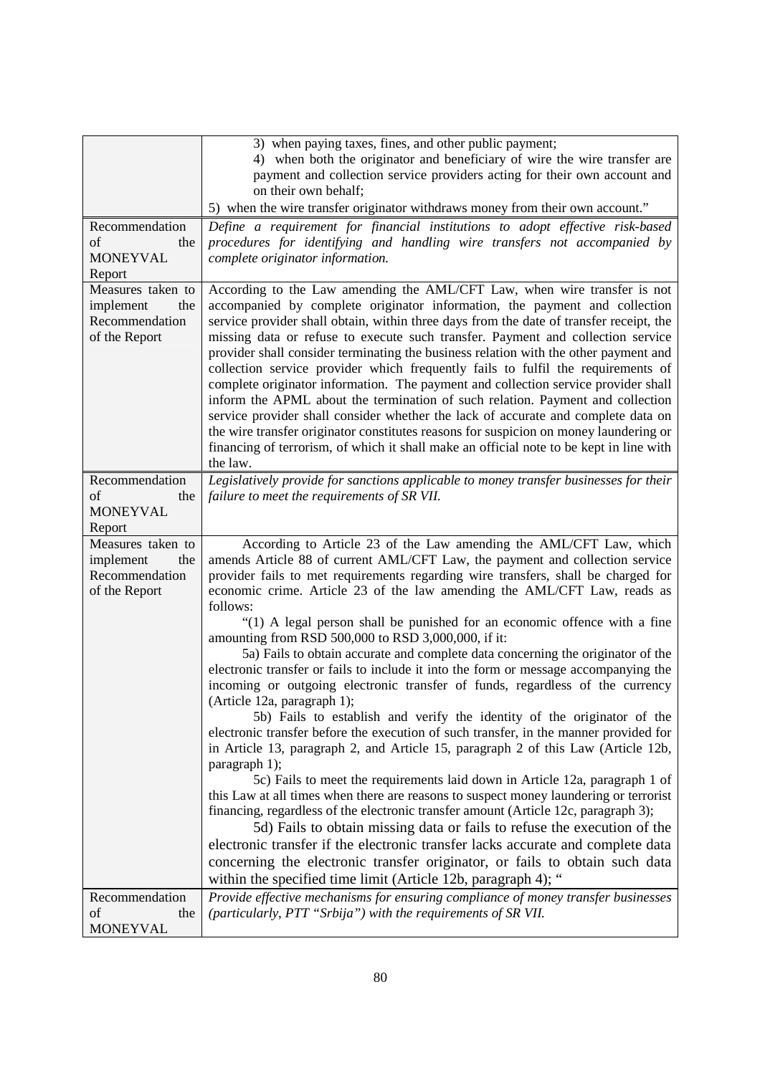|                                                                          | 3) when paying taxes, fines, and other public payment;<br>4) when both the originator and beneficiary of wire the wire transfer are<br>payment and collection service providers acting for their own account and<br>on their own behalf;<br>5) when the wire transfer originator withdraws money from their own account."                                                                                                                                                                                                                                                                                                                                                                                                                                                                                                                                                                                                                                                     |
|--------------------------------------------------------------------------|-------------------------------------------------------------------------------------------------------------------------------------------------------------------------------------------------------------------------------------------------------------------------------------------------------------------------------------------------------------------------------------------------------------------------------------------------------------------------------------------------------------------------------------------------------------------------------------------------------------------------------------------------------------------------------------------------------------------------------------------------------------------------------------------------------------------------------------------------------------------------------------------------------------------------------------------------------------------------------|
| Recommendation<br>of<br>the                                              | Define a requirement for financial institutions to adopt effective risk-based<br>procedures for identifying and handling wire transfers not accompanied by                                                                                                                                                                                                                                                                                                                                                                                                                                                                                                                                                                                                                                                                                                                                                                                                                    |
| <b>MONEYVAL</b><br>Report                                                | complete originator information.                                                                                                                                                                                                                                                                                                                                                                                                                                                                                                                                                                                                                                                                                                                                                                                                                                                                                                                                              |
| Measures taken to<br>implement<br>the<br>Recommendation<br>of the Report | According to the Law amending the AML/CFT Law, when wire transfer is not<br>accompanied by complete originator information, the payment and collection<br>service provider shall obtain, within three days from the date of transfer receipt, the<br>missing data or refuse to execute such transfer. Payment and collection service<br>provider shall consider terminating the business relation with the other payment and<br>collection service provider which frequently fails to fulfil the requirements of<br>complete originator information. The payment and collection service provider shall<br>inform the APML about the termination of such relation. Payment and collection<br>service provider shall consider whether the lack of accurate and complete data on<br>the wire transfer originator constitutes reasons for suspicion on money laundering or<br>financing of terrorism, of which it shall make an official note to be kept in line with<br>the law. |
| Recommendation<br>of<br>the<br><b>MONEYVAL</b><br>Report                 | Legislatively provide for sanctions applicable to money transfer businesses for their<br>failure to meet the requirements of SR VII.                                                                                                                                                                                                                                                                                                                                                                                                                                                                                                                                                                                                                                                                                                                                                                                                                                          |
| Measures taken to<br>implement<br>the<br>Recommendation<br>of the Report | According to Article 23 of the Law amending the AML/CFT Law, which<br>amends Article 88 of current AML/CFT Law, the payment and collection service<br>provider fails to met requirements regarding wire transfers, shall be charged for<br>economic crime. Article 23 of the law amending the AML/CFT Law, reads as<br>follows:                                                                                                                                                                                                                                                                                                                                                                                                                                                                                                                                                                                                                                               |
|                                                                          | "(1) A legal person shall be punished for an economic offence with a fine<br>amounting from RSD 500,000 to RSD 3,000,000, if it:<br>5a) Fails to obtain accurate and complete data concerning the originator of the<br>electronic transfer or fails to include it into the form or message accompanying the<br>incoming or outgoing electronic transfer of funds, regardless of the currency<br>(Article 12a, paragraph 1);                                                                                                                                                                                                                                                                                                                                                                                                                                                                                                                                                   |
|                                                                          | 5b) Fails to establish and verify the identity of the originator of the<br>electronic transfer before the execution of such transfer, in the manner provided for<br>in Article 13, paragraph 2, and Article 15, paragraph 2 of this Law (Article 12b,<br>paragraph 1);                                                                                                                                                                                                                                                                                                                                                                                                                                                                                                                                                                                                                                                                                                        |
|                                                                          | 5c) Fails to meet the requirements laid down in Article 12a, paragraph 1 of<br>this Law at all times when there are reasons to suspect money laundering or terrorist<br>financing, regardless of the electronic transfer amount (Article 12c, paragraph 3);<br>5d) Fails to obtain missing data or fails to refuse the execution of the                                                                                                                                                                                                                                                                                                                                                                                                                                                                                                                                                                                                                                       |
|                                                                          | electronic transfer if the electronic transfer lacks accurate and complete data<br>concerning the electronic transfer originator, or fails to obtain such data<br>within the specified time limit (Article 12b, paragraph 4); "                                                                                                                                                                                                                                                                                                                                                                                                                                                                                                                                                                                                                                                                                                                                               |
| Recommendation                                                           | Provide effective mechanisms for ensuring compliance of money transfer businesses                                                                                                                                                                                                                                                                                                                                                                                                                                                                                                                                                                                                                                                                                                                                                                                                                                                                                             |
| of<br>the                                                                | (particularly, PTT "Srbija") with the requirements of SR VII.                                                                                                                                                                                                                                                                                                                                                                                                                                                                                                                                                                                                                                                                                                                                                                                                                                                                                                                 |
| <b>MONEYVAL</b>                                                          |                                                                                                                                                                                                                                                                                                                                                                                                                                                                                                                                                                                                                                                                                                                                                                                                                                                                                                                                                                               |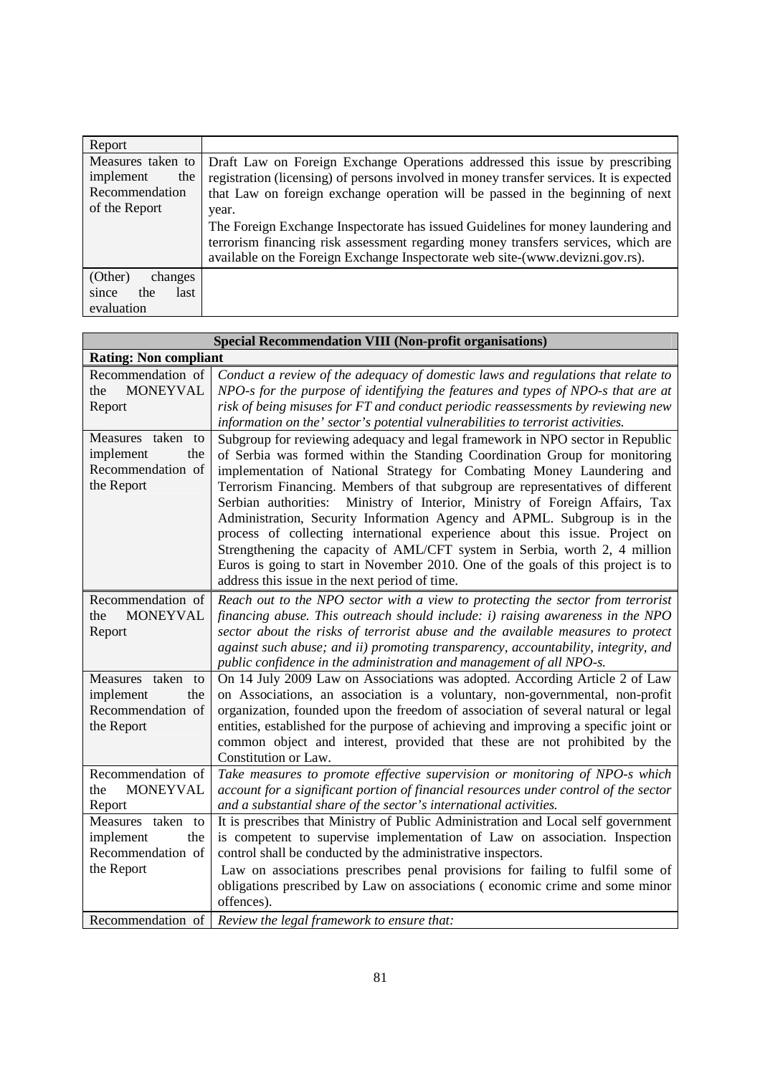| Report                                                                   |                                                                                                                                                                                                                                                                                                                                                                                                                                                                                                                              |
|--------------------------------------------------------------------------|------------------------------------------------------------------------------------------------------------------------------------------------------------------------------------------------------------------------------------------------------------------------------------------------------------------------------------------------------------------------------------------------------------------------------------------------------------------------------------------------------------------------------|
| Measures taken to<br>implement<br>the<br>Recommendation<br>of the Report | Draft Law on Foreign Exchange Operations addressed this issue by prescribing<br>registration (licensing) of persons involved in money transfer services. It is expected<br>that Law on foreign exchange operation will be passed in the beginning of next<br>year.<br>The Foreign Exchange Inspectorate has issued Guidelines for money laundering and<br>terrorism financing risk assessment regarding money transfers services, which are<br>available on the Foreign Exchange Inspectorate web site-(www.devizni.gov.rs). |
| (Other)<br>changes<br>last<br>since<br>the<br>evaluation                 |                                                                                                                                                                                                                                                                                                                                                                                                                                                                                                                              |

|                                                                          | <b>Special Recommendation VIII (Non-profit organisations)</b>                                                                                                                                                                                                                                                                                                                                                                                                                                                                                                                                                                                                                                                                                                                            |
|--------------------------------------------------------------------------|------------------------------------------------------------------------------------------------------------------------------------------------------------------------------------------------------------------------------------------------------------------------------------------------------------------------------------------------------------------------------------------------------------------------------------------------------------------------------------------------------------------------------------------------------------------------------------------------------------------------------------------------------------------------------------------------------------------------------------------------------------------------------------------|
| <b>Rating: Non compliant</b>                                             |                                                                                                                                                                                                                                                                                                                                                                                                                                                                                                                                                                                                                                                                                                                                                                                          |
| Recommendation of<br><b>MONEYVAL</b><br>the<br>Report                    | Conduct a review of the adequacy of domestic laws and regulations that relate to<br>NPO-s for the purpose of identifying the features and types of NPO-s that are at<br>risk of being misuses for FT and conduct periodic reassessments by reviewing new<br>information on the' sector's potential vulnerabilities to terrorist activities.                                                                                                                                                                                                                                                                                                                                                                                                                                              |
| Measures taken to<br>implement<br>the<br>Recommendation of<br>the Report | Subgroup for reviewing adequacy and legal framework in NPO sector in Republic<br>of Serbia was formed within the Standing Coordination Group for monitoring<br>implementation of National Strategy for Combating Money Laundering and<br>Terrorism Financing. Members of that subgroup are representatives of different<br>Ministry of Interior, Ministry of Foreign Affairs, Tax<br>Serbian authorities:<br>Administration, Security Information Agency and APML. Subgroup is in the<br>process of collecting international experience about this issue. Project on<br>Strengthening the capacity of AML/CFT system in Serbia, worth 2, 4 million<br>Euros is going to start in November 2010. One of the goals of this project is to<br>address this issue in the next period of time. |
| Recommendation of<br><b>MONEYVAL</b><br>the<br>Report                    | Reach out to the NPO sector with a view to protecting the sector from terrorist<br>financing abuse. This outreach should include: i) raising awareness in the NPO<br>sector about the risks of terrorist abuse and the available measures to protect<br>against such abuse; and ii) promoting transparency, accountability, integrity, and<br>public confidence in the administration and management of all NPO-s.                                                                                                                                                                                                                                                                                                                                                                       |
| Measures taken to<br>implement<br>the<br>Recommendation of<br>the Report | On 14 July 2009 Law on Associations was adopted. According Article 2 of Law<br>on Associations, an association is a voluntary, non-governmental, non-profit<br>organization, founded upon the freedom of association of several natural or legal<br>entities, established for the purpose of achieving and improving a specific joint or<br>common object and interest, provided that these are not prohibited by the<br>Constitution or Law.                                                                                                                                                                                                                                                                                                                                            |
| Recommendation of<br><b>MONEYVAL</b><br>the<br>Report                    | Take measures to promote effective supervision or monitoring of NPO-s which<br>account for a significant portion of financial resources under control of the sector<br>and a substantial share of the sector's international activities.                                                                                                                                                                                                                                                                                                                                                                                                                                                                                                                                                 |
| Measures taken to<br>implement<br>the<br>Recommendation of<br>the Report | It is prescribes that Ministry of Public Administration and Local self government<br>is competent to supervise implementation of Law on association. Inspection<br>control shall be conducted by the administrative inspectors.<br>Law on associations prescribes penal provisions for failing to fulfil some of<br>obligations prescribed by Law on associations (economic crime and some minor<br>offences).                                                                                                                                                                                                                                                                                                                                                                           |
| Recommendation of                                                        | Review the legal framework to ensure that:                                                                                                                                                                                                                                                                                                                                                                                                                                                                                                                                                                                                                                                                                                                                               |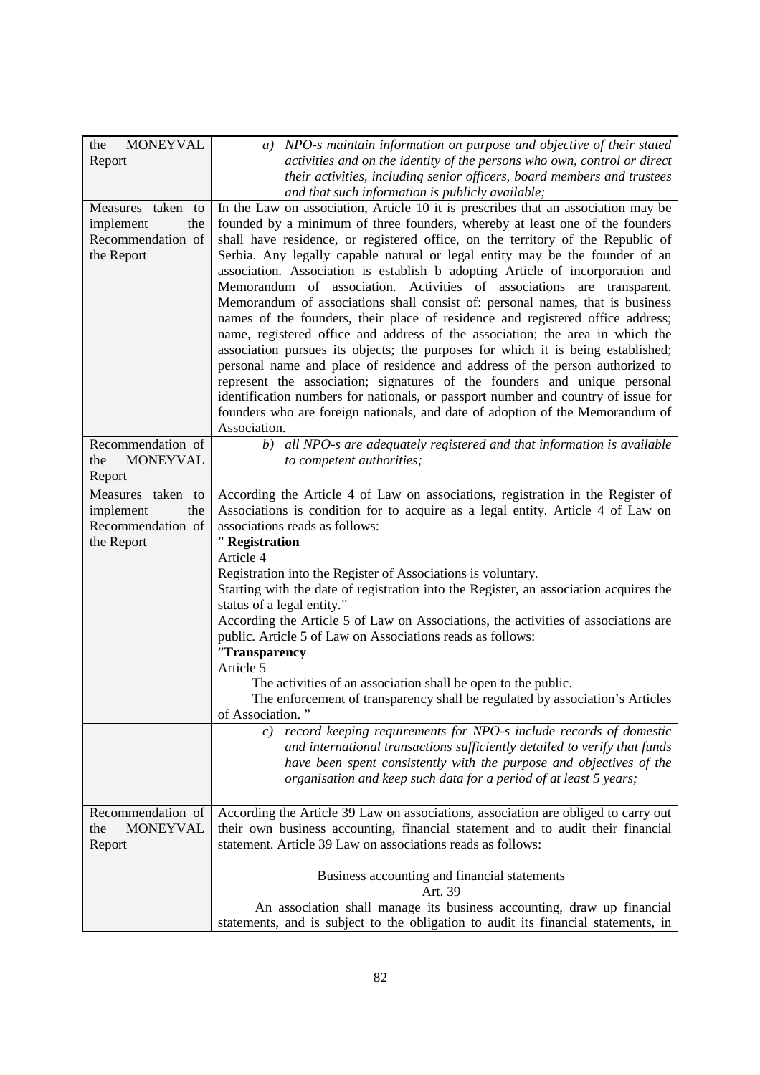| <b>MONEYVAL</b><br>the                                                   | a) NPO-s maintain information on purpose and objective of their stated                                                                                                                                                                                                                                                                                                                                                                                                                                                                                                                                                                                                                                                                                                                                                                                                                                                                                                                                                                                                                                                                                                                                                                         |
|--------------------------------------------------------------------------|------------------------------------------------------------------------------------------------------------------------------------------------------------------------------------------------------------------------------------------------------------------------------------------------------------------------------------------------------------------------------------------------------------------------------------------------------------------------------------------------------------------------------------------------------------------------------------------------------------------------------------------------------------------------------------------------------------------------------------------------------------------------------------------------------------------------------------------------------------------------------------------------------------------------------------------------------------------------------------------------------------------------------------------------------------------------------------------------------------------------------------------------------------------------------------------------------------------------------------------------|
| Report                                                                   | activities and on the identity of the persons who own, control or direct                                                                                                                                                                                                                                                                                                                                                                                                                                                                                                                                                                                                                                                                                                                                                                                                                                                                                                                                                                                                                                                                                                                                                                       |
|                                                                          | their activities, including senior officers, board members and trustees                                                                                                                                                                                                                                                                                                                                                                                                                                                                                                                                                                                                                                                                                                                                                                                                                                                                                                                                                                                                                                                                                                                                                                        |
| Measures taken to<br>implement<br>the<br>Recommendation of<br>the Report | and that such information is publicly available;<br>In the Law on association, Article 10 it is prescribes that an association may be<br>founded by a minimum of three founders, whereby at least one of the founders<br>shall have residence, or registered office, on the territory of the Republic of<br>Serbia. Any legally capable natural or legal entity may be the founder of an<br>association. Association is establish b adopting Article of incorporation and<br>Memorandum of association. Activities of associations are transparent.<br>Memorandum of associations shall consist of: personal names, that is business<br>names of the founders, their place of residence and registered office address;<br>name, registered office and address of the association; the area in which the<br>association pursues its objects; the purposes for which it is being established;<br>personal name and place of residence and address of the person authorized to<br>represent the association; signatures of the founders and unique personal<br>identification numbers for nationals, or passport number and country of issue for<br>founders who are foreign nationals, and date of adoption of the Memorandum of<br>Association. |
| Recommendation of<br><b>MONEYVAL</b><br>the<br>Report                    | b) all NPO-s are adequately registered and that information is available<br>to competent authorities;                                                                                                                                                                                                                                                                                                                                                                                                                                                                                                                                                                                                                                                                                                                                                                                                                                                                                                                                                                                                                                                                                                                                          |
| Measures taken to                                                        | According the Article 4 of Law on associations, registration in the Register of                                                                                                                                                                                                                                                                                                                                                                                                                                                                                                                                                                                                                                                                                                                                                                                                                                                                                                                                                                                                                                                                                                                                                                |
| implement<br>the                                                         | Associations is condition for to acquire as a legal entity. Article 4 of Law on                                                                                                                                                                                                                                                                                                                                                                                                                                                                                                                                                                                                                                                                                                                                                                                                                                                                                                                                                                                                                                                                                                                                                                |
| Recommendation of                                                        | associations reads as follows:                                                                                                                                                                                                                                                                                                                                                                                                                                                                                                                                                                                                                                                                                                                                                                                                                                                                                                                                                                                                                                                                                                                                                                                                                 |
| the Report                                                               | "Registration                                                                                                                                                                                                                                                                                                                                                                                                                                                                                                                                                                                                                                                                                                                                                                                                                                                                                                                                                                                                                                                                                                                                                                                                                                  |
|                                                                          | Article 4                                                                                                                                                                                                                                                                                                                                                                                                                                                                                                                                                                                                                                                                                                                                                                                                                                                                                                                                                                                                                                                                                                                                                                                                                                      |
|                                                                          | Registration into the Register of Associations is voluntary.<br>Starting with the date of registration into the Register, an association acquires the                                                                                                                                                                                                                                                                                                                                                                                                                                                                                                                                                                                                                                                                                                                                                                                                                                                                                                                                                                                                                                                                                          |
|                                                                          | status of a legal entity."                                                                                                                                                                                                                                                                                                                                                                                                                                                                                                                                                                                                                                                                                                                                                                                                                                                                                                                                                                                                                                                                                                                                                                                                                     |
|                                                                          | According the Article 5 of Law on Associations, the activities of associations are                                                                                                                                                                                                                                                                                                                                                                                                                                                                                                                                                                                                                                                                                                                                                                                                                                                                                                                                                                                                                                                                                                                                                             |
|                                                                          | public. Article 5 of Law on Associations reads as follows:                                                                                                                                                                                                                                                                                                                                                                                                                                                                                                                                                                                                                                                                                                                                                                                                                                                                                                                                                                                                                                                                                                                                                                                     |
|                                                                          | "Transparency                                                                                                                                                                                                                                                                                                                                                                                                                                                                                                                                                                                                                                                                                                                                                                                                                                                                                                                                                                                                                                                                                                                                                                                                                                  |
|                                                                          | Article 5                                                                                                                                                                                                                                                                                                                                                                                                                                                                                                                                                                                                                                                                                                                                                                                                                                                                                                                                                                                                                                                                                                                                                                                                                                      |
|                                                                          | The activities of an association shall be open to the public.                                                                                                                                                                                                                                                                                                                                                                                                                                                                                                                                                                                                                                                                                                                                                                                                                                                                                                                                                                                                                                                                                                                                                                                  |
|                                                                          | The enforcement of transparency shall be regulated by association's Articles                                                                                                                                                                                                                                                                                                                                                                                                                                                                                                                                                                                                                                                                                                                                                                                                                                                                                                                                                                                                                                                                                                                                                                   |
|                                                                          | of Association."<br>c) record keeping requirements for NPO-s include records of domestic                                                                                                                                                                                                                                                                                                                                                                                                                                                                                                                                                                                                                                                                                                                                                                                                                                                                                                                                                                                                                                                                                                                                                       |
|                                                                          | and international transactions sufficiently detailed to verify that funds                                                                                                                                                                                                                                                                                                                                                                                                                                                                                                                                                                                                                                                                                                                                                                                                                                                                                                                                                                                                                                                                                                                                                                      |
|                                                                          | have been spent consistently with the purpose and objectives of the                                                                                                                                                                                                                                                                                                                                                                                                                                                                                                                                                                                                                                                                                                                                                                                                                                                                                                                                                                                                                                                                                                                                                                            |
|                                                                          | organisation and keep such data for a period of at least 5 years;                                                                                                                                                                                                                                                                                                                                                                                                                                                                                                                                                                                                                                                                                                                                                                                                                                                                                                                                                                                                                                                                                                                                                                              |
|                                                                          |                                                                                                                                                                                                                                                                                                                                                                                                                                                                                                                                                                                                                                                                                                                                                                                                                                                                                                                                                                                                                                                                                                                                                                                                                                                |
| Recommendation of                                                        | According the Article 39 Law on associations, association are obliged to carry out                                                                                                                                                                                                                                                                                                                                                                                                                                                                                                                                                                                                                                                                                                                                                                                                                                                                                                                                                                                                                                                                                                                                                             |
| <b>MONEYVAL</b><br>the                                                   | their own business accounting, financial statement and to audit their financial                                                                                                                                                                                                                                                                                                                                                                                                                                                                                                                                                                                                                                                                                                                                                                                                                                                                                                                                                                                                                                                                                                                                                                |
| Report                                                                   | statement. Article 39 Law on associations reads as follows:                                                                                                                                                                                                                                                                                                                                                                                                                                                                                                                                                                                                                                                                                                                                                                                                                                                                                                                                                                                                                                                                                                                                                                                    |
|                                                                          |                                                                                                                                                                                                                                                                                                                                                                                                                                                                                                                                                                                                                                                                                                                                                                                                                                                                                                                                                                                                                                                                                                                                                                                                                                                |
|                                                                          | Business accounting and financial statements<br>Art. 39                                                                                                                                                                                                                                                                                                                                                                                                                                                                                                                                                                                                                                                                                                                                                                                                                                                                                                                                                                                                                                                                                                                                                                                        |
|                                                                          | An association shall manage its business accounting, draw up financial                                                                                                                                                                                                                                                                                                                                                                                                                                                                                                                                                                                                                                                                                                                                                                                                                                                                                                                                                                                                                                                                                                                                                                         |
|                                                                          | statements, and is subject to the obligation to audit its financial statements, in                                                                                                                                                                                                                                                                                                                                                                                                                                                                                                                                                                                                                                                                                                                                                                                                                                                                                                                                                                                                                                                                                                                                                             |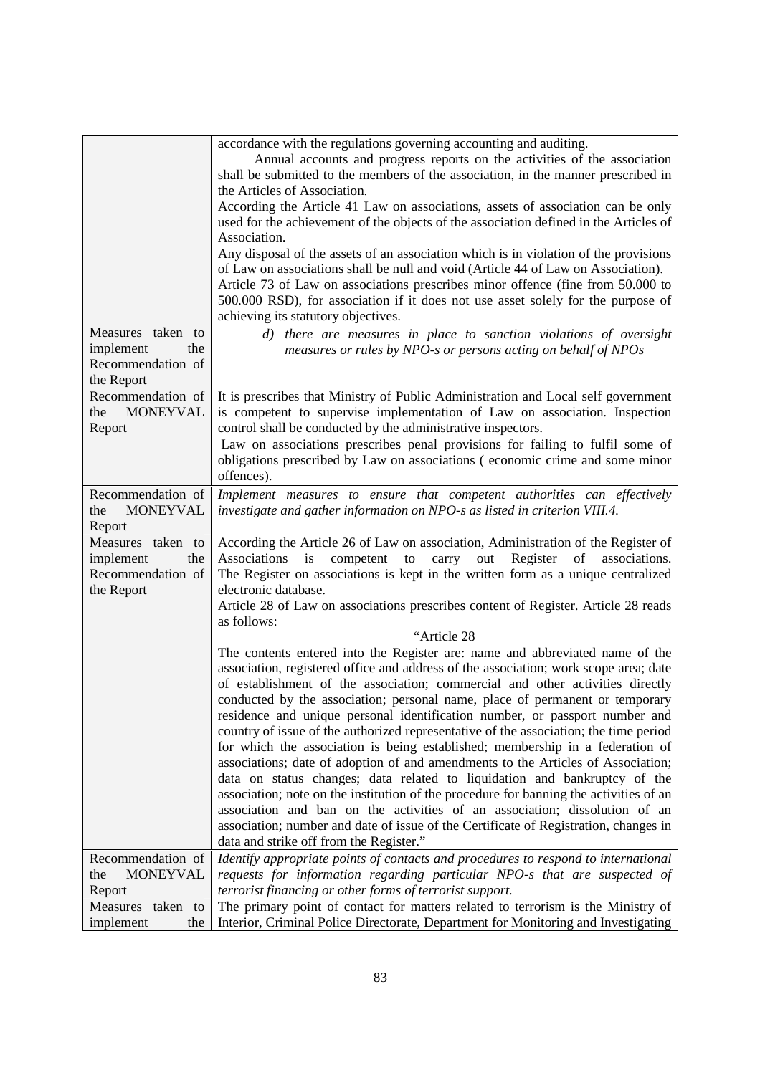| Measures taken to<br>implement<br>the<br>Recommendation of<br>the Report | accordance with the regulations governing accounting and auditing.<br>Annual accounts and progress reports on the activities of the association<br>shall be submitted to the members of the association, in the manner prescribed in<br>the Articles of Association.<br>According the Article 41 Law on associations, assets of association can be only<br>used for the achievement of the objects of the association defined in the Articles of<br>Association.<br>Any disposal of the assets of an association which is in violation of the provisions<br>of Law on associations shall be null and void (Article 44 of Law on Association).<br>Article 73 of Law on associations prescribes minor offence (fine from 50.000 to<br>500.000 RSD), for association if it does not use asset solely for the purpose of<br>achieving its statutory objectives.<br>d) there are measures in place to sanction violations of oversight<br>measures or rules by NPO-s or persons acting on behalf of NPOs |
|--------------------------------------------------------------------------|-----------------------------------------------------------------------------------------------------------------------------------------------------------------------------------------------------------------------------------------------------------------------------------------------------------------------------------------------------------------------------------------------------------------------------------------------------------------------------------------------------------------------------------------------------------------------------------------------------------------------------------------------------------------------------------------------------------------------------------------------------------------------------------------------------------------------------------------------------------------------------------------------------------------------------------------------------------------------------------------------------|
| Recommendation of<br><b>MONEYVAL</b><br>the<br>Report                    | It is prescribes that Ministry of Public Administration and Local self government<br>is competent to supervise implementation of Law on association. Inspection<br>control shall be conducted by the administrative inspectors.<br>Law on associations prescribes penal provisions for failing to fulfil some of<br>obligations prescribed by Law on associations (economic crime and some minor<br>offences).                                                                                                                                                                                                                                                                                                                                                                                                                                                                                                                                                                                      |
| Recommendation of<br><b>MONEYVAL</b><br>the<br>Report                    | Implement measures to ensure that competent authorities can effectively<br>investigate and gather information on NPO-s as listed in criterion VIII.4.                                                                                                                                                                                                                                                                                                                                                                                                                                                                                                                                                                                                                                                                                                                                                                                                                                               |
| Measures taken to<br>implement<br>the<br>Recommendation of<br>the Report | According the Article 26 of Law on association, Administration of the Register of<br>competent<br>Register<br>Associations<br>is<br>${\rm to}$<br>carry<br>out<br>of<br>associations.<br>The Register on associations is kept in the written form as a unique centralized<br>electronic database.<br>Article 28 of Law on associations prescribes content of Register. Article 28 reads<br>as follows:<br>"Article 28<br>The contents entered into the Register are: name and abbreviated name of the<br>association, registered office and address of the association; work scope area; date<br>of establishment of the association; commercial and other activities directly                                                                                                                                                                                                                                                                                                                      |
|                                                                          | conducted by the association; personal name, place of permanent or temporary<br>residence and unique personal identification number, or passport number and<br>country of issue of the authorized representative of the association; the time period<br>for which the association is being established; membership in a federation of<br>associations; date of adoption of and amendments to the Articles of Association;<br>data on status changes; data related to liquidation and bankruptcy of the<br>association; note on the institution of the procedure for banning the activities of an<br>association and ban on the activities of an association; dissolution of an<br>association; number and date of issue of the Certificate of Registration, changes in<br>data and strike off from the Register."                                                                                                                                                                                   |
| Recommendation of<br><b>MONEYVAL</b><br>the                              | Identify appropriate points of contacts and procedures to respond to international<br>requests for information regarding particular NPO-s that are suspected of                                                                                                                                                                                                                                                                                                                                                                                                                                                                                                                                                                                                                                                                                                                                                                                                                                     |
| Report                                                                   | terrorist financing or other forms of terrorist support.                                                                                                                                                                                                                                                                                                                                                                                                                                                                                                                                                                                                                                                                                                                                                                                                                                                                                                                                            |
| Measures<br>taken to<br>implement<br>the                                 | The primary point of contact for matters related to terrorism is the Ministry of<br>Interior, Criminal Police Directorate, Department for Monitoring and Investigating                                                                                                                                                                                                                                                                                                                                                                                                                                                                                                                                                                                                                                                                                                                                                                                                                              |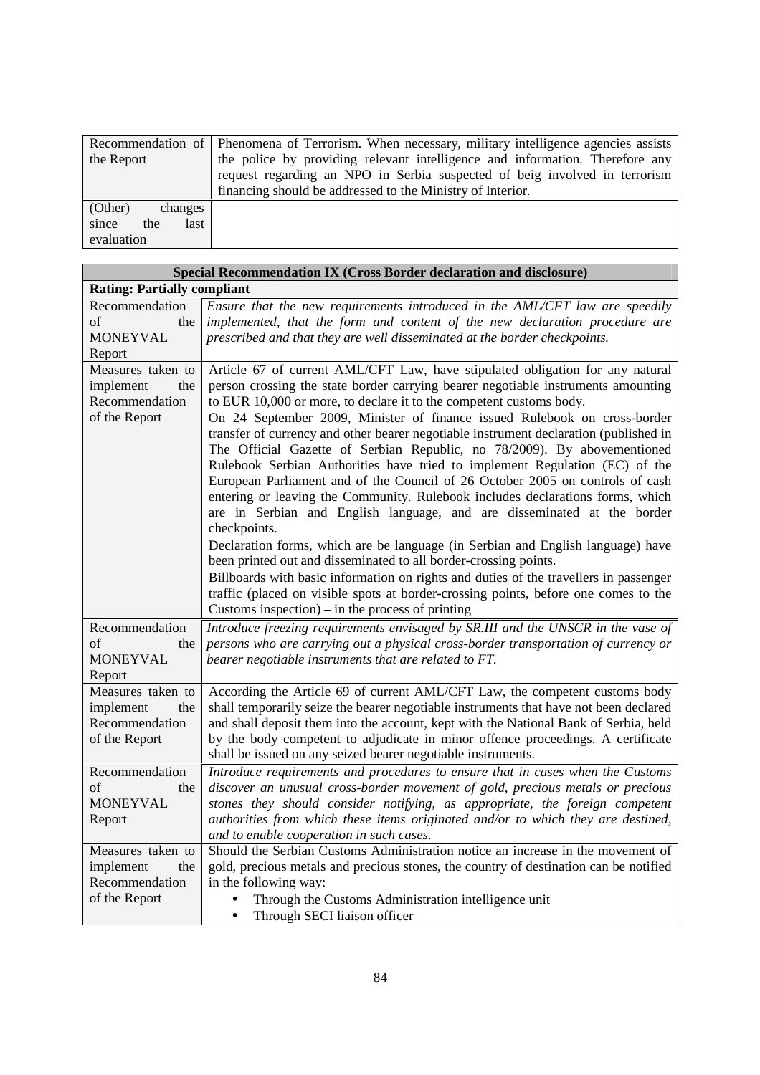|                      | Recommendation of Phenomena of Terrorism. When necessary, military intelligence agencies assists |
|----------------------|--------------------------------------------------------------------------------------------------|
| the Report           | the police by providing relevant intelligence and information. Therefore any                     |
|                      | request regarding an NPO in Serbia suspected of beig involved in terrorism                       |
|                      | financing should be addressed to the Ministry of Interior.                                       |
| (Other)<br>changes   |                                                                                                  |
| since<br>the<br>last |                                                                                                  |
| evaluation           |                                                                                                  |

|                                                                          | Special Recommendation IX (Cross Border declaration and disclosure)                                                                                                                                                                                                                                                                                                                                                                                                                                                                                                                                                                                                                                                                                                                                                                                   |
|--------------------------------------------------------------------------|-------------------------------------------------------------------------------------------------------------------------------------------------------------------------------------------------------------------------------------------------------------------------------------------------------------------------------------------------------------------------------------------------------------------------------------------------------------------------------------------------------------------------------------------------------------------------------------------------------------------------------------------------------------------------------------------------------------------------------------------------------------------------------------------------------------------------------------------------------|
| <b>Rating: Partially compliant</b>                                       |                                                                                                                                                                                                                                                                                                                                                                                                                                                                                                                                                                                                                                                                                                                                                                                                                                                       |
| Recommendation                                                           | Ensure that the new requirements introduced in the AML/CFT law are speedily                                                                                                                                                                                                                                                                                                                                                                                                                                                                                                                                                                                                                                                                                                                                                                           |
| of<br>the                                                                | implemented, that the form and content of the new declaration procedure are                                                                                                                                                                                                                                                                                                                                                                                                                                                                                                                                                                                                                                                                                                                                                                           |
| <b>MONEYVAL</b>                                                          | prescribed and that they are well disseminated at the border checkpoints.                                                                                                                                                                                                                                                                                                                                                                                                                                                                                                                                                                                                                                                                                                                                                                             |
| Report                                                                   |                                                                                                                                                                                                                                                                                                                                                                                                                                                                                                                                                                                                                                                                                                                                                                                                                                                       |
| Measures taken to                                                        | Article 67 of current AML/CFT Law, have stipulated obligation for any natural                                                                                                                                                                                                                                                                                                                                                                                                                                                                                                                                                                                                                                                                                                                                                                         |
| implement<br>the<br>Recommendation                                       | person crossing the state border carrying bearer negotiable instruments amounting<br>to EUR 10,000 or more, to declare it to the competent customs body.                                                                                                                                                                                                                                                                                                                                                                                                                                                                                                                                                                                                                                                                                              |
| of the Report                                                            | On 24 September 2009, Minister of finance issued Rulebook on cross-border                                                                                                                                                                                                                                                                                                                                                                                                                                                                                                                                                                                                                                                                                                                                                                             |
|                                                                          | transfer of currency and other bearer negotiable instrument declaration (published in<br>The Official Gazette of Serbian Republic, no 78/2009). By abovementioned<br>Rulebook Serbian Authorities have tried to implement Regulation (EC) of the<br>European Parliament and of the Council of 26 October 2005 on controls of cash<br>entering or leaving the Community. Rulebook includes declarations forms, which<br>are in Serbian and English language, and are disseminated at the border<br>checkpoints.<br>Declaration forms, which are be language (in Serbian and English language) have<br>been printed out and disseminated to all border-crossing points.<br>Billboards with basic information on rights and duties of the travellers in passenger<br>traffic (placed on visible spots at border-crossing points, before one comes to the |
|                                                                          | Customs inspection) – in the process of printing                                                                                                                                                                                                                                                                                                                                                                                                                                                                                                                                                                                                                                                                                                                                                                                                      |
| Recommendation<br>of<br>the<br><b>MONEYVAL</b><br>Report                 | Introduce freezing requirements envisaged by SR.III and the UNSCR in the vase of<br>persons who are carrying out a physical cross-border transportation of currency or<br>bearer negotiable instruments that are related to FT.                                                                                                                                                                                                                                                                                                                                                                                                                                                                                                                                                                                                                       |
| Measures taken to<br>implement<br>the<br>Recommendation<br>of the Report | According the Article 69 of current AML/CFT Law, the competent customs body<br>shall temporarily seize the bearer negotiable instruments that have not been declared<br>and shall deposit them into the account, kept with the National Bank of Serbia, held<br>by the body competent to adjudicate in minor offence proceedings. A certificate<br>shall be issued on any seized bearer negotiable instruments.                                                                                                                                                                                                                                                                                                                                                                                                                                       |
| Recommendation                                                           | Introduce requirements and procedures to ensure that in cases when the Customs                                                                                                                                                                                                                                                                                                                                                                                                                                                                                                                                                                                                                                                                                                                                                                        |
| of<br>the                                                                | discover an unusual cross-border movement of gold, precious metals or precious                                                                                                                                                                                                                                                                                                                                                                                                                                                                                                                                                                                                                                                                                                                                                                        |
| <b>MONEYVAL</b>                                                          | stones they should consider notifying, as appropriate, the foreign competent                                                                                                                                                                                                                                                                                                                                                                                                                                                                                                                                                                                                                                                                                                                                                                          |
| Report                                                                   | authorities from which these items originated and/or to which they are destined,                                                                                                                                                                                                                                                                                                                                                                                                                                                                                                                                                                                                                                                                                                                                                                      |
|                                                                          | and to enable cooperation in such cases.                                                                                                                                                                                                                                                                                                                                                                                                                                                                                                                                                                                                                                                                                                                                                                                                              |
| Measures taken to                                                        | Should the Serbian Customs Administration notice an increase in the movement of                                                                                                                                                                                                                                                                                                                                                                                                                                                                                                                                                                                                                                                                                                                                                                       |
| implement<br>the                                                         | gold, precious metals and precious stones, the country of destination can be notified                                                                                                                                                                                                                                                                                                                                                                                                                                                                                                                                                                                                                                                                                                                                                                 |
| Recommendation                                                           | in the following way:                                                                                                                                                                                                                                                                                                                                                                                                                                                                                                                                                                                                                                                                                                                                                                                                                                 |
| of the Report                                                            | Through the Customs Administration intelligence unit<br>$\bullet$                                                                                                                                                                                                                                                                                                                                                                                                                                                                                                                                                                                                                                                                                                                                                                                     |
|                                                                          | Through SECI liaison officer<br>$\bullet$                                                                                                                                                                                                                                                                                                                                                                                                                                                                                                                                                                                                                                                                                                                                                                                                             |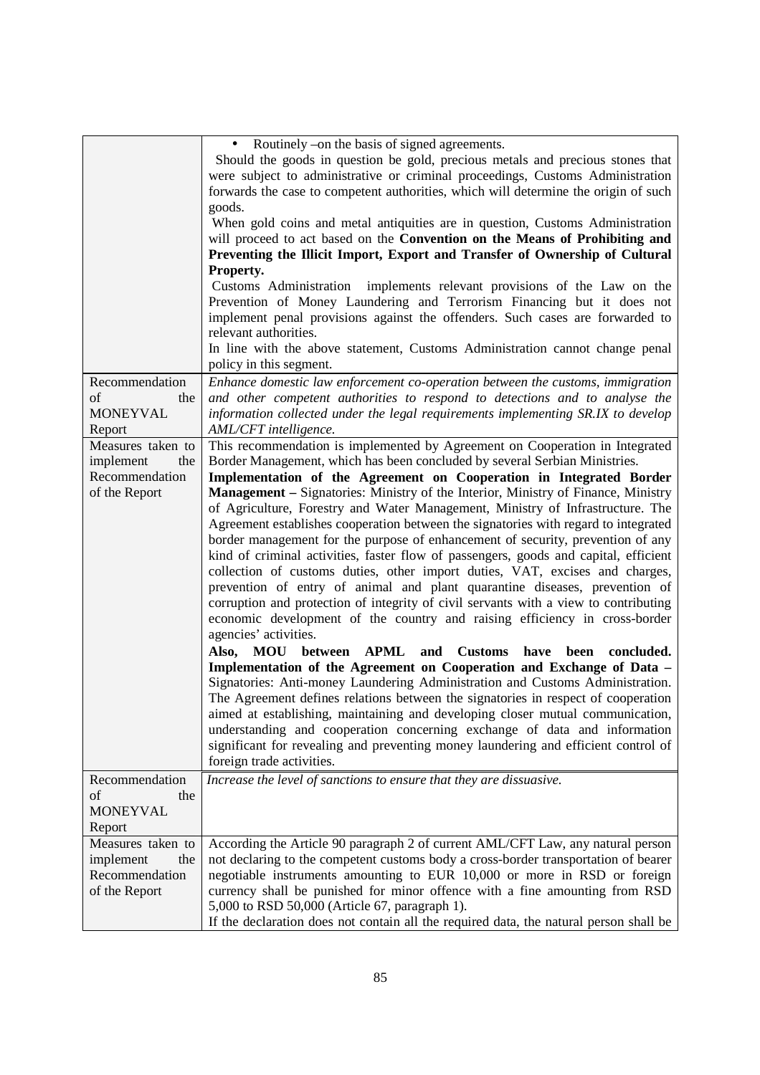|                                                                          | • Routinely – on the basis of signed agreements.<br>Should the goods in question be gold, precious metals and precious stones that<br>were subject to administrative or criminal proceedings, Customs Administration<br>forwards the case to competent authorities, which will determine the origin of such<br>goods.                                                                                                                                                                                                                                                                                                                                                                                                                                                                                                                                                                                                                                                                                                                                                                                                                                                                                                                                                                                                                                                                                                                                                             |
|--------------------------------------------------------------------------|-----------------------------------------------------------------------------------------------------------------------------------------------------------------------------------------------------------------------------------------------------------------------------------------------------------------------------------------------------------------------------------------------------------------------------------------------------------------------------------------------------------------------------------------------------------------------------------------------------------------------------------------------------------------------------------------------------------------------------------------------------------------------------------------------------------------------------------------------------------------------------------------------------------------------------------------------------------------------------------------------------------------------------------------------------------------------------------------------------------------------------------------------------------------------------------------------------------------------------------------------------------------------------------------------------------------------------------------------------------------------------------------------------------------------------------------------------------------------------------|
|                                                                          | When gold coins and metal antiquities are in question, Customs Administration<br>will proceed to act based on the Convention on the Means of Prohibiting and<br>Preventing the Illicit Import, Export and Transfer of Ownership of Cultural<br>Property.                                                                                                                                                                                                                                                                                                                                                                                                                                                                                                                                                                                                                                                                                                                                                                                                                                                                                                                                                                                                                                                                                                                                                                                                                          |
|                                                                          | Customs Administration implements relevant provisions of the Law on the<br>Prevention of Money Laundering and Terrorism Financing but it does not<br>implement penal provisions against the offenders. Such cases are forwarded to<br>relevant authorities.                                                                                                                                                                                                                                                                                                                                                                                                                                                                                                                                                                                                                                                                                                                                                                                                                                                                                                                                                                                                                                                                                                                                                                                                                       |
|                                                                          | In line with the above statement, Customs Administration cannot change penal<br>policy in this segment.                                                                                                                                                                                                                                                                                                                                                                                                                                                                                                                                                                                                                                                                                                                                                                                                                                                                                                                                                                                                                                                                                                                                                                                                                                                                                                                                                                           |
| Recommendation<br>of<br>the<br><b>MONEYVAL</b><br>Report                 | Enhance domestic law enforcement co-operation between the customs, immigration<br>and other competent authorities to respond to detections and to analyse the<br>information collected under the legal requirements implementing SR.IX to develop<br>AML/CFT intelligence.                                                                                                                                                                                                                                                                                                                                                                                                                                                                                                                                                                                                                                                                                                                                                                                                                                                                                                                                                                                                                                                                                                                                                                                                        |
| Measures taken to<br>implement<br>the                                    | This recommendation is implemented by Agreement on Cooperation in Integrated<br>Border Management, which has been concluded by several Serbian Ministries.                                                                                                                                                                                                                                                                                                                                                                                                                                                                                                                                                                                                                                                                                                                                                                                                                                                                                                                                                                                                                                                                                                                                                                                                                                                                                                                        |
| Recommendation<br>of the Report                                          | Implementation of the Agreement on Cooperation in Integrated Border<br>Management - Signatories: Ministry of the Interior, Ministry of Finance, Ministry<br>of Agriculture, Forestry and Water Management, Ministry of Infrastructure. The<br>Agreement establishes cooperation between the signatories with regard to integrated<br>border management for the purpose of enhancement of security, prevention of any<br>kind of criminal activities, faster flow of passengers, goods and capital, efficient<br>collection of customs duties, other import duties, VAT, excises and charges,<br>prevention of entry of animal and plant quarantine diseases, prevention of<br>corruption and protection of integrity of civil servants with a view to contributing<br>economic development of the country and raising efficiency in cross-border<br>agencies' activities.<br>Also, MOU between APML<br>and Customs<br>have<br>been<br>concluded.<br>Implementation of the Agreement on Cooperation and Exchange of Data -<br>Signatories: Anti-money Laundering Administration and Customs Administration.<br>The Agreement defines relations between the signatories in respect of cooperation<br>aimed at establishing, maintaining and developing closer mutual communication,<br>understanding and cooperation concerning exchange of data and information<br>significant for revealing and preventing money laundering and efficient control of<br>foreign trade activities. |
| Recommendation<br>of<br>the<br><b>MONEYVAL</b><br>Report                 | Increase the level of sanctions to ensure that they are dissuasive.                                                                                                                                                                                                                                                                                                                                                                                                                                                                                                                                                                                                                                                                                                                                                                                                                                                                                                                                                                                                                                                                                                                                                                                                                                                                                                                                                                                                               |
| Measures taken to<br>the<br>implement<br>Recommendation<br>of the Report | According the Article 90 paragraph 2 of current AML/CFT Law, any natural person<br>not declaring to the competent customs body a cross-border transportation of bearer<br>negotiable instruments amounting to EUR 10,000 or more in RSD or foreign<br>currency shall be punished for minor offence with a fine amounting from RSD<br>5,000 to RSD 50,000 (Article 67, paragraph 1).<br>If the declaration does not contain all the required data, the natural person shall be                                                                                                                                                                                                                                                                                                                                                                                                                                                                                                                                                                                                                                                                                                                                                                                                                                                                                                                                                                                                     |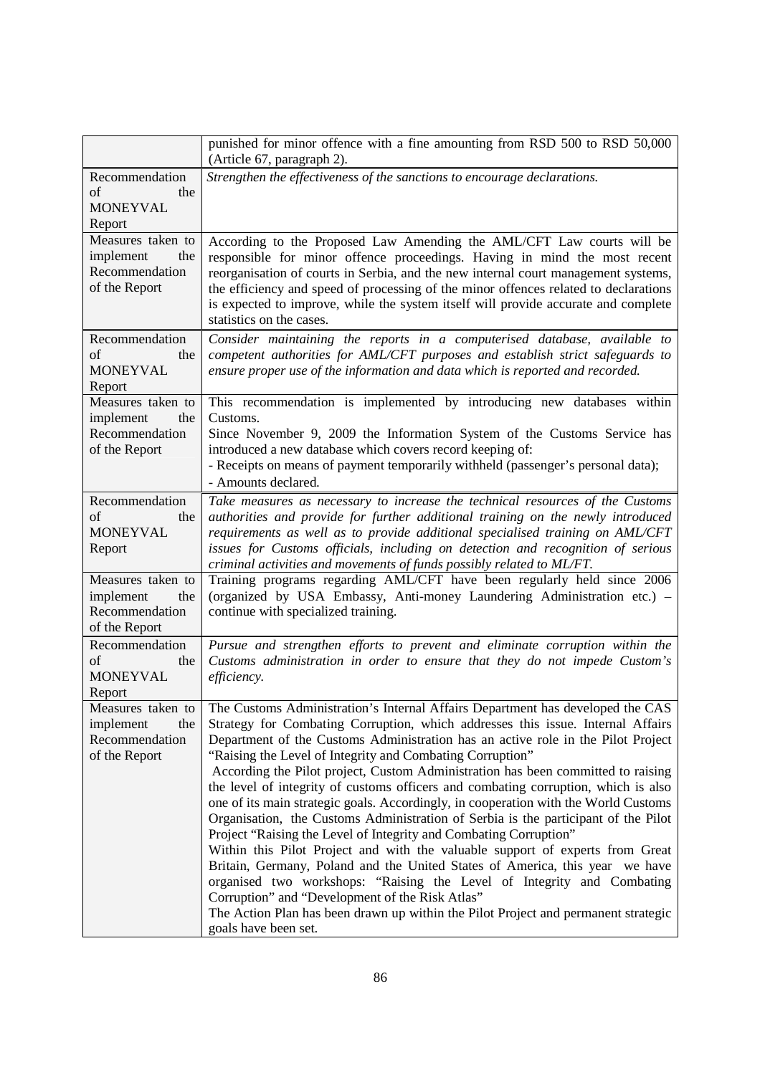|                                                                          | punished for minor offence with a fine amounting from RSD 500 to RSD 50,000<br>(Article 67, paragraph 2).                                                                                                                                                                                                                                                                                                                                                                                                                                                                                                                                                                                                                                                                                                                                                                                                                                                                                                                                                                                                                                                  |
|--------------------------------------------------------------------------|------------------------------------------------------------------------------------------------------------------------------------------------------------------------------------------------------------------------------------------------------------------------------------------------------------------------------------------------------------------------------------------------------------------------------------------------------------------------------------------------------------------------------------------------------------------------------------------------------------------------------------------------------------------------------------------------------------------------------------------------------------------------------------------------------------------------------------------------------------------------------------------------------------------------------------------------------------------------------------------------------------------------------------------------------------------------------------------------------------------------------------------------------------|
| Recommendation<br>of<br>the<br><b>MONEYVAL</b><br>Report                 | Strengthen the effectiveness of the sanctions to encourage declarations.                                                                                                                                                                                                                                                                                                                                                                                                                                                                                                                                                                                                                                                                                                                                                                                                                                                                                                                                                                                                                                                                                   |
| Measures taken to<br>implement<br>the<br>Recommendation<br>of the Report | According to the Proposed Law Amending the AML/CFT Law courts will be<br>responsible for minor offence proceedings. Having in mind the most recent<br>reorganisation of courts in Serbia, and the new internal court management systems,<br>the efficiency and speed of processing of the minor offences related to declarations<br>is expected to improve, while the system itself will provide accurate and complete<br>statistics on the cases.                                                                                                                                                                                                                                                                                                                                                                                                                                                                                                                                                                                                                                                                                                         |
| Recommendation<br>of<br>the<br><b>MONEYVAL</b><br>Report                 | Consider maintaining the reports in a computerised database, available to<br>competent authorities for AML/CFT purposes and establish strict safeguards to<br>ensure proper use of the information and data which is reported and recorded.                                                                                                                                                                                                                                                                                                                                                                                                                                                                                                                                                                                                                                                                                                                                                                                                                                                                                                                |
| Measures taken to<br>implement<br>the<br>Recommendation<br>of the Report | This recommendation is implemented by introducing new databases within<br>Customs.<br>Since November 9, 2009 the Information System of the Customs Service has<br>introduced a new database which covers record keeping of:<br>- Receipts on means of payment temporarily withheld (passenger's personal data);<br>- Amounts declared.                                                                                                                                                                                                                                                                                                                                                                                                                                                                                                                                                                                                                                                                                                                                                                                                                     |
| Recommendation<br>of<br>the<br><b>MONEYVAL</b><br>Report                 | Take measures as necessary to increase the technical resources of the Customs<br>authorities and provide for further additional training on the newly introduced<br>requirements as well as to provide additional specialised training on AML/CFT<br>issues for Customs officials, including on detection and recognition of serious<br>criminal activities and movements of funds possibly related to ML/FT.                                                                                                                                                                                                                                                                                                                                                                                                                                                                                                                                                                                                                                                                                                                                              |
| Measures taken to<br>implement<br>the<br>Recommendation<br>of the Report | Training programs regarding AML/CFT have been regularly held since 2006<br>(organized by USA Embassy, Anti-money Laundering Administration etc.) -<br>continue with specialized training.                                                                                                                                                                                                                                                                                                                                                                                                                                                                                                                                                                                                                                                                                                                                                                                                                                                                                                                                                                  |
| Recommendation<br>of<br>the<br><b>MONEYVAL</b><br>Report                 | Pursue and strengthen efforts to prevent and eliminate corruption within the<br>Customs administration in order to ensure that they do not impede Custom's<br>efficiency.                                                                                                                                                                                                                                                                                                                                                                                                                                                                                                                                                                                                                                                                                                                                                                                                                                                                                                                                                                                  |
| Measures taken to<br>the<br>implement<br>Recommendation<br>of the Report | The Customs Administration's Internal Affairs Department has developed the CAS<br>Strategy for Combating Corruption, which addresses this issue. Internal Affairs<br>Department of the Customs Administration has an active role in the Pilot Project<br>"Raising the Level of Integrity and Combating Corruption"<br>According the Pilot project, Custom Administration has been committed to raising<br>the level of integrity of customs officers and combating corruption, which is also<br>one of its main strategic goals. Accordingly, in cooperation with the World Customs<br>Organisation, the Customs Administration of Serbia is the participant of the Pilot<br>Project "Raising the Level of Integrity and Combating Corruption"<br>Within this Pilot Project and with the valuable support of experts from Great<br>Britain, Germany, Poland and the United States of America, this year we have<br>organised two workshops: "Raising the Level of Integrity and Combating<br>Corruption" and "Development of the Risk Atlas"<br>The Action Plan has been drawn up within the Pilot Project and permanent strategic<br>goals have been set. |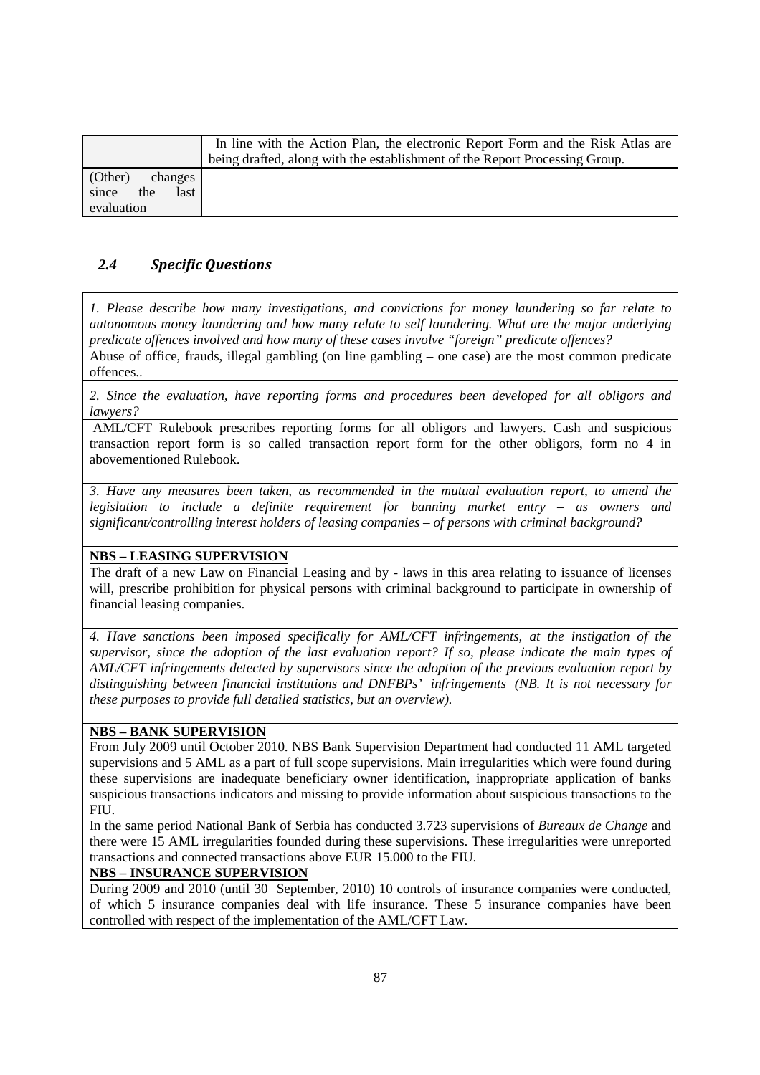|                      | In line with the Action Plan, the electronic Report Form and the Risk Atlas are<br>being drafted, along with the establishment of the Report Processing Group. |
|----------------------|----------------------------------------------------------------------------------------------------------------------------------------------------------------|
| (Other)<br>changes   |                                                                                                                                                                |
| since<br>the<br>last |                                                                                                                                                                |
| evaluation           |                                                                                                                                                                |

## *2.4 Specific Questions*

*1. Please describe how many investigations, and convictions for money laundering so far relate to autonomous money laundering and how many relate to self laundering. What are the major underlying predicate offences involved and how many of these cases involve "foreign" predicate offences?* 

Abuse of office, frauds, illegal gambling (on line gambling – one case) are the most common predicate offences..

*2. Since the evaluation, have reporting forms and procedures been developed for all obligors and lawyers?* 

 AML/CFT Rulebook prescribes reporting forms for all obligors and lawyers. Cash and suspicious transaction report form is so called transaction report form for the other obligors, form no 4 in abovementioned Rulebook.

*3. Have any measures been taken, as recommended in the mutual evaluation report, to amend the legislation to include a definite requirement for banning market entry – as owners and significant/controlling interest holders of leasing companies – of persons with criminal background?* 

### **NBS – LEASING SUPERVISION**

The draft of a new Law on Financial Leasing and by - laws in this area relating to issuance of licenses will, prescribe prohibition for physical persons with criminal background to participate in ownership of financial leasing companies.

*4. Have sanctions been imposed specifically for AML/CFT infringements, at the instigation of the supervisor, since the adoption of the last evaluation report? If so, please indicate the main types of AML/CFT infringements detected by supervisors since the adoption of the previous evaluation report by distinguishing between financial institutions and DNFBPs' infringements (NB. It is not necessary for these purposes to provide full detailed statistics, but an overview).* 

### **NBS – BANK SUPERVISION**

From July 2009 until October 2010. NBS Bank Supervision Department had conducted 11 AML targeted supervisions and 5 AML as a part of full scope supervisions. Main irregularities which were found during these supervisions are inadequate beneficiary owner identification, inappropriate application of banks suspicious transactions indicators and missing to provide information about suspicious transactions to the FIU.

In the same period National Bank of Serbia has conducted 3.723 supervisions of *Bureaux de Change* and there were 15 AML irregularities founded during these supervisions. These irregularities were unreported transactions and connected transactions above EUR 15.000 to the FIU.

### **NBS – INSURANCE SUPERVISION**

During 2009 and 2010 (until 30 September, 2010) 10 controls of insurance companies were conducted, of which 5 insurance companies deal with life insurance. These 5 insurance companies have been controlled with respect of the implementation of the AML/CFT Law.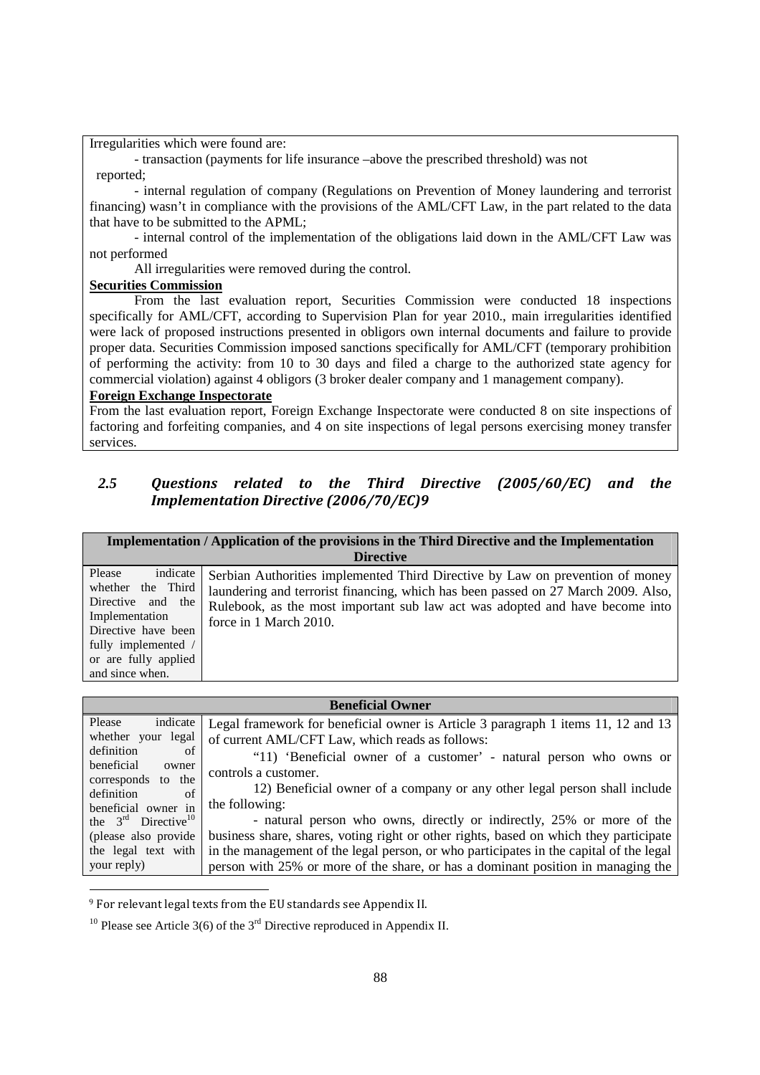Irregularities which were found are:

- transaction (payments for life insurance –above the prescribed threshold) was not reported;

- internal regulation of company (Regulations on Prevention of Money laundering and terrorist financing) wasn't in compliance with the provisions of the AML/CFT Law, in the part related to the data that have to be submitted to the APML;

- internal control of the implementation of the obligations laid down in the AML/CFT Law was not performed

All irregularities were removed during the control.

#### **Securities Commission**

From the last evaluation report, Securities Commission were conducted 18 inspections specifically for AML/CFT, according to Supervision Plan for year 2010., main irregularities identified were lack of proposed instructions presented in obligors own internal documents and failure to provide proper data. Securities Commission imposed sanctions specifically for AML/CFT (temporary prohibition of performing the activity: from 10 to 30 days and filed a charge to the authorized state agency for commercial violation) against 4 obligors (3 broker dealer company and 1 management company).

### **Foreign Exchange Inspectorate**

From the last evaluation report, Foreign Exchange Inspectorate were conducted 8 on site inspections of factoring and forfeiting companies, and 4 on site inspections of legal persons exercising money transfer services.

### *2.5 Questions related to the Third Directive (2005/60/EC) and the Implementation Directive (2006/70/EC)9*

|                                                                                                                                                                         | Implementation / Application of the provisions in the Third Directive and the Implementation<br><b>Directive</b>                                                                                                                                                             |
|-------------------------------------------------------------------------------------------------------------------------------------------------------------------------|------------------------------------------------------------------------------------------------------------------------------------------------------------------------------------------------------------------------------------------------------------------------------|
| indicate<br>Please<br>whether the Third<br>Directive and the<br>Implementation<br>Directive have been<br>fully implemented /<br>or are fully applied<br>and since when. | Serbian Authorities implemented Third Directive by Law on prevention of money<br>laundering and terrorist financing, which has been passed on 27 March 2009. Also,<br>Rulebook, as the most important sub law act was adopted and have become into<br>force in 1 March 2010. |

|                                           | <b>Beneficial Owner</b>                                                                |
|-------------------------------------------|----------------------------------------------------------------------------------------|
| indicate<br>Please                        | Legal framework for beneficial owner is Article 3 paragraph 1 items 11, 12 and 13      |
| whether your legal                        | of current AML/CFT Law, which reads as follows:                                        |
| definition<br>of                          | "11) 'Beneficial owner of a customer' - natural person who owns or                     |
| beneficial<br>owner<br>corresponds to the | controls a customer.                                                                   |
| definition<br>of                          | 12) Beneficial owner of a company or any other legal person shall include              |
| beneficial owner in                       | the following:                                                                         |
| the $3rd$ Directive <sup>10</sup>         | - natural person who owns, directly or indirectly, 25% or more of the                  |
| (please also provide)                     | business share, shares, voting right or other rights, based on which they participate  |
| the legal text with                       | in the management of the legal person, or who participates in the capital of the legal |
| your reply)                               | person with 25% or more of the share, or has a dominant position in managing the       |

<sup>9</sup> For relevant legal texts from the EU standards see Appendix II.

<u>.</u>

<sup>10</sup> Please see Article 3(6) of the 3<sup>rd</sup> Directive reproduced in Appendix II.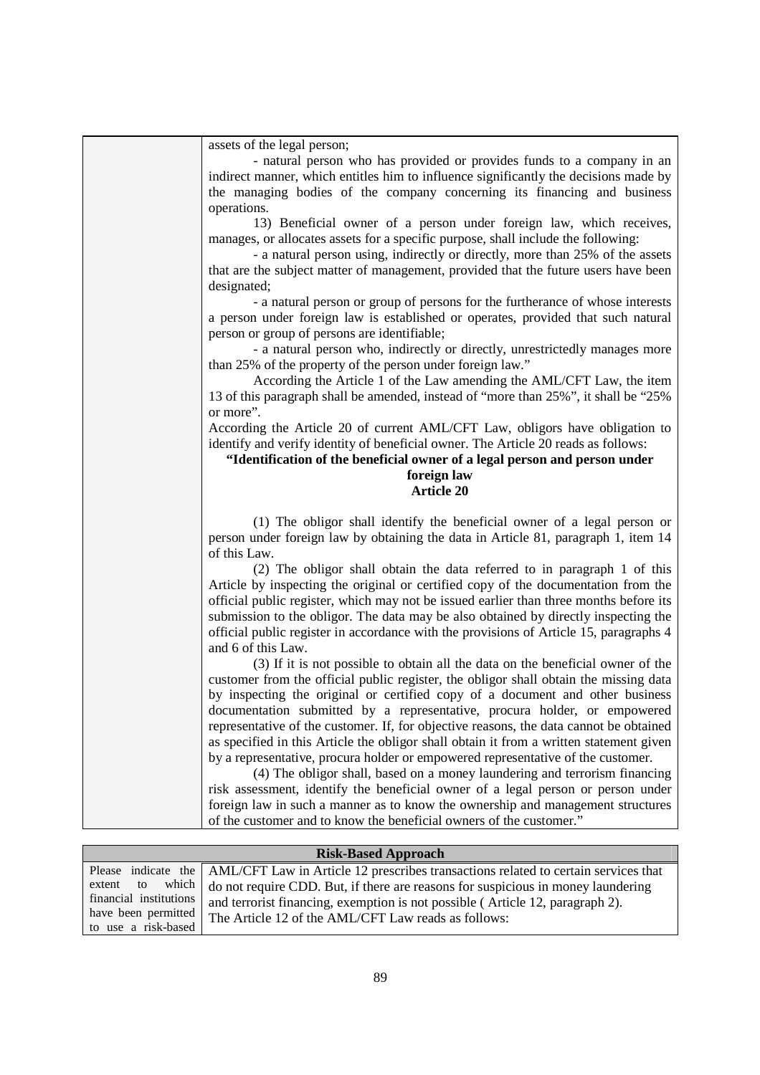| assets of the legal person;                                                             |
|-----------------------------------------------------------------------------------------|
| - natural person who has provided or provides funds to a company in an                  |
| indirect manner, which entitles him to influence significantly the decisions made by    |
| the managing bodies of the company concerning its financing and business                |
| operations.                                                                             |
| 13) Beneficial owner of a person under foreign law, which receives,                     |
| manages, or allocates assets for a specific purpose, shall include the following:       |
|                                                                                         |
| - a natural person using, indirectly or directly, more than 25% of the assets           |
| that are the subject matter of management, provided that the future users have been     |
| designated;                                                                             |
| - a natural person or group of persons for the furtherance of whose interests           |
| a person under foreign law is established or operates, provided that such natural       |
| person or group of persons are identifiable;                                            |
| - a natural person who, indirectly or directly, unrestrictedly manages more             |
| than 25% of the property of the person under foreign law."                              |
| According the Article 1 of the Law amending the AML/CFT Law, the item                   |
| 13 of this paragraph shall be amended, instead of "more than 25%", it shall be "25%"    |
| or more".                                                                               |
| According the Article 20 of current AML/CFT Law, obligors have obligation to            |
|                                                                                         |
| identify and verify identity of beneficial owner. The Article 20 reads as follows:      |
| "Identification of the beneficial owner of a legal person and person under              |
| foreign law                                                                             |
| <b>Article 20</b>                                                                       |
|                                                                                         |
|                                                                                         |
| (1) The obligor shall identify the beneficial owner of a legal person or                |
| person under foreign law by obtaining the data in Article 81, paragraph 1, item 14      |
| of this Law.                                                                            |
| (2) The obligor shall obtain the data referred to in paragraph 1 of this                |
| Article by inspecting the original or certified copy of the documentation from the      |
| official public register, which may not be issued earlier than three months before its  |
|                                                                                         |
| submission to the obligor. The data may be also obtained by directly inspecting the     |
| official public register in accordance with the provisions of Article 15, paragraphs 4  |
| and 6 of this Law.                                                                      |
| (3) If it is not possible to obtain all the data on the beneficial owner of the         |
| customer from the official public register, the obligor shall obtain the missing data   |
| by inspecting the original or certified copy of a document and other business           |
| documentation submitted by a representative, procura holder, or empowered               |
| representative of the customer. If, for objective reasons, the data cannot be obtained  |
| as specified in this Article the obligor shall obtain it from a written statement given |
| by a representative, procura holder or empowered representative of the customer.        |
| (4) The obligor shall, based on a money laundering and terrorism financing              |
| risk assessment, identify the beneficial owner of a legal person or person under        |
| foreign law in such a manner as to know the ownership and management structures         |
|                                                                                         |
| of the customer and to know the beneficial owners of the customer."                     |

|                        | <b>Risk-Based Approach</b>                                                                             |
|------------------------|--------------------------------------------------------------------------------------------------------|
|                        | Please indicate the AML/CFT Law in Article 12 prescribes transactions related to certain services that |
| extent to              | which $\vert$ do not require CDD. But, if there are reasons for suspicious in money laundering         |
| financial institutions | and terrorist financing, exemption is not possible (Article 12, paragraph 2).                          |
| have been permitted    | The Article 12 of the AML/CFT Law reads as follows:                                                    |
| to use a risk-based    |                                                                                                        |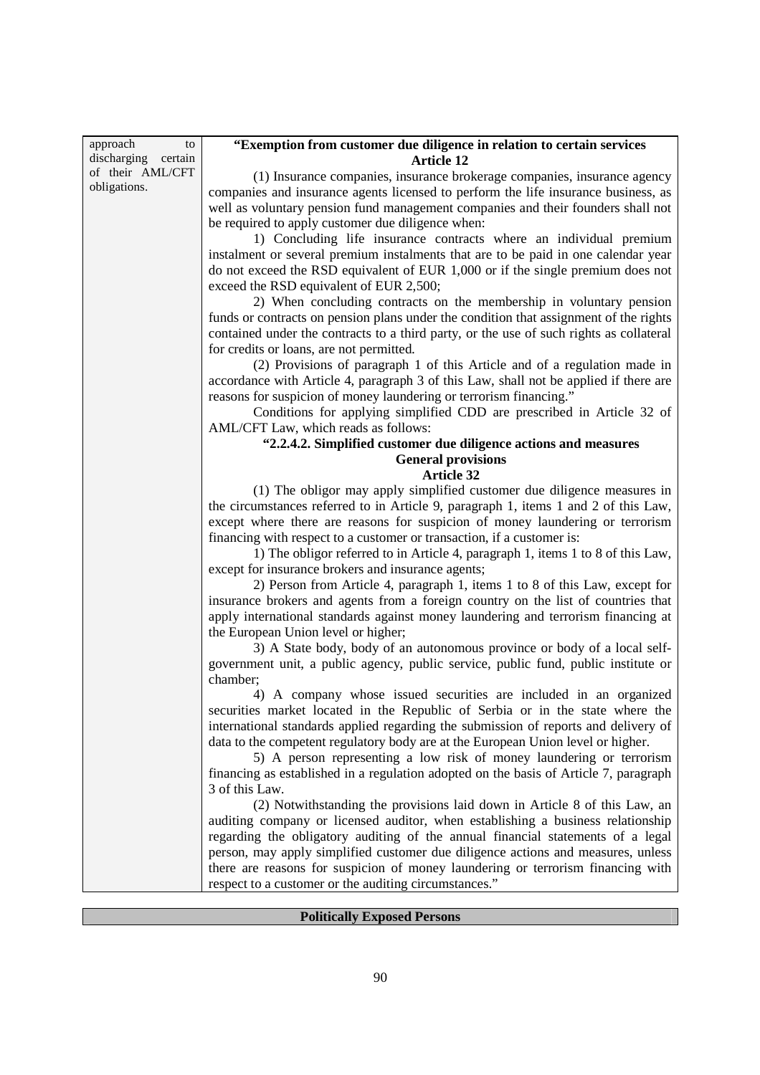| approach<br>to      | "Exemption from customer due diligence in relation to certain services                  |
|---------------------|-----------------------------------------------------------------------------------------|
| discharging certain | <b>Article 12</b>                                                                       |
| of their AML/CFT    | (1) Insurance companies, insurance brokerage companies, insurance agency                |
| obligations.        | companies and insurance agents licensed to perform the life insurance business, as      |
|                     | well as voluntary pension fund management companies and their founders shall not        |
|                     | be required to apply customer due diligence when:                                       |
|                     | 1) Concluding life insurance contracts where an individual premium                      |
|                     | instalment or several premium instalments that are to be paid in one calendar year      |
|                     | do not exceed the RSD equivalent of EUR 1,000 or if the single premium does not         |
|                     | exceed the RSD equivalent of EUR 2,500;                                                 |
|                     | 2) When concluding contracts on the membership in voluntary pension                     |
|                     | funds or contracts on pension plans under the condition that assignment of the rights   |
|                     | contained under the contracts to a third party, or the use of such rights as collateral |
|                     | for credits or loans, are not permitted.                                                |
|                     | (2) Provisions of paragraph 1 of this Article and of a regulation made in               |
|                     | accordance with Article 4, paragraph 3 of this Law, shall not be applied if there are   |
|                     | reasons for suspicion of money laundering or terrorism financing."                      |
|                     | Conditions for applying simplified CDD are prescribed in Article 32 of                  |
|                     | AML/CFT Law, which reads as follows:                                                    |
|                     | "2.2.4.2. Simplified customer due diligence actions and measures                        |
|                     | <b>General provisions</b>                                                               |
|                     | <b>Article 32</b>                                                                       |
|                     | (1) The obligor may apply simplified customer due diligence measures in                 |
|                     | the circumstances referred to in Article 9, paragraph 1, items 1 and 2 of this Law,     |
|                     | except where there are reasons for suspicion of money laundering or terrorism           |
|                     | financing with respect to a customer or transaction, if a customer is:                  |
|                     | 1) The obligor referred to in Article 4, paragraph 1, items 1 to 8 of this Law,         |
|                     | except for insurance brokers and insurance agents;                                      |
|                     | 2) Person from Article 4, paragraph 1, items 1 to 8 of this Law, except for             |
|                     | insurance brokers and agents from a foreign country on the list of countries that       |
|                     | apply international standards against money laundering and terrorism financing at       |
|                     | the European Union level or higher;                                                     |
|                     | 3) A State body, body of an autonomous province or body of a local self-                |
|                     | government unit, a public agency, public service, public fund, public institute or      |
|                     | chamber;                                                                                |
|                     | 4) A company whose issued securities are included in an organized                       |
|                     | securities market located in the Republic of Serbia or in the state where the           |
|                     | international standards applied regarding the submission of reports and delivery of     |
|                     | data to the competent regulatory body are at the European Union level or higher.        |
|                     | 5) A person representing a low risk of money laundering or terrorism                    |
|                     | financing as established in a regulation adopted on the basis of Article 7, paragraph   |
|                     | 3 of this Law.                                                                          |
|                     | (2) Notwithstanding the provisions laid down in Article 8 of this Law, an               |
|                     | auditing company or licensed auditor, when establishing a business relationship         |
|                     | regarding the obligatory auditing of the annual financial statements of a legal         |
|                     | person, may apply simplified customer due diligence actions and measures, unless        |
|                     | there are reasons for suspicion of money laundering or terrorism financing with         |
|                     | respect to a customer or the auditing circumstances."                                   |
|                     |                                                                                         |

f

## **Politically Exposed Persons**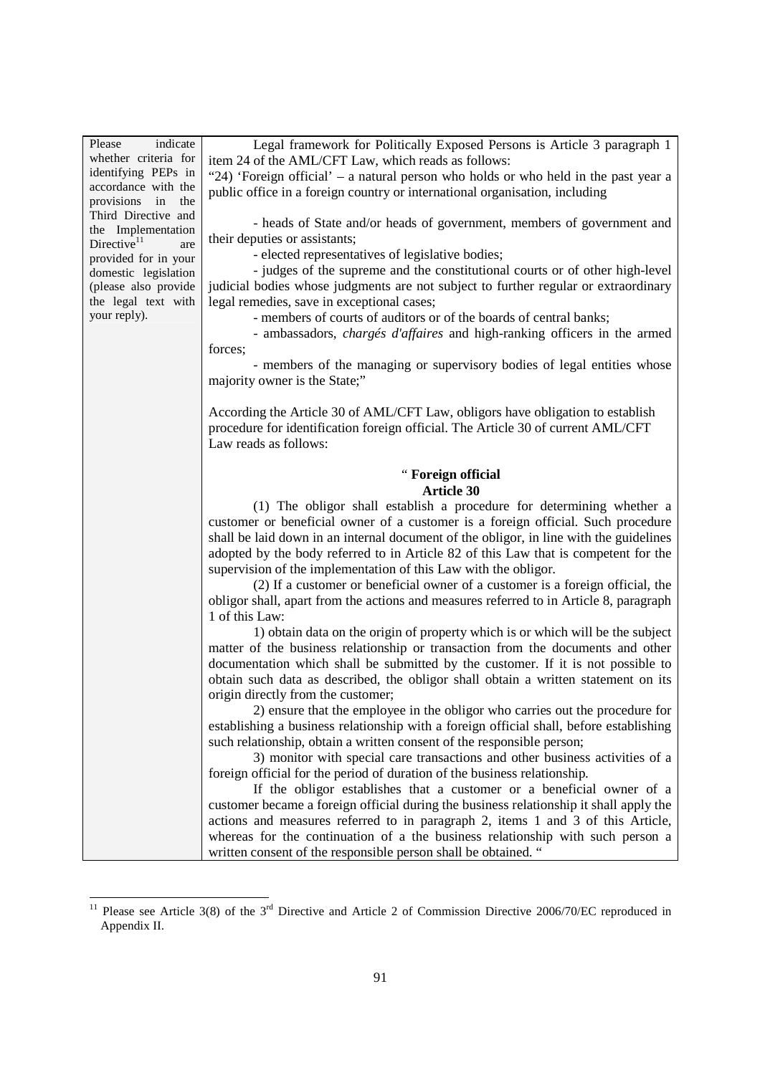|                                              | Legal framework for Politically Exposed Persons is Article 3 paragraph 1                                                                                          |
|----------------------------------------------|-------------------------------------------------------------------------------------------------------------------------------------------------------------------|
| whether criteria for                         | item 24 of the AML/CFT Law, which reads as follows:                                                                                                               |
| identifying PEPs in                          | "24) 'Foreign official' – a natural person who holds or who held in the past year a                                                                               |
| accordance with the                          | public office in a foreign country or international organisation, including                                                                                       |
| provisions in<br>the                         |                                                                                                                                                                   |
| Third Directive and                          | - heads of State and/or heads of government, members of government and                                                                                            |
| the Implementation                           | their deputies or assistants;                                                                                                                                     |
| Directive $11$<br>are                        | - elected representatives of legislative bodies;                                                                                                                  |
| provided for in your<br>domestic legislation | - judges of the supreme and the constitutional courts or of other high-level                                                                                      |
| (please also provide                         | judicial bodies whose judgments are not subject to further regular or extraordinary                                                                               |
| the legal text with                          |                                                                                                                                                                   |
| your reply).                                 | legal remedies, save in exceptional cases;<br>- members of courts of auditors or of the boards of central banks;                                                  |
|                                              |                                                                                                                                                                   |
|                                              | - ambassadors, <i>chargés d'affaires</i> and high-ranking officers in the armed                                                                                   |
|                                              | forces;                                                                                                                                                           |
|                                              | - members of the managing or supervisory bodies of legal entities whose                                                                                           |
|                                              | majority owner is the State;"                                                                                                                                     |
|                                              |                                                                                                                                                                   |
|                                              | According the Article 30 of AML/CFT Law, obligors have obligation to establish                                                                                    |
|                                              | procedure for identification foreign official. The Article 30 of current AML/CFT                                                                                  |
|                                              | Law reads as follows:                                                                                                                                             |
|                                              |                                                                                                                                                                   |
|                                              | " Foreign official                                                                                                                                                |
|                                              | <b>Article 30</b>                                                                                                                                                 |
|                                              | (1) The obligor shall establish a procedure for determining whether a                                                                                             |
|                                              | customer or beneficial owner of a customer is a foreign official. Such procedure                                                                                  |
|                                              | shall be laid down in an internal document of the obligor, in line with the guidelines                                                                            |
|                                              | adopted by the body referred to in Article 82 of this Law that is competent for the                                                                               |
|                                              | supervision of the implementation of this Law with the obligor.                                                                                                   |
|                                              | (2) If a customer or beneficial owner of a customer is a foreign official, the                                                                                    |
|                                              | obligor shall, apart from the actions and measures referred to in Article 8, paragraph                                                                            |
|                                              |                                                                                                                                                                   |
|                                              |                                                                                                                                                                   |
|                                              | 1 of this Law:                                                                                                                                                    |
|                                              | 1) obtain data on the origin of property which is or which will be the subject                                                                                    |
|                                              | matter of the business relationship or transaction from the documents and other                                                                                   |
|                                              | documentation which shall be submitted by the customer. If it is not possible to                                                                                  |
|                                              | obtain such data as described, the obligor shall obtain a written statement on its                                                                                |
|                                              | origin directly from the customer;                                                                                                                                |
|                                              | 2) ensure that the employee in the obligor who carries out the procedure for                                                                                      |
|                                              | establishing a business relationship with a foreign official shall, before establishing                                                                           |
|                                              | such relationship, obtain a written consent of the responsible person;                                                                                            |
|                                              | 3) monitor with special care transactions and other business activities of a                                                                                      |
|                                              | foreign official for the period of duration of the business relationship.                                                                                         |
|                                              | If the obligor establishes that a customer or a beneficial owner of a                                                                                             |
|                                              | customer became a foreign official during the business relationship it shall apply the                                                                            |
|                                              |                                                                                                                                                                   |
|                                              | actions and measures referred to in paragraph 2, items 1 and 3 of this Article,<br>whereas for the continuation of a the business relationship with such person a |

<sup>&</sup>lt;sup>11</sup> Please see Article 3(8) of the  $3<sup>rd</sup>$  Directive and Article 2 of Commission Directive 2006/70/EC reproduced in Appendix II.

1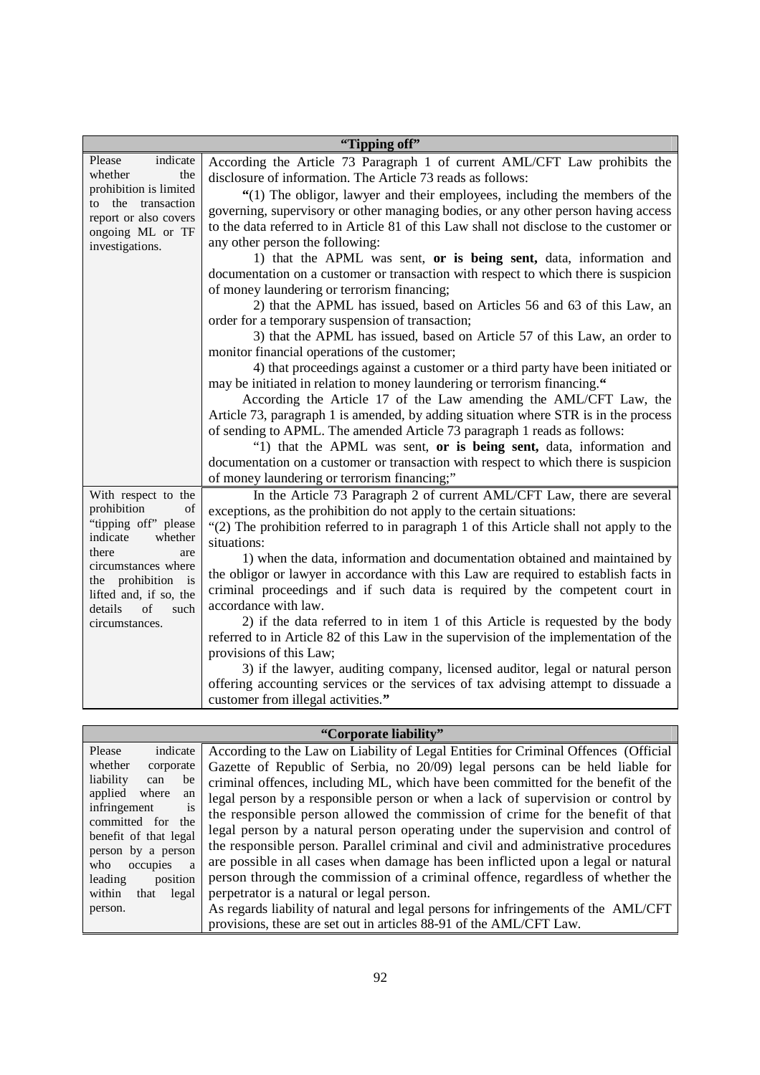|                                                                                                                                                                                                                           | "Tipping off"                                                                                                                                                                                                                                                                                                                                                                                                                                                                                                                                                                                                                                                                                                                                                                                                                                                                                                                                                                                                                                                                                                                                                                                                                                                                                                                                                                                                                                                                                                                             |
|---------------------------------------------------------------------------------------------------------------------------------------------------------------------------------------------------------------------------|-------------------------------------------------------------------------------------------------------------------------------------------------------------------------------------------------------------------------------------------------------------------------------------------------------------------------------------------------------------------------------------------------------------------------------------------------------------------------------------------------------------------------------------------------------------------------------------------------------------------------------------------------------------------------------------------------------------------------------------------------------------------------------------------------------------------------------------------------------------------------------------------------------------------------------------------------------------------------------------------------------------------------------------------------------------------------------------------------------------------------------------------------------------------------------------------------------------------------------------------------------------------------------------------------------------------------------------------------------------------------------------------------------------------------------------------------------------------------------------------------------------------------------------------|
| indicate<br>Please<br>whether<br>the<br>prohibition is limited<br>to the transaction<br>report or also covers<br>ongoing ML or TF<br>investigations.                                                                      | According the Article 73 Paragraph 1 of current AML/CFT Law prohibits the<br>disclosure of information. The Article 73 reads as follows:<br>"(1) The obligor, lawyer and their employees, including the members of the<br>governing, supervisory or other managing bodies, or any other person having access<br>to the data referred to in Article 81 of this Law shall not disclose to the customer or<br>any other person the following:<br>1) that the APML was sent, or is being sent, data, information and<br>documentation on a customer or transaction with respect to which there is suspicion<br>of money laundering or terrorism financing;<br>2) that the APML has issued, based on Articles 56 and 63 of this Law, an<br>order for a temporary suspension of transaction;<br>3) that the APML has issued, based on Article 57 of this Law, an order to<br>monitor financial operations of the customer;<br>4) that proceedings against a customer or a third party have been initiated or<br>may be initiated in relation to money laundering or terrorism financing."<br>According the Article 17 of the Law amending the AML/CFT Law, the<br>Article 73, paragraph 1 is amended, by adding situation where STR is in the process<br>of sending to APML. The amended Article 73 paragraph 1 reads as follows:<br>"1) that the APML was sent, or is being sent, data, information and<br>documentation on a customer or transaction with respect to which there is suspicion<br>of money laundering or terrorism financing;" |
| With respect to the<br>prohibition<br>of<br>"tipping off" please<br>indicate<br>whether<br>there<br>are<br>circumstances where<br>the prohibition is<br>lifted and, if so, the<br>such<br>details<br>of<br>circumstances. | In the Article 73 Paragraph 2 of current AML/CFT Law, there are several<br>exceptions, as the prohibition do not apply to the certain situations:<br>"(2) The prohibition referred to in paragraph 1 of this Article shall not apply to the<br>situations:<br>1) when the data, information and documentation obtained and maintained by<br>the obligor or lawyer in accordance with this Law are required to establish facts in<br>criminal proceedings and if such data is required by the competent court in<br>accordance with law.<br>2) if the data referred to in item 1 of this Article is requested by the body<br>referred to in Article 82 of this Law in the supervision of the implementation of the<br>provisions of this Law;<br>3) if the lawyer, auditing company, licensed auditor, legal or natural person<br>offering accounting services or the services of tax advising attempt to dissuade a<br>customer from illegal activities."                                                                                                                                                                                                                                                                                                                                                                                                                                                                                                                                                                                 |

|                                                                                                                                                                                                                                                                                   | "Corporate liability"                                                                                                                                                                                                                                                                                                                                                                                                                                                                                                                                                                                                                                                                                                                                                                                                                                                                                                                                                                   |
|-----------------------------------------------------------------------------------------------------------------------------------------------------------------------------------------------------------------------------------------------------------------------------------|-----------------------------------------------------------------------------------------------------------------------------------------------------------------------------------------------------------------------------------------------------------------------------------------------------------------------------------------------------------------------------------------------------------------------------------------------------------------------------------------------------------------------------------------------------------------------------------------------------------------------------------------------------------------------------------------------------------------------------------------------------------------------------------------------------------------------------------------------------------------------------------------------------------------------------------------------------------------------------------------|
| Please<br>indicate<br>whether<br>corporate<br>liability<br>be<br>can<br>applied<br>where<br>an<br>infringement<br><b>1S</b><br>committed for the<br>benefit of that legal<br>person by a person<br>occupies a<br>who<br>position<br>leading<br>within<br>legal<br>that<br>person. | According to the Law on Liability of Legal Entities for Criminal Offences (Official<br>Gazette of Republic of Serbia, no 20/09) legal persons can be held liable for<br>criminal offences, including ML, which have been committed for the benefit of the<br>legal person by a responsible person or when a lack of supervision or control by<br>the responsible person allowed the commission of crime for the benefit of that<br>legal person by a natural person operating under the supervision and control of<br>the responsible person. Parallel criminal and civil and administrative procedures<br>are possible in all cases when damage has been inflicted upon a legal or natural<br>person through the commission of a criminal offence, regardless of whether the<br>perpetrator is a natural or legal person.<br>As regards liability of natural and legal persons for infringements of the AML/CFT<br>provisions, these are set out in articles 88-91 of the AML/CFT Law. |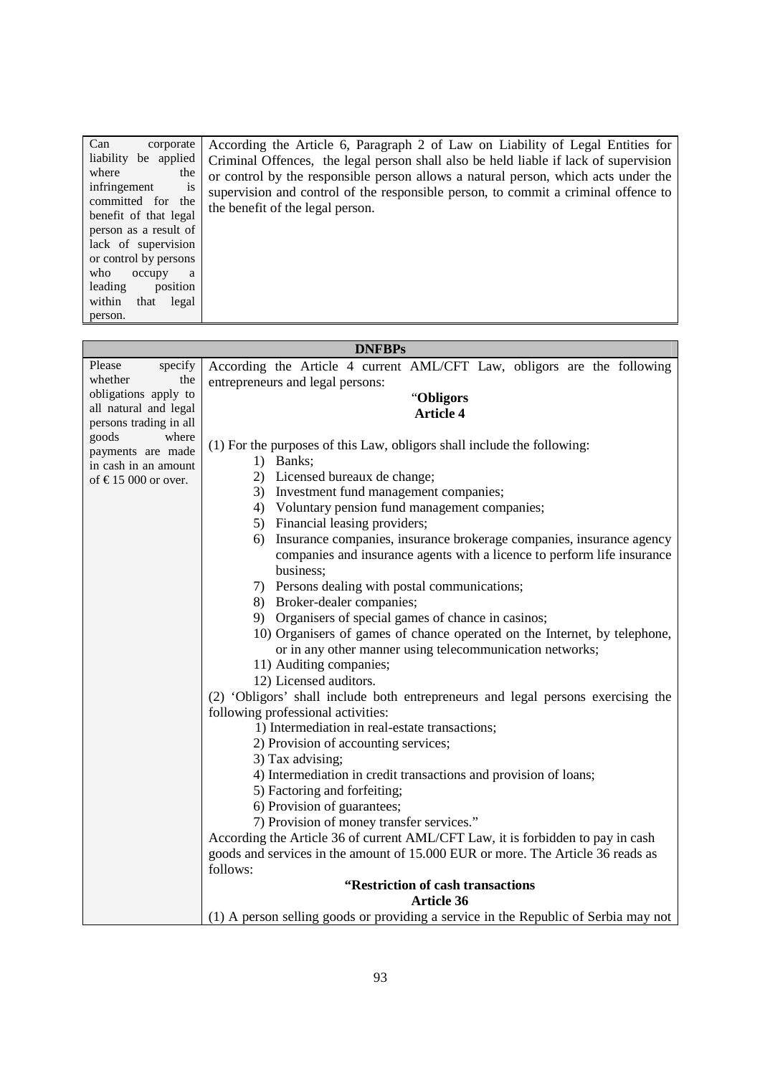| Can<br>corporate          | According the Article 6, Paragraph 2 of Law on Liability of Legal Entities for       |
|---------------------------|--------------------------------------------------------------------------------------|
| liability be applied      | Criminal Offences, the legal person shall also be held liable if lack of supervision |
| where<br>the              | or control by the responsible person allows a natural person, which acts under the   |
| infringement<br><b>1S</b> | supervision and control of the responsible person, to commit a criminal offence to   |
| committed for the         | the benefit of the legal person.                                                     |
| benefit of that legal     |                                                                                      |
| person as a result of     |                                                                                      |
| lack of supervision       |                                                                                      |
| or control by persons     |                                                                                      |
| who<br>occupy<br>a        |                                                                                      |
| position<br>leading       |                                                                                      |
| within<br>that<br>legal   |                                                                                      |
| person.                   |                                                                                      |

i.

|                                                  | <b>DNFBPs</b>                                                                       |
|--------------------------------------------------|-------------------------------------------------------------------------------------|
| Please<br>specify                                | According the Article 4 current AML/CFT Law, obligors are the following             |
| whether<br>the                                   | entrepreneurs and legal persons:                                                    |
| obligations apply to                             | "Obligors                                                                           |
| all natural and legal                            | <b>Article 4</b>                                                                    |
| persons trading in all                           |                                                                                     |
| goods<br>where                                   | (1) For the purposes of this Law, obligors shall include the following:             |
| payments are made                                | 1) Banks;                                                                           |
| in cash in an amount<br>of $\in$ 15 000 or over. | 2) Licensed bureaux de change;                                                      |
|                                                  | 3) Investment fund management companies;                                            |
|                                                  | 4) Voluntary pension fund management companies;                                     |
|                                                  | 5) Financial leasing providers;                                                     |
|                                                  | 6) Insurance companies, insurance brokerage companies, insurance agency             |
|                                                  | companies and insurance agents with a licence to perform life insurance             |
|                                                  | business;                                                                           |
|                                                  | 7) Persons dealing with postal communications;                                      |
|                                                  | 8) Broker-dealer companies;                                                         |
|                                                  | 9) Organisers of special games of chance in casinos;                                |
|                                                  | 10) Organisers of games of chance operated on the Internet, by telephone,           |
|                                                  | or in any other manner using telecommunication networks;                            |
|                                                  | 11) Auditing companies;                                                             |
|                                                  | 12) Licensed auditors.                                                              |
|                                                  | (2) 'Obligors' shall include both entrepreneurs and legal persons exercising the    |
|                                                  | following professional activities:                                                  |
|                                                  | 1) Intermediation in real-estate transactions;                                      |
|                                                  | 2) Provision of accounting services;                                                |
|                                                  | 3) Tax advising;                                                                    |
|                                                  | 4) Intermediation in credit transactions and provision of loans;                    |
|                                                  | 5) Factoring and forfeiting;                                                        |
|                                                  | 6) Provision of guarantees;                                                         |
|                                                  | 7) Provision of money transfer services."                                           |
|                                                  | According the Article 36 of current AML/CFT Law, it is forbidden to pay in cash     |
|                                                  | goods and services in the amount of 15.000 EUR or more. The Article 36 reads as     |
|                                                  | follows:                                                                            |
|                                                  | "Restriction of cash transactions                                                   |
|                                                  | <b>Article 36</b>                                                                   |
|                                                  | (1) A person selling goods or providing a service in the Republic of Serbia may not |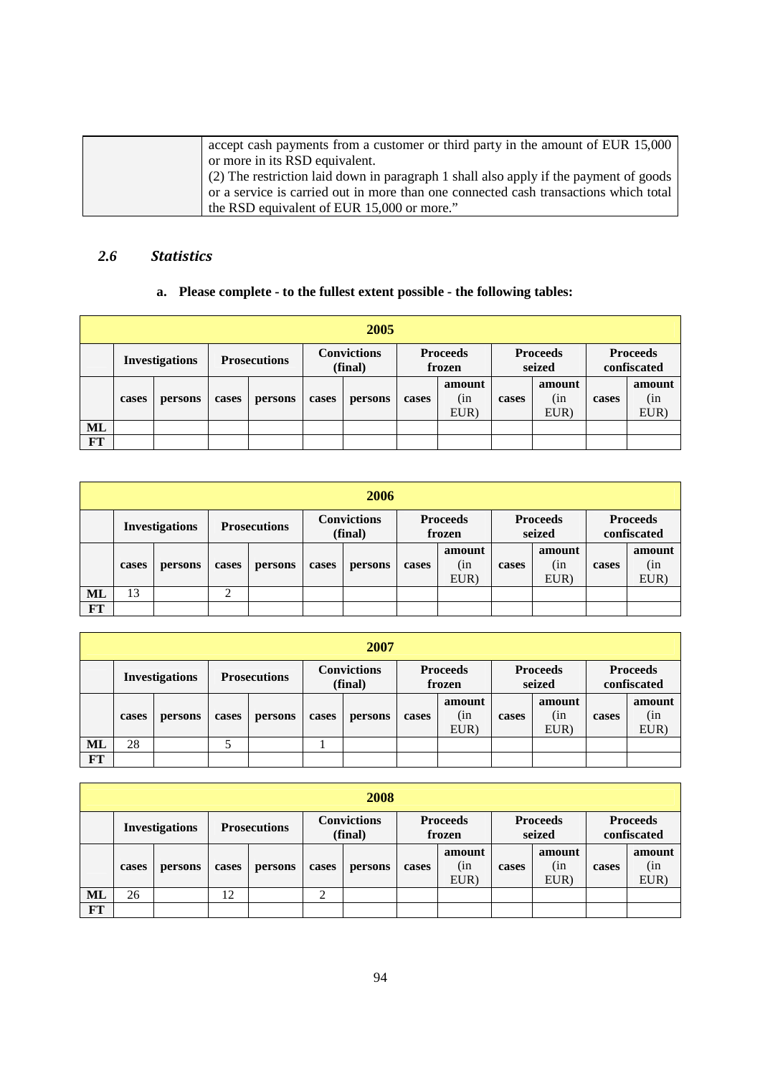| accept cash payments from a customer or third party in the amount of EUR 15,000       |
|---------------------------------------------------------------------------------------|
| or more in its RSD equivalent.                                                        |
| (2) The restriction laid down in paragraph 1 shall also apply if the payment of goods |
| or a service is carried out in more than one connected cash transactions which total  |
| the RSD equivalent of EUR 15,000 or more."                                            |

## *2.6 Statistics*

## **a. Please complete - to the fullest extent possible - the following tables:**

|    | 2005                  |         |                     |         |                               |         |                           |                       |                           |                       |                                |                       |
|----|-----------------------|---------|---------------------|---------|-------------------------------|---------|---------------------------|-----------------------|---------------------------|-----------------------|--------------------------------|-----------------------|
|    | <b>Investigations</b> |         | <b>Prosecutions</b> |         | <b>Convictions</b><br>(final) |         | <b>Proceeds</b><br>frozen |                       | <b>Proceeds</b><br>seized |                       | <b>Proceeds</b><br>confiscated |                       |
|    | cases                 | persons | cases               | persons | cases                         | persons | cases                     | amount<br>(in<br>EUR) | cases                     | amount<br>(in<br>EUR) | cases                          | amount<br>(in<br>EUR) |
| ML |                       |         |                     |         |                               |         |                           |                       |                           |                       |                                |                       |
| FT |                       |         |                     |         |                               |         |                           |                       |                           |                       |                                |                       |

|           | 2006                  |         |                     |         |                               |         |                           |                       |                           |                       |                                |                       |  |
|-----------|-----------------------|---------|---------------------|---------|-------------------------------|---------|---------------------------|-----------------------|---------------------------|-----------------------|--------------------------------|-----------------------|--|
|           | <b>Investigations</b> |         | <b>Prosecutions</b> |         | <b>Convictions</b><br>(final) |         | <b>Proceeds</b><br>frozen |                       | <b>Proceeds</b><br>seized |                       | <b>Proceeds</b><br>confiscated |                       |  |
|           | cases                 | persons | cases               | persons | cases                         | persons | cases                     | amount<br>(in<br>EUR) | cases                     | amount<br>(in<br>EUR) | cases                          | amount<br>(in<br>EUR) |  |
| ML        | 13                    |         | ◠                   |         |                               |         |                           |                       |                           |                       |                                |                       |  |
| <b>FT</b> |                       |         |                     |         |                               |         |                           |                       |                           |                       |                                |                       |  |

|    | 2007                  |         |                     |         |                               |         |                           |                       |                           |                       |                                |                       |
|----|-----------------------|---------|---------------------|---------|-------------------------------|---------|---------------------------|-----------------------|---------------------------|-----------------------|--------------------------------|-----------------------|
|    | <b>Investigations</b> |         | <b>Prosecutions</b> |         | <b>Convictions</b><br>(final) |         | <b>Proceeds</b><br>frozen |                       | <b>Proceeds</b><br>seized |                       | <b>Proceeds</b><br>confiscated |                       |
|    | cases                 | persons | cases               | persons | cases                         | persons | cases                     | amount<br>(in<br>EUR) | cases                     | amount<br>(in<br>EUR) | cases                          | amount<br>(in<br>EUR) |
| ML | 28                    |         |                     |         |                               |         |                           |                       |                           |                       |                                |                       |
| FT |                       |         |                     |         |                               |         |                           |                       |                           |                       |                                |                       |

|    | 2008                  |         |                     |         |                               |         |                           |                       |                           |                        |                                |                       |
|----|-----------------------|---------|---------------------|---------|-------------------------------|---------|---------------------------|-----------------------|---------------------------|------------------------|--------------------------------|-----------------------|
|    | <b>Investigations</b> |         | <b>Prosecutions</b> |         | <b>Convictions</b><br>(final) |         | <b>Proceeds</b><br>frozen |                       | <b>Proceeds</b><br>seized |                        | <b>Proceeds</b><br>confiscated |                       |
|    | cases                 | persons | cases               | persons | cases                         | persons | cases                     | amount<br>(in<br>EUR) | cases                     | amount<br>(in)<br>EUR) | cases                          | amount<br>(in<br>EUR) |
| ML | 26                    |         | 12                  |         | ↑                             |         |                           |                       |                           |                        |                                |                       |
| FT |                       |         |                     |         |                               |         |                           |                       |                           |                        |                                |                       |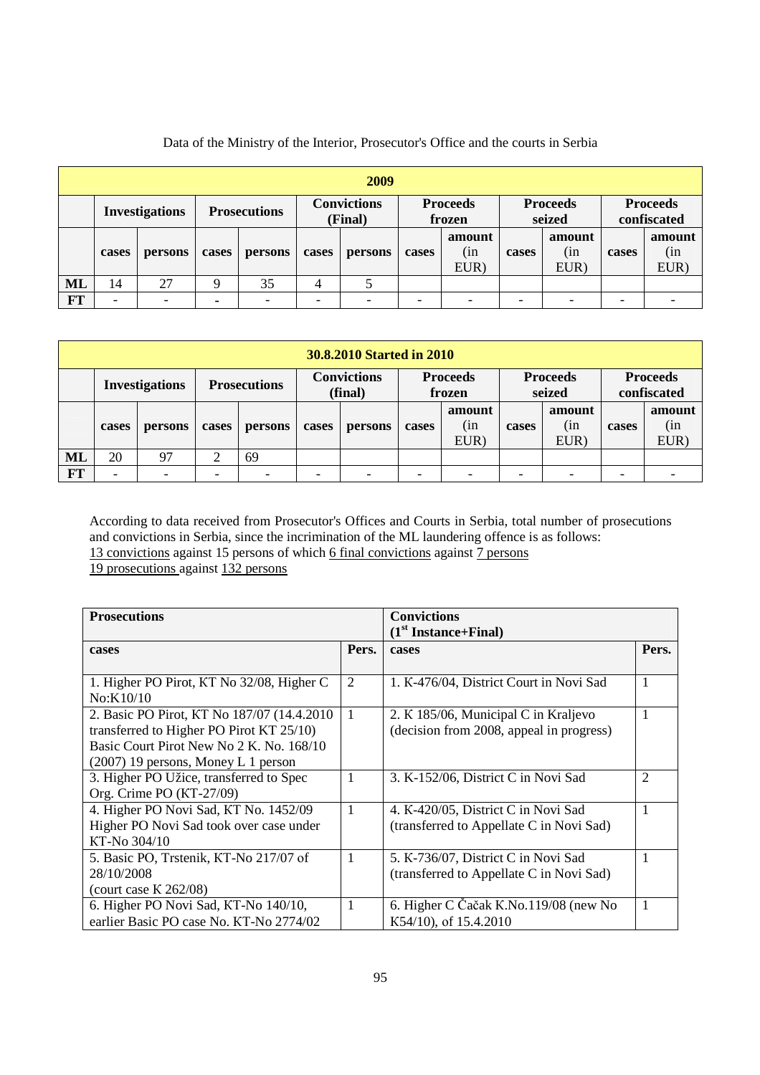|    | 2009                  |         |                |                     |       |                               |       |                           |       |                           |       |                                |
|----|-----------------------|---------|----------------|---------------------|-------|-------------------------------|-------|---------------------------|-------|---------------------------|-------|--------------------------------|
|    | <b>Investigations</b> |         |                | <b>Prosecutions</b> |       | <b>Convictions</b><br>(Final) |       | <b>Proceeds</b><br>frozen |       | <b>Proceeds</b><br>seized |       | <b>Proceeds</b><br>confiscated |
|    | cases                 | persons | cases          | persons             | cases | persons                       | cases | amount<br>(in<br>EUR)     | cases | amount<br>(in<br>EUR)     | cases | amount<br>(in<br>EUR)          |
| ML | 14                    | 27      | a              | 35                  |       |                               |       |                           |       |                           |       |                                |
| FT | -                     |         | $\blacksquare$ |                     |       |                               |       |                           |       |                           |       |                                |

Data of the Ministry of the Interior, Prosecutor's Office and the courts in Serbia

|           | <b>30.8.2010 Started in 2010</b> |                          |        |                     |       |                               |       |                           |       |                           |                          |                                |
|-----------|----------------------------------|--------------------------|--------|---------------------|-------|-------------------------------|-------|---------------------------|-------|---------------------------|--------------------------|--------------------------------|
|           |                                  | <b>Investigations</b>    |        | <b>Prosecutions</b> |       | <b>Convictions</b><br>(final) |       | <b>Proceeds</b><br>frozen |       | <b>Proceeds</b><br>seized |                          | <b>Proceeds</b><br>confiscated |
|           | cases                            | persons                  | cases  | persons             | cases | persons                       | cases | amount<br>(in<br>EUR)     | cases | amount<br>(in<br>EUR)     | cases                    | amount<br>(in<br>EUR)          |
| <b>ML</b> | 20                               | 97                       | ⌒<br>∠ | 69                  |       |                               |       |                           |       |                           |                          |                                |
| FT        | $\overline{\phantom{a}}$         | $\overline{\phantom{0}}$ |        |                     |       |                               |       |                           |       | $\overline{\phantom{0}}$  | $\overline{\phantom{0}}$ |                                |

According to data received from Prosecutor's Offices and Courts in Serbia, total number of prosecutions and convictions in Serbia, since the incrimination of the ML laundering offence is as follows: 13 convictions against 15 persons of which 6 final convictions against 7 persons 19 prosecutions against 132 persons

| <b>Prosecutions</b>                         |                | <b>Convictions</b>                       |                |
|---------------------------------------------|----------------|------------------------------------------|----------------|
|                                             |                | $(1st Instante+Final)$                   |                |
| cases                                       | Pers.          | cases                                    | Pers.          |
|                                             |                |                                          |                |
| 1. Higher PO Pirot, KT No 32/08, Higher C   | 2              | 1. K-476/04, District Court in Novi Sad  |                |
| No:K10/10                                   |                |                                          |                |
| 2. Basic PO Pirot, KT No 187/07 (14.4.2010) | $\overline{1}$ | 2. K 185/06, Municipal C in Kraljevo     |                |
| transferred to Higher PO Pirot KT 25/10)    |                | (decision from 2008, appeal in progress) |                |
| Basic Court Pirot New No 2 K, No. 168/10    |                |                                          |                |
| $(2007)$ 19 persons, Money L 1 person       |                |                                          |                |
| 3. Higher PO Užice, transferred to Spec     |                | 3. K-152/06, District C in Novi Sad      | $\overline{2}$ |
| Org. Crime PO (KT-27/09)                    |                |                                          |                |
| 4. Higher PO Novi Sad, KT No. 1452/09       |                | 4. K-420/05, District C in Novi Sad      |                |
| Higher PO Novi Sad took over case under     |                | (transferred to Appellate C in Novi Sad) |                |
| KT-No 304/10                                |                |                                          |                |
| 5. Basic PO, Trstenik, KT-No 217/07 of      |                | 5. K-736/07, District C in Novi Sad      |                |
| 28/10/2008                                  |                | (transferred to Appellate C in Novi Sad) |                |
| (court case $K$ 262/08)                     |                |                                          |                |
| 6. Higher PO Novi Sad, KT-No 140/10,        |                | 6. Higher C Čačak K.No.119/08 (new No    |                |
| earlier Basic PO case No. KT-No 2774/02     |                | K54/10), of 15.4.2010                    |                |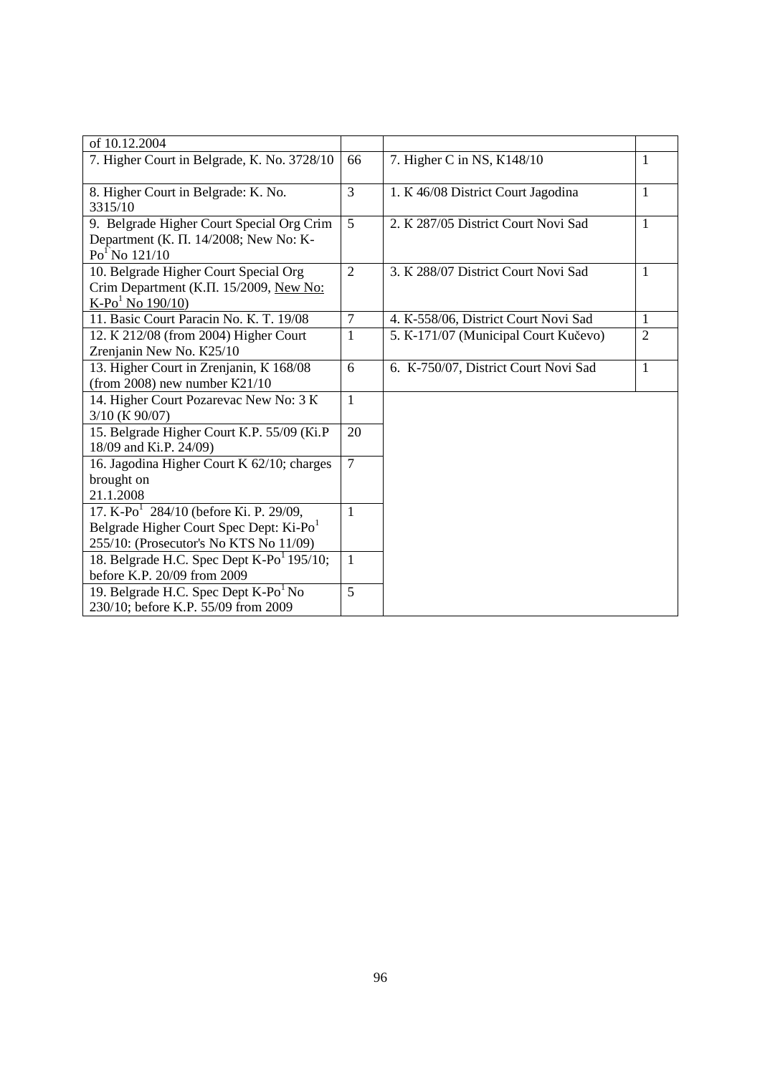| of 10.12.2004                                                                                                                                       |                |                                      |                |
|-----------------------------------------------------------------------------------------------------------------------------------------------------|----------------|--------------------------------------|----------------|
| 7. Higher Court in Belgrade, K. No. 3728/10                                                                                                         | 66             | 7. Higher C in NS, K148/10           | 1              |
| 8. Higher Court in Belgrade: K. No.<br>3315/10                                                                                                      | $\overline{3}$ | 1. K 46/08 District Court Jagodina   | 1              |
| 9. Belgrade Higher Court Special Org Crim<br>Department (K. II. 14/2008; New No: K-<br>$Po1$ No 121/10                                              | 5              | 2. K 287/05 District Court Novi Sad  | 1              |
| 10. Belgrade Higher Court Special Org<br>Crim Department (K.II. 15/2009, New No:<br>$K-Po1$ No 190/10)                                              | $\overline{2}$ | 3. K 288/07 District Court Novi Sad  | 1              |
| 11. Basic Court Paracin No. K. T. 19/08                                                                                                             | 7              | 4. K-558/06, District Court Novi Sad | 1              |
| 12. K 212/08 (from 2004) Higher Court<br>Zrenjanin New No. K25/10                                                                                   | 1              | 5. K-171/07 (Municipal Court Kučevo) | $\overline{2}$ |
| 13. Higher Court in Zrenjanin, K 168/08<br>(from 2008) new number $K21/10$                                                                          | 6              | 6. K-750/07, District Court Novi Sad | 1              |
| 14. Higher Court Pozarevac New No: 3 K<br>3/10 (K 90/07)                                                                                            | $\mathbf{1}$   |                                      |                |
| 15. Belgrade Higher Court K.P. 55/09 (Ki.P)<br>18/09 and Ki.P. 24/09)                                                                               | 20             |                                      |                |
| 16. Jagodina Higher Court K 62/10; charges<br>brought on<br>21.1.2008                                                                               | $\overline{7}$ |                                      |                |
| 17. K-Po <sup>1</sup> 284/10 (before Ki. P. 29/09,<br>Belgrade Higher Court Spec Dept: Ki-Po <sup>1</sup><br>255/10: (Prosecutor's No KTS No 11/09) | $\mathbf{1}$   |                                      |                |
| 18. Belgrade H.C. Spec Dept $K-Po1 195/10$ ;<br>before K.P. 20/09 from 2009                                                                         | $\mathbf{1}$   |                                      |                |
| 19. Belgrade H.C. Spec Dept K-Po <sup>1</sup> No<br>230/10; before K.P. 55/09 from 2009                                                             | 5              |                                      |                |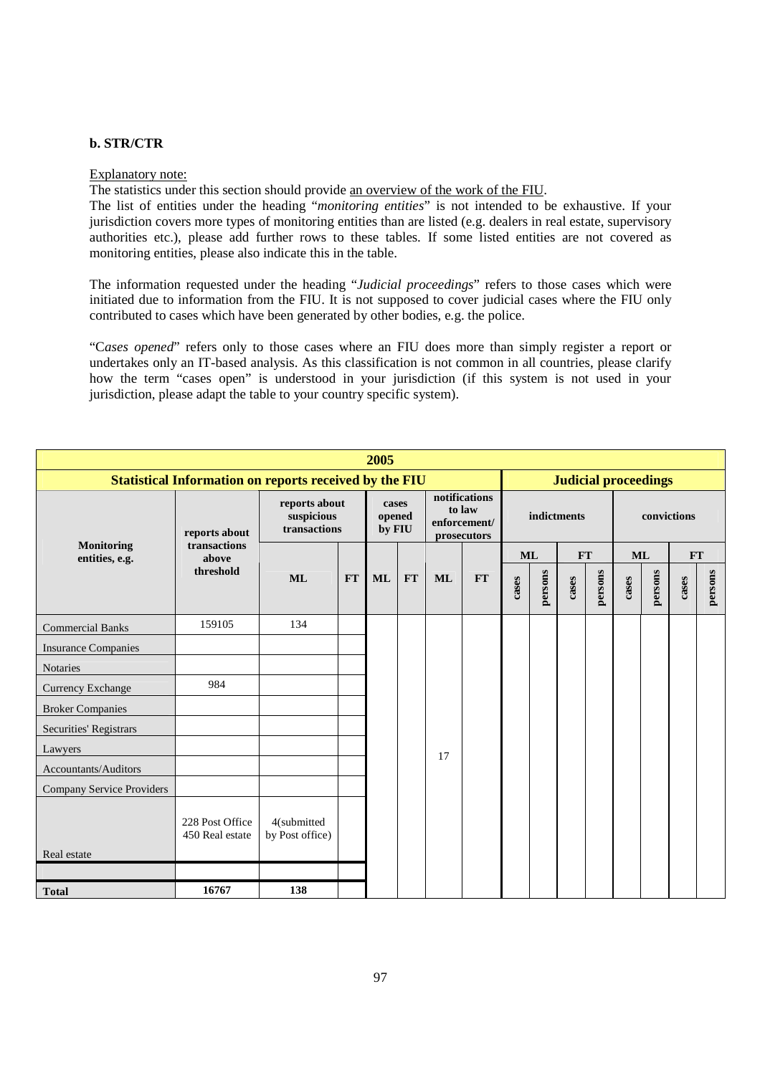### **b. STR/CTR**

#### Explanatory note:

The statistics under this section should provide an overview of the work of the FIU.

The list of entities under the heading "*monitoring entities*" is not intended to be exhaustive. If your jurisdiction covers more types of monitoring entities than are listed (e.g. dealers in real estate, supervisory authorities etc.), please add further rows to these tables. If some listed entities are not covered as monitoring entities, please also indicate this in the table.

The information requested under the heading "*Judicial proceedings*" refers to those cases which were initiated due to information from the FIU. It is not supposed to cover judicial cases where the FIU only contributed to cases which have been generated by other bodies, e.g. the police.

"C*ases opened*" refers only to those cases where an FIU does more than simply register a report or undertakes only an IT-based analysis. As this classification is not common in all countries, please clarify how the term "cases open" is understood in your jurisdiction (if this system is not used in your jurisdiction, please adapt the table to your country specific system).

|                                     | 2005                                                          |                                             |    |                 |           |           |                                                        |       |           |             |               |       |                             |           |         |
|-------------------------------------|---------------------------------------------------------------|---------------------------------------------|----|-----------------|-----------|-----------|--------------------------------------------------------|-------|-----------|-------------|---------------|-------|-----------------------------|-----------|---------|
|                                     | <b>Statistical Information on reports received by the FIU</b> |                                             |    |                 |           |           |                                                        |       |           |             |               |       | <b>Judicial proceedings</b> |           |         |
|                                     | reports about                                                 | reports about<br>suspicious<br>transactions |    | cases<br>opened | by FIU    |           | notifications<br>to law<br>enforcement/<br>prosecutors |       |           | indictments |               |       | convictions                 |           |         |
| <b>Monitoring</b><br>entities, e.g. | transactions<br>above                                         |                                             |    |                 |           |           |                                                        |       | <b>ML</b> |             | $\mathbf{FT}$ |       | ML                          | <b>FT</b> |         |
|                                     | threshold                                                     | <b>ML</b>                                   | FT | <b>ML</b>       | <b>FT</b> | <b>ML</b> | <b>FT</b>                                              | cases | persons   | cases       | persons       | cases | persons                     | cases     | persons |
| <b>Commercial Banks</b>             | 159105                                                        | 134                                         |    |                 |           |           |                                                        |       |           |             |               |       |                             |           |         |
| <b>Insurance Companies</b>          |                                                               |                                             |    |                 |           |           |                                                        |       |           |             |               |       |                             |           |         |
| <b>Notaries</b>                     |                                                               |                                             |    |                 |           |           |                                                        |       |           |             |               |       |                             |           |         |
| Currency Exchange                   | 984                                                           |                                             |    |                 |           |           |                                                        |       |           |             |               |       |                             |           |         |
| <b>Broker Companies</b>             |                                                               |                                             |    |                 |           |           |                                                        |       |           |             |               |       |                             |           |         |
| Securities' Registrars              |                                                               |                                             |    |                 |           |           |                                                        |       |           |             |               |       |                             |           |         |
| Lawyers                             |                                                               |                                             |    |                 |           | 17        |                                                        |       |           |             |               |       |                             |           |         |
| Accountants/Auditors                |                                                               |                                             |    |                 |           |           |                                                        |       |           |             |               |       |                             |           |         |
| <b>Company Service Providers</b>    |                                                               |                                             |    |                 |           |           |                                                        |       |           |             |               |       |                             |           |         |
| Real estate                         | 228 Post Office<br>450 Real estate                            | 4(submitted<br>by Post office)              |    |                 |           |           |                                                        |       |           |             |               |       |                             |           |         |
|                                     |                                                               |                                             |    |                 |           |           |                                                        |       |           |             |               |       |                             |           |         |
| <b>Total</b>                        | 16767                                                         | 138                                         |    |                 |           |           |                                                        |       |           |             |               |       |                             |           |         |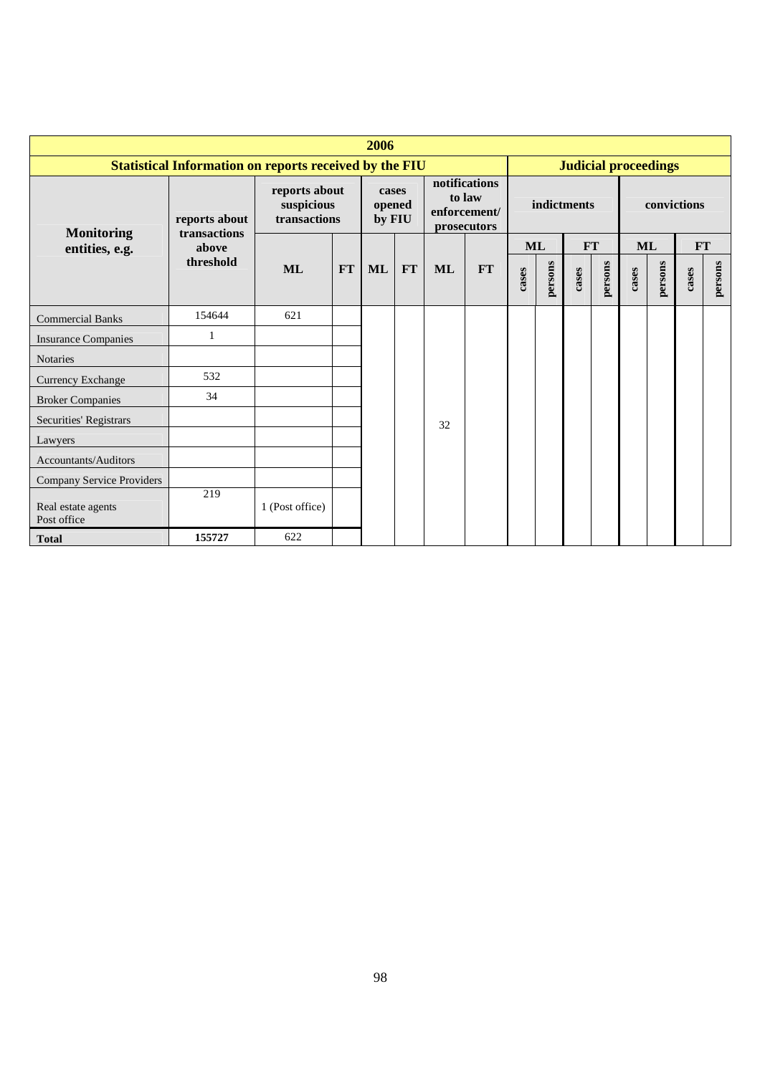|                                   | 2006                                                   |                                             |           |                           |    |           |                                                        |           |         |             |                             |       |         |               |         |
|-----------------------------------|--------------------------------------------------------|---------------------------------------------|-----------|---------------------------|----|-----------|--------------------------------------------------------|-----------|---------|-------------|-----------------------------|-------|---------|---------------|---------|
|                                   | Statistical Information on reports received by the FIU |                                             |           |                           |    |           |                                                        |           |         |             | <b>Judicial proceedings</b> |       |         |               |         |
| <b>Monitoring</b>                 | reports about<br>transactions                          | reports about<br>suspicious<br>transactions |           | cases<br>opened<br>by FIU |    |           | notifications<br>to law<br>enforcement/<br>prosecutors |           |         | indictments |                             |       |         | convictions   |         |
| entities, e.g.                    | above                                                  |                                             |           |                           |    |           |                                                        | <b>ML</b> |         |             | FT                          | ML    |         | $\mathbf{FT}$ |         |
|                                   | threshold                                              | <b>ML</b>                                   | <b>FT</b> | <b>ML</b>                 | FT | <b>ML</b> | <b>FT</b>                                              | cases     | persons | cases       | persons                     | cases | persons | cases         | persons |
| <b>Commercial Banks</b>           | 154644                                                 | 621                                         |           |                           |    |           |                                                        |           |         |             |                             |       |         |               |         |
| <b>Insurance Companies</b>        | -1                                                     |                                             |           |                           |    |           |                                                        |           |         |             |                             |       |         |               |         |
| <b>Notaries</b>                   |                                                        |                                             |           |                           |    |           |                                                        |           |         |             |                             |       |         |               |         |
| Currency Exchange                 | 532                                                    |                                             |           |                           |    |           |                                                        |           |         |             |                             |       |         |               |         |
| <b>Broker Companies</b>           | 34                                                     |                                             |           |                           |    |           |                                                        |           |         |             |                             |       |         |               |         |
| Securities' Registrars            |                                                        |                                             |           |                           |    | 32        |                                                        |           |         |             |                             |       |         |               |         |
| Lawyers                           |                                                        |                                             |           |                           |    |           |                                                        |           |         |             |                             |       |         |               |         |
| Accountants/Auditors              |                                                        |                                             |           |                           |    |           |                                                        |           |         |             |                             |       |         |               |         |
| <b>Company Service Providers</b>  |                                                        |                                             |           |                           |    |           |                                                        |           |         |             |                             |       |         |               |         |
| Real estate agents<br>Post office | 219                                                    | 1 (Post office)                             |           |                           |    |           |                                                        |           |         |             |                             |       |         |               |         |
| <b>Total</b>                      | 155727                                                 | 622                                         |           |                           |    |           |                                                        |           |         |             |                             |       |         |               |         |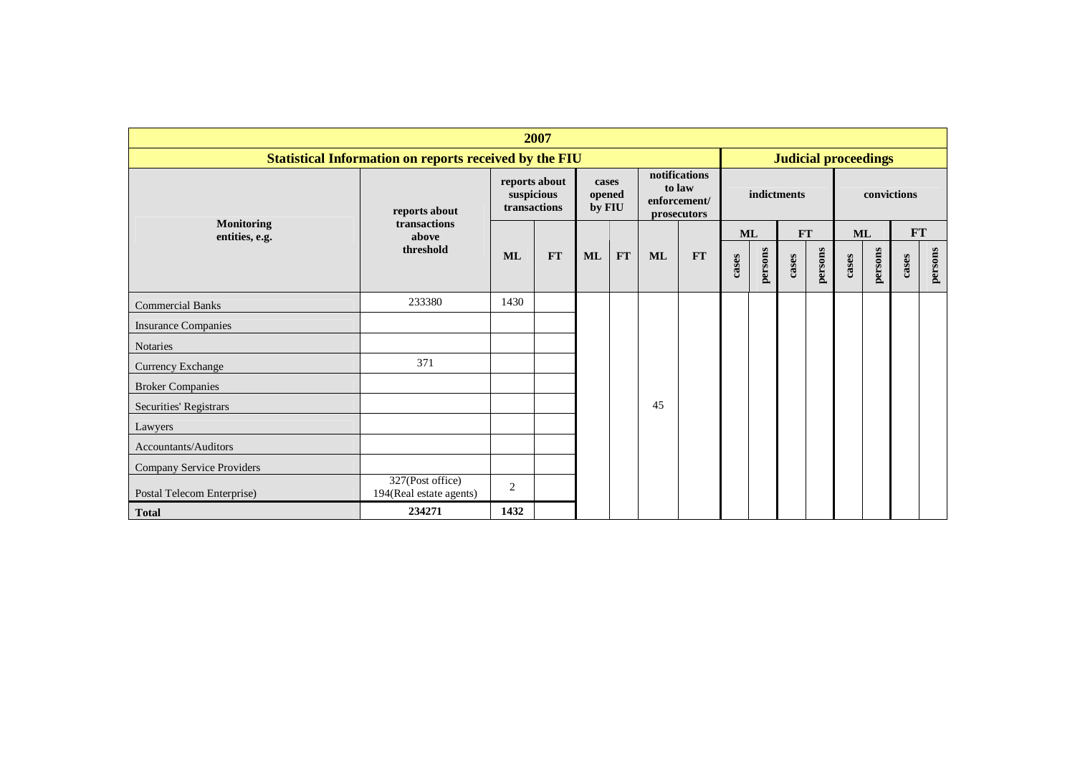| 2007                       |                                                        |                                             |           |                           |           |               |                                       |           |         |             |         |                             |             |           |         |
|----------------------------|--------------------------------------------------------|---------------------------------------------|-----------|---------------------------|-----------|---------------|---------------------------------------|-----------|---------|-------------|---------|-----------------------------|-------------|-----------|---------|
|                            | Statistical Information on reports received by the FIU |                                             |           |                           |           |               |                                       |           |         |             |         | <b>Judicial proceedings</b> |             |           |         |
| <b>Monitoring</b>          | reports about<br>transactions                          | reports about<br>suspicious<br>transactions |           | cases<br>opened<br>by FIU |           | notifications | to law<br>enforcement/<br>prosecutors |           |         | indictments |         |                             | convictions |           |         |
| entities, e.g.             | above<br>threshold                                     |                                             |           |                           |           |               |                                       | <b>ML</b> |         | <b>FT</b>   |         | <b>ML</b>                   |             | <b>FT</b> |         |
|                            |                                                        | <b>ML</b>                                   | <b>FT</b> | <b>ML</b>                 | <b>FT</b> | <b>ML</b>     | <b>FT</b>                             | cases     | persons | cases       | persons | cases                       | persons     | cases     | persons |
| <b>Commercial Banks</b>    | 233380                                                 | 1430                                        |           |                           |           |               |                                       |           |         |             |         |                             |             |           |         |
| <b>Insurance Companies</b> |                                                        |                                             |           |                           |           |               |                                       |           |         |             |         |                             |             |           |         |
| Notaries                   |                                                        |                                             |           |                           |           |               |                                       |           |         |             |         |                             |             |           |         |
| Currency Exchange          | 371                                                    |                                             |           |                           |           |               |                                       |           |         |             |         |                             |             |           |         |
| <b>Broker Companies</b>    |                                                        |                                             |           |                           |           |               |                                       |           |         |             |         |                             |             |           |         |
| Securities' Registrars     |                                                        |                                             |           |                           |           | 45            |                                       |           |         |             |         |                             |             |           |         |
| Lawyers                    |                                                        |                                             |           |                           |           |               |                                       |           |         |             |         |                             |             |           |         |
| Accountants/Auditors       |                                                        |                                             |           |                           |           |               |                                       |           |         |             |         |                             |             |           |         |
| Company Service Providers  |                                                        |                                             |           |                           |           |               |                                       |           |         |             |         |                             |             |           |         |
| Postal Telecom Enterprise) | 327(Post office)<br>194(Real estate agents)            | 2                                           |           |                           |           |               |                                       |           |         |             |         |                             |             |           |         |
| <b>Total</b>               | 234271                                                 | 1432                                        |           |                           |           |               |                                       |           |         |             |         |                             |             |           |         |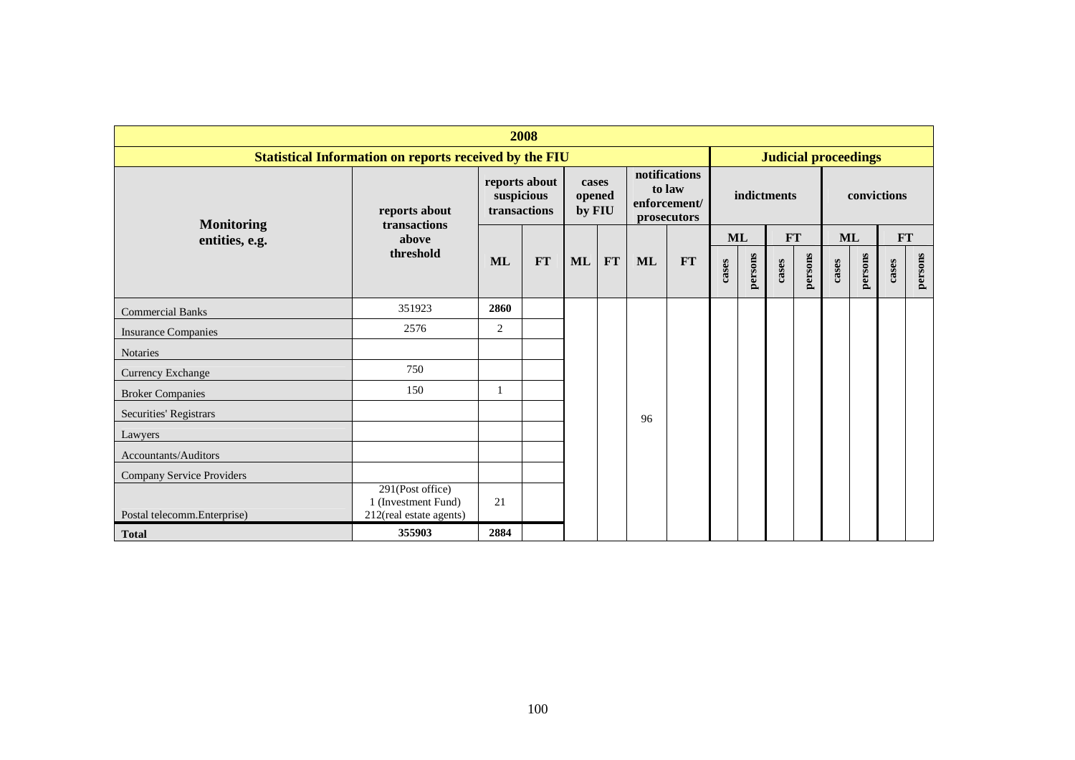| 2008                                |                                                                    |                            |               |                           |            |    |                                                        |       |         |             |         |                             |         |             |         |
|-------------------------------------|--------------------------------------------------------------------|----------------------------|---------------|---------------------------|------------|----|--------------------------------------------------------|-------|---------|-------------|---------|-----------------------------|---------|-------------|---------|
|                                     | <b>Statistical Information on reports received by the FIU</b>      |                            |               |                           |            |    |                                                        |       |         |             |         | <b>Judicial proceedings</b> |         |             |         |
|                                     | reports about<br>transactions                                      | suspicious<br>transactions | reports about | cases<br>opened<br>by FIU |            |    | notifications<br>to law<br>enforcement/<br>prosecutors |       |         | indictments |         |                             |         | convictions |         |
| <b>Monitoring</b><br>entities, e.g. | above                                                              |                            |               |                           |            |    |                                                        |       | ML      | FT          |         | ML                          |         | <b>FT</b>   |         |
|                                     | threshold                                                          | <b>ML</b>                  | <b>FT</b>     | ML                        | ${\bf FT}$ | ML | FT                                                     | cases | persons | cases       | persons | cases                       | persons | cases       | persons |
| <b>Commercial Banks</b>             | 351923                                                             | 2860                       |               |                           |            |    |                                                        |       |         |             |         |                             |         |             |         |
| <b>Insurance Companies</b>          | 2576                                                               | 2                          |               |                           |            |    |                                                        |       |         |             |         |                             |         |             |         |
| <b>Notaries</b>                     |                                                                    |                            |               |                           |            |    |                                                        |       |         |             |         |                             |         |             |         |
| <b>Currency Exchange</b>            | 750                                                                |                            |               |                           |            |    |                                                        |       |         |             |         |                             |         |             |         |
| <b>Broker Companies</b>             | 150                                                                | -1                         |               |                           |            |    |                                                        |       |         |             |         |                             |         |             |         |
| Securities' Registrars              |                                                                    |                            |               |                           |            | 96 |                                                        |       |         |             |         |                             |         |             |         |
| Lawyers                             |                                                                    |                            |               |                           |            |    |                                                        |       |         |             |         |                             |         |             |         |
| Accountants/Auditors                |                                                                    |                            |               |                           |            |    |                                                        |       |         |             |         |                             |         |             |         |
| Company Service Providers           |                                                                    |                            |               |                           |            |    |                                                        |       |         |             |         |                             |         |             |         |
| Postal telecomm.Enterprise)         | 291(Post office)<br>1 (Investment Fund)<br>212(real estate agents) | 21                         |               |                           |            |    |                                                        |       |         |             |         |                             |         |             |         |
| <b>Total</b>                        | 355903                                                             | 2884                       |               |                           |            |    |                                                        |       |         |             |         |                             |         |             |         |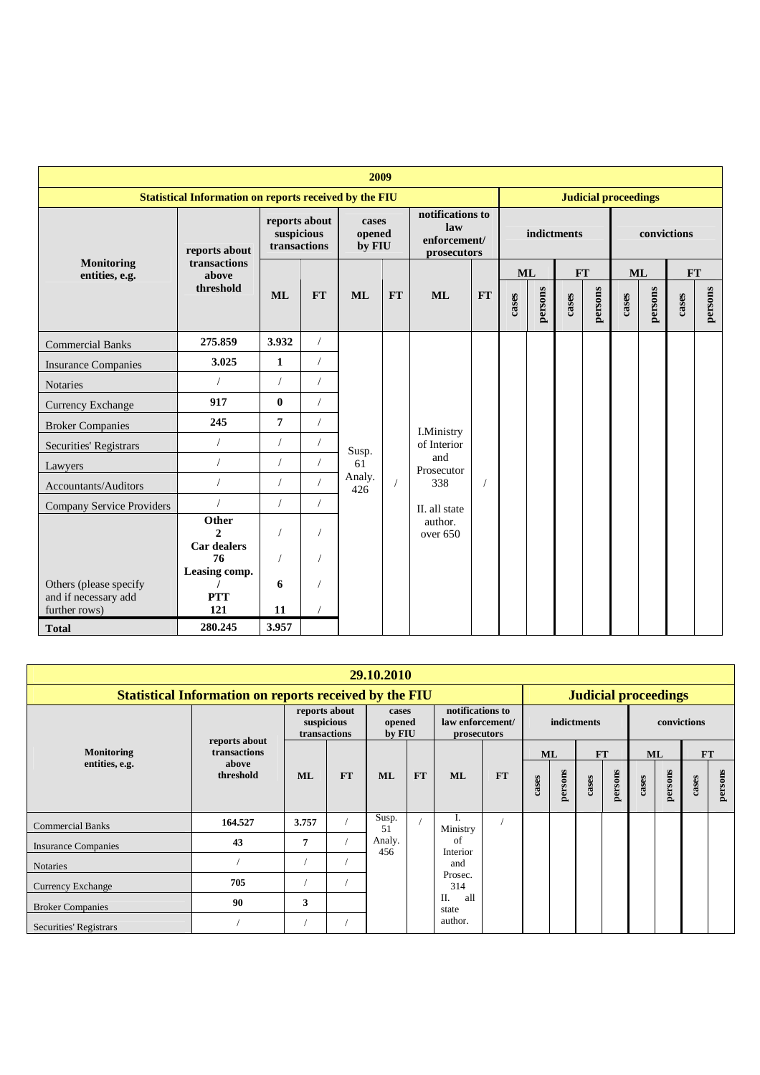|                                                                 | 2009                                                          |                                             |            |                           |           |                                                        |           |           |         |             |                             |       |             |           |         |
|-----------------------------------------------------------------|---------------------------------------------------------------|---------------------------------------------|------------|---------------------------|-----------|--------------------------------------------------------|-----------|-----------|---------|-------------|-----------------------------|-------|-------------|-----------|---------|
|                                                                 | <b>Statistical Information on reports received by the FIU</b> |                                             |            |                           |           |                                                        |           |           |         |             | <b>Judicial proceedings</b> |       |             |           |         |
|                                                                 | reports about                                                 | reports about<br>suspicious<br>transactions |            | cases<br>opened<br>by FIU |           | notifications to<br>law<br>enforcement/<br>prosecutors |           |           |         | indictments |                             |       | convictions |           |         |
| <b>Monitoring</b><br>entities, e.g.                             | transactions<br>above                                         |                                             |            |                           |           |                                                        |           | <b>ML</b> |         | <b>FT</b>   |                             |       | <b>ML</b>   | <b>FT</b> |         |
|                                                                 | threshold                                                     | <b>ML</b>                                   | <b>FT</b>  | <b>ML</b>                 | <b>FT</b> | <b>ML</b>                                              | <b>FT</b> | cases     | persons | cases       | persons                     | cases | persons     | cases     | persons |
| <b>Commercial Banks</b>                                         | 275.859                                                       | 3.932                                       | $\sqrt{2}$ |                           |           |                                                        |           |           |         |             |                             |       |             |           |         |
| <b>Insurance Companies</b>                                      | 3.025                                                         | 1                                           |            |                           |           |                                                        |           |           |         |             |                             |       |             |           |         |
| <b>Notaries</b>                                                 |                                                               | $\sqrt{2}$                                  |            |                           |           |                                                        |           |           |         |             |                             |       |             |           |         |
| <b>Currency Exchange</b>                                        | 917                                                           | $\bf{0}$                                    |            |                           |           |                                                        |           |           |         |             |                             |       |             |           |         |
| <b>Broker Companies</b>                                         | 245                                                           | 7                                           |            |                           |           | <b>I.Ministry</b>                                      |           |           |         |             |                             |       |             |           |         |
| Securities' Registrars                                          | $\sqrt{2}$                                                    | $\sqrt{ }$                                  |            | Susp.                     |           | of Interior                                            |           |           |         |             |                             |       |             |           |         |
| Lawyers                                                         |                                                               | $\sqrt{2}$                                  |            | 61                        |           | and<br>Prosecutor                                      |           |           |         |             |                             |       |             |           |         |
| Accountants/Auditors                                            |                                                               | $\prime$                                    |            | Analy.<br>426             |           | 338                                                    |           |           |         |             |                             |       |             |           |         |
| <b>Company Service Providers</b>                                |                                                               | $\sqrt{ }$                                  | $\sqrt{2}$ |                           |           | II. all state                                          |           |           |         |             |                             |       |             |           |         |
|                                                                 | Other<br>$\mathcal{D}$<br><b>Car dealers</b><br>76            |                                             |            |                           |           | author.<br>over $650$                                  |           |           |         |             |                             |       |             |           |         |
| Others (please specify<br>and if necessary add<br>further rows) | Leasing comp.<br><b>PTT</b><br>121                            | 6<br>11                                     |            |                           |           |                                                        |           |           |         |             |                             |       |             |           |         |
| <b>Total</b>                                                    | 280.245                                                       | 3.957                                       |            |                           |           |                                                        |           |           |         |             |                             |       |             |           |         |

| 29.10.2010                    |                                                                                              |            |                               |                           |           |                                                     |           |       |           |             |         |       |             |       |           |
|-------------------------------|----------------------------------------------------------------------------------------------|------------|-------------------------------|---------------------------|-----------|-----------------------------------------------------|-----------|-------|-----------|-------------|---------|-------|-------------|-------|-----------|
|                               | <b>Statistical Information on reports received by the FIU</b><br><b>Judicial proceedings</b> |            |                               |                           |           |                                                     |           |       |           |             |         |       |             |       |           |
|                               |                                                                                              | suspicious | reports about<br>transactions | cases<br>opened<br>by FIU |           | notifications to<br>law enforcement/<br>prosecutors |           |       |           | indictments |         |       | convictions |       |           |
| <b>Monitoring</b>             | reports about<br>transactions                                                                |            |                               |                           |           |                                                     |           |       | <b>ML</b> | <b>FT</b>   |         |       | <b>ML</b>   |       | <b>FT</b> |
| entities, e.g.                | above<br>threshold                                                                           | ML         | <b>FT</b>                     | <b>ML</b>                 | <b>FT</b> | <b>ML</b>                                           | <b>FT</b> | cases | persons   | cases       | persons | cases | persons     | cases | persons   |
| <b>Commercial Banks</b>       | 164.527                                                                                      | 3.757      |                               | Susp.<br>51               |           | 1.<br>Ministry                                      |           |       |           |             |         |       |             |       |           |
| <b>Insurance Companies</b>    | 43                                                                                           | 7          |                               | Analy.<br>456             |           | of<br>Interior                                      |           |       |           |             |         |       |             |       |           |
| <b>Notaries</b>               |                                                                                              |            |                               |                           |           | and                                                 |           |       |           |             |         |       |             |       |           |
| <b>Currency Exchange</b>      | 705                                                                                          |            |                               |                           |           | Prosec.<br>314                                      |           |       |           |             |         |       |             |       |           |
| <b>Broker Companies</b>       | 90                                                                                           | 3          |                               |                           |           | all<br>II.<br>state                                 |           |       |           |             |         |       |             |       |           |
| <b>Securities' Registrars</b> |                                                                                              |            |                               |                           |           | author.                                             |           |       |           |             |         |       |             |       |           |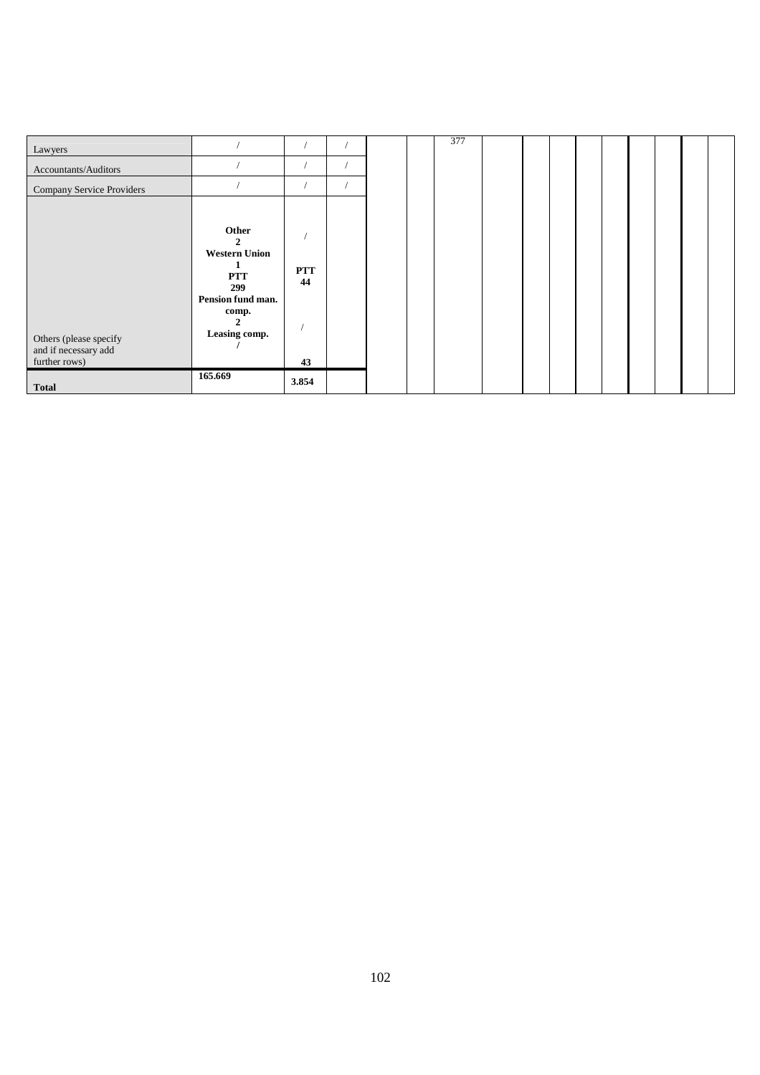| Lawyers                                                         |                                                                                                                  |                        |  | 377 |  |  |  |  |  |
|-----------------------------------------------------------------|------------------------------------------------------------------------------------------------------------------|------------------------|--|-----|--|--|--|--|--|
| Accountants/Auditors                                            |                                                                                                                  |                        |  |     |  |  |  |  |  |
| <b>Company Service Providers</b>                                |                                                                                                                  |                        |  |     |  |  |  |  |  |
| Others (please specify<br>and if necessary add<br>further rows) | Other<br>2<br><b>Western Union</b><br>1<br><b>PTT</b><br>299<br>Pension fund man.<br>comp.<br>2<br>Leasing comp. | <b>PTT</b><br>44<br>43 |  |     |  |  |  |  |  |
| <b>Total</b>                                                    | 165.669                                                                                                          | 3.854                  |  |     |  |  |  |  |  |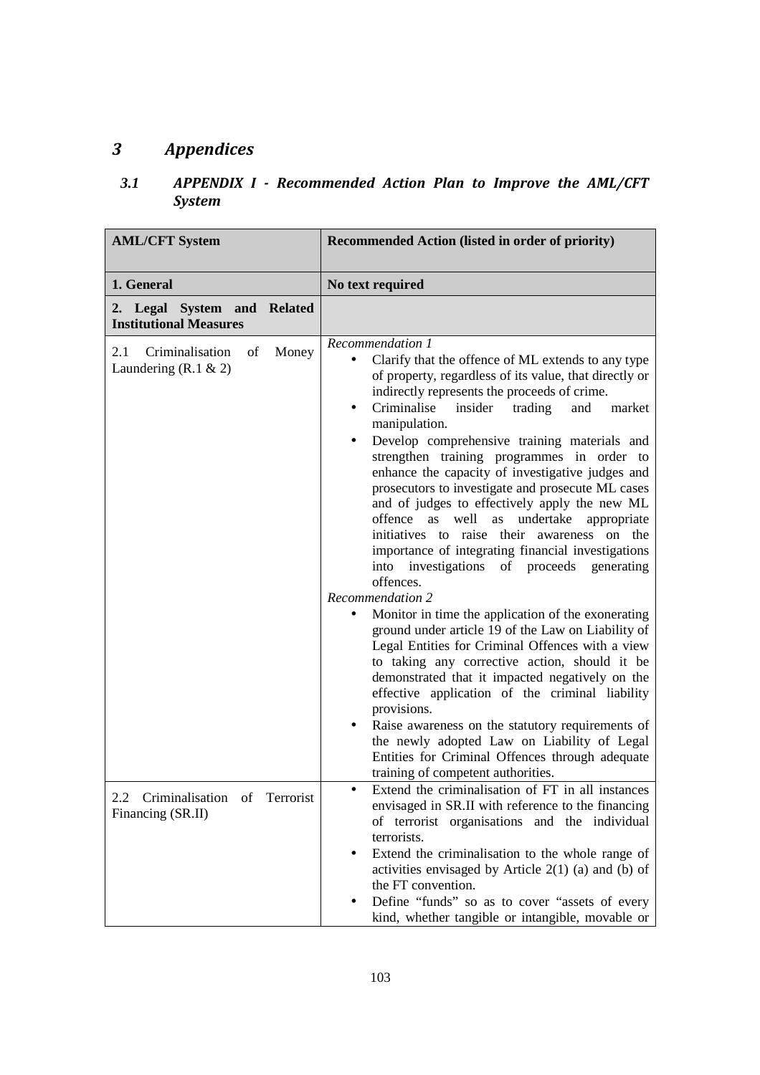# *3 Appendices*

## *3.1 APPENDIX I - Recommended Action Plan to Improve the AML/CFT System*

| <b>AML/CFT System</b>                                                                                                     | Recommended Action (listed in order of priority)                                                                                                                                                                                                                                                                                                                                                                                                                                                                                                                                                                                                                                                                                                                                                                                                                                                                                                                                                                                                                                                                                                                                                                                                                                                                                                                                                                                                                                                                                                                                                                                                                                        |
|---------------------------------------------------------------------------------------------------------------------------|-----------------------------------------------------------------------------------------------------------------------------------------------------------------------------------------------------------------------------------------------------------------------------------------------------------------------------------------------------------------------------------------------------------------------------------------------------------------------------------------------------------------------------------------------------------------------------------------------------------------------------------------------------------------------------------------------------------------------------------------------------------------------------------------------------------------------------------------------------------------------------------------------------------------------------------------------------------------------------------------------------------------------------------------------------------------------------------------------------------------------------------------------------------------------------------------------------------------------------------------------------------------------------------------------------------------------------------------------------------------------------------------------------------------------------------------------------------------------------------------------------------------------------------------------------------------------------------------------------------------------------------------------------------------------------------------|
| 1. General                                                                                                                | No text required                                                                                                                                                                                                                                                                                                                                                                                                                                                                                                                                                                                                                                                                                                                                                                                                                                                                                                                                                                                                                                                                                                                                                                                                                                                                                                                                                                                                                                                                                                                                                                                                                                                                        |
| 2. Legal System and Related<br><b>Institutional Measures</b>                                                              |                                                                                                                                                                                                                                                                                                                                                                                                                                                                                                                                                                                                                                                                                                                                                                                                                                                                                                                                                                                                                                                                                                                                                                                                                                                                                                                                                                                                                                                                                                                                                                                                                                                                                         |
| Criminalisation<br>of<br>Money<br>2.1<br>Laundering $(R.1 \& 2)$<br>2.2 Criminalisation of Terrorist<br>Financing (SR.II) | Recommendation 1<br>Clarify that the offence of ML extends to any type<br>of property, regardless of its value, that directly or<br>indirectly represents the proceeds of crime.<br>Criminalise<br>insider<br>trading<br>and<br>market<br>$\bullet$<br>manipulation.<br>Develop comprehensive training materials and<br>strengthen training programmes in order to<br>enhance the capacity of investigative judges and<br>prosecutors to investigate and prosecute ML cases<br>and of judges to effectively apply the new ML<br>well<br>undertake<br>offence as<br>as<br>appropriate<br>initiatives to raise their awareness on the<br>importance of integrating financial investigations<br>investigations<br>of proceeds generating<br>into<br>offences.<br><b>Recommendation 2</b><br>Monitor in time the application of the exonerating<br>ground under article 19 of the Law on Liability of<br>Legal Entities for Criminal Offences with a view<br>to taking any corrective action, should it be<br>demonstrated that it impacted negatively on the<br>effective application of the criminal liability<br>provisions.<br>Raise awareness on the statutory requirements of<br>the newly adopted Law on Liability of Legal<br>Entities for Criminal Offences through adequate<br>training of competent authorities.<br>Extend the criminalisation of FT in all instances<br>envisaged in SR.II with reference to the financing<br>of terrorist organisations and the individual<br>terrorists.<br>Extend the criminalisation to the whole range of<br>activities envisaged by Article $2(1)$ (a) and (b) of<br>the FT convention.<br>Define "funds" so as to cover "assets of every |
|                                                                                                                           | kind, whether tangible or intangible, movable or                                                                                                                                                                                                                                                                                                                                                                                                                                                                                                                                                                                                                                                                                                                                                                                                                                                                                                                                                                                                                                                                                                                                                                                                                                                                                                                                                                                                                                                                                                                                                                                                                                        |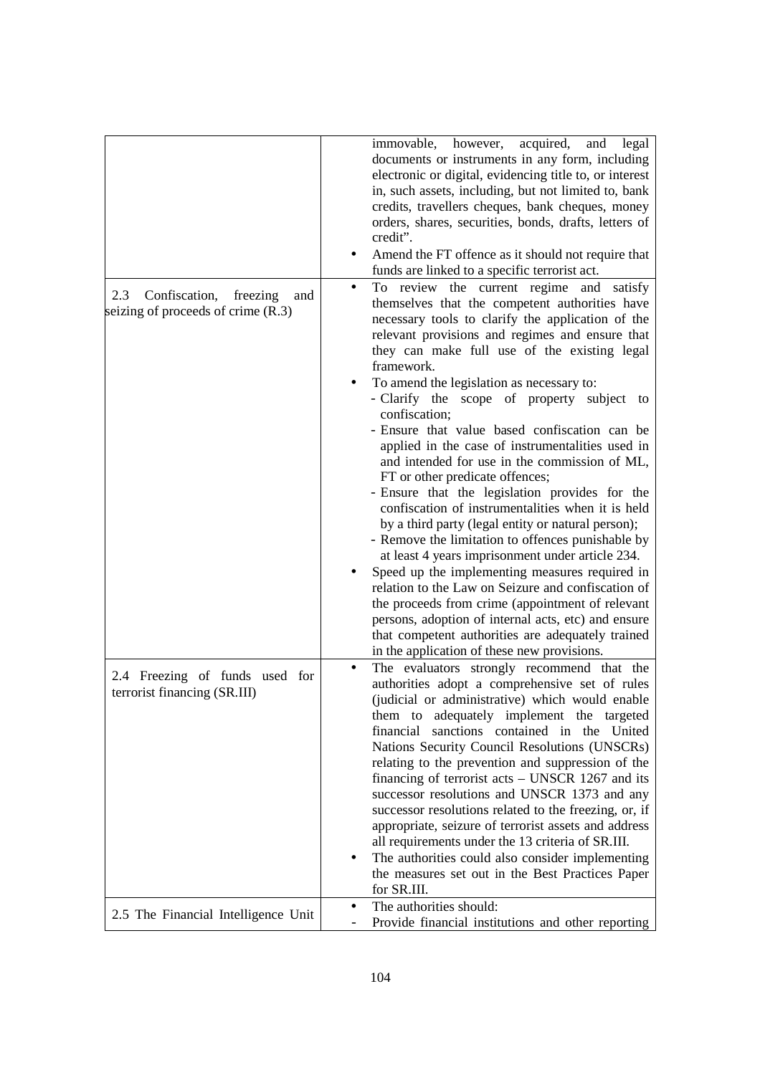|                                                                                 | immovable, however, acquired,<br>and<br>legal<br>documents or instruments in any form, including<br>electronic or digital, evidencing title to, or interest<br>in, such assets, including, but not limited to, bank<br>credits, travellers cheques, bank cheques, money<br>orders, shares, securities, bonds, drafts, letters of<br>credit".<br>Amend the FT offence as it should not require that<br>funds are linked to a specific terrorist act.                                                                                                                                                                                                                                                                                                                                                                                               |
|---------------------------------------------------------------------------------|---------------------------------------------------------------------------------------------------------------------------------------------------------------------------------------------------------------------------------------------------------------------------------------------------------------------------------------------------------------------------------------------------------------------------------------------------------------------------------------------------------------------------------------------------------------------------------------------------------------------------------------------------------------------------------------------------------------------------------------------------------------------------------------------------------------------------------------------------|
| Confiscation,<br>2.3<br>freezing<br>and<br>seizing of proceeds of crime $(R.3)$ | To review the current regime and satisfy<br>themselves that the competent authorities have<br>necessary tools to clarify the application of the<br>relevant provisions and regimes and ensure that<br>they can make full use of the existing legal<br>framework.<br>To amend the legislation as necessary to:                                                                                                                                                                                                                                                                                                                                                                                                                                                                                                                                     |
|                                                                                 | - Clarify the scope of property subject to<br>confiscation;<br>- Ensure that value based confiscation can be<br>applied in the case of instrumentalities used in<br>and intended for use in the commission of ML,<br>FT or other predicate offences;<br>- Ensure that the legislation provides for the<br>confiscation of instrumentalities when it is held<br>by a third party (legal entity or natural person);<br>- Remove the limitation to offences punishable by<br>at least 4 years imprisonment under article 234.<br>Speed up the implementing measures required in<br>relation to the Law on Seizure and confiscation of<br>the proceeds from crime (appointment of relevant<br>persons, adoption of internal acts, etc) and ensure<br>that competent authorities are adequately trained<br>in the application of these new provisions. |
| 2.4 Freezing of funds used for<br>terrorist financing (SR.III)                  | The evaluators strongly recommend that the<br>authorities adopt a comprehensive set of rules<br>(judicial or administrative) which would enable<br>them to adequately implement the targeted<br>sanctions contained in the United<br>financial<br>Nations Security Council Resolutions (UNSCRs)<br>relating to the prevention and suppression of the<br>financing of terrorist $acts – UNSCR 1267$ and its<br>successor resolutions and UNSCR 1373 and any<br>successor resolutions related to the freezing, or, if<br>appropriate, seizure of terrorist assets and address<br>all requirements under the 13 criteria of SR.III.<br>The authorities could also consider implementing                                                                                                                                                              |
|                                                                                 | the measures set out in the Best Practices Paper<br>for SR.III.<br>The authorities should:                                                                                                                                                                                                                                                                                                                                                                                                                                                                                                                                                                                                                                                                                                                                                        |
| 2.5 The Financial Intelligence Unit                                             | Provide financial institutions and other reporting                                                                                                                                                                                                                                                                                                                                                                                                                                                                                                                                                                                                                                                                                                                                                                                                |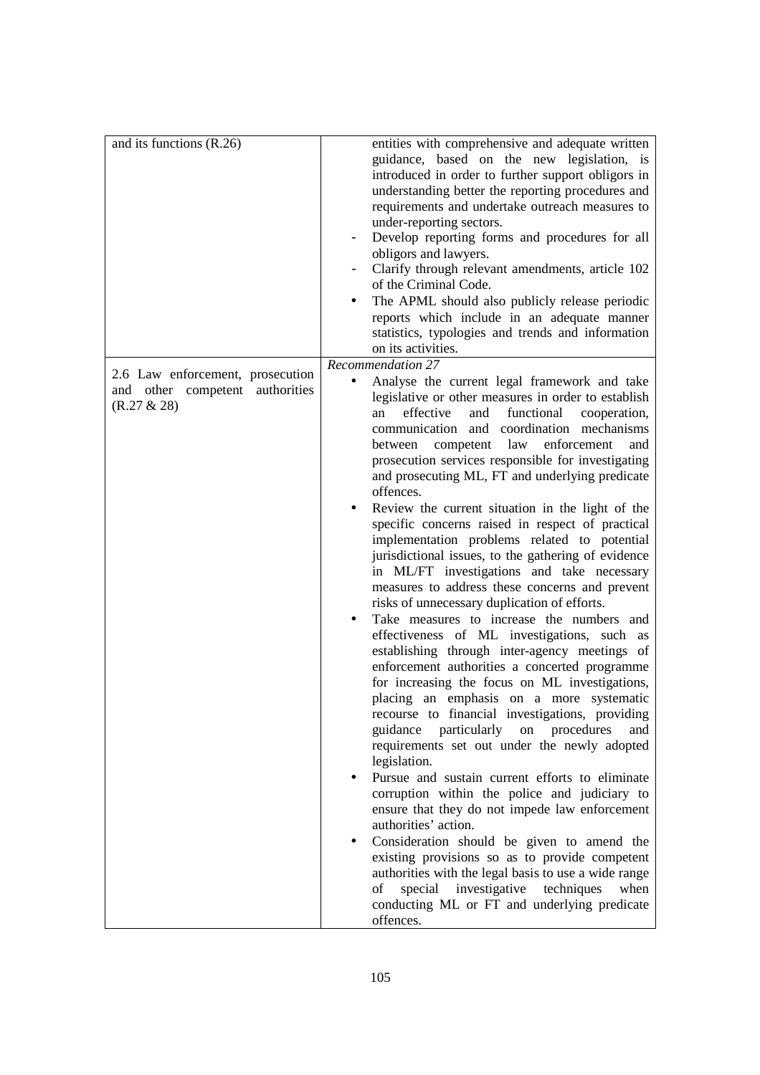| and its functions (R.26)                                                              | entities with comprehensive and adequate written<br>guidance, based on the new legislation, is<br>introduced in order to further support obligors in<br>understanding better the reporting procedures and<br>requirements and undertake outreach measures to<br>under-reporting sectors.<br>Develop reporting forms and procedures for all<br>obligors and lawyers.<br>Clarify through relevant amendments, article 102<br>of the Criminal Code.<br>The APML should also publicly release periodic<br>reports which include in an adequate manner<br>statistics, typologies and trends and information<br>on its activities.                                                                                                                                                                                                                                                                                                                                                                                                                                                                                                                                                                                                                                                                                                                                                                                                                                                                                                                                                                                                                                                                 |
|---------------------------------------------------------------------------------------|----------------------------------------------------------------------------------------------------------------------------------------------------------------------------------------------------------------------------------------------------------------------------------------------------------------------------------------------------------------------------------------------------------------------------------------------------------------------------------------------------------------------------------------------------------------------------------------------------------------------------------------------------------------------------------------------------------------------------------------------------------------------------------------------------------------------------------------------------------------------------------------------------------------------------------------------------------------------------------------------------------------------------------------------------------------------------------------------------------------------------------------------------------------------------------------------------------------------------------------------------------------------------------------------------------------------------------------------------------------------------------------------------------------------------------------------------------------------------------------------------------------------------------------------------------------------------------------------------------------------------------------------------------------------------------------------|
| 2.6 Law enforcement, prosecution<br>and other competent authorities<br>$(R.27 \& 28)$ | Recommendation 27<br>Analyse the current legal framework and take<br>legislative or other measures in order to establish<br>effective<br>functional<br>and<br>cooperation,<br>an<br>communication and coordination mechanisms<br>competent law<br>enforcement<br>between<br>and<br>prosecution services responsible for investigating<br>and prosecuting ML, FT and underlying predicate<br>offences.<br>Review the current situation in the light of the<br>specific concerns raised in respect of practical<br>implementation problems related to potential<br>jurisdictional issues, to the gathering of evidence<br>in ML/FT investigations and take necessary<br>measures to address these concerns and prevent<br>risks of unnecessary duplication of efforts.<br>Take measures to increase the numbers and<br>effectiveness of ML investigations, such as<br>establishing through inter-agency meetings of<br>enforcement authorities a concerted programme<br>for increasing the focus on ML investigations,<br>placing an emphasis on a more systematic<br>recourse to financial investigations, providing<br>guidance particularly<br>on procedures<br>and<br>requirements set out under the newly adopted<br>legislation.<br>Pursue and sustain current efforts to eliminate<br>corruption within the police and judiciary to<br>ensure that they do not impede law enforcement<br>authorities' action.<br>Consideration should be given to amend the<br>existing provisions so as to provide competent<br>authorities with the legal basis to use a wide range<br>special<br>investigative techniques<br>of<br>when<br>conducting ML or FT and underlying predicate<br>offences. |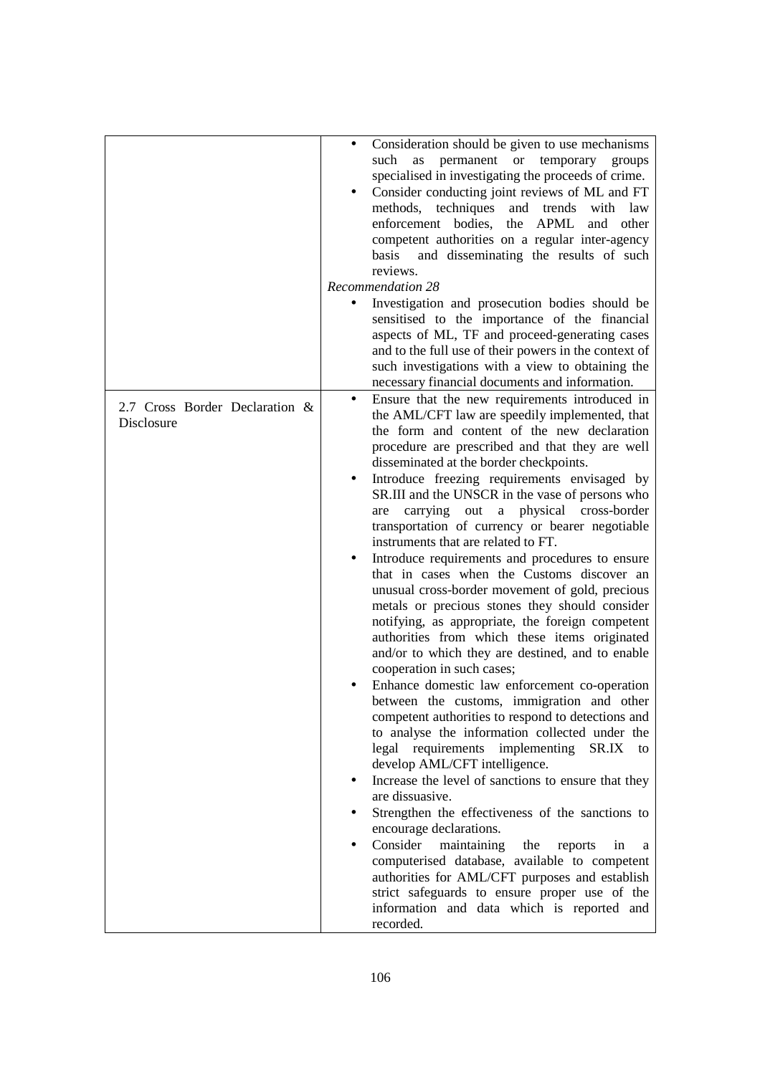|                                              | Consideration should be given to use mechanisms<br>permanent or temporary<br>such<br>as<br>groups<br>specialised in investigating the proceeds of crime.<br>Consider conducting joint reviews of ML and FT<br>methods,<br>techniques<br>and trends<br>with law<br>enforcement bodies,<br>the<br>APML<br>and other<br>competent authorities on a regular inter-agency<br>and disseminating the results of such<br>basis<br>reviews.<br><b>Recommendation 28</b><br>Investigation and prosecution bodies should be<br>sensitised to the importance of the financial<br>aspects of ML, TF and proceed-generating cases<br>and to the full use of their powers in the context of                                                                                                                                                                                                                                                                                                                                                                                                                                                                                                                                                                                                                                                                                                                                                                                                                                                                                                                                                                                   |
|----------------------------------------------|----------------------------------------------------------------------------------------------------------------------------------------------------------------------------------------------------------------------------------------------------------------------------------------------------------------------------------------------------------------------------------------------------------------------------------------------------------------------------------------------------------------------------------------------------------------------------------------------------------------------------------------------------------------------------------------------------------------------------------------------------------------------------------------------------------------------------------------------------------------------------------------------------------------------------------------------------------------------------------------------------------------------------------------------------------------------------------------------------------------------------------------------------------------------------------------------------------------------------------------------------------------------------------------------------------------------------------------------------------------------------------------------------------------------------------------------------------------------------------------------------------------------------------------------------------------------------------------------------------------------------------------------------------------|
|                                              | such investigations with a view to obtaining the                                                                                                                                                                                                                                                                                                                                                                                                                                                                                                                                                                                                                                                                                                                                                                                                                                                                                                                                                                                                                                                                                                                                                                                                                                                                                                                                                                                                                                                                                                                                                                                                               |
| 2.7 Cross Border Declaration &<br>Disclosure | necessary financial documents and information.<br>Ensure that the new requirements introduced in<br>the AML/CFT law are speedily implemented, that<br>the form and content of the new declaration<br>procedure are prescribed and that they are well<br>disseminated at the border checkpoints.<br>Introduce freezing requirements envisaged by<br>SR.III and the UNSCR in the vase of persons who<br>a physical cross-border<br>carrying<br>out<br>are<br>transportation of currency or bearer negotiable<br>instruments that are related to FT.<br>Introduce requirements and procedures to ensure<br>that in cases when the Customs discover an<br>unusual cross-border movement of gold, precious<br>metals or precious stones they should consider<br>notifying, as appropriate, the foreign competent<br>authorities from which these items originated<br>and/or to which they are destined, and to enable<br>cooperation in such cases;<br>Enhance domestic law enforcement co-operation<br>between the customs, immigration and other<br>competent authorities to respond to detections and<br>to analyse the information collected under the<br>legal requirements<br>implementing<br>SR.IX<br>to<br>develop AML/CFT intelligence.<br>Increase the level of sanctions to ensure that they<br>are dissuasive.<br>Strengthen the effectiveness of the sanctions to<br>encourage declarations.<br>Consider<br>maintaining<br>the<br>reports<br>in<br>a<br>computerised database, available to competent<br>authorities for AML/CFT purposes and establish<br>strict safeguards to ensure proper use of the<br>information and data which is reported and |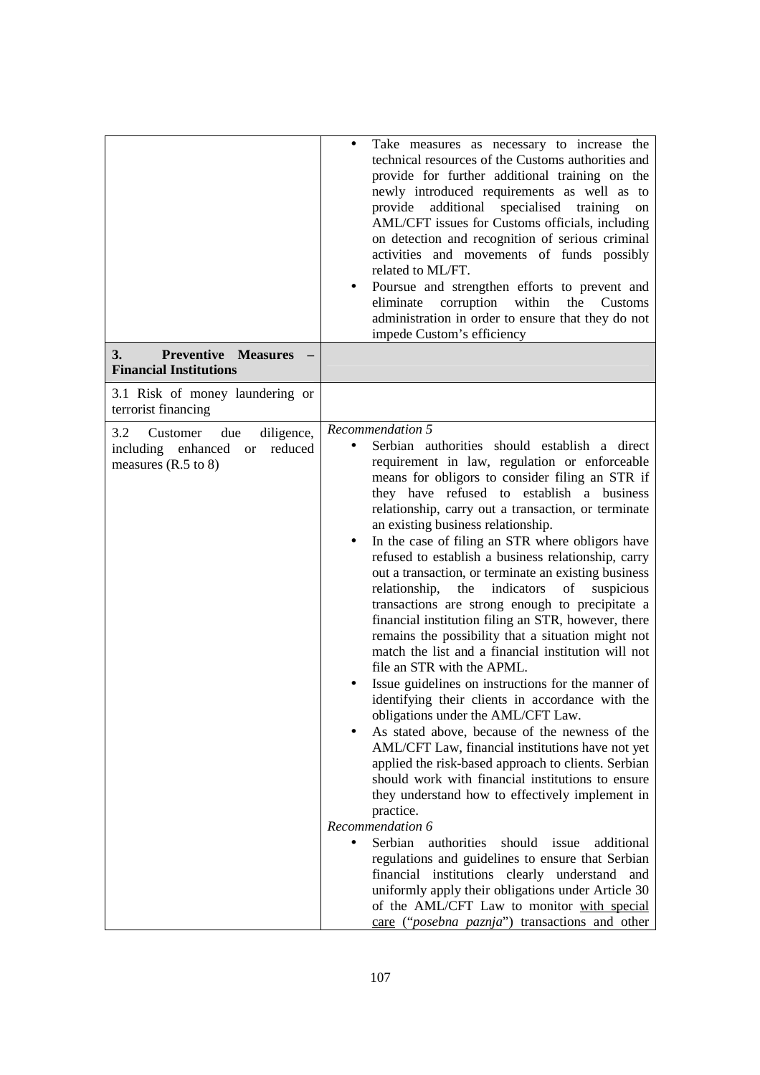|                                                                                                                      | Take measures as necessary to increase the<br>$\bullet$<br>technical resources of the Customs authorities and<br>provide for further additional training on the<br>newly introduced requirements as well as to<br>additional<br>specialised training<br>provide<br>on<br>AML/CFT issues for Customs officials, including<br>on detection and recognition of serious criminal<br>activities and movements of funds possibly<br>related to ML/FT.<br>Poursue and strengthen efforts to prevent and<br>eliminate<br>corruption<br>within<br>the<br>Customs<br>administration in order to ensure that they do not<br>impede Custom's efficiency                                                                                                                                                                                                                                                                                                                                                                                                                                                                                                                                                                                                                                                                                                                                                                                                                                                                                                                                                   |
|----------------------------------------------------------------------------------------------------------------------|-----------------------------------------------------------------------------------------------------------------------------------------------------------------------------------------------------------------------------------------------------------------------------------------------------------------------------------------------------------------------------------------------------------------------------------------------------------------------------------------------------------------------------------------------------------------------------------------------------------------------------------------------------------------------------------------------------------------------------------------------------------------------------------------------------------------------------------------------------------------------------------------------------------------------------------------------------------------------------------------------------------------------------------------------------------------------------------------------------------------------------------------------------------------------------------------------------------------------------------------------------------------------------------------------------------------------------------------------------------------------------------------------------------------------------------------------------------------------------------------------------------------------------------------------------------------------------------------------|
| <b>Preventive Measures</b><br>3.<br><b>Financial Institutions</b>                                                    |                                                                                                                                                                                                                                                                                                                                                                                                                                                                                                                                                                                                                                                                                                                                                                                                                                                                                                                                                                                                                                                                                                                                                                                                                                                                                                                                                                                                                                                                                                                                                                                               |
| 3.1 Risk of money laundering or<br>terrorist financing                                                               |                                                                                                                                                                                                                                                                                                                                                                                                                                                                                                                                                                                                                                                                                                                                                                                                                                                                                                                                                                                                                                                                                                                                                                                                                                                                                                                                                                                                                                                                                                                                                                                               |
| 3.2<br>diligence,<br>Customer<br>due<br>including enhanced<br>reduced<br><b>or</b><br>measures $(R.5 \text{ to } 8)$ | Recommendation 5<br>Serbian authorities should establish a direct<br>requirement in law, regulation or enforceable<br>means for obligors to consider filing an STR if<br>they have refused to establish a business<br>relationship, carry out a transaction, or terminate<br>an existing business relationship.<br>In the case of filing an STR where obligors have<br>٠<br>refused to establish a business relationship, carry<br>out a transaction, or terminate an existing business<br>relationship,<br>the<br>indicators<br>of<br>suspicious<br>transactions are strong enough to precipitate a<br>financial institution filing an STR, however, there<br>remains the possibility that a situation might not<br>match the list and a financial institution will not<br>file an STR with the APML.<br>Issue guidelines on instructions for the manner of<br>identifying their clients in accordance with the<br>obligations under the AML/CFT Law.<br>As stated above, because of the newness of the<br>AML/CFT Law, financial institutions have not yet<br>applied the risk-based approach to clients. Serbian<br>should work with financial institutions to ensure<br>they understand how to effectively implement in<br>practice.<br>Recommendation 6<br>Serbian<br>authorities<br>should issue<br>additional<br>$\bullet$<br>regulations and guidelines to ensure that Serbian<br>financial institutions clearly understand and<br>uniformly apply their obligations under Article 30<br>of the AML/CFT Law to monitor with special<br>care ("posebna paznja") transactions and other |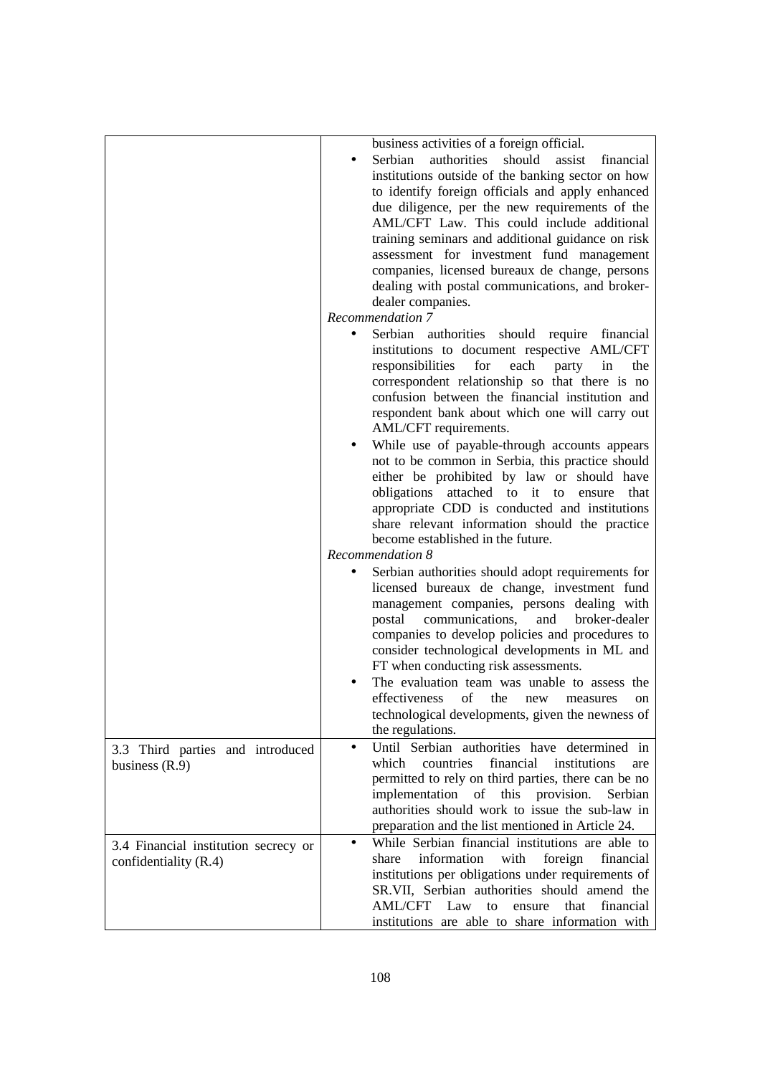|                                                               | business activities of a foreign official.<br>Serbian<br>authorities<br>should<br>assist<br>financial<br>institutions outside of the banking sector on how<br>to identify foreign officials and apply enhanced<br>due diligence, per the new requirements of the<br>AML/CFT Law. This could include additional<br>training seminars and additional guidance on risk<br>assessment for investment fund management<br>companies, licensed bureaux de change, persons<br>dealing with postal communications, and broker-<br>dealer companies. |
|---------------------------------------------------------------|--------------------------------------------------------------------------------------------------------------------------------------------------------------------------------------------------------------------------------------------------------------------------------------------------------------------------------------------------------------------------------------------------------------------------------------------------------------------------------------------------------------------------------------------|
|                                                               | Recommendation 7                                                                                                                                                                                                                                                                                                                                                                                                                                                                                                                           |
|                                                               | Serbian authorities should require financial<br>institutions to document respective AML/CFT<br>responsibilities<br>for<br>each party in<br>the<br>correspondent relationship so that there is no<br>confusion between the financial institution and<br>respondent bank about which one will carry out<br>AML/CFT requirements.                                                                                                                                                                                                             |
|                                                               | While use of payable-through accounts appears<br>not to be common in Serbia, this practice should<br>either be prohibited by law or should have<br>obligations<br>attached to it to<br>ensure<br>that<br>appropriate CDD is conducted and institutions<br>share relevant information should the practice<br>become established in the future.                                                                                                                                                                                              |
|                                                               | Recommendation 8                                                                                                                                                                                                                                                                                                                                                                                                                                                                                                                           |
|                                                               | Serbian authorities should adopt requirements for<br>licensed bureaux de change, investment fund<br>management companies, persons dealing with<br>postal<br>communications,<br>and<br>broker-dealer<br>companies to develop policies and procedures to<br>consider technological developments in ML and<br>FT when conducting risk assessments.<br>The evaluation team was unable to assess the                                                                                                                                            |
|                                                               | effectiveness of the new measures<br><sub>on</sub><br>technological developments, given the newness of<br>the regulations.                                                                                                                                                                                                                                                                                                                                                                                                                 |
| 3.3 Third parties and introduced<br>business $(R.9)$          | Until Serbian authorities have determined in<br>$\bullet$<br>financial<br>which<br>countries<br>institutions<br>are<br>permitted to rely on third parties, there can be no<br>implementation<br>of this provision.<br>Serbian<br>authorities should work to issue the sub-law in<br>preparation and the list mentioned in Article 24.                                                                                                                                                                                                      |
| 3.4 Financial institution secrecy or<br>confidentiality (R.4) | While Serbian financial institutions are able to<br>information<br>with<br>foreign<br>financial<br>share<br>institutions per obligations under requirements of<br>SR.VII, Serbian authorities should amend the<br><b>AML/CFT</b><br>financial<br>Law<br>that<br>to<br>ensure<br>institutions are able to share information with                                                                                                                                                                                                            |
|                                                               |                                                                                                                                                                                                                                                                                                                                                                                                                                                                                                                                            |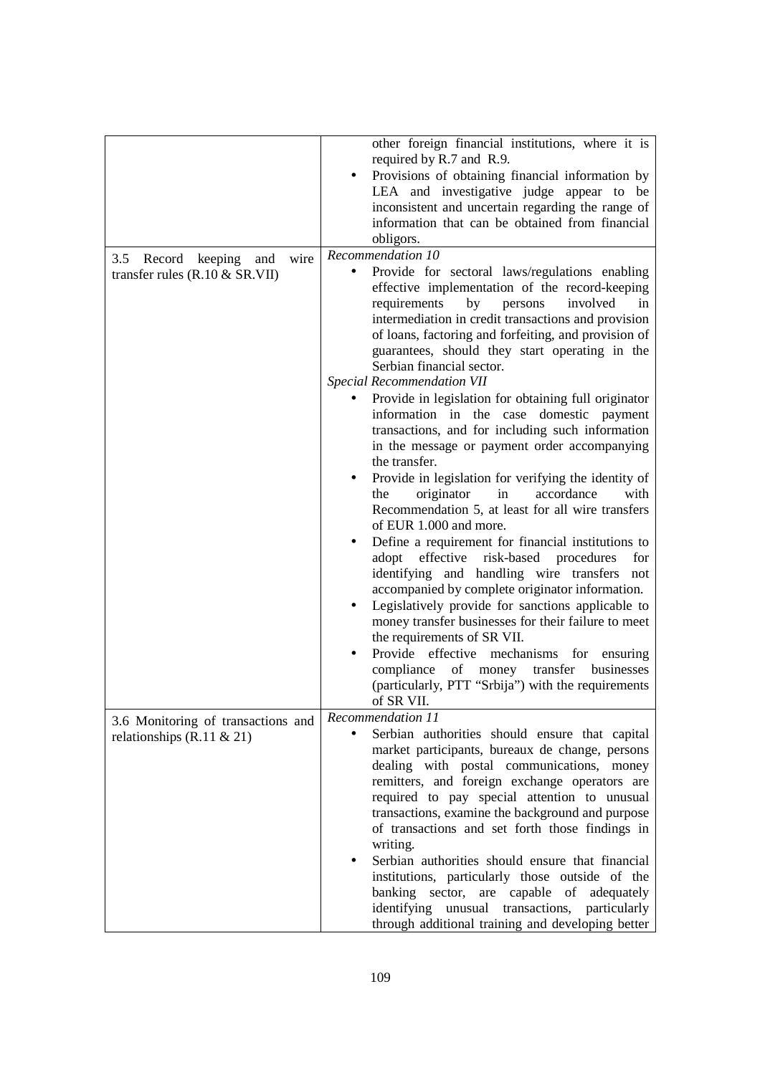|                                                                    | other foreign financial institutions, where it is                                                                                                                                                                                                                                                                                                                                       |
|--------------------------------------------------------------------|-----------------------------------------------------------------------------------------------------------------------------------------------------------------------------------------------------------------------------------------------------------------------------------------------------------------------------------------------------------------------------------------|
|                                                                    | required by R.7 and R.9.<br>Provisions of obtaining financial information by<br>LEA and investigative judge appear to be<br>inconsistent and uncertain regarding the range of<br>information that can be obtained from financial<br>obligors.                                                                                                                                           |
| 3.5<br>Record keeping<br>wire<br>and                               | Recommendation 10                                                                                                                                                                                                                                                                                                                                                                       |
| transfer rules $(R.10 \& SR.VII)$                                  | Provide for sectoral laws/regulations enabling<br>effective implementation of the record-keeping<br>requirements<br>persons<br>involved<br>by<br>in<br>intermediation in credit transactions and provision<br>of loans, factoring and forfeiting, and provision of<br>guarantees, should they start operating in the<br>Serbian financial sector.<br><b>Special Recommendation VII</b>  |
|                                                                    | Provide in legislation for obtaining full originator<br>information in the case domestic payment<br>transactions, and for including such information<br>in the message or payment order accompanying<br>the transfer.                                                                                                                                                                   |
|                                                                    | Provide in legislation for verifying the identity of<br>٠<br>originator<br>in<br>accordance<br>with<br>the<br>Recommendation 5, at least for all wire transfers<br>of EUR 1.000 and more.                                                                                                                                                                                               |
|                                                                    | Define a requirement for financial institutions to<br>adopt<br>effective risk-based procedures<br>for<br>identifying and handling wire transfers not<br>accompanied by complete originator information.                                                                                                                                                                                 |
|                                                                    | Legislatively provide for sanctions applicable to<br>money transfer businesses for their failure to meet<br>the requirements of SR VII.                                                                                                                                                                                                                                                 |
|                                                                    | Provide effective<br>mechanisms for ensuring<br>compliance<br>of<br>transfer<br>money<br>businesses<br>(particularly, PTT "Srbija") with the requirements<br>of SR VII.                                                                                                                                                                                                                 |
| 3.6 Monitoring of transactions and<br>relationships $(R.11 \& 21)$ | Recommendation 11<br>Serbian authorities should ensure that capital<br>market participants, bureaux de change, persons<br>dealing with postal communications, money<br>remitters, and foreign exchange operators are<br>required to pay special attention to unusual<br>transactions, examine the background and purpose<br>of transactions and set forth those findings in<br>writing. |
|                                                                    | Serbian authorities should ensure that financial<br>institutions, particularly those outside of the<br>are capable of<br>banking sector,<br>adequately<br>identifying<br>unusual transactions,<br>particularly<br>through additional training and developing better                                                                                                                     |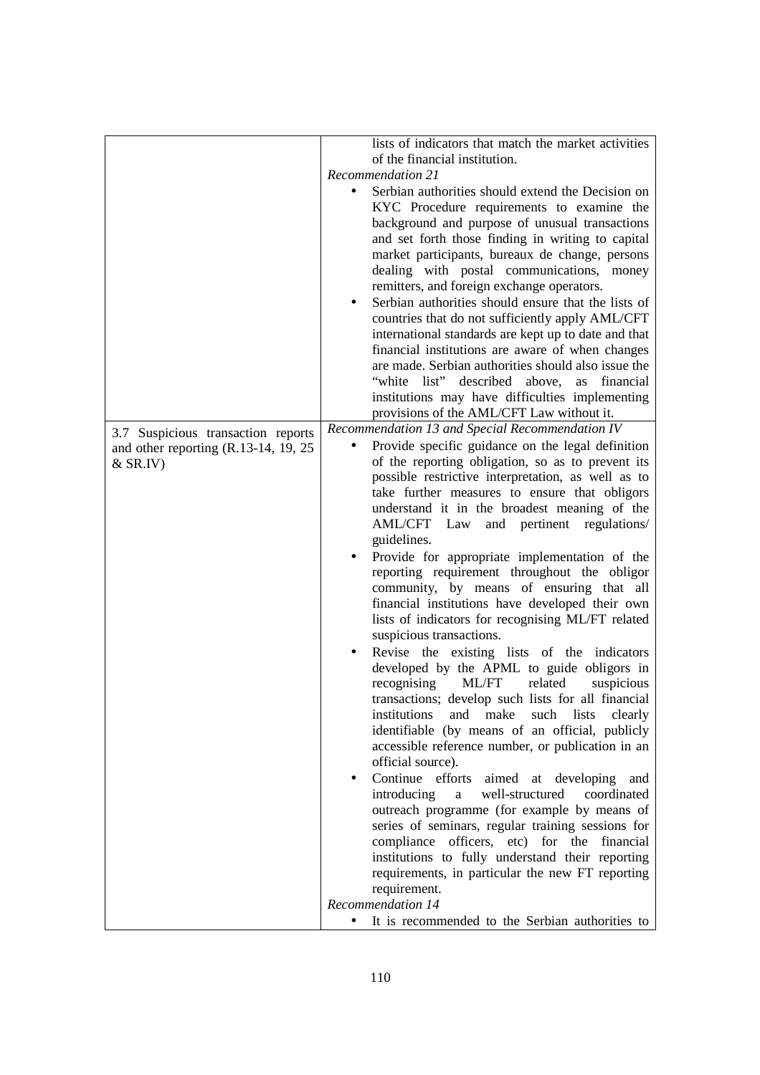|                                                                               | lists of indicators that match the market activities          |
|-------------------------------------------------------------------------------|---------------------------------------------------------------|
|                                                                               | of the financial institution.                                 |
|                                                                               | <b>Recommendation 21</b>                                      |
|                                                                               | Serbian authorities should extend the Decision on             |
|                                                                               | KYC Procedure requirements to examine the                     |
|                                                                               | background and purpose of unusual transactions                |
|                                                                               | and set forth those finding in writing to capital             |
|                                                                               | market participants, bureaux de change, persons               |
|                                                                               | dealing with postal communications, money                     |
|                                                                               | remitters, and foreign exchange operators.                    |
|                                                                               | Serbian authorities should ensure that the lists of           |
|                                                                               | countries that do not sufficiently apply AML/CFT              |
|                                                                               | international standards are kept up to date and that          |
|                                                                               | financial institutions are aware of when changes              |
|                                                                               | are made. Serbian authorities should also issue the           |
|                                                                               | "white list" described above,<br>financial<br>as              |
|                                                                               | institutions may have difficulties implementing               |
|                                                                               | provisions of the AML/CFT Law without it.                     |
|                                                                               | Recommendation 13 and Special Recommendation IV               |
| 3.7 Suspicious transaction reports<br>and other reporting $(R.13-14, 19, 25)$ | Provide specific guidance on the legal definition             |
| $&$ SR.IV)                                                                    | of the reporting obligation, so as to prevent its             |
|                                                                               | possible restrictive interpretation, as well as to            |
|                                                                               | take further measures to ensure that obligors                 |
|                                                                               | understand it in the broadest meaning of the                  |
|                                                                               | and pertinent regulations/<br>AML/CFT Law                     |
|                                                                               | guidelines.                                                   |
|                                                                               | Provide for appropriate implementation of the                 |
|                                                                               | reporting requirement throughout the obligor                  |
|                                                                               | community, by means of ensuring that all                      |
|                                                                               | financial institutions have developed their own               |
|                                                                               | lists of indicators for recognising ML/FT related             |
|                                                                               | suspicious transactions.                                      |
|                                                                               | Revise the existing lists of the indicators                   |
|                                                                               | developed by the APML to guide obligors in                    |
|                                                                               | recognising<br>related<br>ML/FT<br>suspicious                 |
|                                                                               | transactions; develop such lists for all financial            |
|                                                                               | institutions<br>make<br>such<br>lists<br>and<br>clearly       |
|                                                                               | identifiable (by means of an official, publicly               |
|                                                                               | accessible reference number, or publication in an             |
|                                                                               | official source).                                             |
|                                                                               | Continue efforts<br>aimed at developing and<br>$\bullet$      |
|                                                                               | well-structured<br>introducing<br>coordinated<br>$\mathbf{a}$ |
|                                                                               | outreach programme (for example by means of                   |
|                                                                               | series of seminars, regular training sessions for             |
|                                                                               | compliance officers, etc) for the financial                   |
|                                                                               | institutions to fully understand their reporting              |
|                                                                               | requirements, in particular the new FT reporting              |
|                                                                               | requirement.                                                  |
|                                                                               | Recommendation 14                                             |
|                                                                               | It is recommended to the Serbian authorities to               |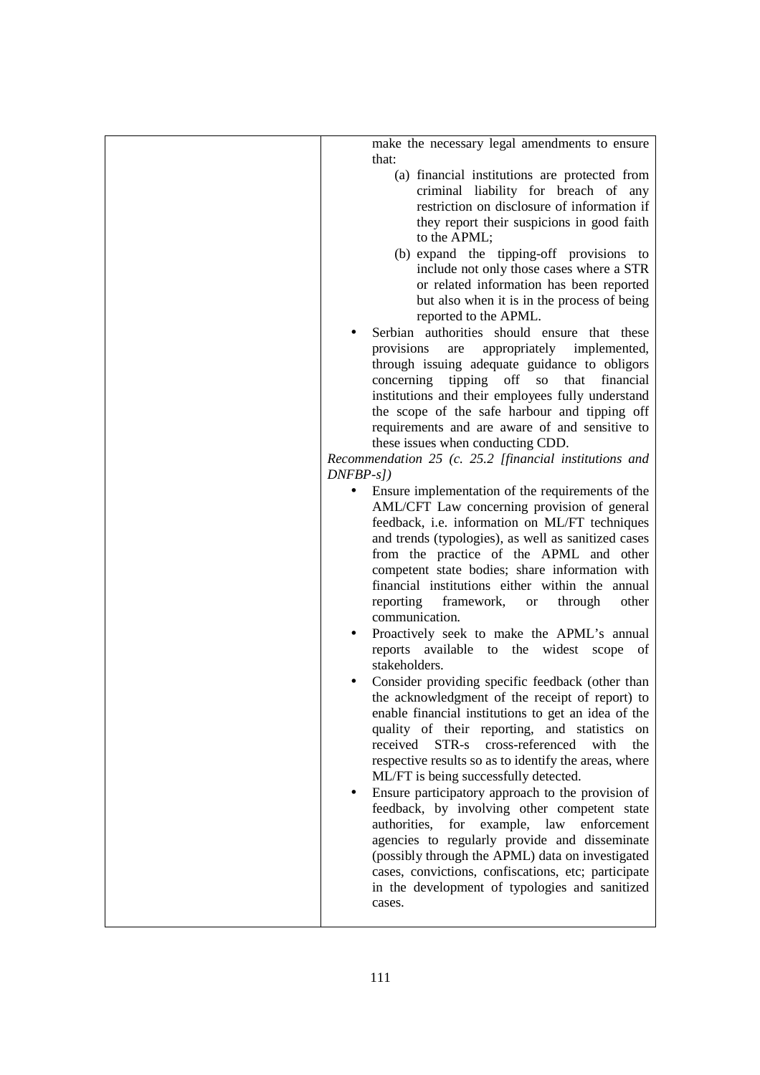| make the necessary legal amendments to ensure<br>that:                                                                                                                                                                                                                                                                                                                                                                                                                                                                                                                                                                                                                                                                                                           |
|------------------------------------------------------------------------------------------------------------------------------------------------------------------------------------------------------------------------------------------------------------------------------------------------------------------------------------------------------------------------------------------------------------------------------------------------------------------------------------------------------------------------------------------------------------------------------------------------------------------------------------------------------------------------------------------------------------------------------------------------------------------|
| (a) financial institutions are protected from<br>criminal liability for breach of any<br>restriction on disclosure of information if<br>they report their suspicions in good faith                                                                                                                                                                                                                                                                                                                                                                                                                                                                                                                                                                               |
| to the APML;                                                                                                                                                                                                                                                                                                                                                                                                                                                                                                                                                                                                                                                                                                                                                     |
| (b) expand the tipping-off provisions to<br>include not only those cases where a STR<br>or related information has been reported<br>but also when it is in the process of being<br>reported to the APML.                                                                                                                                                                                                                                                                                                                                                                                                                                                                                                                                                         |
| Serbian authorities should ensure that these<br>appropriately implemented,<br>provisions<br>are<br>through issuing adequate guidance to obligors<br>concerning tipping off so that financial<br>institutions and their employees fully understand<br>the scope of the safe harbour and tipping off<br>requirements and are aware of and sensitive to<br>these issues when conducting CDD.<br>Recommendation 25 (c. 25.2 [financial institutions and                                                                                                                                                                                                                                                                                                              |
| $DNFBP-s$ ])                                                                                                                                                                                                                                                                                                                                                                                                                                                                                                                                                                                                                                                                                                                                                     |
| Ensure implementation of the requirements of the<br>$\bullet$<br>AML/CFT Law concerning provision of general<br>feedback, i.e. information on ML/FT techniques<br>and trends (typologies), as well as sanitized cases<br>from the practice of the APML and other<br>competent state bodies; share information with<br>financial institutions either within the annual<br>reporting framework, or through<br>other<br>communication.<br>Proactively seek to make the APML's annual<br>reports available to the widest scope of<br>stakeholders.<br>Consider providing specific feedback (other than<br>the acknowledgment of the receipt of report) to<br>enable financial institutions to get an idea of the<br>quality of their reporting, and statistics<br>on |
| received<br>cross-referenced<br>STR-s<br>with<br>the<br>respective results so as to identify the areas, where<br>ML/FT is being successfully detected.                                                                                                                                                                                                                                                                                                                                                                                                                                                                                                                                                                                                           |
| Ensure participatory approach to the provision of<br>feedback, by involving other competent state<br>authorities,<br>for<br>example, law<br>enforcement<br>agencies to regularly provide and disseminate<br>(possibly through the APML) data on investigated<br>cases, convictions, confiscations, etc; participate<br>in the development of typologies and sanitized<br>cases.                                                                                                                                                                                                                                                                                                                                                                                  |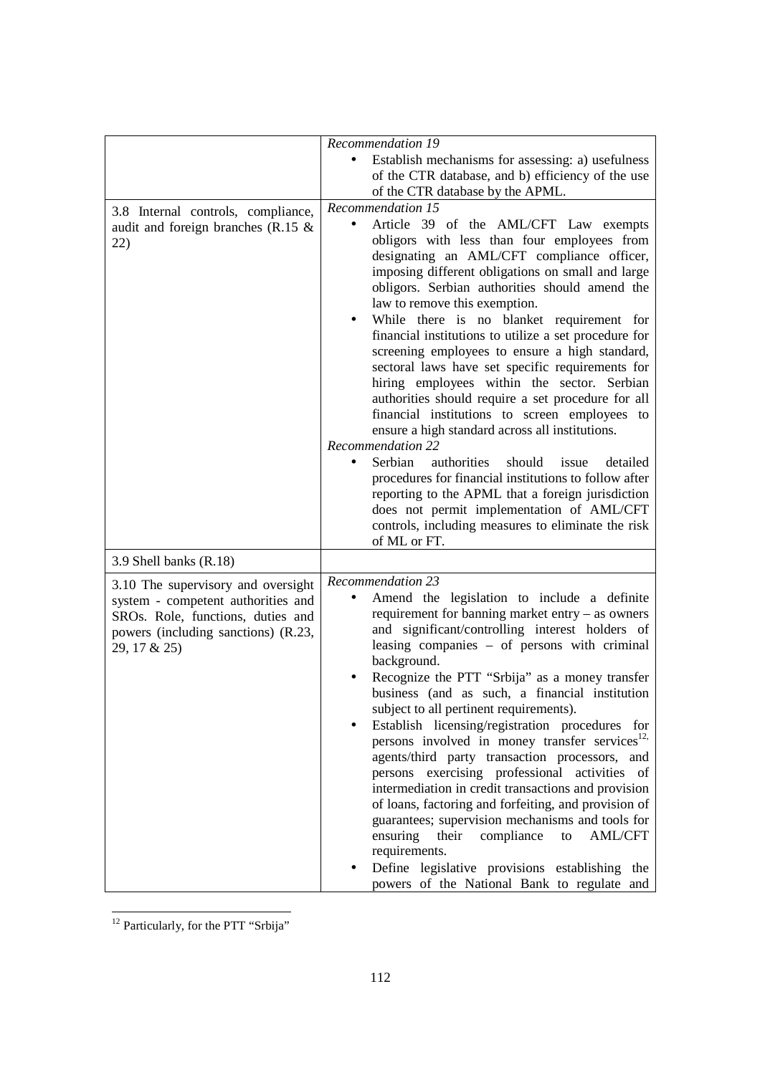|                                                                                                                                                                      | Recommendation 19                                                                                                                                                                                                                                                                                                                                                                                                                                                                                                                                                                                                                                                                                                                                                                                                                                                                                                                                                                                                          |
|----------------------------------------------------------------------------------------------------------------------------------------------------------------------|----------------------------------------------------------------------------------------------------------------------------------------------------------------------------------------------------------------------------------------------------------------------------------------------------------------------------------------------------------------------------------------------------------------------------------------------------------------------------------------------------------------------------------------------------------------------------------------------------------------------------------------------------------------------------------------------------------------------------------------------------------------------------------------------------------------------------------------------------------------------------------------------------------------------------------------------------------------------------------------------------------------------------|
|                                                                                                                                                                      | Establish mechanisms for assessing: a) usefulness<br>of the CTR database, and b) efficiency of the use                                                                                                                                                                                                                                                                                                                                                                                                                                                                                                                                                                                                                                                                                                                                                                                                                                                                                                                     |
|                                                                                                                                                                      | of the CTR database by the APML.                                                                                                                                                                                                                                                                                                                                                                                                                                                                                                                                                                                                                                                                                                                                                                                                                                                                                                                                                                                           |
| 3.8 Internal controls, compliance,<br>audit and foreign branches (R.15 $\&$<br>22)                                                                                   | Recommendation 15<br>Article 39 of the AML/CFT Law exempts<br>obligors with less than four employees from<br>designating an AML/CFT compliance officer,<br>imposing different obligations on small and large<br>obligors. Serbian authorities should amend the<br>law to remove this exemption.<br>While there is no blanket requirement for<br>financial institutions to utilize a set procedure for<br>screening employees to ensure a high standard,<br>sectoral laws have set specific requirements for<br>hiring employees within the sector. Serbian<br>authorities should require a set procedure for all<br>financial institutions to screen employees to<br>ensure a high standard across all institutions.<br><b>Recommendation 22</b><br>authorities<br>Serbian<br>should<br>detailed<br>issue<br>procedures for financial institutions to follow after<br>reporting to the APML that a foreign jurisdiction<br>does not permit implementation of AML/CFT<br>controls, including measures to eliminate the risk |
| 3.9 Shell banks (R.18)                                                                                                                                               | of ML or FT.                                                                                                                                                                                                                                                                                                                                                                                                                                                                                                                                                                                                                                                                                                                                                                                                                                                                                                                                                                                                               |
|                                                                                                                                                                      | $Recommendation$ 23                                                                                                                                                                                                                                                                                                                                                                                                                                                                                                                                                                                                                                                                                                                                                                                                                                                                                                                                                                                                        |
| 3.10 The supervisory and oversight<br>system - competent authorities and<br>SROs. Role, functions, duties and<br>powers (including sanctions) (R.23,<br>29, 17 & 25) | Amend the legislation to include a definite<br>requirement for banning market entry $-$ as owners<br>and significant/controlling interest holders of<br>leasing companies - of persons with criminal<br>background.<br>Recognize the PTT "Srbija" as a money transfer<br>business (and as such, a financial institution<br>subject to all pertinent requirements).<br>Establish licensing/registration procedures for<br>persons involved in money transfer services <sup>12,</sup><br>agents/third party transaction processors, and<br>persons exercising professional activities of<br>intermediation in credit transactions and provision<br>of loans, factoring and forfeiting, and provision of<br>guarantees; supervision mechanisms and tools for<br>ensuring<br>their<br>compliance<br><b>AML/CFT</b><br>to<br>requirements.                                                                                                                                                                                      |
|                                                                                                                                                                      | Define legislative provisions establishing the<br>powers of the National Bank to regulate and                                                                                                                                                                                                                                                                                                                                                                                                                                                                                                                                                                                                                                                                                                                                                                                                                                                                                                                              |

**.** <sup>12</sup> Particularly, for the PTT "Srbija"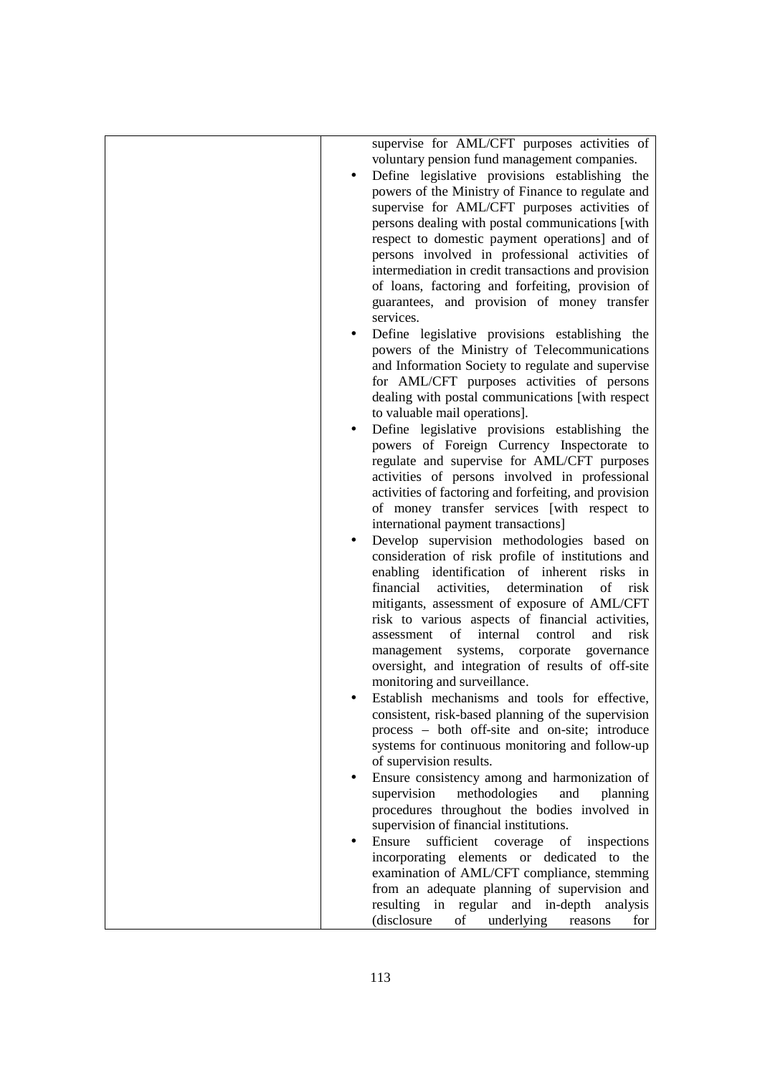| supervise for AML/CFT purposes activities of<br>voluntary pension fund management companies.<br>Define legislative provisions establishing the<br>powers of the Ministry of Finance to regulate and<br>supervise for AML/CFT purposes activities of<br>persons dealing with postal communications [with<br>respect to domestic payment operations] and of<br>persons involved in professional activities of<br>intermediation in credit transactions and provision<br>of loans, factoring and forfeiting, provision of<br>guarantees, and provision of money transfer<br>services.<br>Define legislative provisions establishing the<br>powers of the Ministry of Telecommunications<br>and Information Society to regulate and supervise<br>for AML/CFT purposes activities of persons<br>dealing with postal communications [with respect<br>to valuable mail operations].<br>Define legislative provisions establishing the<br>$\bullet$<br>powers of Foreign Currency Inspectorate to<br>regulate and supervise for AML/CFT purposes<br>activities of persons involved in professional<br>activities of factoring and forfeiting, and provision<br>of money transfer services [with respect to<br>international payment transactions]<br>Develop supervision methodologies based on<br>$\bullet$<br>consideration of risk profile of institutions and<br>enabling identification of inherent risks in<br>financial<br>activities, determination<br>of<br>risk<br>mitigants, assessment of exposure of AML/CFT<br>risk to various aspects of financial activities,<br>of<br>internal<br>and<br>risk<br>control<br>assessment<br>management systems, corporate governance<br>oversight, and integration of results of off-site<br>monitoring and surveillance.<br>Establish mechanisms and tools for effective,<br>consistent, risk-based planning of the supervision<br>process – both off-site and on-site; introduce<br>systems for continuous monitoring and follow-up<br>of supervision results.<br>Ensure consistency among and harmonization of<br>$\bullet$<br>methodologies<br>supervision<br>and<br>planning<br>procedures throughout the bodies involved in<br>supervision of financial institutions.<br>Ensure<br>sufficient coverage of<br>inspections<br>incorporating elements or dedicated to the<br>examination of AML/CFT compliance, stemming<br>from an adequate planning of supervision and<br>resulting in regular and in-depth analysis |  |                                                   |
|------------------------------------------------------------------------------------------------------------------------------------------------------------------------------------------------------------------------------------------------------------------------------------------------------------------------------------------------------------------------------------------------------------------------------------------------------------------------------------------------------------------------------------------------------------------------------------------------------------------------------------------------------------------------------------------------------------------------------------------------------------------------------------------------------------------------------------------------------------------------------------------------------------------------------------------------------------------------------------------------------------------------------------------------------------------------------------------------------------------------------------------------------------------------------------------------------------------------------------------------------------------------------------------------------------------------------------------------------------------------------------------------------------------------------------------------------------------------------------------------------------------------------------------------------------------------------------------------------------------------------------------------------------------------------------------------------------------------------------------------------------------------------------------------------------------------------------------------------------------------------------------------------------------------------------------------------------------------------------------------------------------------------------------------------------------------------------------------------------------------------------------------------------------------------------------------------------------------------------------------------------------------------------------------------------------------------------------------------------------------------------------------------------------------------------------------------------------|--|---------------------------------------------------|
|                                                                                                                                                                                                                                                                                                                                                                                                                                                                                                                                                                                                                                                                                                                                                                                                                                                                                                                                                                                                                                                                                                                                                                                                                                                                                                                                                                                                                                                                                                                                                                                                                                                                                                                                                                                                                                                                                                                                                                                                                                                                                                                                                                                                                                                                                                                                                                                                                                                                  |  |                                                   |
|                                                                                                                                                                                                                                                                                                                                                                                                                                                                                                                                                                                                                                                                                                                                                                                                                                                                                                                                                                                                                                                                                                                                                                                                                                                                                                                                                                                                                                                                                                                                                                                                                                                                                                                                                                                                                                                                                                                                                                                                                                                                                                                                                                                                                                                                                                                                                                                                                                                                  |  |                                                   |
|                                                                                                                                                                                                                                                                                                                                                                                                                                                                                                                                                                                                                                                                                                                                                                                                                                                                                                                                                                                                                                                                                                                                                                                                                                                                                                                                                                                                                                                                                                                                                                                                                                                                                                                                                                                                                                                                                                                                                                                                                                                                                                                                                                                                                                                                                                                                                                                                                                                                  |  |                                                   |
|                                                                                                                                                                                                                                                                                                                                                                                                                                                                                                                                                                                                                                                                                                                                                                                                                                                                                                                                                                                                                                                                                                                                                                                                                                                                                                                                                                                                                                                                                                                                                                                                                                                                                                                                                                                                                                                                                                                                                                                                                                                                                                                                                                                                                                                                                                                                                                                                                                                                  |  |                                                   |
|                                                                                                                                                                                                                                                                                                                                                                                                                                                                                                                                                                                                                                                                                                                                                                                                                                                                                                                                                                                                                                                                                                                                                                                                                                                                                                                                                                                                                                                                                                                                                                                                                                                                                                                                                                                                                                                                                                                                                                                                                                                                                                                                                                                                                                                                                                                                                                                                                                                                  |  |                                                   |
|                                                                                                                                                                                                                                                                                                                                                                                                                                                                                                                                                                                                                                                                                                                                                                                                                                                                                                                                                                                                                                                                                                                                                                                                                                                                                                                                                                                                                                                                                                                                                                                                                                                                                                                                                                                                                                                                                                                                                                                                                                                                                                                                                                                                                                                                                                                                                                                                                                                                  |  |                                                   |
|                                                                                                                                                                                                                                                                                                                                                                                                                                                                                                                                                                                                                                                                                                                                                                                                                                                                                                                                                                                                                                                                                                                                                                                                                                                                                                                                                                                                                                                                                                                                                                                                                                                                                                                                                                                                                                                                                                                                                                                                                                                                                                                                                                                                                                                                                                                                                                                                                                                                  |  |                                                   |
|                                                                                                                                                                                                                                                                                                                                                                                                                                                                                                                                                                                                                                                                                                                                                                                                                                                                                                                                                                                                                                                                                                                                                                                                                                                                                                                                                                                                                                                                                                                                                                                                                                                                                                                                                                                                                                                                                                                                                                                                                                                                                                                                                                                                                                                                                                                                                                                                                                                                  |  |                                                   |
|                                                                                                                                                                                                                                                                                                                                                                                                                                                                                                                                                                                                                                                                                                                                                                                                                                                                                                                                                                                                                                                                                                                                                                                                                                                                                                                                                                                                                                                                                                                                                                                                                                                                                                                                                                                                                                                                                                                                                                                                                                                                                                                                                                                                                                                                                                                                                                                                                                                                  |  |                                                   |
|                                                                                                                                                                                                                                                                                                                                                                                                                                                                                                                                                                                                                                                                                                                                                                                                                                                                                                                                                                                                                                                                                                                                                                                                                                                                                                                                                                                                                                                                                                                                                                                                                                                                                                                                                                                                                                                                                                                                                                                                                                                                                                                                                                                                                                                                                                                                                                                                                                                                  |  |                                                   |
|                                                                                                                                                                                                                                                                                                                                                                                                                                                                                                                                                                                                                                                                                                                                                                                                                                                                                                                                                                                                                                                                                                                                                                                                                                                                                                                                                                                                                                                                                                                                                                                                                                                                                                                                                                                                                                                                                                                                                                                                                                                                                                                                                                                                                                                                                                                                                                                                                                                                  |  |                                                   |
|                                                                                                                                                                                                                                                                                                                                                                                                                                                                                                                                                                                                                                                                                                                                                                                                                                                                                                                                                                                                                                                                                                                                                                                                                                                                                                                                                                                                                                                                                                                                                                                                                                                                                                                                                                                                                                                                                                                                                                                                                                                                                                                                                                                                                                                                                                                                                                                                                                                                  |  |                                                   |
|                                                                                                                                                                                                                                                                                                                                                                                                                                                                                                                                                                                                                                                                                                                                                                                                                                                                                                                                                                                                                                                                                                                                                                                                                                                                                                                                                                                                                                                                                                                                                                                                                                                                                                                                                                                                                                                                                                                                                                                                                                                                                                                                                                                                                                                                                                                                                                                                                                                                  |  |                                                   |
|                                                                                                                                                                                                                                                                                                                                                                                                                                                                                                                                                                                                                                                                                                                                                                                                                                                                                                                                                                                                                                                                                                                                                                                                                                                                                                                                                                                                                                                                                                                                                                                                                                                                                                                                                                                                                                                                                                                                                                                                                                                                                                                                                                                                                                                                                                                                                                                                                                                                  |  |                                                   |
|                                                                                                                                                                                                                                                                                                                                                                                                                                                                                                                                                                                                                                                                                                                                                                                                                                                                                                                                                                                                                                                                                                                                                                                                                                                                                                                                                                                                                                                                                                                                                                                                                                                                                                                                                                                                                                                                                                                                                                                                                                                                                                                                                                                                                                                                                                                                                                                                                                                                  |  |                                                   |
|                                                                                                                                                                                                                                                                                                                                                                                                                                                                                                                                                                                                                                                                                                                                                                                                                                                                                                                                                                                                                                                                                                                                                                                                                                                                                                                                                                                                                                                                                                                                                                                                                                                                                                                                                                                                                                                                                                                                                                                                                                                                                                                                                                                                                                                                                                                                                                                                                                                                  |  |                                                   |
|                                                                                                                                                                                                                                                                                                                                                                                                                                                                                                                                                                                                                                                                                                                                                                                                                                                                                                                                                                                                                                                                                                                                                                                                                                                                                                                                                                                                                                                                                                                                                                                                                                                                                                                                                                                                                                                                                                                                                                                                                                                                                                                                                                                                                                                                                                                                                                                                                                                                  |  |                                                   |
|                                                                                                                                                                                                                                                                                                                                                                                                                                                                                                                                                                                                                                                                                                                                                                                                                                                                                                                                                                                                                                                                                                                                                                                                                                                                                                                                                                                                                                                                                                                                                                                                                                                                                                                                                                                                                                                                                                                                                                                                                                                                                                                                                                                                                                                                                                                                                                                                                                                                  |  |                                                   |
|                                                                                                                                                                                                                                                                                                                                                                                                                                                                                                                                                                                                                                                                                                                                                                                                                                                                                                                                                                                                                                                                                                                                                                                                                                                                                                                                                                                                                                                                                                                                                                                                                                                                                                                                                                                                                                                                                                                                                                                                                                                                                                                                                                                                                                                                                                                                                                                                                                                                  |  |                                                   |
|                                                                                                                                                                                                                                                                                                                                                                                                                                                                                                                                                                                                                                                                                                                                                                                                                                                                                                                                                                                                                                                                                                                                                                                                                                                                                                                                                                                                                                                                                                                                                                                                                                                                                                                                                                                                                                                                                                                                                                                                                                                                                                                                                                                                                                                                                                                                                                                                                                                                  |  |                                                   |
|                                                                                                                                                                                                                                                                                                                                                                                                                                                                                                                                                                                                                                                                                                                                                                                                                                                                                                                                                                                                                                                                                                                                                                                                                                                                                                                                                                                                                                                                                                                                                                                                                                                                                                                                                                                                                                                                                                                                                                                                                                                                                                                                                                                                                                                                                                                                                                                                                                                                  |  |                                                   |
|                                                                                                                                                                                                                                                                                                                                                                                                                                                                                                                                                                                                                                                                                                                                                                                                                                                                                                                                                                                                                                                                                                                                                                                                                                                                                                                                                                                                                                                                                                                                                                                                                                                                                                                                                                                                                                                                                                                                                                                                                                                                                                                                                                                                                                                                                                                                                                                                                                                                  |  |                                                   |
|                                                                                                                                                                                                                                                                                                                                                                                                                                                                                                                                                                                                                                                                                                                                                                                                                                                                                                                                                                                                                                                                                                                                                                                                                                                                                                                                                                                                                                                                                                                                                                                                                                                                                                                                                                                                                                                                                                                                                                                                                                                                                                                                                                                                                                                                                                                                                                                                                                                                  |  |                                                   |
|                                                                                                                                                                                                                                                                                                                                                                                                                                                                                                                                                                                                                                                                                                                                                                                                                                                                                                                                                                                                                                                                                                                                                                                                                                                                                                                                                                                                                                                                                                                                                                                                                                                                                                                                                                                                                                                                                                                                                                                                                                                                                                                                                                                                                                                                                                                                                                                                                                                                  |  |                                                   |
|                                                                                                                                                                                                                                                                                                                                                                                                                                                                                                                                                                                                                                                                                                                                                                                                                                                                                                                                                                                                                                                                                                                                                                                                                                                                                                                                                                                                                                                                                                                                                                                                                                                                                                                                                                                                                                                                                                                                                                                                                                                                                                                                                                                                                                                                                                                                                                                                                                                                  |  |                                                   |
|                                                                                                                                                                                                                                                                                                                                                                                                                                                                                                                                                                                                                                                                                                                                                                                                                                                                                                                                                                                                                                                                                                                                                                                                                                                                                                                                                                                                                                                                                                                                                                                                                                                                                                                                                                                                                                                                                                                                                                                                                                                                                                                                                                                                                                                                                                                                                                                                                                                                  |  |                                                   |
|                                                                                                                                                                                                                                                                                                                                                                                                                                                                                                                                                                                                                                                                                                                                                                                                                                                                                                                                                                                                                                                                                                                                                                                                                                                                                                                                                                                                                                                                                                                                                                                                                                                                                                                                                                                                                                                                                                                                                                                                                                                                                                                                                                                                                                                                                                                                                                                                                                                                  |  |                                                   |
|                                                                                                                                                                                                                                                                                                                                                                                                                                                                                                                                                                                                                                                                                                                                                                                                                                                                                                                                                                                                                                                                                                                                                                                                                                                                                                                                                                                                                                                                                                                                                                                                                                                                                                                                                                                                                                                                                                                                                                                                                                                                                                                                                                                                                                                                                                                                                                                                                                                                  |  |                                                   |
|                                                                                                                                                                                                                                                                                                                                                                                                                                                                                                                                                                                                                                                                                                                                                                                                                                                                                                                                                                                                                                                                                                                                                                                                                                                                                                                                                                                                                                                                                                                                                                                                                                                                                                                                                                                                                                                                                                                                                                                                                                                                                                                                                                                                                                                                                                                                                                                                                                                                  |  |                                                   |
|                                                                                                                                                                                                                                                                                                                                                                                                                                                                                                                                                                                                                                                                                                                                                                                                                                                                                                                                                                                                                                                                                                                                                                                                                                                                                                                                                                                                                                                                                                                                                                                                                                                                                                                                                                                                                                                                                                                                                                                                                                                                                                                                                                                                                                                                                                                                                                                                                                                                  |  |                                                   |
|                                                                                                                                                                                                                                                                                                                                                                                                                                                                                                                                                                                                                                                                                                                                                                                                                                                                                                                                                                                                                                                                                                                                                                                                                                                                                                                                                                                                                                                                                                                                                                                                                                                                                                                                                                                                                                                                                                                                                                                                                                                                                                                                                                                                                                                                                                                                                                                                                                                                  |  |                                                   |
|                                                                                                                                                                                                                                                                                                                                                                                                                                                                                                                                                                                                                                                                                                                                                                                                                                                                                                                                                                                                                                                                                                                                                                                                                                                                                                                                                                                                                                                                                                                                                                                                                                                                                                                                                                                                                                                                                                                                                                                                                                                                                                                                                                                                                                                                                                                                                                                                                                                                  |  |                                                   |
|                                                                                                                                                                                                                                                                                                                                                                                                                                                                                                                                                                                                                                                                                                                                                                                                                                                                                                                                                                                                                                                                                                                                                                                                                                                                                                                                                                                                                                                                                                                                                                                                                                                                                                                                                                                                                                                                                                                                                                                                                                                                                                                                                                                                                                                                                                                                                                                                                                                                  |  |                                                   |
|                                                                                                                                                                                                                                                                                                                                                                                                                                                                                                                                                                                                                                                                                                                                                                                                                                                                                                                                                                                                                                                                                                                                                                                                                                                                                                                                                                                                                                                                                                                                                                                                                                                                                                                                                                                                                                                                                                                                                                                                                                                                                                                                                                                                                                                                                                                                                                                                                                                                  |  |                                                   |
|                                                                                                                                                                                                                                                                                                                                                                                                                                                                                                                                                                                                                                                                                                                                                                                                                                                                                                                                                                                                                                                                                                                                                                                                                                                                                                                                                                                                                                                                                                                                                                                                                                                                                                                                                                                                                                                                                                                                                                                                                                                                                                                                                                                                                                                                                                                                                                                                                                                                  |  |                                                   |
|                                                                                                                                                                                                                                                                                                                                                                                                                                                                                                                                                                                                                                                                                                                                                                                                                                                                                                                                                                                                                                                                                                                                                                                                                                                                                                                                                                                                                                                                                                                                                                                                                                                                                                                                                                                                                                                                                                                                                                                                                                                                                                                                                                                                                                                                                                                                                                                                                                                                  |  |                                                   |
|                                                                                                                                                                                                                                                                                                                                                                                                                                                                                                                                                                                                                                                                                                                                                                                                                                                                                                                                                                                                                                                                                                                                                                                                                                                                                                                                                                                                                                                                                                                                                                                                                                                                                                                                                                                                                                                                                                                                                                                                                                                                                                                                                                                                                                                                                                                                                                                                                                                                  |  |                                                   |
|                                                                                                                                                                                                                                                                                                                                                                                                                                                                                                                                                                                                                                                                                                                                                                                                                                                                                                                                                                                                                                                                                                                                                                                                                                                                                                                                                                                                                                                                                                                                                                                                                                                                                                                                                                                                                                                                                                                                                                                                                                                                                                                                                                                                                                                                                                                                                                                                                                                                  |  |                                                   |
|                                                                                                                                                                                                                                                                                                                                                                                                                                                                                                                                                                                                                                                                                                                                                                                                                                                                                                                                                                                                                                                                                                                                                                                                                                                                                                                                                                                                                                                                                                                                                                                                                                                                                                                                                                                                                                                                                                                                                                                                                                                                                                                                                                                                                                                                                                                                                                                                                                                                  |  |                                                   |
|                                                                                                                                                                                                                                                                                                                                                                                                                                                                                                                                                                                                                                                                                                                                                                                                                                                                                                                                                                                                                                                                                                                                                                                                                                                                                                                                                                                                                                                                                                                                                                                                                                                                                                                                                                                                                                                                                                                                                                                                                                                                                                                                                                                                                                                                                                                                                                                                                                                                  |  |                                                   |
|                                                                                                                                                                                                                                                                                                                                                                                                                                                                                                                                                                                                                                                                                                                                                                                                                                                                                                                                                                                                                                                                                                                                                                                                                                                                                                                                                                                                                                                                                                                                                                                                                                                                                                                                                                                                                                                                                                                                                                                                                                                                                                                                                                                                                                                                                                                                                                                                                                                                  |  |                                                   |
|                                                                                                                                                                                                                                                                                                                                                                                                                                                                                                                                                                                                                                                                                                                                                                                                                                                                                                                                                                                                                                                                                                                                                                                                                                                                                                                                                                                                                                                                                                                                                                                                                                                                                                                                                                                                                                                                                                                                                                                                                                                                                                                                                                                                                                                                                                                                                                                                                                                                  |  |                                                   |
|                                                                                                                                                                                                                                                                                                                                                                                                                                                                                                                                                                                                                                                                                                                                                                                                                                                                                                                                                                                                                                                                                                                                                                                                                                                                                                                                                                                                                                                                                                                                                                                                                                                                                                                                                                                                                                                                                                                                                                                                                                                                                                                                                                                                                                                                                                                                                                                                                                                                  |  |                                                   |
|                                                                                                                                                                                                                                                                                                                                                                                                                                                                                                                                                                                                                                                                                                                                                                                                                                                                                                                                                                                                                                                                                                                                                                                                                                                                                                                                                                                                                                                                                                                                                                                                                                                                                                                                                                                                                                                                                                                                                                                                                                                                                                                                                                                                                                                                                                                                                                                                                                                                  |  |                                                   |
|                                                                                                                                                                                                                                                                                                                                                                                                                                                                                                                                                                                                                                                                                                                                                                                                                                                                                                                                                                                                                                                                                                                                                                                                                                                                                                                                                                                                                                                                                                                                                                                                                                                                                                                                                                                                                                                                                                                                                                                                                                                                                                                                                                                                                                                                                                                                                                                                                                                                  |  |                                                   |
|                                                                                                                                                                                                                                                                                                                                                                                                                                                                                                                                                                                                                                                                                                                                                                                                                                                                                                                                                                                                                                                                                                                                                                                                                                                                                                                                                                                                                                                                                                                                                                                                                                                                                                                                                                                                                                                                                                                                                                                                                                                                                                                                                                                                                                                                                                                                                                                                                                                                  |  |                                                   |
|                                                                                                                                                                                                                                                                                                                                                                                                                                                                                                                                                                                                                                                                                                                                                                                                                                                                                                                                                                                                                                                                                                                                                                                                                                                                                                                                                                                                                                                                                                                                                                                                                                                                                                                                                                                                                                                                                                                                                                                                                                                                                                                                                                                                                                                                                                                                                                                                                                                                  |  |                                                   |
|                                                                                                                                                                                                                                                                                                                                                                                                                                                                                                                                                                                                                                                                                                                                                                                                                                                                                                                                                                                                                                                                                                                                                                                                                                                                                                                                                                                                                                                                                                                                                                                                                                                                                                                                                                                                                                                                                                                                                                                                                                                                                                                                                                                                                                                                                                                                                                                                                                                                  |  |                                                   |
|                                                                                                                                                                                                                                                                                                                                                                                                                                                                                                                                                                                                                                                                                                                                                                                                                                                                                                                                                                                                                                                                                                                                                                                                                                                                                                                                                                                                                                                                                                                                                                                                                                                                                                                                                                                                                                                                                                                                                                                                                                                                                                                                                                                                                                                                                                                                                                                                                                                                  |  | (disclosure<br>underlying<br>of<br>for<br>reasons |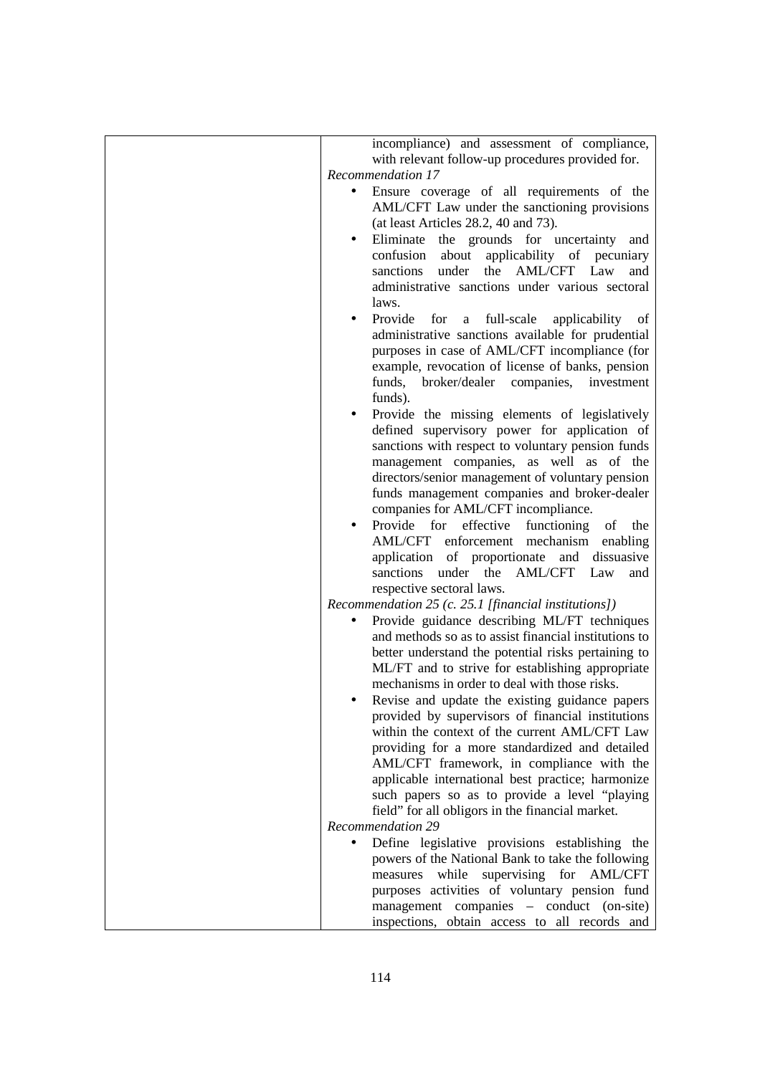| incompliance) and assessment of compliance,                      |
|------------------------------------------------------------------|
| with relevant follow-up procedures provided for.                 |
| Recommendation 17                                                |
|                                                                  |
| Ensure coverage of all requirements of the<br>$\bullet$          |
| AML/CFT Law under the sanctioning provisions                     |
| (at least Articles $28.2$ , 40 and 73).                          |
| Eliminate the grounds for uncertainty<br>and                     |
| confusion about<br>applicability of pecuniary                    |
|                                                                  |
| the<br>AML/CFT Law<br>sanctions<br>under<br>and                  |
| administrative sanctions under various sectoral                  |
| laws.                                                            |
| Provide<br>for<br>full-scale<br>applicability of<br>$\mathbf{a}$ |
| administrative sanctions available for prudential                |
|                                                                  |
| purposes in case of AML/CFT incompliance (for                    |
| example, revocation of license of banks, pension                 |
| funds, broker/dealer companies, investment                       |
| funds).                                                          |
|                                                                  |
| Provide the missing elements of legislatively                    |
| defined supervisory power for application of                     |
| sanctions with respect to voluntary pension funds                |
| management companies, as well as of the                          |
| directors/senior management of voluntary pension                 |
| funds management companies and broker-dealer                     |
|                                                                  |
| companies for AML/CFT incompliance.                              |
| effective<br>functioning<br>Provide for<br>of<br>the             |
| AML/CFT enforcement mechanism enabling                           |
| application of proportionate<br>and dissuasive                   |
| AML/CFT Law<br>sanctions under the<br>and                        |
|                                                                  |
| respective sectoral laws.                                        |
| Recommendation 25 (c. 25.1 [financial institutions])             |
| Provide guidance describing ML/FT techniques                     |
| and methods so as to assist financial institutions to            |
| better understand the potential risks pertaining to              |
| ML/FT and to strive for establishing appropriate                 |
|                                                                  |
| mechanisms in order to deal with those risks.                    |
| Revise and update the existing guidance papers                   |
| provided by supervisors of financial institutions                |
| within the context of the current AML/CFT Law                    |
| providing for a more standardized and detailed                   |
|                                                                  |
| AML/CFT framework, in compliance with the                        |
| applicable international best practice; harmonize                |
| such papers so as to provide a level "playing                    |
| field" for all obligors in the financial market.                 |
| Recommendation 29                                                |
| Define legislative provisions establishing the<br>$\bullet$      |
|                                                                  |
| powers of the National Bank to take the following                |
| while<br>supervising for AML/CFT<br>measures                     |
| purposes activities of voluntary pension fund                    |
| management companies - conduct (on-site)                         |
| inspections, obtain access to all records and                    |
|                                                                  |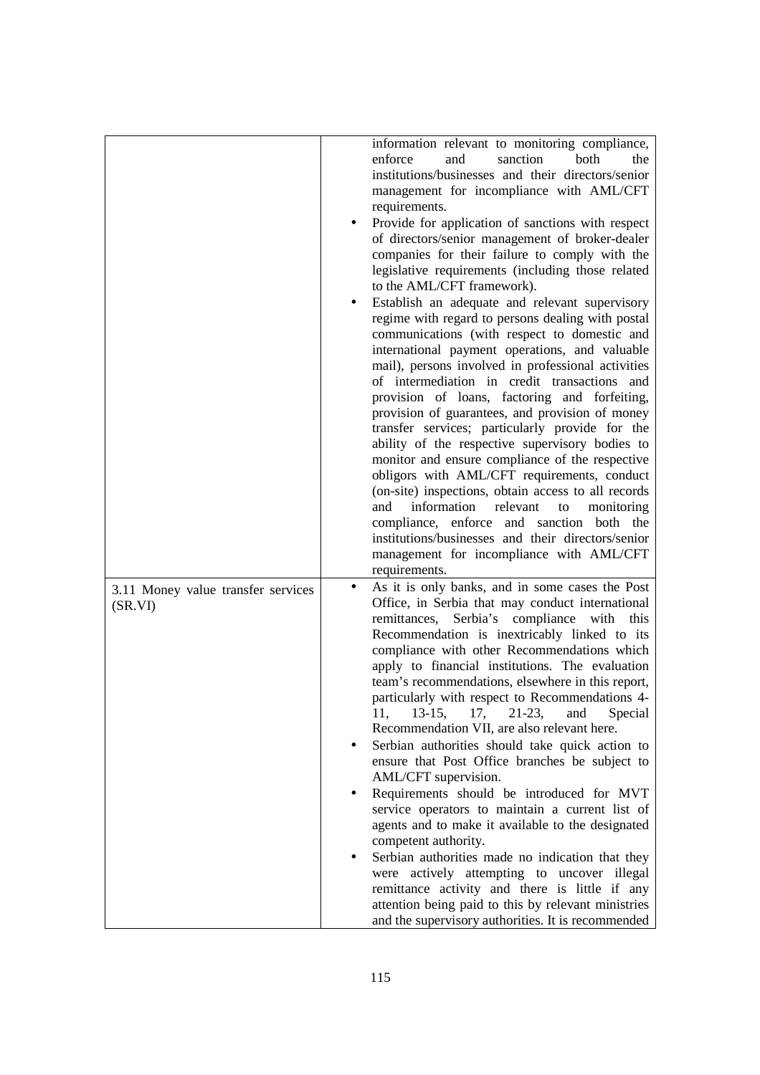|                                               | information relevant to monitoring compliance,<br>enforce<br>sanction<br>both<br>and<br>the<br>institutions/businesses and their directors/senior<br>management for incompliance with AML/CFT<br>requirements.<br>Provide for application of sanctions with respect<br>of directors/senior management of broker-dealer<br>companies for their failure to comply with the<br>legislative requirements (including those related<br>to the AML/CFT framework).<br>Establish an adequate and relevant supervisory<br>regime with regard to persons dealing with postal<br>communications (with respect to domestic and<br>international payment operations, and valuable<br>mail), persons involved in professional activities<br>of intermediation in credit transactions and<br>provision of loans, factoring and forfeiting,<br>provision of guarantees, and provision of money<br>transfer services; particularly provide for the<br>ability of the respective supervisory bodies to<br>monitor and ensure compliance of the respective<br>obligors with AML/CFT requirements, conduct<br>(on-site) inspections, obtain access to all records<br>information<br>and<br>relevant<br>monitoring<br>to<br>compliance, enforce and sanction both the<br>institutions/businesses and their directors/senior<br>management for incompliance with AML/CFT<br>requirements. |
|-----------------------------------------------|---------------------------------------------------------------------------------------------------------------------------------------------------------------------------------------------------------------------------------------------------------------------------------------------------------------------------------------------------------------------------------------------------------------------------------------------------------------------------------------------------------------------------------------------------------------------------------------------------------------------------------------------------------------------------------------------------------------------------------------------------------------------------------------------------------------------------------------------------------------------------------------------------------------------------------------------------------------------------------------------------------------------------------------------------------------------------------------------------------------------------------------------------------------------------------------------------------------------------------------------------------------------------------------------------------------------------------------------------------------------|
| 3.11 Money value transfer services<br>(SR.VI) | As it is only banks, and in some cases the Post<br>Office, in Serbia that may conduct international<br>remittances, Serbia's compliance with<br>this<br>Recommendation is inextricably linked to its<br>compliance with other Recommendations which<br>apply to financial institutions. The evaluation<br>team's recommendations, elsewhere in this report,<br>particularly with respect to Recommendations 4-<br>17,<br>11,<br>$13-15,$<br>$21-23$ ,<br>Special<br>and<br>Recommendation VII, are also relevant here.<br>Serbian authorities should take quick action to<br>ensure that Post Office branches be subject to<br>AML/CFT supervision.<br>Requirements should be introduced for MVT<br>service operators to maintain a current list of<br>agents and to make it available to the designated<br>competent authority.<br>Serbian authorities made no indication that they<br>were actively attempting to uncover illegal<br>remittance activity and there is little if any<br>attention being paid to this by relevant ministries<br>and the supervisory authorities. It is recommended                                                                                                                                                                                                                                                                  |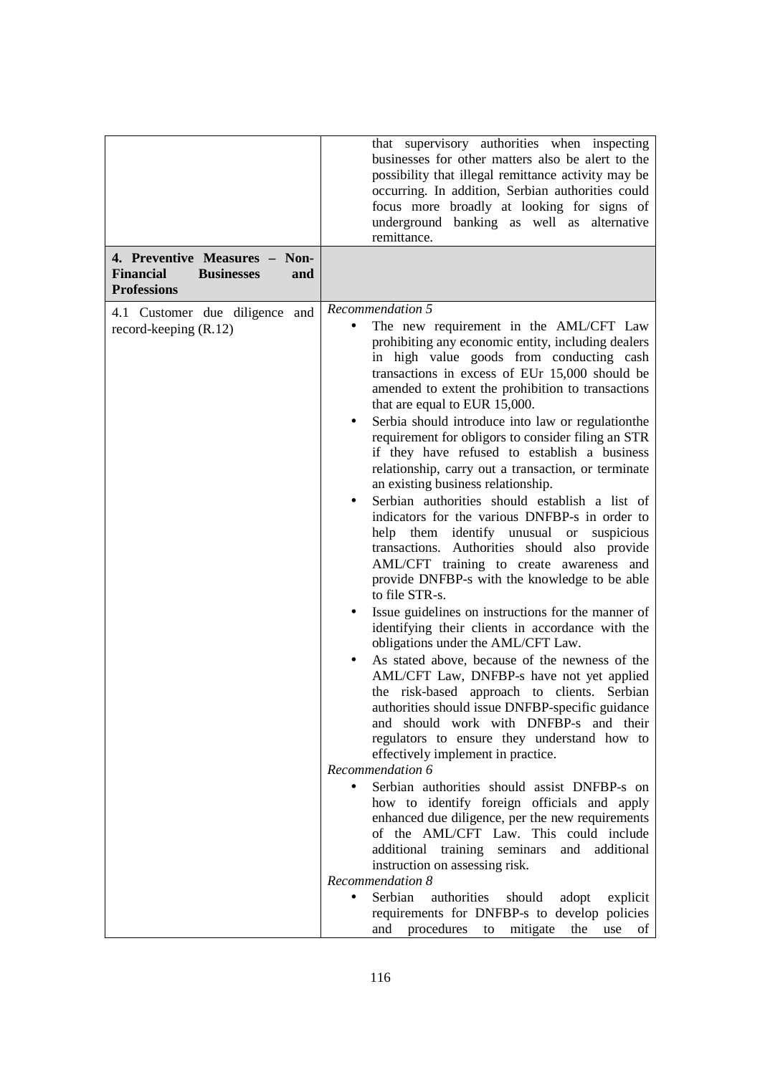|                                              | that supervisory authorities when inspecting                    |
|----------------------------------------------|-----------------------------------------------------------------|
|                                              | businesses for other matters also be alert to the               |
|                                              | possibility that illegal remittance activity may be             |
|                                              | occurring. In addition, Serbian authorities could               |
|                                              | focus more broadly at looking for signs of                      |
|                                              | underground banking as well as alternative                      |
|                                              | remittance.                                                     |
| 4. Preventive Measures - Non-                |                                                                 |
| <b>Financial</b><br><b>Businesses</b><br>and |                                                                 |
| <b>Professions</b>                           |                                                                 |
| 4.1 Customer due diligence and               | Recommendation 5                                                |
| record-keeping $(R.12)$                      | The new requirement in the AML/CFT Law                          |
|                                              | prohibiting any economic entity, including dealers              |
|                                              | in high value goods from conducting cash                        |
|                                              | transactions in excess of EUr 15,000 should be                  |
|                                              | amended to extent the prohibition to transactions               |
|                                              | that are equal to EUR 15,000.                                   |
|                                              | Serbia should introduce into law or regulationthe               |
|                                              | requirement for obligors to consider filing an STR              |
|                                              | if they have refused to establish a business                    |
|                                              | relationship, carry out a transaction, or terminate             |
|                                              | an existing business relationship.                              |
|                                              | Serbian authorities should establish a list of                  |
|                                              | indicators for the various DNFBP-s in order to                  |
|                                              | help them identify unusual or suspicious                        |
|                                              | transactions. Authorities should also provide                   |
|                                              | AML/CFT training to create awareness and                        |
|                                              | provide DNFBP-s with the knowledge to be able<br>to file STR-s. |
|                                              | Issue guidelines on instructions for the manner of              |
|                                              | identifying their clients in accordance with the                |
|                                              | obligations under the AML/CFT Law.                              |
|                                              | As stated above, because of the newness of the                  |
|                                              | AML/CFT Law, DNFBP-s have not yet applied                       |
|                                              | the risk-based approach to clients. Serbian                     |
|                                              | authorities should issue DNFBP-specific guidance                |
|                                              | and should work with DNFBP-s and their                          |
|                                              | regulators to ensure they understand how to                     |
|                                              | effectively implement in practice.                              |
|                                              | Recommendation 6                                                |
|                                              | Serbian authorities should assist DNFBP-s on                    |
|                                              | how to identify foreign officials and apply                     |
|                                              | enhanced due diligence, per the new requirements                |
|                                              | of the AML/CFT Law. This could include                          |
|                                              | additional training seminars<br>and additional                  |
|                                              | instruction on assessing risk.                                  |
|                                              | Recommendation 8                                                |
|                                              | Serbian<br>authorities<br>should<br>adopt<br>explicit           |
|                                              | requirements for DNFBP-s to develop policies                    |
|                                              | and procedures to mitigate<br>the<br>use<br>of                  |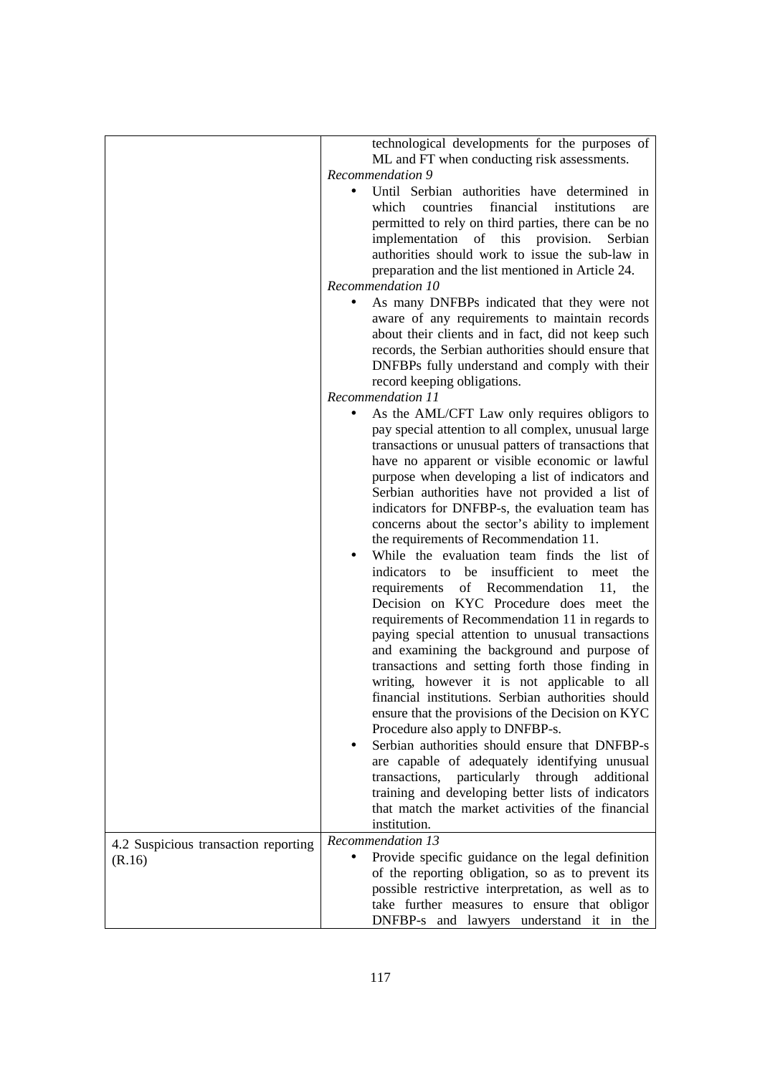|                                      | technological developments for the purposes of                                                      |
|--------------------------------------|-----------------------------------------------------------------------------------------------------|
|                                      | ML and FT when conducting risk assessments.                                                         |
|                                      | Recommendation 9                                                                                    |
|                                      | Until Serbian authorities have determined in                                                        |
|                                      | financial<br>countries<br>institutions<br>which<br>are                                              |
|                                      | permitted to rely on third parties, there can be no                                                 |
|                                      | implementation of this provision.<br>Serbian                                                        |
|                                      | authorities should work to issue the sub-law in                                                     |
|                                      | preparation and the list mentioned in Article 24.                                                   |
|                                      | Recommendation 10                                                                                   |
|                                      | As many DNFBPs indicated that they were not                                                         |
|                                      | aware of any requirements to maintain records                                                       |
|                                      | about their clients and in fact, did not keep such                                                  |
|                                      | records, the Serbian authorities should ensure that                                                 |
|                                      | DNFBPs fully understand and comply with their                                                       |
|                                      | record keeping obligations.                                                                         |
|                                      | Recommendation 11                                                                                   |
|                                      | As the AML/CFT Law only requires obligors to                                                        |
|                                      | pay special attention to all complex, unusual large                                                 |
|                                      | transactions or unusual patters of transactions that                                                |
|                                      | have no apparent or visible economic or lawful                                                      |
|                                      | purpose when developing a list of indicators and                                                    |
|                                      | Serbian authorities have not provided a list of                                                     |
|                                      | indicators for DNFBP-s, the evaluation team has                                                     |
|                                      | concerns about the sector's ability to implement                                                    |
|                                      | the requirements of Recommendation 11.                                                              |
|                                      | While the evaluation team finds the list of                                                         |
|                                      | indicators to be insufficient to meet<br>the                                                        |
|                                      | requirements of Recommendation<br>11,<br>the<br>Decision on KYC Procedure does meet the             |
|                                      |                                                                                                     |
|                                      | requirements of Recommendation 11 in regards to<br>paying special attention to unusual transactions |
|                                      | and examining the background and purpose of                                                         |
|                                      | transactions and setting forth those finding in                                                     |
|                                      | writing, however it is not applicable to all                                                        |
|                                      | financial institutions. Serbian authorities should                                                  |
|                                      | ensure that the provisions of the Decision on KYC                                                   |
|                                      | Procedure also apply to DNFBP-s.                                                                    |
|                                      | Serbian authorities should ensure that DNFBP-s                                                      |
|                                      | are capable of adequately identifying unusual                                                       |
|                                      | transactions, particularly through<br>additional                                                    |
|                                      | training and developing better lists of indicators                                                  |
|                                      | that match the market activities of the financial                                                   |
|                                      | institution.                                                                                        |
| 4.2 Suspicious transaction reporting | Recommendation 13                                                                                   |
| (R.16)                               | Provide specific guidance on the legal definition                                                   |
|                                      | of the reporting obligation, so as to prevent its                                                   |
|                                      | possible restrictive interpretation, as well as to                                                  |
|                                      | take further measures to ensure that obligor                                                        |
|                                      | DNFBP-s and lawyers understand it in the                                                            |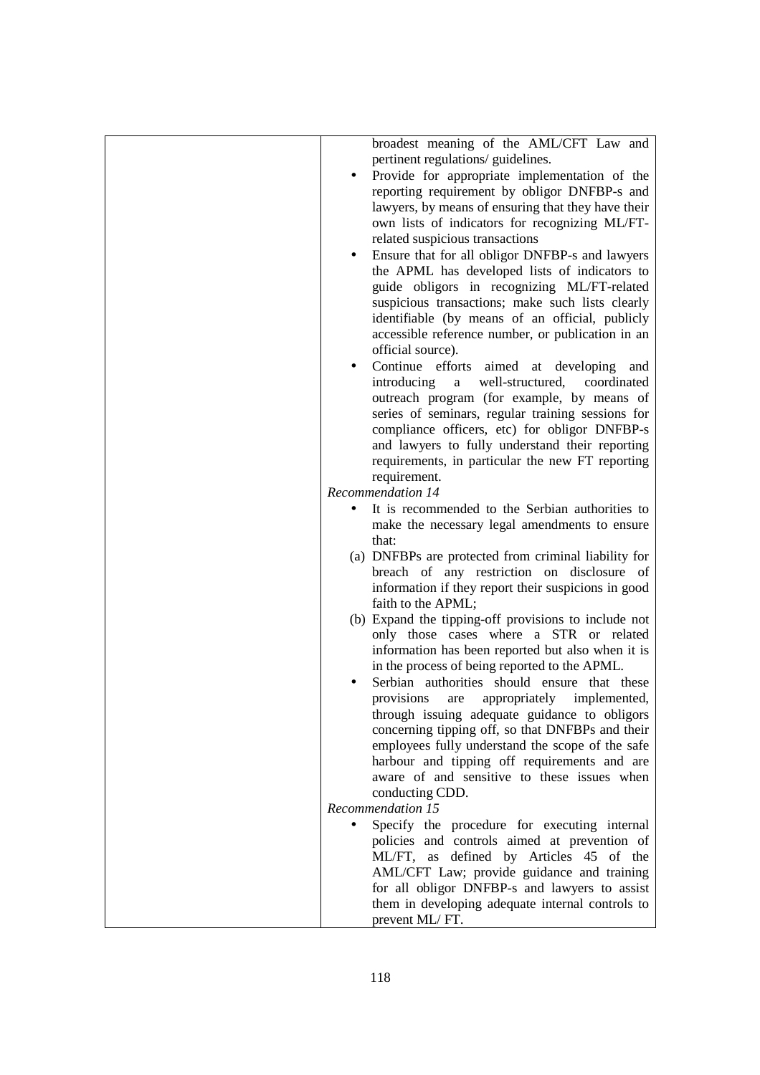|  | broadest meaning of the AML/CFT Law and              |
|--|------------------------------------------------------|
|  | pertinent regulations/ guidelines.                   |
|  | Provide for appropriate implementation of the        |
|  | reporting requirement by obligor DNFBP-s and         |
|  | lawyers, by means of ensuring that they have their   |
|  | own lists of indicators for recognizing ML/FT-       |
|  | related suspicious transactions                      |
|  | Ensure that for all obligor DNFBP-s and lawyers      |
|  | the APML has developed lists of indicators to        |
|  | guide obligors in recognizing ML/FT-related          |
|  | suspicious transactions; make such lists clearly     |
|  | identifiable (by means of an official, publicly      |
|  | accessible reference number, or publication in an    |
|  | official source).                                    |
|  | Continue efforts aimed at developing and             |
|  | well-structured,<br>introducing<br>coordinated<br>a  |
|  | outreach program (for example, by means of           |
|  | series of seminars, regular training sessions for    |
|  | compliance officers, etc) for obligor DNFBP-s        |
|  | and lawyers to fully understand their reporting      |
|  | requirements, in particular the new FT reporting     |
|  | requirement.                                         |
|  | Recommendation 14                                    |
|  | It is recommended to the Serbian authorities to      |
|  | make the necessary legal amendments to ensure        |
|  | that:                                                |
|  | (a) DNFBPs are protected from criminal liability for |
|  | breach of any restriction on disclosure of           |
|  | information if they report their suspicions in good  |
|  | faith to the APML;                                   |
|  | (b) Expand the tipping-off provisions to include not |
|  | only those cases where a STR or related              |
|  | information has been reported but also when it is    |
|  | in the process of being reported to the APML.        |
|  | Serbian authorities should ensure that these         |
|  | provisions<br>appropriately<br>implemented,<br>are   |
|  | through issuing adequate guidance to obligors        |
|  | concerning tipping off, so that DNFBPs and their     |
|  | employees fully understand the scope of the safe     |
|  | harbour and tipping off requirements and are         |
|  | aware of and sensitive to these issues when          |
|  | conducting CDD.                                      |
|  | Recommendation 15                                    |
|  | Specify the procedure for executing internal         |
|  | policies and controls aimed at prevention of         |
|  | ML/FT, as defined by Articles 45 of the              |
|  | AML/CFT Law; provide guidance and training           |
|  | for all obligor DNFBP-s and lawyers to assist        |
|  | them in developing adequate internal controls to     |
|  | prevent ML/FT.                                       |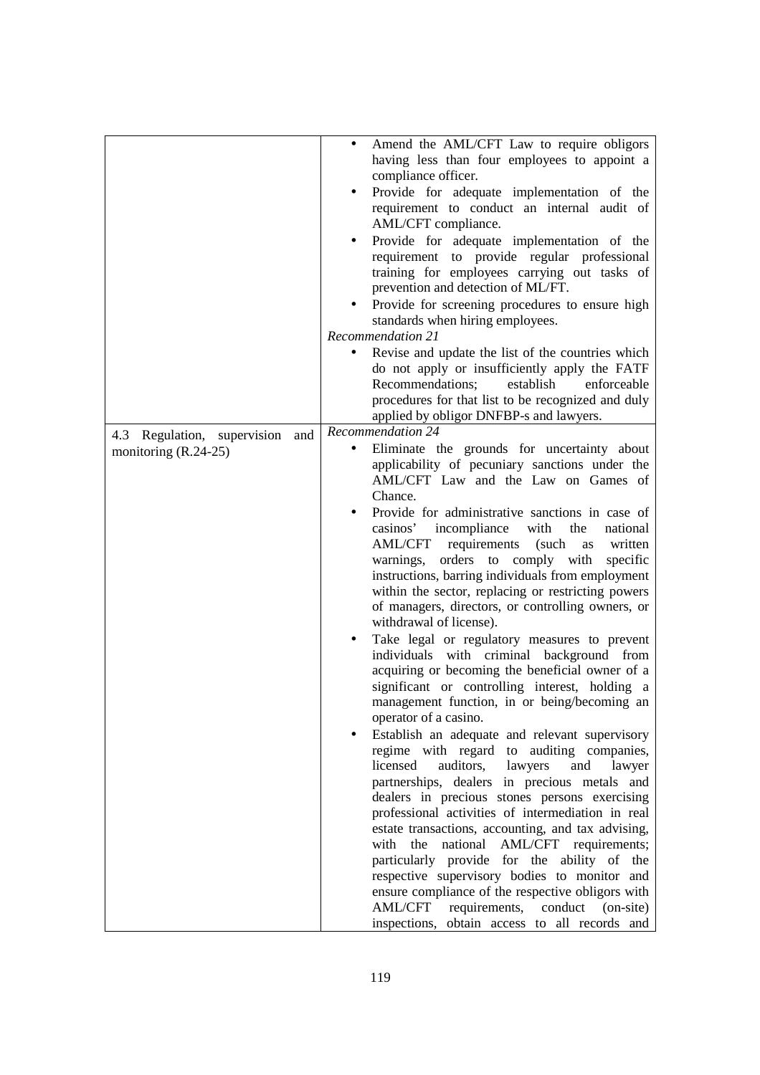|                                 | Amend the AML/CFT Law to require obligors<br>$\bullet$       |
|---------------------------------|--------------------------------------------------------------|
|                                 | having less than four employees to appoint a                 |
|                                 | compliance officer.                                          |
|                                 | Provide for adequate implementation of the                   |
|                                 | requirement to conduct an internal audit of                  |
|                                 | AML/CFT compliance.                                          |
|                                 | Provide for adequate implementation of the                   |
|                                 | requirement to provide regular professional                  |
|                                 | training for employees carrying out tasks of                 |
|                                 | prevention and detection of ML/FT.                           |
|                                 | Provide for screening procedures to ensure high              |
|                                 |                                                              |
|                                 | standards when hiring employees.<br><b>Recommendation 21</b> |
|                                 |                                                              |
|                                 | Revise and update the list of the countries which            |
|                                 | do not apply or insufficiently apply the FATF                |
|                                 | Recommendations;<br>establish<br>enforceable                 |
|                                 | procedures for that list to be recognized and duly           |
|                                 | applied by obligor DNFBP-s and lawyers.                      |
| 4.3 Regulation, supervision and | <b>Recommendation 24</b>                                     |
| monitoring $(R.24-25)$          | Eliminate the grounds for uncertainty about<br>$\bullet$     |
|                                 | applicability of pecuniary sanctions under the               |
|                                 | AML/CFT Law and the Law on Games of                          |
|                                 | Chance.                                                      |
|                                 | Provide for administrative sanctions in case of              |
|                                 | casinos' incompliance with<br>the<br>national                |
|                                 | AML/CFT requirements<br>(such<br>written<br>as               |
|                                 | warnings, orders to comply with<br>specific                  |
|                                 | instructions, barring individuals from employment            |
|                                 | within the sector, replacing or restricting powers           |
|                                 |                                                              |
|                                 | of managers, directors, or controlling owners, or            |
|                                 | withdrawal of license).                                      |
|                                 | Take legal or regulatory measures to prevent<br>$\bullet$    |
|                                 | individuals with criminal background from                    |
|                                 | acquiring or becoming the beneficial owner of a              |
|                                 | significant or controlling interest, holding a               |
|                                 | management function, in or being/becoming an                 |
|                                 | operator of a casino.                                        |
|                                 | Establish an adequate and relevant supervisory               |
|                                 | regime with regard to auditing companies,                    |
|                                 | licensed<br>auditors,<br>lawyers<br>and<br>lawyer            |
|                                 | partnerships, dealers in precious metals and                 |
|                                 | dealers in precious stones persons exercising                |
|                                 | professional activities of intermediation in real            |
|                                 | estate transactions, accounting, and tax advising,           |
|                                 | the<br>national<br>AML/CFT requirements;<br>with             |
|                                 | particularly provide for the ability of the                  |
|                                 | respective supervisory bodies to monitor and                 |
|                                 | ensure compliance of the respective obligors with            |
|                                 | AML/CFT<br>requirements, conduct<br>(on-site)                |
|                                 |                                                              |
|                                 | inspections, obtain access to all records and                |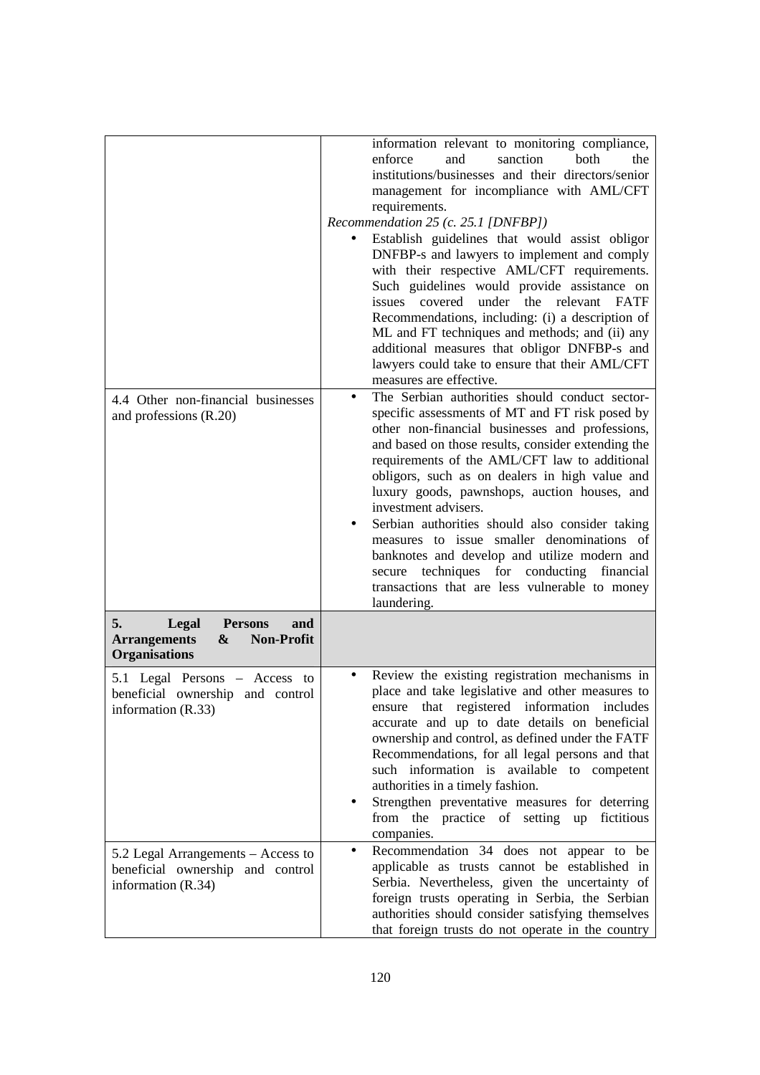| 4.4 Other non-financial businesses<br>and professions (R.20)                                                  | information relevant to monitoring compliance,<br>sanction<br>both<br>and<br>enforce<br>the<br>institutions/businesses and their directors/senior<br>management for incompliance with AML/CFT<br>requirements.<br>Recommendation 25 (c. 25.1 [DNFBP])<br>Establish guidelines that would assist obligor<br>DNFBP-s and lawyers to implement and comply<br>with their respective AML/CFT requirements.<br>Such guidelines would provide assistance on<br>the<br>covered<br>under<br>relevant FATF<br>issues<br>Recommendations, including: (i) a description of<br>ML and FT techniques and methods; and (ii) any<br>additional measures that obligor DNFBP-s and<br>lawyers could take to ensure that their AML/CFT<br>measures are effective.<br>The Serbian authorities should conduct sector-<br>$\bullet$<br>specific assessments of MT and FT risk posed by<br>other non-financial businesses and professions,<br>and based on those results, consider extending the<br>requirements of the AML/CFT law to additional<br>obligors, such as on dealers in high value and<br>luxury goods, pawnshops, auction houses, and<br>investment advisers.<br>Serbian authorities should also consider taking<br>measures to issue smaller denominations of<br>banknotes and develop and utilize modern and<br>secure techniques for conducting financial<br>transactions that are less vulnerable to money<br>laundering. |
|---------------------------------------------------------------------------------------------------------------|----------------------------------------------------------------------------------------------------------------------------------------------------------------------------------------------------------------------------------------------------------------------------------------------------------------------------------------------------------------------------------------------------------------------------------------------------------------------------------------------------------------------------------------------------------------------------------------------------------------------------------------------------------------------------------------------------------------------------------------------------------------------------------------------------------------------------------------------------------------------------------------------------------------------------------------------------------------------------------------------------------------------------------------------------------------------------------------------------------------------------------------------------------------------------------------------------------------------------------------------------------------------------------------------------------------------------------------------------------------------------------------------------------------------|
| 5.<br>Legal<br><b>Persons</b><br>and<br><b>Arrangements</b><br>&<br><b>Non-Profit</b><br><b>Organisations</b> |                                                                                                                                                                                                                                                                                                                                                                                                                                                                                                                                                                                                                                                                                                                                                                                                                                                                                                                                                                                                                                                                                                                                                                                                                                                                                                                                                                                                                      |
| 5.1 Legal Persons - Access to<br>beneficial ownership and control<br>information (R.33)                       | Review the existing registration mechanisms in<br>place and take legislative and other measures to<br>ensure that registered information includes<br>accurate and up to date details on beneficial<br>ownership and control, as defined under the FATF<br>Recommendations, for all legal persons and that<br>such information is available to competent<br>authorities in a timely fashion.<br>Strengthen preventative measures for deterring<br>from the practice of setting up fictitious<br>companies.                                                                                                                                                                                                                                                                                                                                                                                                                                                                                                                                                                                                                                                                                                                                                                                                                                                                                                            |
| 5.2 Legal Arrangements – Access to<br>beneficial ownership and control<br>information $(R.34)$                | Recommendation 34 does not appear to be<br>applicable as trusts cannot be established in<br>Serbia. Nevertheless, given the uncertainty of<br>foreign trusts operating in Serbia, the Serbian<br>authorities should consider satisfying themselves<br>that foreign trusts do not operate in the country                                                                                                                                                                                                                                                                                                                                                                                                                                                                                                                                                                                                                                                                                                                                                                                                                                                                                                                                                                                                                                                                                                              |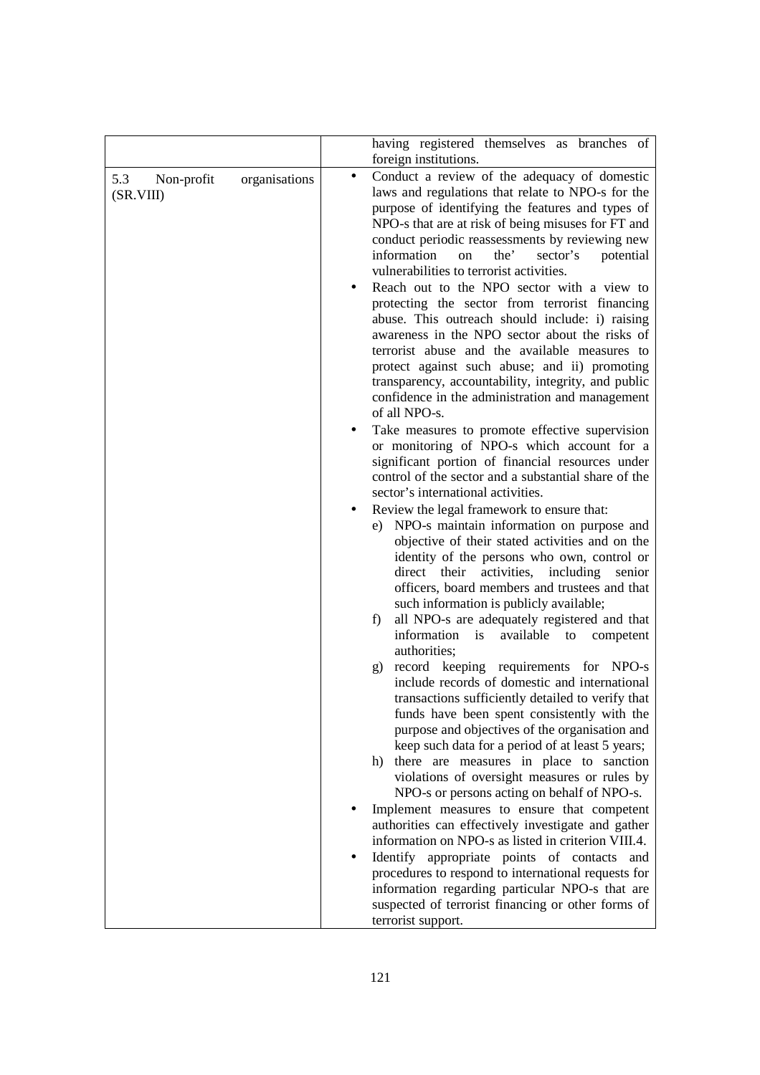|                                |               | having registered themselves as branches of                                                                                                                                                                                                                                                                                                                                                                                    |
|--------------------------------|---------------|--------------------------------------------------------------------------------------------------------------------------------------------------------------------------------------------------------------------------------------------------------------------------------------------------------------------------------------------------------------------------------------------------------------------------------|
| 5.3<br>Non-profit<br>(SR.VIII) | organisations | foreign institutions.<br>Conduct a review of the adequacy of domestic<br>$\bullet$<br>laws and regulations that relate to NPO-s for the<br>purpose of identifying the features and types of                                                                                                                                                                                                                                    |
|                                |               | NPO-s that are at risk of being misuses for FT and<br>conduct periodic reassessments by reviewing new<br>the'<br>information<br>sector's<br>potential<br>on<br>vulnerabilities to terrorist activities.                                                                                                                                                                                                                        |
|                                |               | Reach out to the NPO sector with a view to<br>protecting the sector from terrorist financing<br>abuse. This outreach should include: i) raising<br>awareness in the NPO sector about the risks of<br>terrorist abuse and the available measures to<br>protect against such abuse; and ii) promoting<br>transparency, accountability, integrity, and public<br>confidence in the administration and management<br>of all NPO-s. |
|                                |               | Take measures to promote effective supervision<br>or monitoring of NPO-s which account for a<br>significant portion of financial resources under<br>control of the sector and a substantial share of the<br>sector's international activities.                                                                                                                                                                                 |
|                                |               | Review the legal framework to ensure that:<br>NPO-s maintain information on purpose and<br>e)<br>objective of their stated activities and on the<br>identity of the persons who own, control or<br>direct<br>their<br>activities, including<br>senior<br>officers, board members and trustees and that<br>such information is publicly available;                                                                              |
|                                |               | all NPO-s are adequately registered and that<br>f)<br>information is<br>available<br>to<br>competent<br>authorities;<br>record keeping requirements for NPO-s<br>g)                                                                                                                                                                                                                                                            |
|                                |               | include records of domestic and international<br>transactions sufficiently detailed to verify that<br>funds have been spent consistently with the<br>purpose and objectives of the organisation and<br>keep such data for a period of at least 5 years;                                                                                                                                                                        |
|                                |               | h) there are measures in place to sanction<br>violations of oversight measures or rules by<br>NPO-s or persons acting on behalf of NPO-s.                                                                                                                                                                                                                                                                                      |
|                                |               | Implement measures to ensure that competent<br>authorities can effectively investigate and gather<br>information on NPO-s as listed in criterion VIII.4.                                                                                                                                                                                                                                                                       |
|                                |               | Identify appropriate points of contacts and<br>procedures to respond to international requests for<br>information regarding particular NPO-s that are<br>suspected of terrorist financing or other forms of<br>terrorist support.                                                                                                                                                                                              |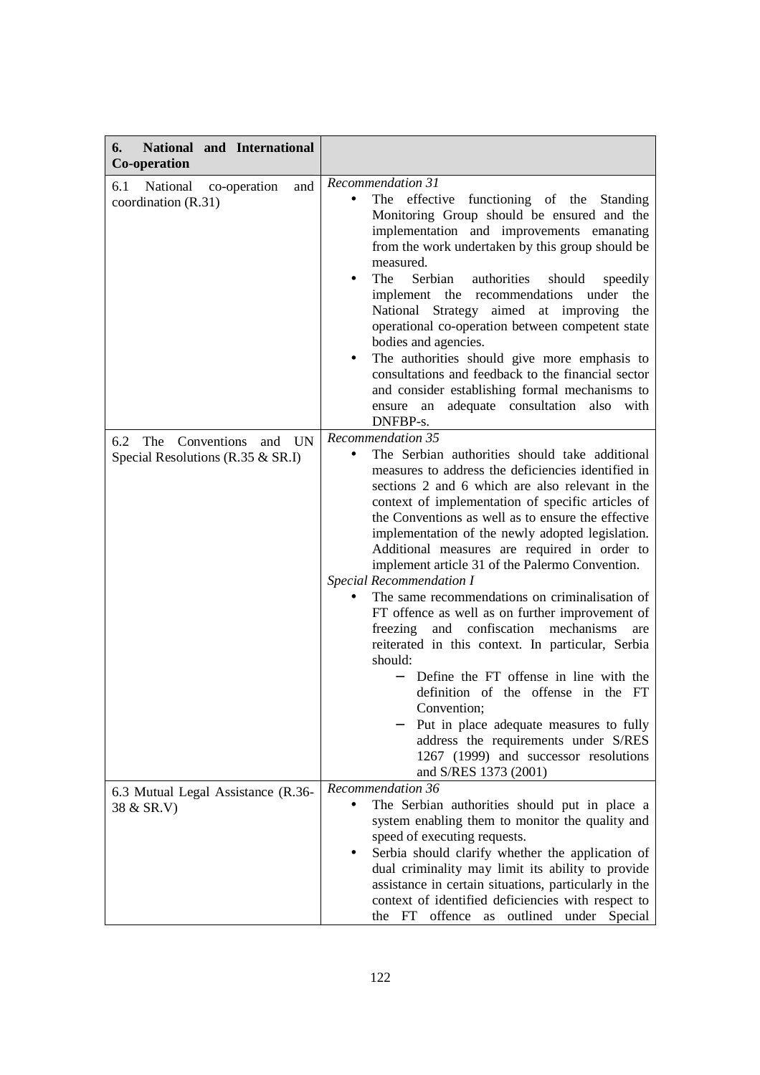| National and International<br>6.<br>Co-operation                        |                                                                                                                                                                                                                                                                                                                                                                                                                                                                                                                                                                                                                                                                                                                                                                                                                                                                                                                                                                  |
|-------------------------------------------------------------------------|------------------------------------------------------------------------------------------------------------------------------------------------------------------------------------------------------------------------------------------------------------------------------------------------------------------------------------------------------------------------------------------------------------------------------------------------------------------------------------------------------------------------------------------------------------------------------------------------------------------------------------------------------------------------------------------------------------------------------------------------------------------------------------------------------------------------------------------------------------------------------------------------------------------------------------------------------------------|
| 6.1<br>National co-operation<br>and<br>coordination (R.31)              | Recommendation 31<br>The effective functioning of the<br>Standing<br>Monitoring Group should be ensured and the<br>implementation and improvements emanating<br>from the work undertaken by this group should be<br>measured.<br>The<br>Serbian<br>authorities<br>should<br>speedily<br>implement the recommendations<br>under<br>the<br>National Strategy aimed at improving<br>the<br>operational co-operation between competent state<br>bodies and agencies.<br>The authorities should give more emphasis to<br>consultations and feedback to the financial sector<br>and consider establishing formal mechanisms to<br>adequate consultation also<br>ensure<br>an<br>with<br>DNFBP-s.                                                                                                                                                                                                                                                                       |
| Conventions and UN<br>6.2<br>The<br>Special Resolutions (R.35 $&$ SR.I) | Recommendation 35<br>The Serbian authorities should take additional<br>measures to address the deficiencies identified in<br>sections 2 and 6 which are also relevant in the<br>context of implementation of specific articles of<br>the Conventions as well as to ensure the effective<br>implementation of the newly adopted legislation.<br>Additional measures are required in order to<br>implement article 31 of the Palermo Convention.<br><b>Special Recommendation I</b><br>The same recommendations on criminalisation of<br>FT offence as well as on further improvement of<br>and confiscation<br>freezing<br>mechanisms<br>are<br>reiterated in this context. In particular, Serbia<br>should:<br>Define the FT offense in line with the<br>definition of the offense in the FT<br>Convention;<br>Put in place adequate measures to fully<br>address the requirements under S/RES<br>1267 (1999) and successor resolutions<br>and S/RES 1373 (2001) |
| 6.3 Mutual Legal Assistance (R.36-<br>38 & SR.V)                        | Recommendation 36<br>The Serbian authorities should put in place a<br>system enabling them to monitor the quality and<br>speed of executing requests.<br>Serbia should clarify whether the application of<br>dual criminality may limit its ability to provide<br>assistance in certain situations, particularly in the<br>context of identified deficiencies with respect to<br>the FT offence as outlined under Special                                                                                                                                                                                                                                                                                                                                                                                                                                                                                                                                        |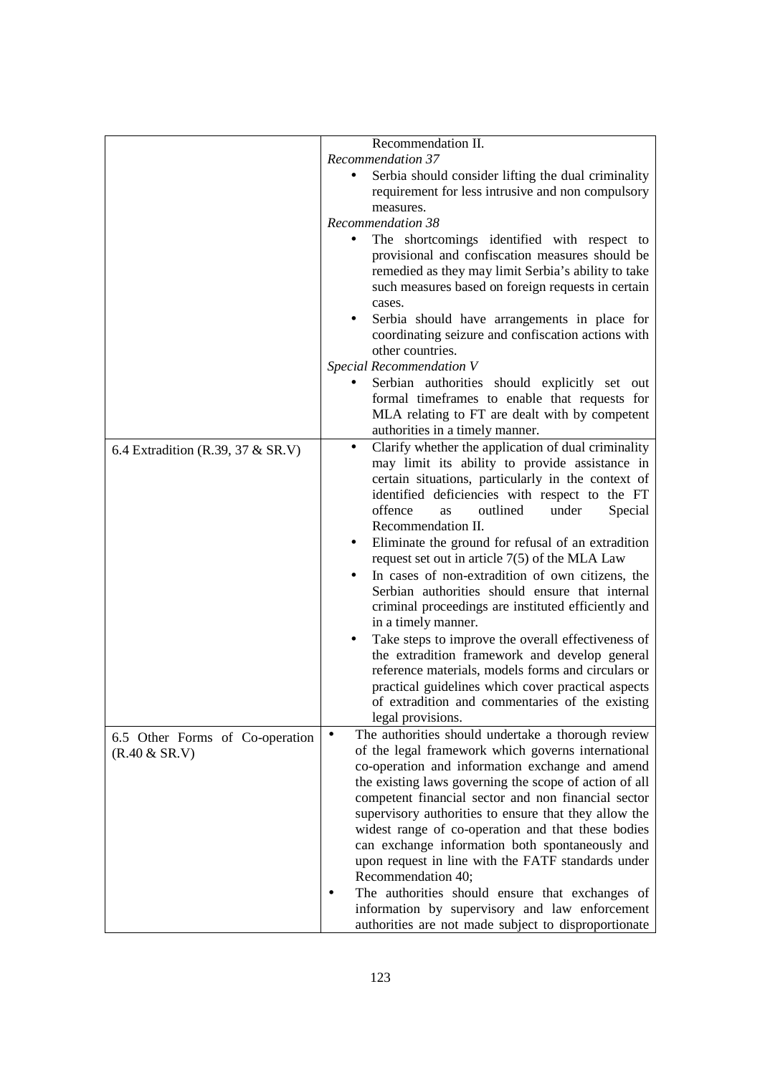|                                                  | Recommendation II.                                                                                                                                                                                                                                                                                                                                                                                                                                                                                                                                                                                                                                                                                                                                                                                                                                                                                 |
|--------------------------------------------------|----------------------------------------------------------------------------------------------------------------------------------------------------------------------------------------------------------------------------------------------------------------------------------------------------------------------------------------------------------------------------------------------------------------------------------------------------------------------------------------------------------------------------------------------------------------------------------------------------------------------------------------------------------------------------------------------------------------------------------------------------------------------------------------------------------------------------------------------------------------------------------------------------|
|                                                  | Recommendation 37                                                                                                                                                                                                                                                                                                                                                                                                                                                                                                                                                                                                                                                                                                                                                                                                                                                                                  |
|                                                  | Serbia should consider lifting the dual criminality<br>requirement for less intrusive and non compulsory<br>measures.                                                                                                                                                                                                                                                                                                                                                                                                                                                                                                                                                                                                                                                                                                                                                                              |
|                                                  | Recommendation 38                                                                                                                                                                                                                                                                                                                                                                                                                                                                                                                                                                                                                                                                                                                                                                                                                                                                                  |
|                                                  | The shortcomings identified with respect to<br>provisional and confiscation measures should be<br>remedied as they may limit Serbia's ability to take<br>such measures based on foreign requests in certain<br>cases.                                                                                                                                                                                                                                                                                                                                                                                                                                                                                                                                                                                                                                                                              |
|                                                  | Serbia should have arrangements in place for<br>coordinating seizure and confiscation actions with<br>other countries.                                                                                                                                                                                                                                                                                                                                                                                                                                                                                                                                                                                                                                                                                                                                                                             |
|                                                  | Special Recommendation V                                                                                                                                                                                                                                                                                                                                                                                                                                                                                                                                                                                                                                                                                                                                                                                                                                                                           |
|                                                  | Serbian authorities should explicitly set out<br>formal timeframes to enable that requests for<br>MLA relating to FT are dealt with by competent<br>authorities in a timely manner.                                                                                                                                                                                                                                                                                                                                                                                                                                                                                                                                                                                                                                                                                                                |
| 6.4 Extradition (R.39, 37 & SR.V)                | Clarify whether the application of dual criminality<br>$\bullet$<br>may limit its ability to provide assistance in<br>certain situations, particularly in the context of<br>identified deficiencies with respect to the FT<br>offence<br>outlined<br>under<br>Special<br><b>as</b><br>Recommendation II.<br>Eliminate the ground for refusal of an extradition<br>request set out in article $7(5)$ of the MLA Law<br>In cases of non-extradition of own citizens, the<br>Serbian authorities should ensure that internal<br>criminal proceedings are instituted efficiently and<br>in a timely manner.<br>Take steps to improve the overall effectiveness of<br>the extradition framework and develop general<br>reference materials, models forms and circulars or<br>practical guidelines which cover practical aspects<br>of extradition and commentaries of the existing<br>legal provisions. |
| 6.5 Other Forms of Co-operation<br>(R.40 & SR.V) | The authorities should undertake a thorough review<br>of the legal framework which governs international<br>co-operation and information exchange and amend<br>the existing laws governing the scope of action of all<br>competent financial sector and non financial sector<br>supervisory authorities to ensure that they allow the<br>widest range of co-operation and that these bodies<br>can exchange information both spontaneously and<br>upon request in line with the FATF standards under<br>Recommendation 40;<br>The authorities should ensure that exchanges of                                                                                                                                                                                                                                                                                                                      |
|                                                  | information by supervisory and law enforcement<br>authorities are not made subject to disproportionate                                                                                                                                                                                                                                                                                                                                                                                                                                                                                                                                                                                                                                                                                                                                                                                             |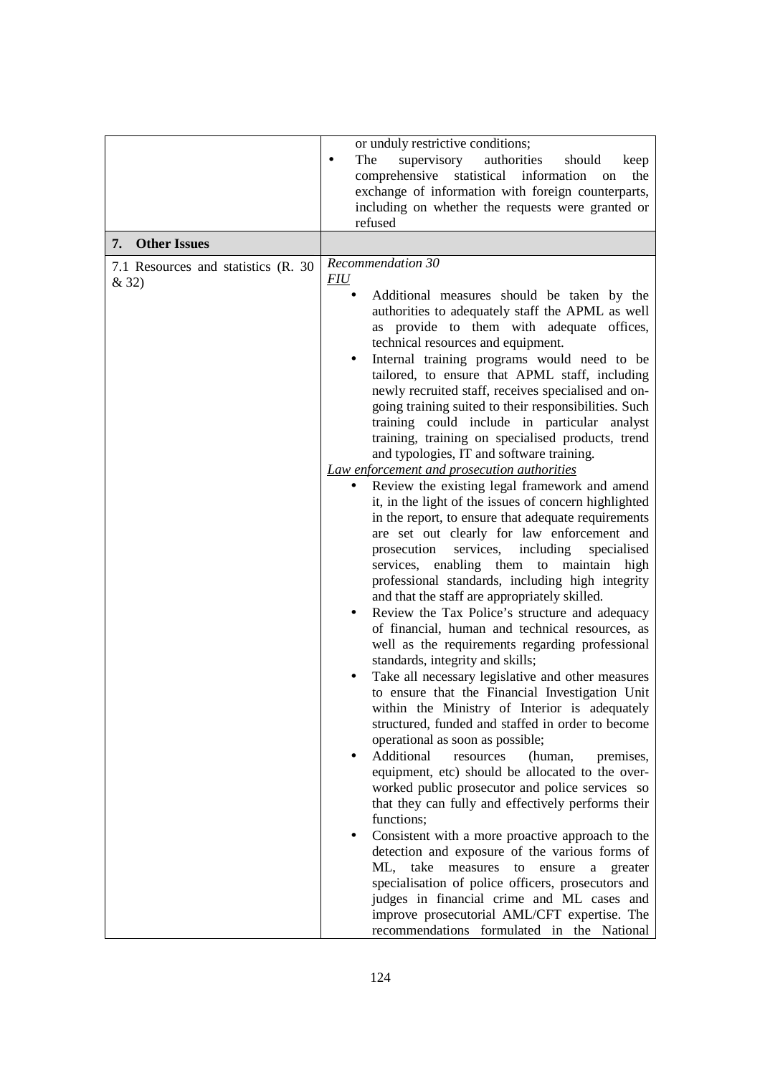|                                               | or unduly restrictive conditions;<br>supervisory<br>The<br>authorities<br>should<br>keep<br>٠<br>comprehensive<br>statistical<br>information<br>the<br>on<br>exchange of information with foreign counterparts,<br>including on whether the requests were granted or<br>refused                                                                                                                                                                                                                                                                                                                                                                                                                                                                                                                                                                                                                                                                                                                                                                                                                                                                                                                                                                                                                                                                                                                                                                                                                                                                                                                                                                                                                                                                                                                                                                                                                                                                                                                                                                                                                            |
|-----------------------------------------------|------------------------------------------------------------------------------------------------------------------------------------------------------------------------------------------------------------------------------------------------------------------------------------------------------------------------------------------------------------------------------------------------------------------------------------------------------------------------------------------------------------------------------------------------------------------------------------------------------------------------------------------------------------------------------------------------------------------------------------------------------------------------------------------------------------------------------------------------------------------------------------------------------------------------------------------------------------------------------------------------------------------------------------------------------------------------------------------------------------------------------------------------------------------------------------------------------------------------------------------------------------------------------------------------------------------------------------------------------------------------------------------------------------------------------------------------------------------------------------------------------------------------------------------------------------------------------------------------------------------------------------------------------------------------------------------------------------------------------------------------------------------------------------------------------------------------------------------------------------------------------------------------------------------------------------------------------------------------------------------------------------------------------------------------------------------------------------------------------------|
| <b>Other Issues</b><br>7.                     |                                                                                                                                                                                                                                                                                                                                                                                                                                                                                                                                                                                                                                                                                                                                                                                                                                                                                                                                                                                                                                                                                                                                                                                                                                                                                                                                                                                                                                                                                                                                                                                                                                                                                                                                                                                                                                                                                                                                                                                                                                                                                                            |
| 7.1 Resources and statistics (R. 30)<br>& 32) | Recommendation 30<br>FIU<br>Additional measures should be taken by the<br>authorities to adequately staff the APML as well<br>as provide to them with adequate offices,<br>technical resources and equipment.<br>Internal training programs would need to be<br>tailored, to ensure that APML staff, including<br>newly recruited staff, receives specialised and on-<br>going training suited to their responsibilities. Such<br>training could include in particular analyst<br>training, training on specialised products, trend<br>and typologies, IT and software training.<br>Law enforcement and prosecution authorities<br>Review the existing legal framework and amend<br>it, in the light of the issues of concern highlighted<br>in the report, to ensure that adequate requirements<br>are set out clearly for law enforcement and<br>prosecution<br>services,<br>including<br>specialised<br>enabling them to maintain high<br>services,<br>professional standards, including high integrity<br>and that the staff are appropriately skilled.<br>Review the Tax Police's structure and adequacy<br>of financial, human and technical resources, as<br>well as the requirements regarding professional<br>standards, integrity and skills;<br>Take all necessary legislative and other measures<br>to ensure that the Financial Investigation Unit<br>within the Ministry of Interior is adequately<br>structured, funded and staffed in order to become<br>operational as soon as possible;<br>Additional<br>resources<br>(human,<br>premises,<br>equipment, etc) should be allocated to the over-<br>worked public prosecutor and police services so<br>that they can fully and effectively performs their<br>functions;<br>Consistent with a more proactive approach to the<br>detection and exposure of the various forms of<br>take<br>measures<br>ML,<br>ensure<br>to<br>a<br>greater<br>specialisation of police officers, prosecutors and<br>judges in financial crime and ML cases and<br>improve prosecutorial AML/CFT expertise. The<br>recommendations formulated in the National |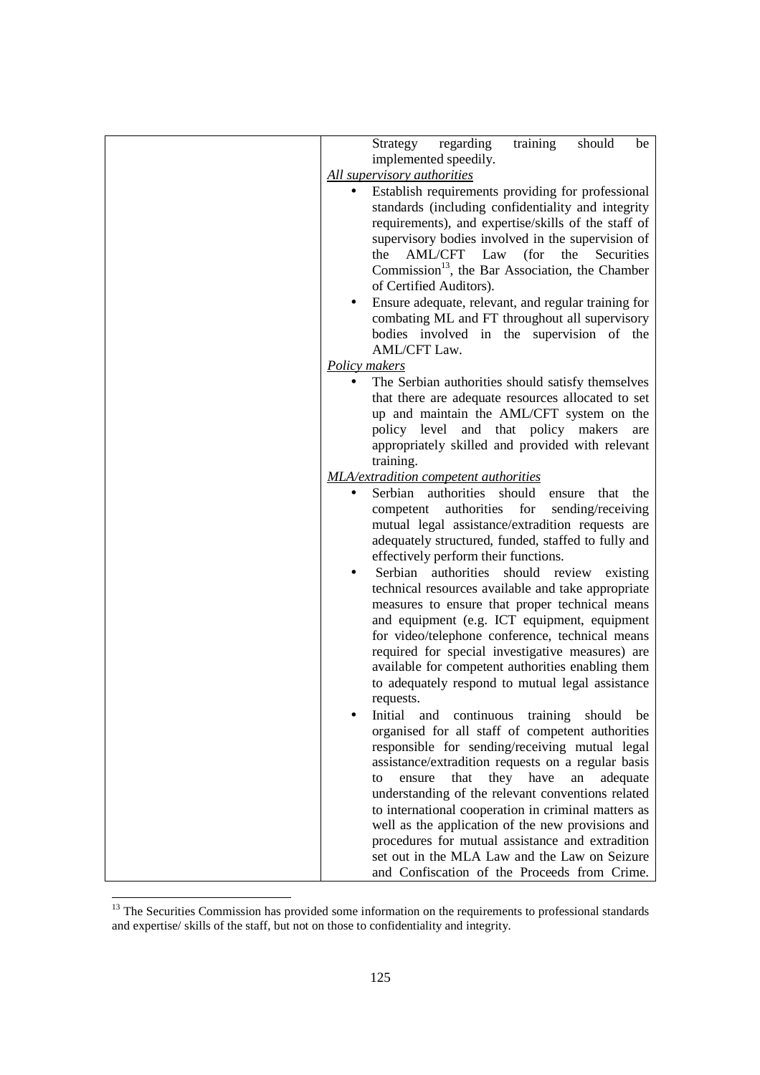| regarding<br>training<br>Strategy<br>should<br>be           |
|-------------------------------------------------------------|
| implemented speedily.                                       |
| All supervisory authorities                                 |
|                                                             |
| Establish requirements providing for professional           |
| standards (including confidentiality and integrity          |
| requirements), and expertise/skills of the staff of         |
| supervisory bodies involved in the supervision of           |
| AML/CFT Law<br>the<br>(for<br>the<br>Securities             |
|                                                             |
| Commission <sup>13</sup> , the Bar Association, the Chamber |
| of Certified Auditors).                                     |
| Ensure adequate, relevant, and regular training for         |
| combating ML and FT throughout all supervisory              |
| bodies involved in the supervision of the                   |
| AML/CFT Law.                                                |
|                                                             |
| Policy makers                                               |
| The Serbian authorities should satisfy themselves           |
| that there are adequate resources allocated to set          |
| up and maintain the AML/CFT system on the                   |
| policy level and that policy makers<br>are                  |
|                                                             |
| appropriately skilled and provided with relevant            |
| training.                                                   |
| <b>MLA/extradition competent authorities</b>                |
| Serbian authorities should<br>that<br>the<br>ensure         |
| authorities<br>for<br>sending/receiving<br>competent        |
| mutual legal assistance/extradition requests are            |
|                                                             |
| adequately structured, funded, staffed to fully and         |
| effectively perform their functions.                        |
| authorities should review existing<br>Serbian               |
| technical resources available and take appropriate          |
| measures to ensure that proper technical means              |
| and equipment (e.g. ICT equipment, equipment                |
|                                                             |
| for video/telephone conference, technical means             |
| required for special investigative measures) are            |
| available for competent authorities enabling them           |
| to adequately respond to mutual legal assistance            |
| requests.                                                   |
| continuous<br>training<br>should<br>and<br>be<br>Initial    |
|                                                             |
| organised for all staff of competent authorities            |
| responsible for sending/receiving mutual legal              |
| assistance/extradition requests on a regular basis          |
| they have<br>that<br>an<br>adequate<br>ensure<br>to         |
| understanding of the relevant conventions related           |
| to international cooperation in criminal matters as         |
|                                                             |
| well as the application of the new provisions and           |
| procedures for mutual assistance and extradition            |
| set out in the MLA Law and the Law on Seizure               |
| and Confiscation of the Proceeds from Crime.                |

<sup>&</sup>lt;u>.</u> <sup>13</sup> The Securities Commission has provided some information on the requirements to professional standards and expertise/ skills of the staff, but not on those to confidentiality and integrity.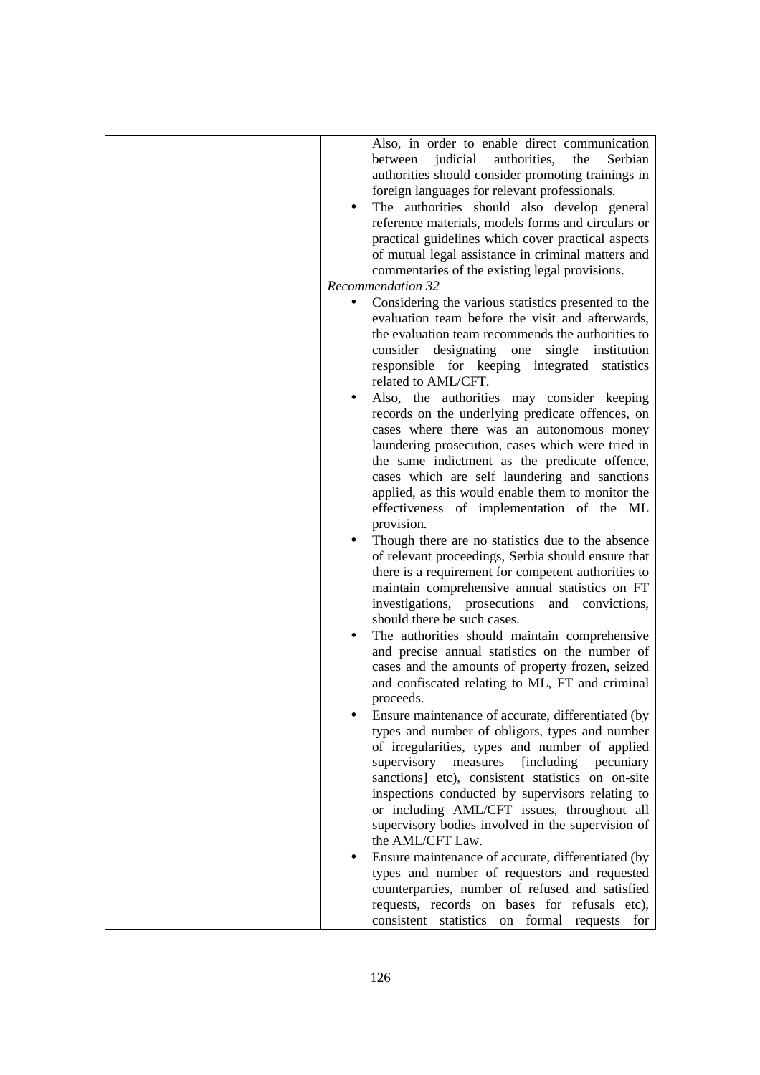| Also, in order to enable direct communication<br>judicial<br>authorities,<br>the<br>Serbian<br>between<br>authorities should consider promoting trainings in<br>foreign languages for relevant professionals.<br>The authorities should also develop general<br>reference materials, models forms and circulars or<br>practical guidelines which cover practical aspects<br>of mutual legal assistance in criminal matters and              |
|---------------------------------------------------------------------------------------------------------------------------------------------------------------------------------------------------------------------------------------------------------------------------------------------------------------------------------------------------------------------------------------------------------------------------------------------|
| commentaries of the existing legal provisions.                                                                                                                                                                                                                                                                                                                                                                                              |
| <b>Recommendation 32</b>                                                                                                                                                                                                                                                                                                                                                                                                                    |
| Considering the various statistics presented to the<br>evaluation team before the visit and afterwards,<br>the evaluation team recommends the authorities to<br>consider designating one<br>single institution<br>responsible for keeping integrated statistics<br>related to AML/CFT.                                                                                                                                                      |
| Also, the authorities may consider keeping<br>records on the underlying predicate offences, on<br>cases where there was an autonomous money<br>laundering prosecution, cases which were tried in<br>the same indictment as the predicate offence,<br>cases which are self laundering and sanctions<br>applied, as this would enable them to monitor the<br>effectiveness of implementation of the ML<br>provision.                          |
| Though there are no statistics due to the absence<br>of relevant proceedings, Serbia should ensure that<br>there is a requirement for competent authorities to<br>maintain comprehensive annual statistics on FT<br>investigations, prosecutions<br>and convictions,<br>should there be such cases.                                                                                                                                         |
| The authorities should maintain comprehensive<br>and precise annual statistics on the number of<br>cases and the amounts of property frozen, seized<br>and confiscated relating to ML, FT and criminal<br>proceeds.                                                                                                                                                                                                                         |
| Ensure maintenance of accurate, differentiated (by<br>types and number of obligors, types and number<br>of irregularities, types and number of applied<br>supervisory measures<br>[including]<br>pecuniary<br>sanctions] etc), consistent statistics on on-site<br>inspections conducted by supervisors relating to<br>or including AML/CFT issues, throughout all<br>supervisory bodies involved in the supervision of<br>the AML/CFT Law. |
| Ensure maintenance of accurate, differentiated (by<br>types and number of requestors and requested<br>counterparties, number of refused and satisfied<br>requests, records on bases for refusals etc),<br>consistent statistics on formal requests for                                                                                                                                                                                      |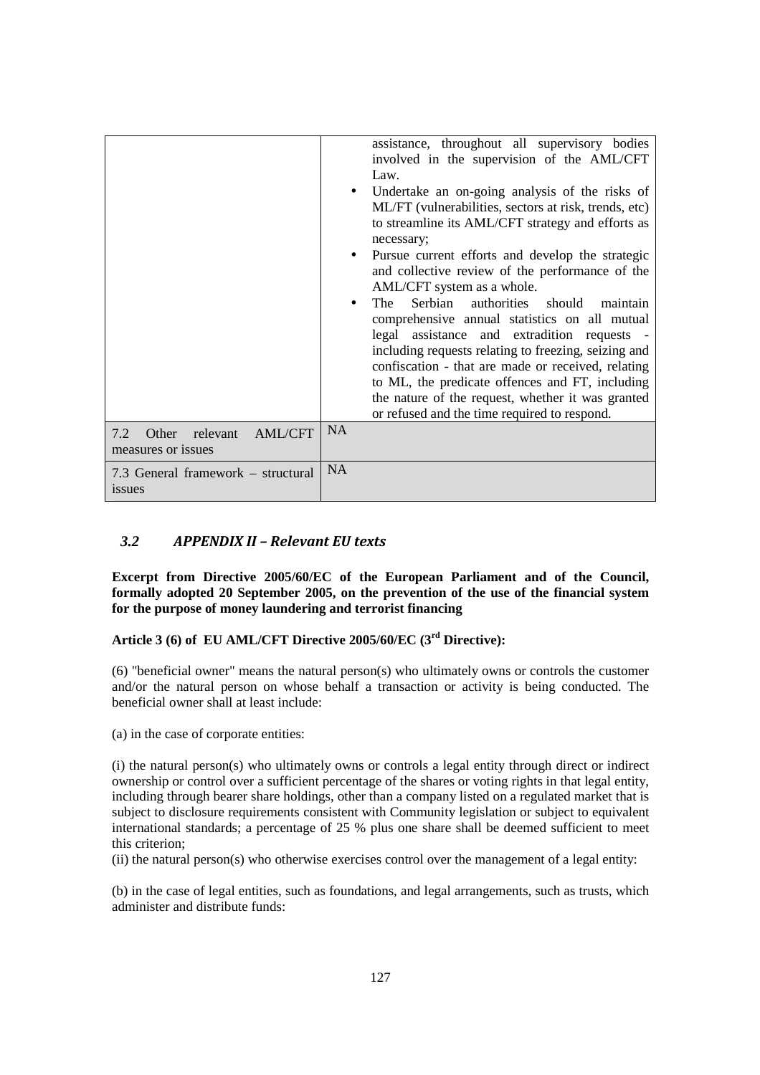## *3.2 APPENDIX II – Relevant EU texts*

**Excerpt from Directive 2005/60/EC of the European Parliament and of the Council, formally adopted 20 September 2005, on the prevention of the use of the financial system for the purpose of money laundering and terrorist financing** 

### **Article 3 (6) of EU AML/CFT Directive 2005/60/EC (3 rd Directive):**

(6) "beneficial owner" means the natural person(s) who ultimately owns or controls the customer and/or the natural person on whose behalf a transaction or activity is being conducted. The beneficial owner shall at least include:

(a) in the case of corporate entities:

(i) the natural person(s) who ultimately owns or controls a legal entity through direct or indirect ownership or control over a sufficient percentage of the shares or voting rights in that legal entity, including through bearer share holdings, other than a company listed on a regulated market that is subject to disclosure requirements consistent with Community legislation or subject to equivalent international standards; a percentage of 25 % plus one share shall be deemed sufficient to meet this criterion;

(ii) the natural person(s) who otherwise exercises control over the management of a legal entity:

(b) in the case of legal entities, such as foundations, and legal arrangements, such as trusts, which administer and distribute funds: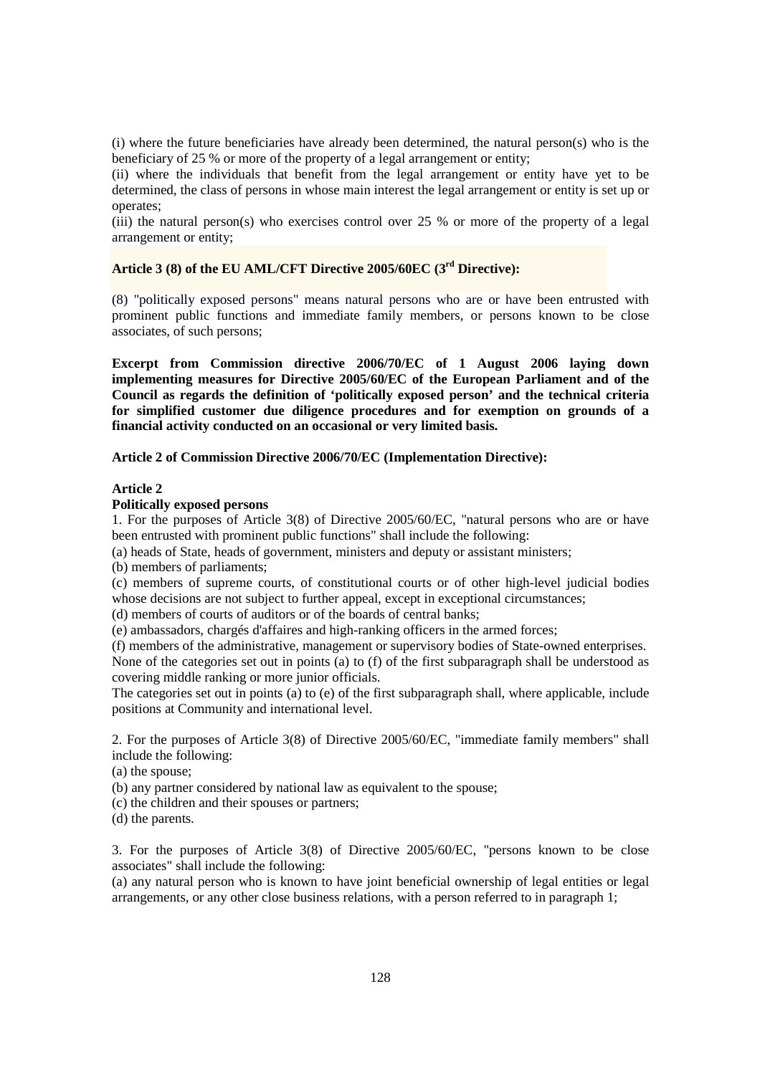(i) where the future beneficiaries have already been determined, the natural person(s) who is the beneficiary of 25 % or more of the property of a legal arrangement or entity;

(ii) where the individuals that benefit from the legal arrangement or entity have yet to be determined, the class of persons in whose main interest the legal arrangement or entity is set up or operates;

(iii) the natural person(s) who exercises control over 25 % or more of the property of a legal arrangement or entity;

# **Article 3 (8) of the EU AML/CFT Directive 2005/60EC (3rd Directive):**

(8) "politically exposed persons" means natural persons who are or have been entrusted with prominent public functions and immediate family members, or persons known to be close associates, of such persons;

**Excerpt from Commission directive 2006/70/EC of 1 August 2006 laying down implementing measures for Directive 2005/60/EC of the European Parliament and of the Council as regards the definition of 'politically exposed person' and the technical criteria for simplified customer due diligence procedures and for exemption on grounds of a financial activity conducted on an occasional or very limited basis.** 

**Article 2 of Commission Directive 2006/70/EC (Implementation Directive):** 

### **Article 2**

### **Politically exposed persons**

1. For the purposes of Article 3(8) of Directive 2005/60/EC, "natural persons who are or have been entrusted with prominent public functions" shall include the following:

(a) heads of State, heads of government, ministers and deputy or assistant ministers;

(b) members of parliaments;

(c) members of supreme courts, of constitutional courts or of other high-level judicial bodies whose decisions are not subject to further appeal, except in exceptional circumstances;

(d) members of courts of auditors or of the boards of central banks;

(e) ambassadors, chargés d'affaires and high-ranking officers in the armed forces;

(f) members of the administrative, management or supervisory bodies of State-owned enterprises. None of the categories set out in points (a) to (f) of the first subparagraph shall be understood as covering middle ranking or more junior officials.

The categories set out in points (a) to (e) of the first subparagraph shall, where applicable, include positions at Community and international level.

2. For the purposes of Article 3(8) of Directive 2005/60/EC, "immediate family members" shall include the following:

(a) the spouse;

(b) any partner considered by national law as equivalent to the spouse;

(c) the children and their spouses or partners;

(d) the parents.

3. For the purposes of Article 3(8) of Directive 2005/60/EC, "persons known to be close associates" shall include the following:

(a) any natural person who is known to have joint beneficial ownership of legal entities or legal arrangements, or any other close business relations, with a person referred to in paragraph 1;